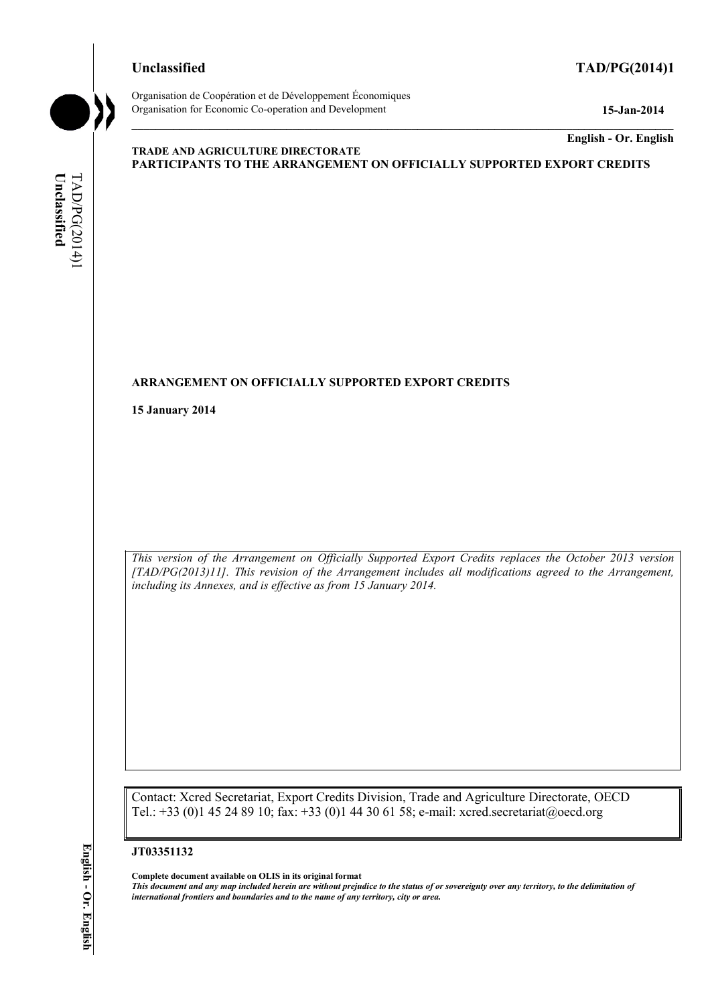### **Unclassified TAD/PG(2014)1**



Organisation de Coopération et de Développement Économiques Organisation for Economic Co-operation and Development **15-Jan-2014** 

**English - Or. English** 

#### **TRADE AND AGRICULTURE DIRECTORATE PARTICIPANTS TO THE ARRANGEMENT ON OFFICIALLY SUPPORTED EXPORT CREDITS**

# Unclassified **Unclassified**  TAD/PG(2014) TAD/PG(2014)1

#### **ARRANGEMENT ON OFFICIALLY SUPPORTED EXPORT CREDITS**

**15 January 2014** 

*This version of the Arrangement on Officially Supported Export Credits replaces the October 2013 version [TAD/PG(2013)11]. This revision of the Arrangement includes all modifications agreed to the Arrangement, including its Annexes, and is effective as from 15 January 2014.* 

Contact: Xcred Secretariat, Export Credits Division, Trade and Agriculture Directorate, OECD Tel.: +33 (0)1 45 24 89 10; fax: +33 (0)1 44 30 61 58; e-mail: xcred.secretariat@oecd.org

#### **JT03351132**

**Complete document available on OLIS in its original format**

*This document and any map included herein are without prejudice to the status of or sovereignty over any territory, to the delimitation of international frontiers and boundaries and to the name of any territory, city or area.*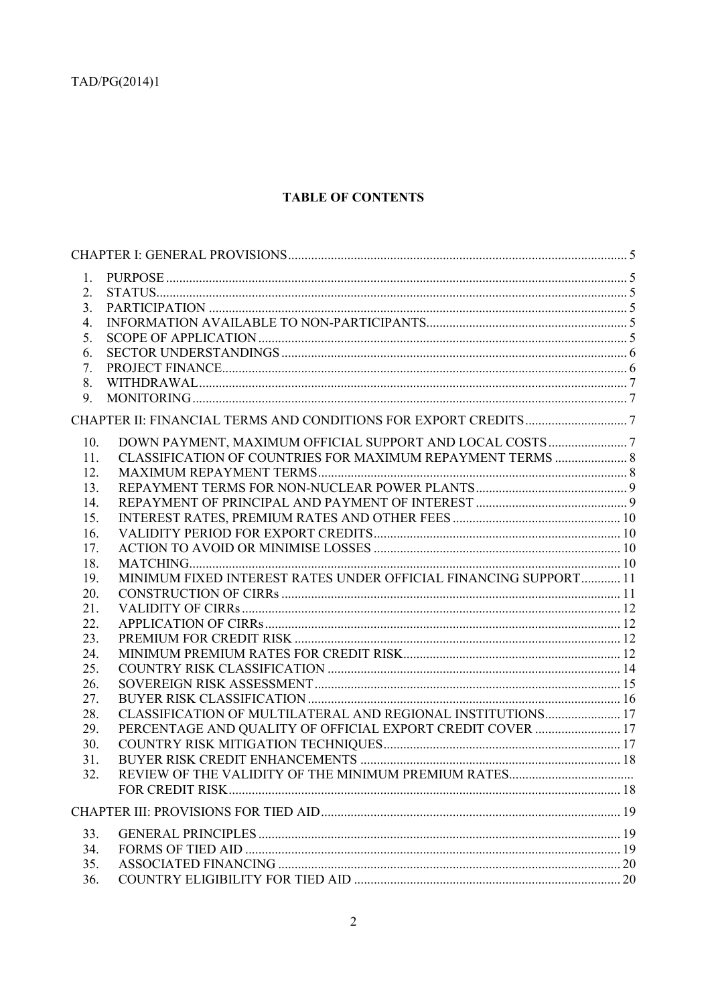# **TABLE OF CONTENTS**

| 1.               |                                                                  |  |
|------------------|------------------------------------------------------------------|--|
| 2.               |                                                                  |  |
| 3.               |                                                                  |  |
| $\overline{4}$ . |                                                                  |  |
| 5.               |                                                                  |  |
| 6.               |                                                                  |  |
| 7.               |                                                                  |  |
| 8.               |                                                                  |  |
| 9.               |                                                                  |  |
|                  |                                                                  |  |
| 10.              |                                                                  |  |
| 11.              | CLASSIFICATION OF COUNTRIES FOR MAXIMUM REPAYMENT TERMS  8       |  |
| 12.              |                                                                  |  |
| 13.              |                                                                  |  |
| 14.              |                                                                  |  |
| 15.              |                                                                  |  |
| 16.              |                                                                  |  |
| 17.              |                                                                  |  |
| 18.              |                                                                  |  |
| 19.              | MINIMUM FIXED INTEREST RATES UNDER OFFICIAL FINANCING SUPPORT 11 |  |
| 20.              |                                                                  |  |
| 21.              |                                                                  |  |
| 22.              |                                                                  |  |
| 23.              |                                                                  |  |
| 24.              |                                                                  |  |
| 25.              |                                                                  |  |
| 26.              |                                                                  |  |
| 27.              |                                                                  |  |
| 28.              | CLASSIFICATION OF MULTILATERAL AND REGIONAL INSTITUTIONS 17      |  |
| 29.              | PERCENTAGE AND QUALITY OF OFFICIAL EXPORT CREDIT COVER  17       |  |
| 30.              |                                                                  |  |
| 31.              |                                                                  |  |
| 32.              |                                                                  |  |
|                  |                                                                  |  |
|                  |                                                                  |  |
| 33.              |                                                                  |  |
| 34.              |                                                                  |  |
| 35.              |                                                                  |  |
| 36.              |                                                                  |  |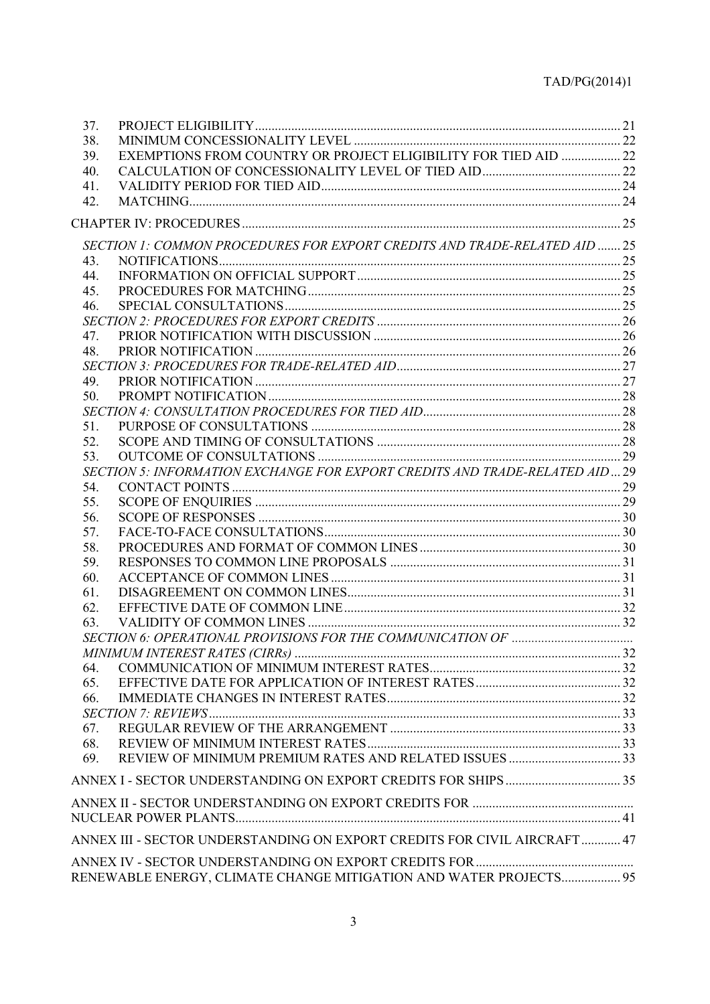| 37. |                                                                              |  |
|-----|------------------------------------------------------------------------------|--|
| 38. |                                                                              |  |
| 39. | EXEMPTIONS FROM COUNTRY OR PROJECT ELIGIBILITY FOR TIED AID  22              |  |
| 40. |                                                                              |  |
| 41. |                                                                              |  |
| 42. |                                                                              |  |
|     |                                                                              |  |
|     | SECTION 1: COMMON PROCEDURES FOR EXPORT CREDITS AND TRADE-RELATED AID  25    |  |
| 43. |                                                                              |  |
| 44. |                                                                              |  |
| 45. |                                                                              |  |
| 46. |                                                                              |  |
|     |                                                                              |  |
| 47. |                                                                              |  |
| 48. |                                                                              |  |
|     |                                                                              |  |
| 49. |                                                                              |  |
| 50. |                                                                              |  |
|     |                                                                              |  |
| 51. |                                                                              |  |
| 52. |                                                                              |  |
| 53. |                                                                              |  |
|     | SECTION 5: INFORMATION EXCHANGE FOR EXPORT CREDITS AND TRADE-RELATED AID  29 |  |
| 54. |                                                                              |  |
| 55. |                                                                              |  |
| 56. |                                                                              |  |
| 57. |                                                                              |  |
| 58. |                                                                              |  |
| 59. |                                                                              |  |
| 60. |                                                                              |  |
| 61. |                                                                              |  |
| 62. |                                                                              |  |
| 63. |                                                                              |  |
|     |                                                                              |  |
|     |                                                                              |  |
| 64. |                                                                              |  |
| 65. |                                                                              |  |
| 66. |                                                                              |  |
|     |                                                                              |  |
| 67. |                                                                              |  |
| 68. |                                                                              |  |
| 69. |                                                                              |  |
|     |                                                                              |  |
|     |                                                                              |  |
|     |                                                                              |  |
|     | ANNEX III - SECTOR UNDERSTANDING ON EXPORT CREDITS FOR CIVIL AIRCRAFT  47    |  |
|     |                                                                              |  |
|     | RENEWABLE ENERGY, CLIMATE CHANGE MITIGATION AND WATER PROJECTS 95            |  |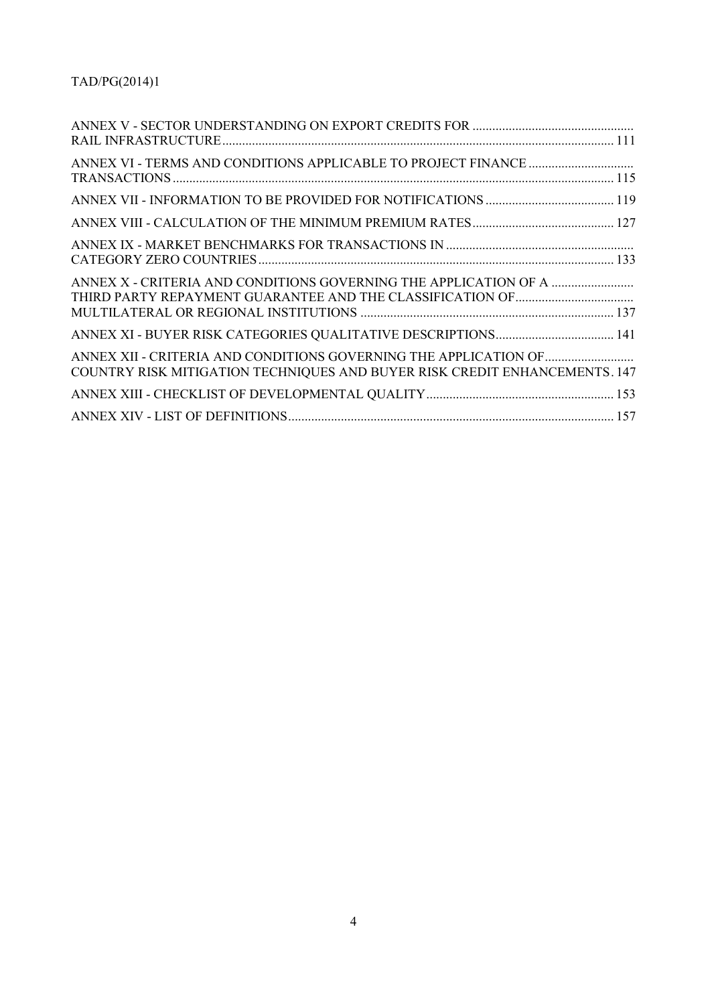| COUNTRY RISK MITIGATION TECHNIQUES AND BUYER RISK CREDIT ENHANCEMENTS. 147 |  |
|----------------------------------------------------------------------------|--|
|                                                                            |  |
|                                                                            |  |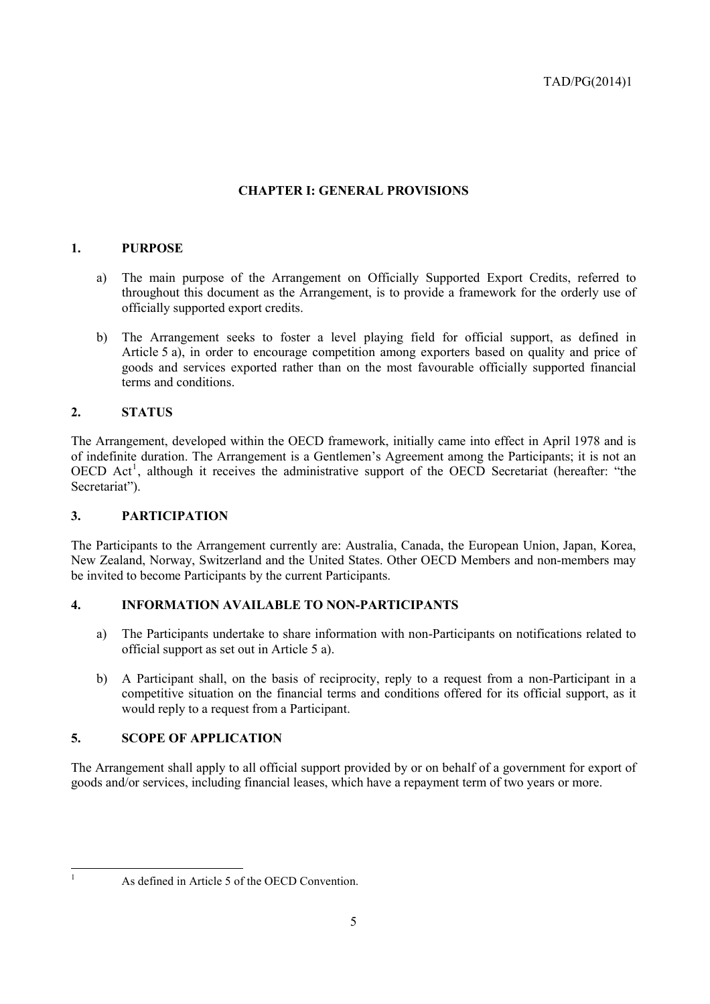### **CHAPTER I: GENERAL PROVISIONS**

#### **1. PURPOSE**

- a) The main purpose of the Arrangement on Officially Supported Export Credits, referred to throughout this document as the Arrangement, is to provide a framework for the orderly use of officially supported export credits.
- b) The Arrangement seeks to foster a level playing field for official support, as defined in Article 5 a), in order to encourage competition among exporters based on quality and price of goods and services exported rather than on the most favourable officially supported financial terms and conditions.

#### **2. STATUS**

The Arrangement, developed within the OECD framework, initially came into effect in April 1978 and is of indefinite duration. The Arrangement is a Gentlemen's Agreement among the Participants; it is not an OECD Act<sup>1</sup>, although it receives the administrative support of the OECD Secretariat (hereafter: "the Secretariat").

#### **3. PARTICIPATION**

The Participants to the Arrangement currently are: Australia, Canada, the European Union, Japan, Korea, New Zealand, Norway, Switzerland and the United States. Other OECD Members and non-members may be invited to become Participants by the current Participants.

#### **4. INFORMATION AVAILABLE TO NON-PARTICIPANTS**

- a) The Participants undertake to share information with non-Participants on notifications related to official support as set out in Article 5 a).
- b) A Participant shall, on the basis of reciprocity, reply to a request from a non-Participant in a competitive situation on the financial terms and conditions offered for its official support, as it would reply to a request from a Participant.

#### **5. SCOPE OF APPLICATION**

The Arrangement shall apply to all official support provided by or on behalf of a government for export of goods and/or services, including financial leases, which have a repayment term of two years or more.

As defined in Article 5 of the OECD Convention.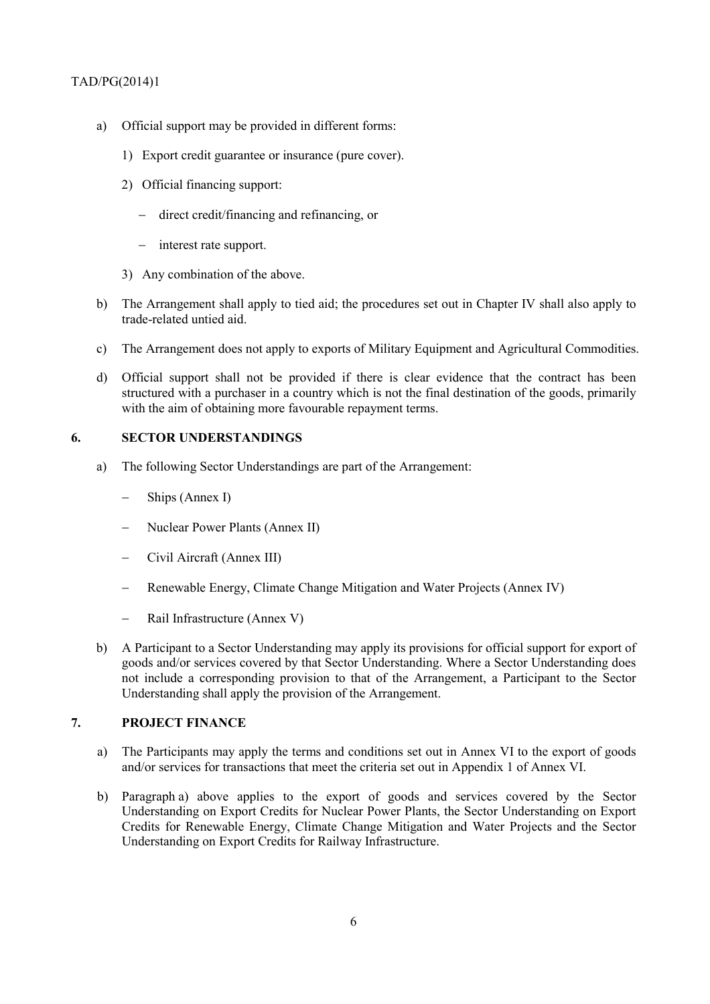- a) Official support may be provided in different forms:
	- 1) Export credit guarantee or insurance (pure cover).
	- 2) Official financing support:
		- − direct credit/financing and refinancing, or
		- − interest rate support.
	- 3) Any combination of the above.
- b) The Arrangement shall apply to tied aid; the procedures set out in Chapter IV shall also apply to trade-related untied aid.
- c) The Arrangement does not apply to exports of Military Equipment and Agricultural Commodities.
- d) Official support shall not be provided if there is clear evidence that the contract has been structured with a purchaser in a country which is not the final destination of the goods, primarily with the aim of obtaining more favourable repayment terms.

#### **6. SECTOR UNDERSTANDINGS**

- a) The following Sector Understandings are part of the Arrangement:
	- − Ships (Annex I)
	- − Nuclear Power Plants (Annex II)
	- − Civil Aircraft (Annex III)
	- − Renewable Energy, Climate Change Mitigation and Water Projects (Annex IV)
	- − Rail Infrastructure (Annex V)
- b) A Participant to a Sector Understanding may apply its provisions for official support for export of goods and/or services covered by that Sector Understanding. Where a Sector Understanding does not include a corresponding provision to that of the Arrangement, a Participant to the Sector Understanding shall apply the provision of the Arrangement.

#### **7. PROJECT FINANCE**

- a) The Participants may apply the terms and conditions set out in Annex VI to the export of goods and/or services for transactions that meet the criteria set out in Appendix 1 of Annex VI.
- b) Paragraph a) above applies to the export of goods and services covered by the Sector Understanding on Export Credits for Nuclear Power Plants, the Sector Understanding on Export Credits for Renewable Energy, Climate Change Mitigation and Water Projects and the Sector Understanding on Export Credits for Railway Infrastructure.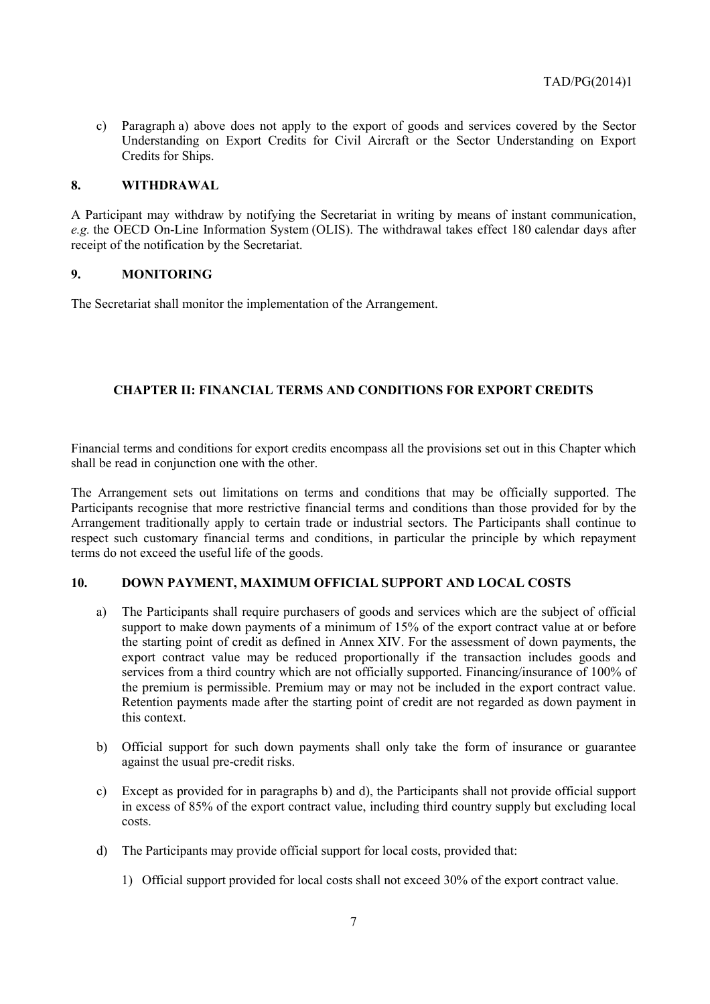c) Paragraph a) above does not apply to the export of goods and services covered by the Sector Understanding on Export Credits for Civil Aircraft or the Sector Understanding on Export Credits for Ships.

#### **8. WITHDRAWAL**

A Participant may withdraw by notifying the Secretariat in writing by means of instant communication, *e.g.* the OECD On-Line Information System (OLIS). The withdrawal takes effect 180 calendar days after receipt of the notification by the Secretariat.

#### **9. MONITORING**

The Secretariat shall monitor the implementation of the Arrangement.

### **CHAPTER II: FINANCIAL TERMS AND CONDITIONS FOR EXPORT CREDITS**

Financial terms and conditions for export credits encompass all the provisions set out in this Chapter which shall be read in conjunction one with the other.

The Arrangement sets out limitations on terms and conditions that may be officially supported. The Participants recognise that more restrictive financial terms and conditions than those provided for by the Arrangement traditionally apply to certain trade or industrial sectors. The Participants shall continue to respect such customary financial terms and conditions, in particular the principle by which repayment terms do not exceed the useful life of the goods.

#### **10. DOWN PAYMENT, MAXIMUM OFFICIAL SUPPORT AND LOCAL COSTS**

- a) The Participants shall require purchasers of goods and services which are the subject of official support to make down payments of a minimum of 15% of the export contract value at or before the starting point of credit as defined in Annex XIV. For the assessment of down payments, the export contract value may be reduced proportionally if the transaction includes goods and services from a third country which are not officially supported. Financing/insurance of 100% of the premium is permissible. Premium may or may not be included in the export contract value. Retention payments made after the starting point of credit are not regarded as down payment in this context.
- b) Official support for such down payments shall only take the form of insurance or guarantee against the usual pre-credit risks.
- c) Except as provided for in paragraphs b) and d), the Participants shall not provide official support in excess of 85% of the export contract value, including third country supply but excluding local costs.
- d) The Participants may provide official support for local costs, provided that:
	- 1) Official support provided for local costs shall not exceed 30% of the export contract value.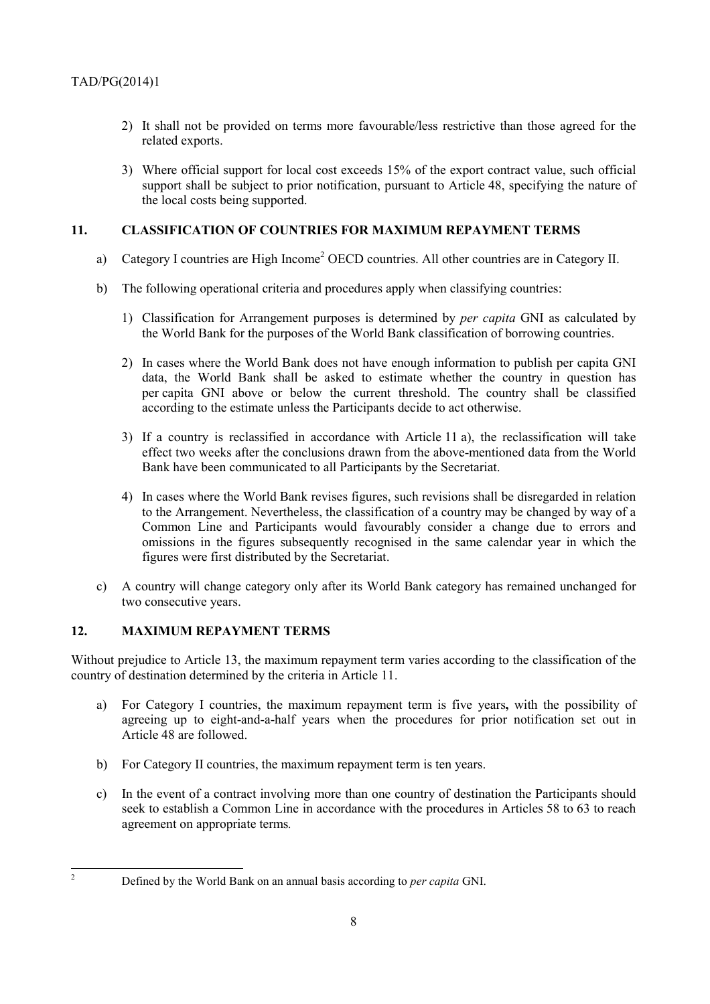- 2) It shall not be provided on terms more favourable/less restrictive than those agreed for the related exports.
- 3) Where official support for local cost exceeds 15% of the export contract value, such official support shall be subject to prior notification, pursuant to Article 48, specifying the nature of the local costs being supported.

#### **11. CLASSIFICATION OF COUNTRIES FOR MAXIMUM REPAYMENT TERMS**

- a) Category I countries are High Income<sup>2</sup> OECD countries. All other countries are in Category II.
- b) The following operational criteria and procedures apply when classifying countries:
	- 1) Classification for Arrangement purposes is determined by *per capita* GNI as calculated by the World Bank for the purposes of the World Bank classification of borrowing countries.
	- 2) In cases where the World Bank does not have enough information to publish per capita GNI data, the World Bank shall be asked to estimate whether the country in question has per capita GNI above or below the current threshold. The country shall be classified according to the estimate unless the Participants decide to act otherwise.
	- 3) If a country is reclassified in accordance with Article 11 a), the reclassification will take effect two weeks after the conclusions drawn from the above-mentioned data from the World Bank have been communicated to all Participants by the Secretariat.
	- 4) In cases where the World Bank revises figures, such revisions shall be disregarded in relation to the Arrangement. Nevertheless, the classification of a country may be changed by way of a Common Line and Participants would favourably consider a change due to errors and omissions in the figures subsequently recognised in the same calendar year in which the figures were first distributed by the Secretariat.
- c) A country will change category only after its World Bank category has remained unchanged for two consecutive years.

#### **12. MAXIMUM REPAYMENT TERMS**

Without prejudice to Article 13, the maximum repayment term varies according to the classification of the country of destination determined by the criteria in Article 11.

- a) For Category I countries, the maximum repayment term is five years**,** with the possibility of agreeing up to eight-and-a-half years when the procedures for prior notification set out in Article 48 are followed.
- b) For Category II countries, the maximum repayment term is ten years.
- c) In the event of a contract involving more than one country of destination the Participants should seek to establish a Common Line in accordance with the procedures in Articles 58 to 63 to reach agreement on appropriate terms*.*

 $\frac{1}{2}$ 

Defined by the World Bank on an annual basis according to *per capita* GNI.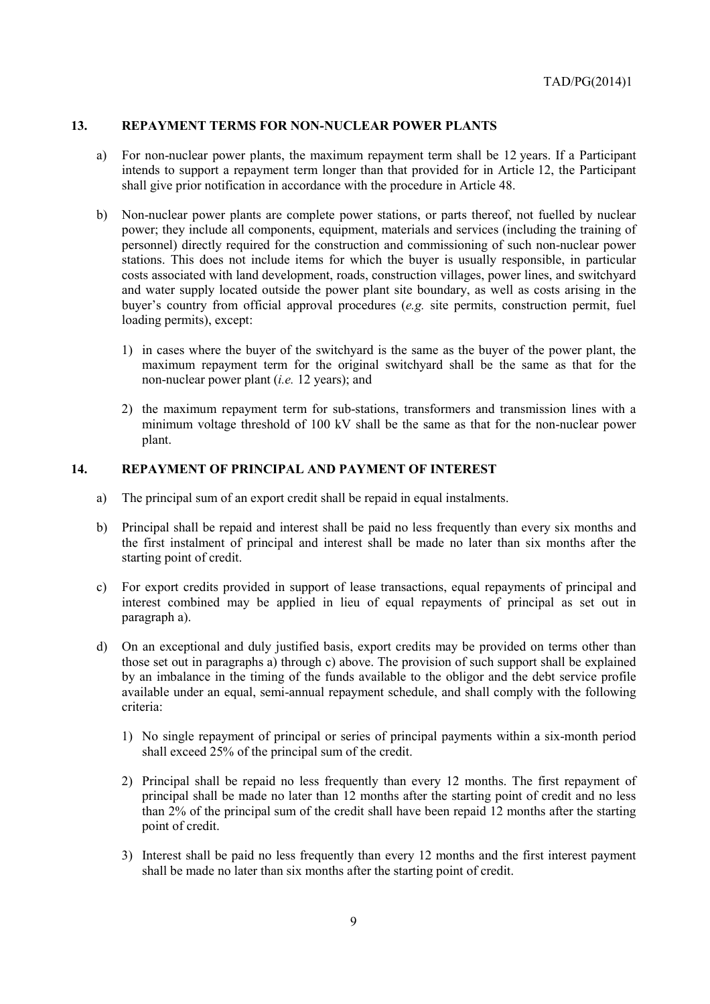#### **13. REPAYMENT TERMS FOR NON-NUCLEAR POWER PLANTS**

- a) For non-nuclear power plants, the maximum repayment term shall be 12 years. If a Participant intends to support a repayment term longer than that provided for in Article 12, the Participant shall give prior notification in accordance with the procedure in Article 48.
- b) Non-nuclear power plants are complete power stations, or parts thereof, not fuelled by nuclear power; they include all components, equipment, materials and services (including the training of personnel) directly required for the construction and commissioning of such non-nuclear power stations. This does not include items for which the buyer is usually responsible, in particular costs associated with land development, roads, construction villages, power lines, and switchyard and water supply located outside the power plant site boundary, as well as costs arising in the buyer's country from official approval procedures (*e.g.* site permits, construction permit, fuel loading permits), except:
	- 1) in cases where the buyer of the switchyard is the same as the buyer of the power plant, the maximum repayment term for the original switchyard shall be the same as that for the non-nuclear power plant (*i.e.* 12 years); and
	- 2) the maximum repayment term for sub-stations, transformers and transmission lines with a minimum voltage threshold of 100 kV shall be the same as that for the non-nuclear power plant.

#### **14. REPAYMENT OF PRINCIPAL AND PAYMENT OF INTEREST**

- a) The principal sum of an export credit shall be repaid in equal instalments.
- b) Principal shall be repaid and interest shall be paid no less frequently than every six months and the first instalment of principal and interest shall be made no later than six months after the starting point of credit.
- c) For export credits provided in support of lease transactions, equal repayments of principal and interest combined may be applied in lieu of equal repayments of principal as set out in paragraph a).
- d) On an exceptional and duly justified basis, export credits may be provided on terms other than those set out in paragraphs a) through c) above. The provision of such support shall be explained by an imbalance in the timing of the funds available to the obligor and the debt service profile available under an equal, semi-annual repayment schedule, and shall comply with the following criteria:
	- 1) No single repayment of principal or series of principal payments within a six-month period shall exceed 25% of the principal sum of the credit.
	- 2) Principal shall be repaid no less frequently than every 12 months. The first repayment of principal shall be made no later than 12 months after the starting point of credit and no less than 2% of the principal sum of the credit shall have been repaid 12 months after the starting point of credit.
	- 3) Interest shall be paid no less frequently than every 12 months and the first interest payment shall be made no later than six months after the starting point of credit.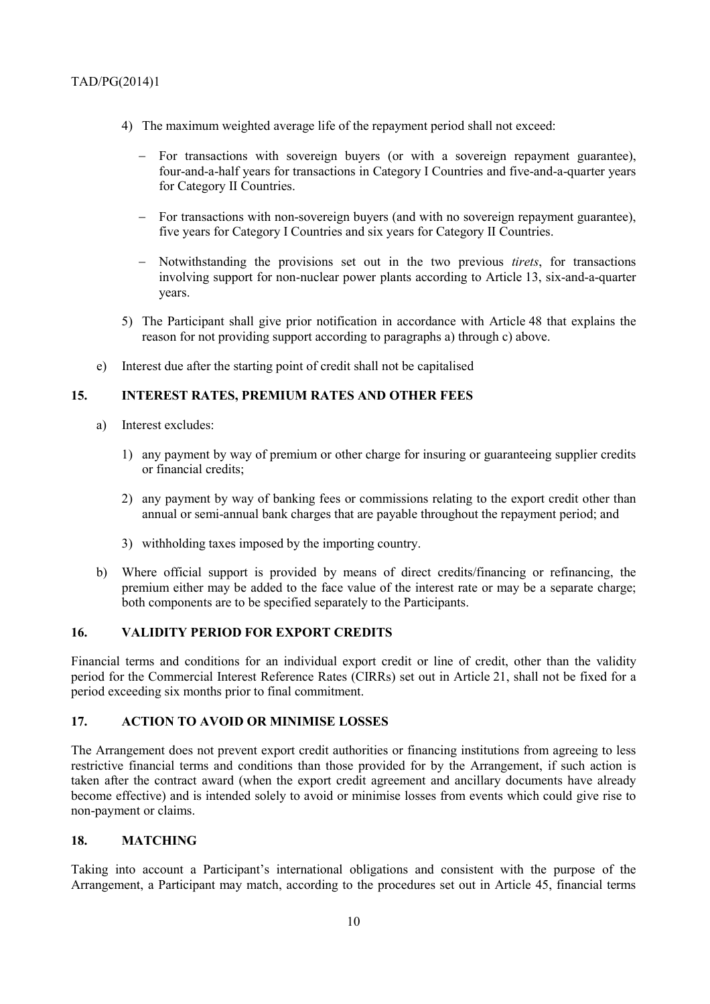- 4) The maximum weighted average life of the repayment period shall not exceed:
	- For transactions with sovereign buyers (or with a sovereign repayment guarantee), four-and-a-half years for transactions in Category I Countries and five-and-a-quarter years for Category II Countries.
	- − For transactions with non-sovereign buyers (and with no sovereign repayment guarantee), five years for Category I Countries and six years for Category II Countries.
	- − Notwithstanding the provisions set out in the two previous *tirets*, for transactions involving support for non-nuclear power plants according to Article 13, six-and-a-quarter years.
- 5) The Participant shall give prior notification in accordance with Article 48 that explains the reason for not providing support according to paragraphs a) through c) above.
- e) Interest due after the starting point of credit shall not be capitalised

#### **15. INTEREST RATES, PREMIUM RATES AND OTHER FEES**

- a) Interest excludes:
	- 1) any payment by way of premium or other charge for insuring or guaranteeing supplier credits or financial credits;
	- 2) any payment by way of banking fees or commissions relating to the export credit other than annual or semi-annual bank charges that are payable throughout the repayment period; and
	- 3) withholding taxes imposed by the importing country.
- b) Where official support is provided by means of direct credits/financing or refinancing, the premium either may be added to the face value of the interest rate or may be a separate charge; both components are to be specified separately to the Participants.

#### **16. VALIDITY PERIOD FOR EXPORT CREDITS**

Financial terms and conditions for an individual export credit or line of credit, other than the validity period for the Commercial Interest Reference Rates (CIRRs) set out in Article 21, shall not be fixed for a period exceeding six months prior to final commitment.

#### **17. ACTION TO AVOID OR MINIMISE LOSSES**

The Arrangement does not prevent export credit authorities or financing institutions from agreeing to less restrictive financial terms and conditions than those provided for by the Arrangement, if such action is taken after the contract award (when the export credit agreement and ancillary documents have already become effective) and is intended solely to avoid or minimise losses from events which could give rise to non-payment or claims.

#### **18. MATCHING**

Taking into account a Participant's international obligations and consistent with the purpose of the Arrangement, a Participant may match, according to the procedures set out in Article 45, financial terms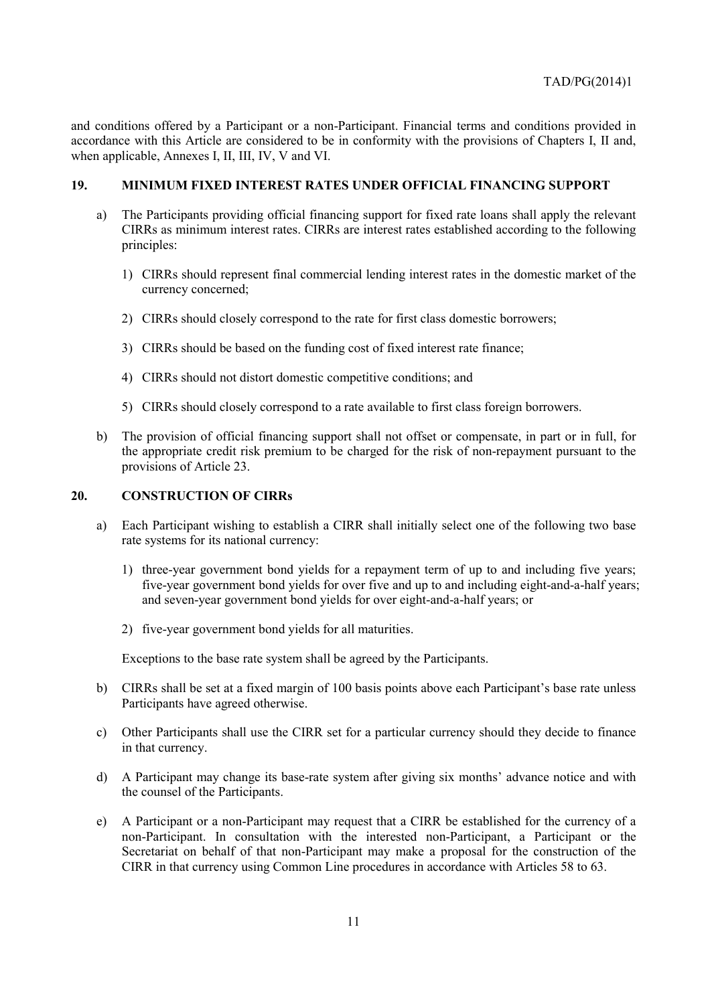and conditions offered by a Participant or a non-Participant. Financial terms and conditions provided in accordance with this Article are considered to be in conformity with the provisions of Chapters I, II and, when applicable, Annexes I, II, III, IV, V and VI.

#### **19. MINIMUM FIXED INTEREST RATES UNDER OFFICIAL FINANCING SUPPORT**

- a) The Participants providing official financing support for fixed rate loans shall apply the relevant CIRRs as minimum interest rates. CIRRs are interest rates established according to the following principles:
	- 1) CIRRs should represent final commercial lending interest rates in the domestic market of the currency concerned;
	- 2) CIRRs should closely correspond to the rate for first class domestic borrowers;
	- 3) CIRRs should be based on the funding cost of fixed interest rate finance;
	- 4) CIRRs should not distort domestic competitive conditions; and
	- 5) CIRRs should closely correspond to a rate available to first class foreign borrowers.
- b) The provision of official financing support shall not offset or compensate, in part or in full, for the appropriate credit risk premium to be charged for the risk of non-repayment pursuant to the provisions of Article 23.

#### **20. CONSTRUCTION OF CIRRs**

- a) Each Participant wishing to establish a CIRR shall initially select one of the following two base rate systems for its national currency:
	- 1) three-year government bond yields for a repayment term of up to and including five years; five-year government bond yields for over five and up to and including eight-and-a-half years; and seven-year government bond yields for over eight-and-a-half years; or
	- 2) five-year government bond yields for all maturities.

Exceptions to the base rate system shall be agreed by the Participants.

- b) CIRRs shall be set at a fixed margin of 100 basis points above each Participant's base rate unless Participants have agreed otherwise.
- c) Other Participants shall use the CIRR set for a particular currency should they decide to finance in that currency.
- d) A Participant may change its base-rate system after giving six months' advance notice and with the counsel of the Participants.
- e) A Participant or a non-Participant may request that a CIRR be established for the currency of a non-Participant. In consultation with the interested non-Participant, a Participant or the Secretariat on behalf of that non-Participant may make a proposal for the construction of the CIRR in that currency using Common Line procedures in accordance with Articles 58 to 63.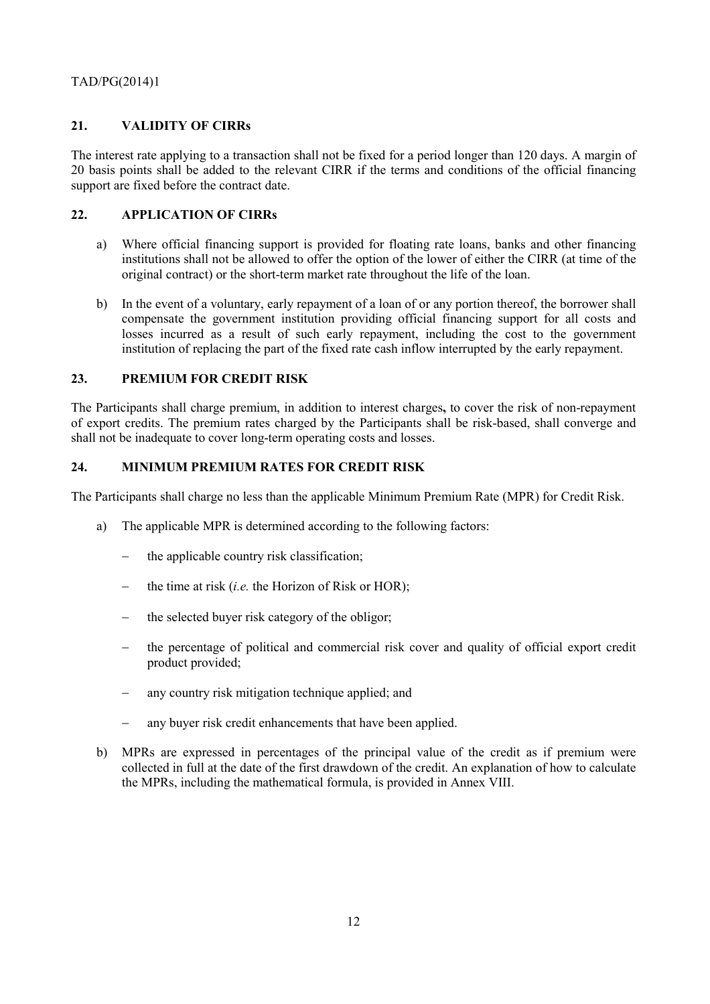#### **21. VALIDITY OF CIRRs**

The interest rate applying to a transaction shall not be fixed for a period longer than 120 days. A margin of 20 basis points shall be added to the relevant CIRR if the terms and conditions of the official financing support are fixed before the contract date.

#### **22. APPLICATION OF CIRRs**

- a) Where official financing support is provided for floating rate loans, banks and other financing institutions shall not be allowed to offer the option of the lower of either the CIRR (at time of the original contract) or the short-term market rate throughout the life of the loan.
- b) In the event of a voluntary, early repayment of a loan of or any portion thereof, the borrower shall compensate the government institution providing official financing support for all costs and losses incurred as a result of such early repayment, including the cost to the government institution of replacing the part of the fixed rate cash inflow interrupted by the early repayment.

#### **23. PREMIUM FOR CREDIT RISK**

The Participants shall charge premium, in addition to interest charges**,** to cover the risk of non-repayment of export credits. The premium rates charged by the Participants shall be risk-based, shall converge and shall not be inadequate to cover long-term operating costs and losses.

#### **24. MINIMUM PREMIUM RATES FOR CREDIT RISK**

The Participants shall charge no less than the applicable Minimum Premium Rate (MPR) for Credit Risk.

- a) The applicable MPR is determined according to the following factors:
	- − the applicable country risk classification;
	- the time at risk (*i.e.* the Horizon of Risk or HOR);
	- the selected buyer risk category of the obligor;
	- the percentage of political and commercial risk cover and quality of official export credit product provided;
	- any country risk mitigation technique applied; and
	- any buyer risk credit enhancements that have been applied.
- b) MPRs are expressed in percentages of the principal value of the credit as if premium were collected in full at the date of the first drawdown of the credit. An explanation of how to calculate the MPRs, including the mathematical formula, is provided in Annex VIII.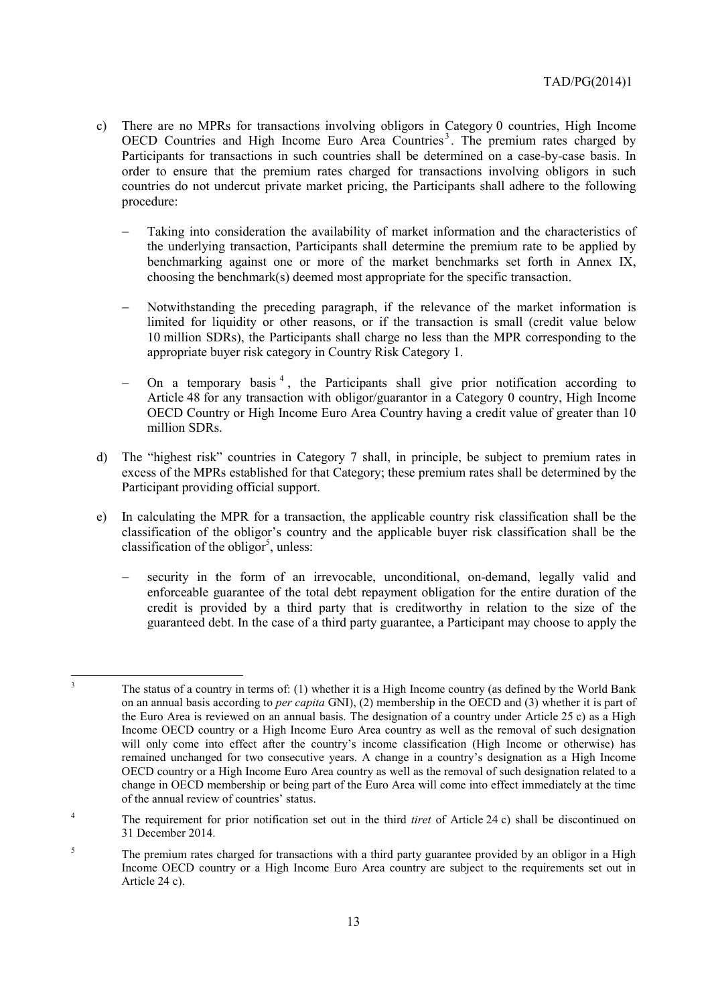- c) There are no MPRs for transactions involving obligors in Category 0 countries, High Income OECD Countries and High Income Euro Area Countries<sup>3</sup>. The premium rates charged by Participants for transactions in such countries shall be determined on a case-by-case basis. In order to ensure that the premium rates charged for transactions involving obligors in such countries do not undercut private market pricing, the Participants shall adhere to the following procedure:
	- Taking into consideration the availability of market information and the characteristics of the underlying transaction, Participants shall determine the premium rate to be applied by benchmarking against one or more of the market benchmarks set forth in Annex IX, choosing the benchmark(s) deemed most appropriate for the specific transaction.
	- − Notwithstanding the preceding paragraph, if the relevance of the market information is limited for liquidity or other reasons, or if the transaction is small (credit value below 10 million SDRs), the Participants shall charge no less than the MPR corresponding to the appropriate buyer risk category in Country Risk Category 1.
	- On a temporary basis<sup>4</sup>, the Participants shall give prior notification according to Article 48 for any transaction with obligor/guarantor in a Category 0 country, High Income OECD Country or High Income Euro Area Country having a credit value of greater than 10 million SDRs.
- d) The "highest risk" countries in Category 7 shall, in principle, be subject to premium rates in excess of the MPRs established for that Category; these premium rates shall be determined by the Participant providing official support.
- e) In calculating the MPR for a transaction, the applicable country risk classification shall be the classification of the obligor's country and the applicable buyer risk classification shall be the classification of the obligor<sup>5</sup>, unless:
	- security in the form of an irrevocable, unconditional, on-demand, legally valid and enforceable guarantee of the total debt repayment obligation for the entire duration of the credit is provided by a third party that is creditworthy in relation to the size of the guaranteed debt. In the case of a third party guarantee, a Participant may choose to apply the

 3 The status of a country in terms of: (1) whether it is a High Income country (as defined by the World Bank on an annual basis according to *per capita* GNI), (2) membership in the OECD and (3) whether it is part of the Euro Area is reviewed on an annual basis. The designation of a country under Article 25 c) as a High Income OECD country or a High Income Euro Area country as well as the removal of such designation will only come into effect after the country's income classification (High Income or otherwise) has remained unchanged for two consecutive years. A change in a country's designation as a High Income OECD country or a High Income Euro Area country as well as the removal of such designation related to a change in OECD membership or being part of the Euro Area will come into effect immediately at the time of the annual review of countries' status.

<sup>4</sup> The requirement for prior notification set out in the third *tiret* of Article 24 c) shall be discontinued on 31 December 2014.

<sup>5</sup> The premium rates charged for transactions with a third party guarantee provided by an obligor in a High Income OECD country or a High Income Euro Area country are subject to the requirements set out in Article 24 c).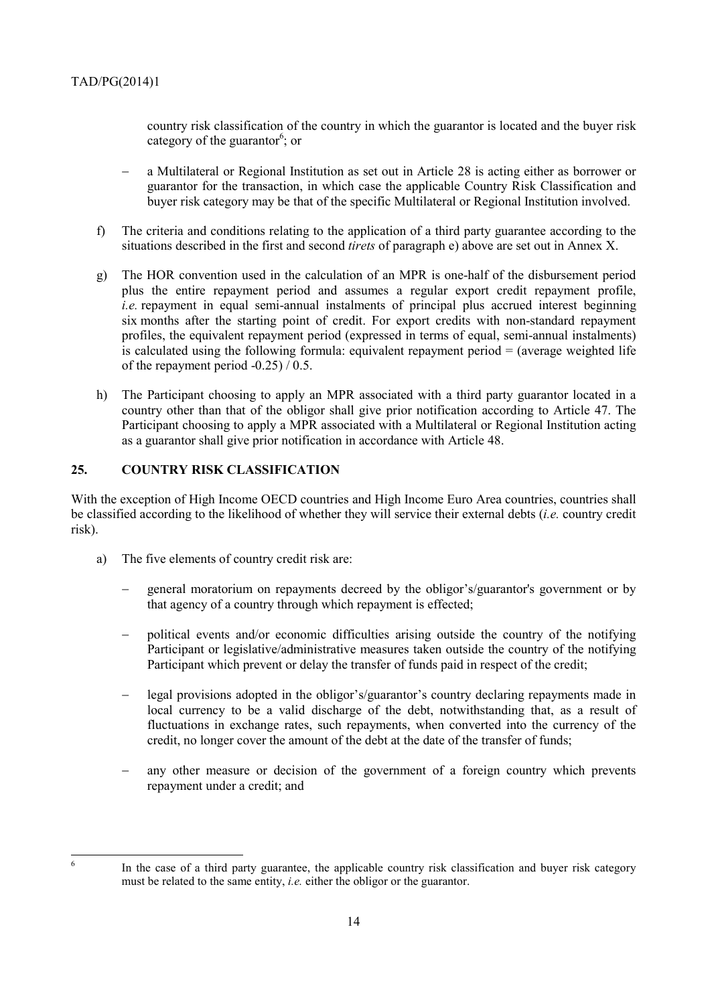country risk classification of the country in which the guarantor is located and the buyer risk category of the guarantor<sup>6</sup>; or

- − a Multilateral or Regional Institution as set out in Article 28 is acting either as borrower or guarantor for the transaction, in which case the applicable Country Risk Classification and buyer risk category may be that of the specific Multilateral or Regional Institution involved.
- f) The criteria and conditions relating to the application of a third party guarantee according to the situations described in the first and second *tirets* of paragraph e) above are set out in Annex X.
- g) The HOR convention used in the calculation of an MPR is one-half of the disbursement period plus the entire repayment period and assumes a regular export credit repayment profile, *i.e.* repayment in equal semi-annual instalments of principal plus accrued interest beginning six months after the starting point of credit. For export credits with non-standard repayment profiles, the equivalent repayment period (expressed in terms of equal, semi-annual instalments) is calculated using the following formula: equivalent repayment period  $=$  (average weighted life of the repayment period -0.25) / 0.5.
- h) The Participant choosing to apply an MPR associated with a third party guarantor located in a country other than that of the obligor shall give prior notification according to Article 47. The Participant choosing to apply a MPR associated with a Multilateral or Regional Institution acting as a guarantor shall give prior notification in accordance with Article 48.

#### **25. COUNTRY RISK CLASSIFICATION**

With the exception of High Income OECD countries and High Income Euro Area countries, countries shall be classified according to the likelihood of whether they will service their external debts (*i.e.* country credit risk).

- a) The five elements of country credit risk are:
	- − general moratorium on repayments decreed by the obligor's/guarantor's government or by that agency of a country through which repayment is effected;
	- − political events and/or economic difficulties arising outside the country of the notifying Participant or legislative/administrative measures taken outside the country of the notifying Participant which prevent or delay the transfer of funds paid in respect of the credit;
	- legal provisions adopted in the obligor's/guarantor's country declaring repayments made in local currency to be a valid discharge of the debt, notwithstanding that, as a result of fluctuations in exchange rates, such repayments, when converted into the currency of the credit, no longer cover the amount of the debt at the date of the transfer of funds;
	- any other measure or decision of the government of a foreign country which prevents repayment under a credit; and

6

In the case of a third party guarantee, the applicable country risk classification and buyer risk category must be related to the same entity, *i.e.* either the obligor or the guarantor.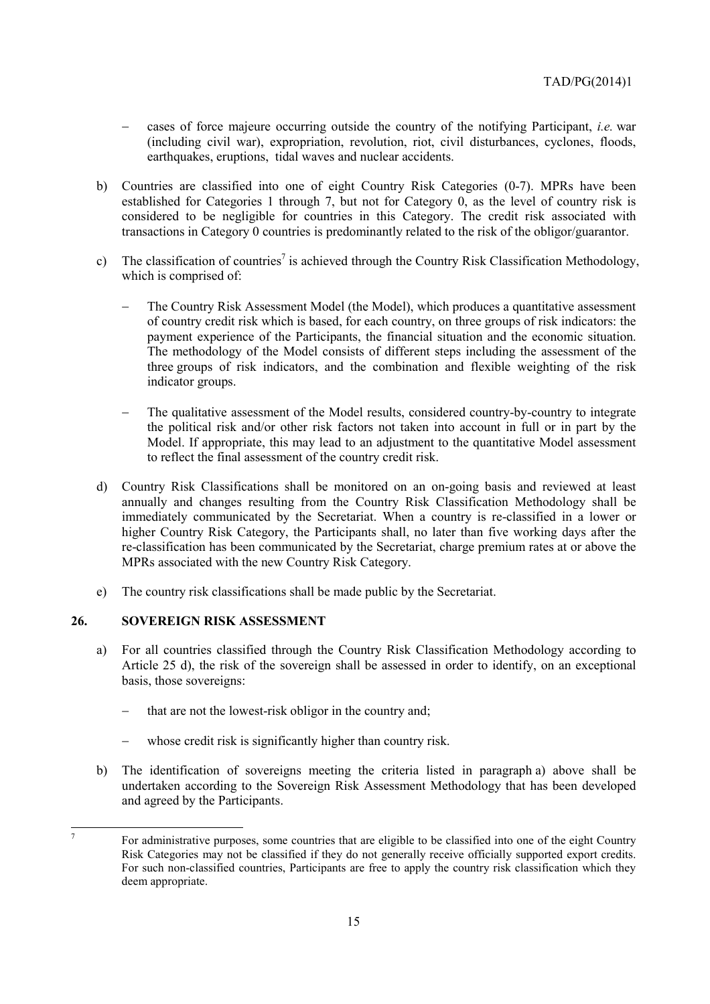- − cases of force majeure occurring outside the country of the notifying Participant, *i.e.* war (including civil war), expropriation, revolution, riot, civil disturbances, cyclones, floods, earthquakes, eruptions, tidal waves and nuclear accidents.
- b) Countries are classified into one of eight Country Risk Categories (0-7). MPRs have been established for Categories 1 through 7, but not for Category 0, as the level of country risk is considered to be negligible for countries in this Category. The credit risk associated with transactions in Category 0 countries is predominantly related to the risk of the obligor/guarantor.
- c) The classification of countries<sup>7</sup> is achieved through the Country Risk Classification Methodology, which is comprised of:
	- The Country Risk Assessment Model (the Model), which produces a quantitative assessment of country credit risk which is based, for each country, on three groups of risk indicators: the payment experience of the Participants, the financial situation and the economic situation. The methodology of the Model consists of different steps including the assessment of the three groups of risk indicators, and the combination and flexible weighting of the risk indicator groups.
	- The qualitative assessment of the Model results, considered country-by-country to integrate the political risk and/or other risk factors not taken into account in full or in part by the Model. If appropriate, this may lead to an adjustment to the quantitative Model assessment to reflect the final assessment of the country credit risk.
- d) Country Risk Classifications shall be monitored on an on-going basis and reviewed at least annually and changes resulting from the Country Risk Classification Methodology shall be immediately communicated by the Secretariat. When a country is re-classified in a lower or higher Country Risk Category, the Participants shall, no later than five working days after the re-classification has been communicated by the Secretariat, charge premium rates at or above the MPRs associated with the new Country Risk Category.
- e) The country risk classifications shall be made public by the Secretariat.

#### **26. SOVEREIGN RISK ASSESSMENT**

- a) For all countries classified through the Country Risk Classification Methodology according to Article 25 d), the risk of the sovereign shall be assessed in order to identify, on an exceptional basis, those sovereigns:
	- that are not the lowest-risk obligor in the country and;
	- whose credit risk is significantly higher than country risk.
- b) The identification of sovereigns meeting the criteria listed in paragraph a) above shall be undertaken according to the Sovereign Risk Assessment Methodology that has been developed and agreed by the Participants.

<sup>&</sup>lt;sup>-</sup> For administrative purposes, some countries that are eligible to be classified into one of the eight Country Risk Categories may not be classified if they do not generally receive officially supported export credits. For such non-classified countries, Participants are free to apply the country risk classification which they deem appropriate.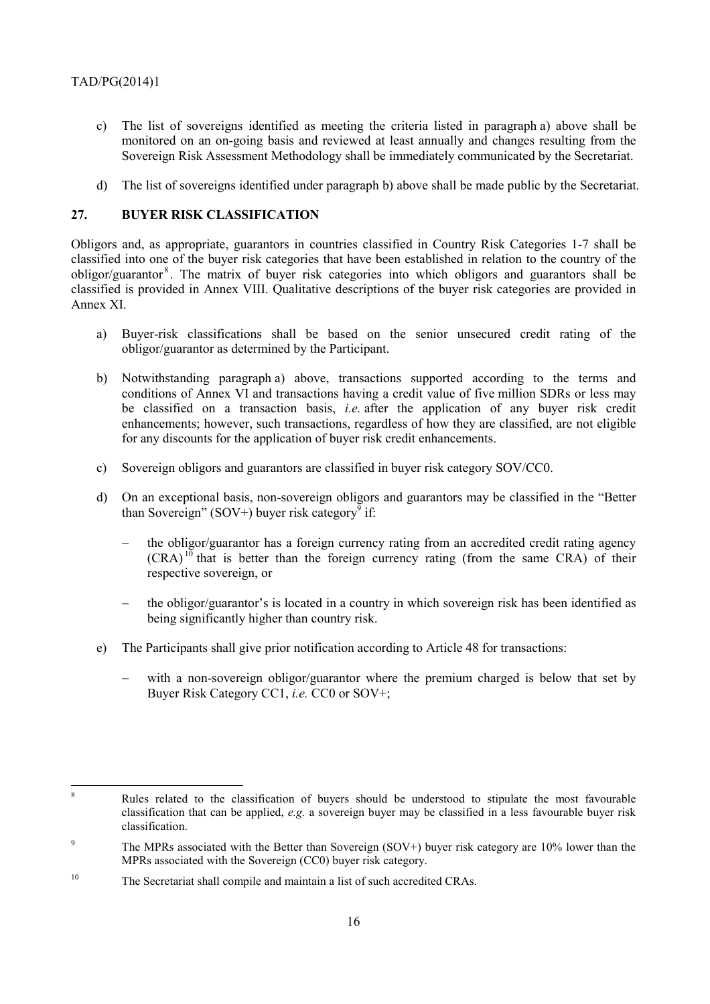- c) The list of sovereigns identified as meeting the criteria listed in paragraph a) above shall be monitored on an on-going basis and reviewed at least annually and changes resulting from the Sovereign Risk Assessment Methodology shall be immediately communicated by the Secretariat.
- d) The list of sovereigns identified under paragraph b) above shall be made public by the Secretariat.

#### **27. BUYER RISK CLASSIFICATION**

Obligors and, as appropriate, guarantors in countries classified in Country Risk Categories 1-7 shall be classified into one of the buyer risk categories that have been established in relation to the country of the obligor/guarantor<sup>8</sup>. The matrix of buyer risk categories into which obligors and guarantors shall be classified is provided in Annex VIII. Qualitative descriptions of the buyer risk categories are provided in Annex XI.

- a) Buyer-risk classifications shall be based on the senior unsecured credit rating of the obligor/guarantor as determined by the Participant.
- b) Notwithstanding paragraph a) above, transactions supported according to the terms and conditions of Annex VI and transactions having a credit value of five million SDRs or less may be classified on a transaction basis, *i.e.* after the application of any buyer risk credit enhancements; however, such transactions, regardless of how they are classified, are not eligible for any discounts for the application of buyer risk credit enhancements.
- c) Sovereign obligors and guarantors are classified in buyer risk category SOV/CC0.
- d) On an exceptional basis, non-sovereign obligors and guarantors may be classified in the "Better than Sovereign" (SOV+) buyer risk category<sup>9</sup> if:
	- the obligor/guarantor has a foreign currency rating from an accredited credit rating agency  $(CRA)$ <sup>10</sup> that is better than the foreign currency rating (from the same CRA) of their respective sovereign, or
	- − the obligor/guarantor's is located in a country in which sovereign risk has been identified as being significantly higher than country risk.
- e) The Participants shall give prior notification according to Article 48 for transactions:
	- with a non-sovereign obligor/guarantor where the premium charged is below that set by Buyer Risk Category CC1, *i.e.* CC0 or SOV+;

 8 Rules related to the classification of buyers should be understood to stipulate the most favourable classification that can be applied, *e.g.* a sovereign buyer may be classified in a less favourable buyer risk classification.

<sup>9</sup> The MPRs associated with the Better than Sovereign (SOV+) buyer risk category are 10% lower than the MPRs associated with the Sovereign (CC0) buyer risk category.

<sup>&</sup>lt;sup>10</sup> The Secretariat shall compile and maintain a list of such accredited CRAs.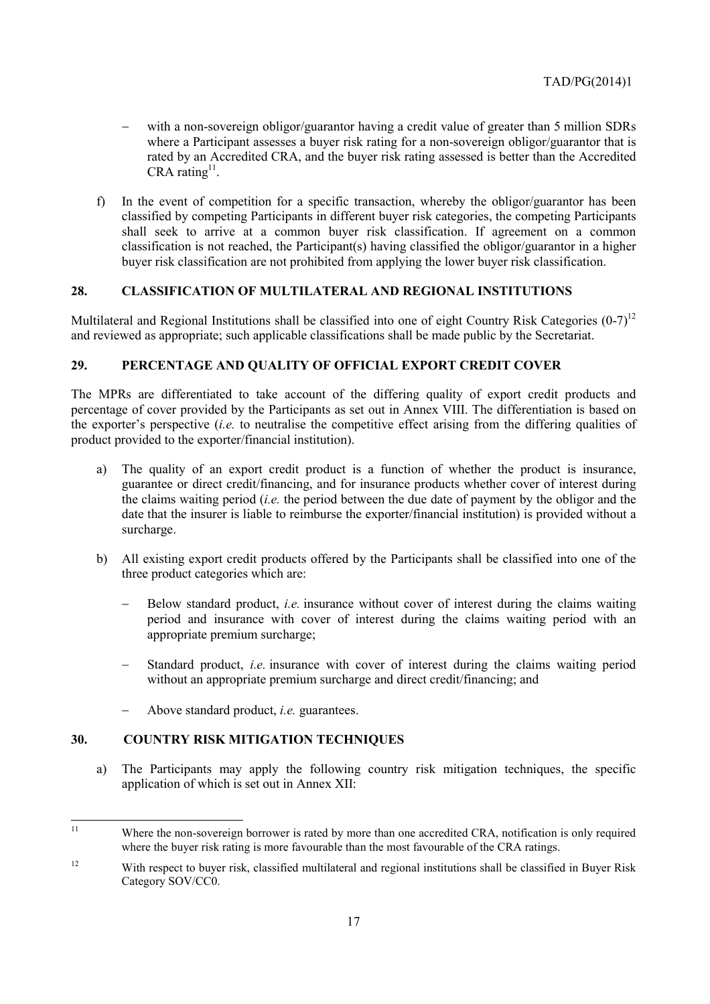- with a non-sovereign obligor/guarantor having a credit value of greater than 5 million SDRs where a Participant assesses a buyer risk rating for a non-sovereign obligor/guarantor that is rated by an Accredited CRA, and the buyer risk rating assessed is better than the Accredited  $CRA$  rating<sup>11</sup>.
- f) In the event of competition for a specific transaction, whereby the obligor/guarantor has been classified by competing Participants in different buyer risk categories, the competing Participants shall seek to arrive at a common buyer risk classification. If agreement on a common classification is not reached, the Participant(s) having classified the obligor/guarantor in a higher buyer risk classification are not prohibited from applying the lower buyer risk classification.

#### **28. CLASSIFICATION OF MULTILATERAL AND REGIONAL INSTITUTIONS**

Multilateral and Regional Institutions shall be classified into one of eight Country Risk Categories  $(0-7)^{12}$ and reviewed as appropriate; such applicable classifications shall be made public by the Secretariat.

#### **29. PERCENTAGE AND QUALITY OF OFFICIAL EXPORT CREDIT COVER**

The MPRs are differentiated to take account of the differing quality of export credit products and percentage of cover provided by the Participants as set out in Annex VIII. The differentiation is based on the exporter's perspective (*i.e.* to neutralise the competitive effect arising from the differing qualities of product provided to the exporter/financial institution).

- a) The quality of an export credit product is a function of whether the product is insurance, guarantee or direct credit/financing, and for insurance products whether cover of interest during the claims waiting period (*i.e.* the period between the due date of payment by the obligor and the date that the insurer is liable to reimburse the exporter/financial institution) is provided without a surcharge.
- b) All existing export credit products offered by the Participants shall be classified into one of the three product categories which are:
	- − Below standard product, *i.e.* insurance without cover of interest during the claims waiting period and insurance with cover of interest during the claims waiting period with an appropriate premium surcharge;
	- Standard product, *i.e.* insurance with cover of interest during the claims waiting period without an appropriate premium surcharge and direct credit/financing; and
	- − Above standard product, *i.e.* guarantees.

#### **30. COUNTRY RISK MITIGATION TECHNIQUES**

a) The Participants may apply the following country risk mitigation techniques, the specific application of which is set out in Annex XII:

 $\overline{11}$ Where the non-sovereign borrower is rated by more than one accredited CRA, notification is only required where the buyer risk rating is more favourable than the most favourable of the CRA ratings.

<sup>&</sup>lt;sup>12</sup> With respect to buyer risk, classified multilateral and regional institutions shall be classified in Buyer Risk Category SOV/CC0.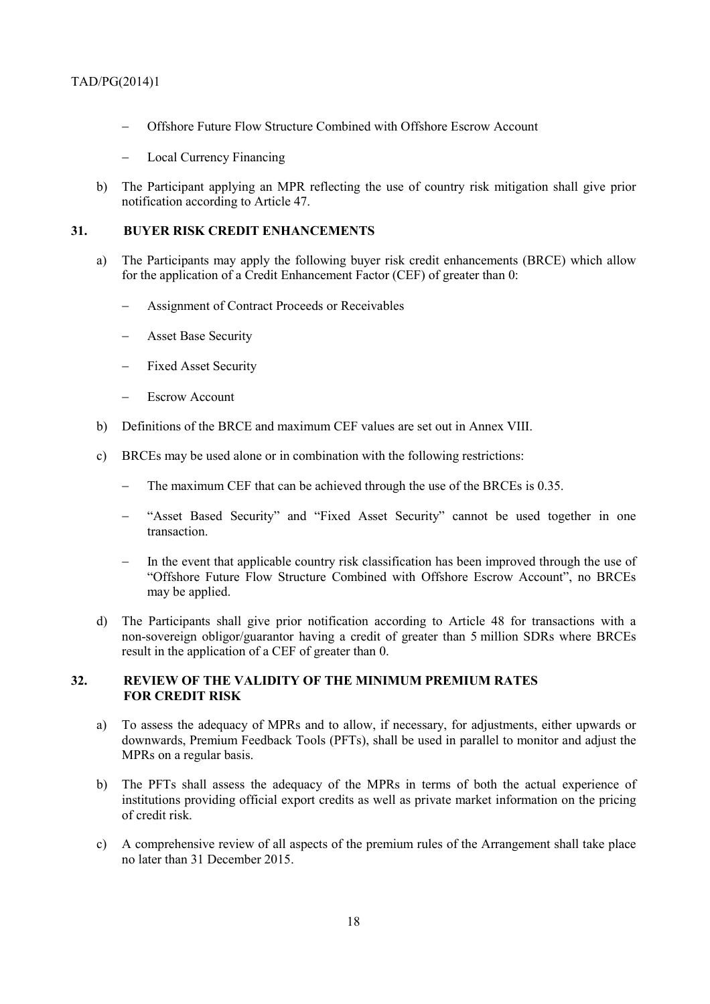- − Offshore Future Flow Structure Combined with Offshore Escrow Account
- − Local Currency Financing
- b) The Participant applying an MPR reflecting the use of country risk mitigation shall give prior notification according to Article 47.

#### **31. BUYER RISK CREDIT ENHANCEMENTS**

- a) The Participants may apply the following buyer risk credit enhancements (BRCE) which allow for the application of a Credit Enhancement Factor (CEF) of greater than 0:
	- − Assignment of Contract Proceeds or Receivables
	- − Asset Base Security
	- − Fixed Asset Security
	- Escrow Account
- b) Definitions of the BRCE and maximum CEF values are set out in Annex VIII.
- c) BRCEs may be used alone or in combination with the following restrictions:
	- − The maximum CEF that can be achieved through the use of the BRCEs is 0.35.
	- − "Asset Based Security" and "Fixed Asset Security" cannot be used together in one transaction.
	- In the event that applicable country risk classification has been improved through the use of "Offshore Future Flow Structure Combined with Offshore Escrow Account", no BRCEs may be applied.
- d) The Participants shall give prior notification according to Article 48 for transactions with a non-sovereign obligor/guarantor having a credit of greater than 5 million SDRs where BRCEs result in the application of a CEF of greater than 0.

#### **32. REVIEW OF THE VALIDITY OF THE MINIMUM PREMIUM RATES FOR CREDIT RISK**

- a) To assess the adequacy of MPRs and to allow, if necessary, for adjustments, either upwards or downwards, Premium Feedback Tools (PFTs), shall be used in parallel to monitor and adjust the MPRs on a regular basis.
- b) The PFTs shall assess the adequacy of the MPRs in terms of both the actual experience of institutions providing official export credits as well as private market information on the pricing of credit risk.
- c) A comprehensive review of all aspects of the premium rules of the Arrangement shall take place no later than 31 December 2015.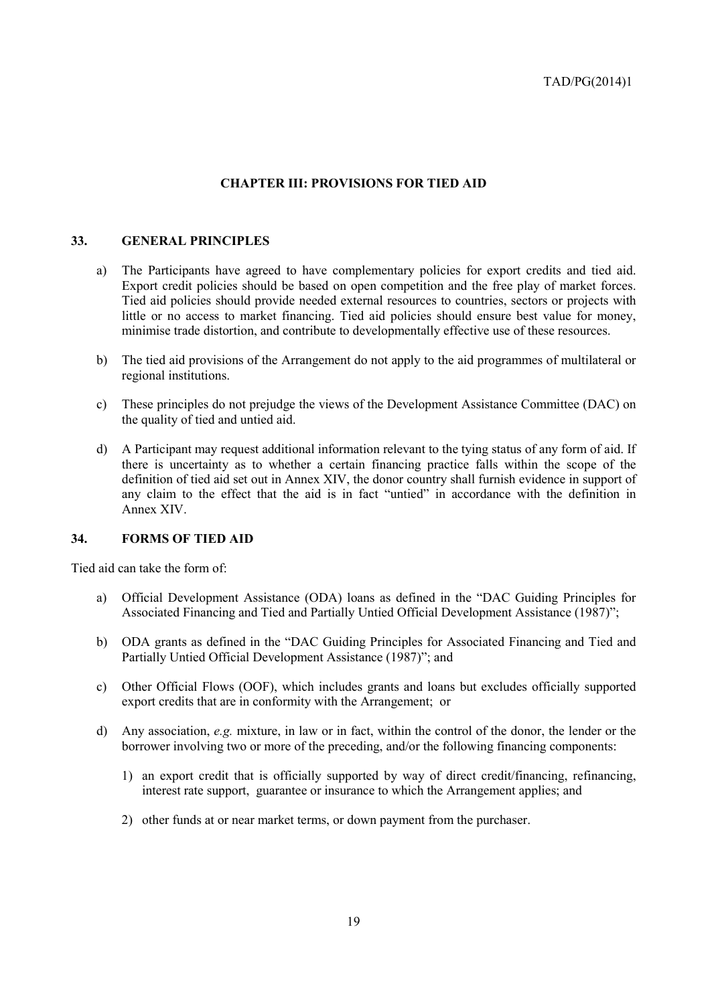#### **CHAPTER III: PROVISIONS FOR TIED AID**

#### **33. GENERAL PRINCIPLES**

- a) The Participants have agreed to have complementary policies for export credits and tied aid. Export credit policies should be based on open competition and the free play of market forces. Tied aid policies should provide needed external resources to countries, sectors or projects with little or no access to market financing. Tied aid policies should ensure best value for money, minimise trade distortion, and contribute to developmentally effective use of these resources.
- b) The tied aid provisions of the Arrangement do not apply to the aid programmes of multilateral or regional institutions.
- c) These principles do not prejudge the views of the Development Assistance Committee (DAC) on the quality of tied and untied aid.
- d) A Participant may request additional information relevant to the tying status of any form of aid. If there is uncertainty as to whether a certain financing practice falls within the scope of the definition of tied aid set out in Annex XIV, the donor country shall furnish evidence in support of any claim to the effect that the aid is in fact "untied" in accordance with the definition in Annex XIV.

#### **34. FORMS OF TIED AID**

Tied aid can take the form of:

- a) Official Development Assistance (ODA) loans as defined in the "DAC Guiding Principles for Associated Financing and Tied and Partially Untied Official Development Assistance (1987)";
- b) ODA grants as defined in the "DAC Guiding Principles for Associated Financing and Tied and Partially Untied Official Development Assistance (1987)"; and
- c) Other Official Flows (OOF), which includes grants and loans but excludes officially supported export credits that are in conformity with the Arrangement; or
- d) Any association, *e.g.* mixture, in law or in fact, within the control of the donor, the lender or the borrower involving two or more of the preceding, and/or the following financing components:
	- 1) an export credit that is officially supported by way of direct credit/financing, refinancing, interest rate support, guarantee or insurance to which the Arrangement applies; and
	- 2) other funds at or near market terms, or down payment from the purchaser.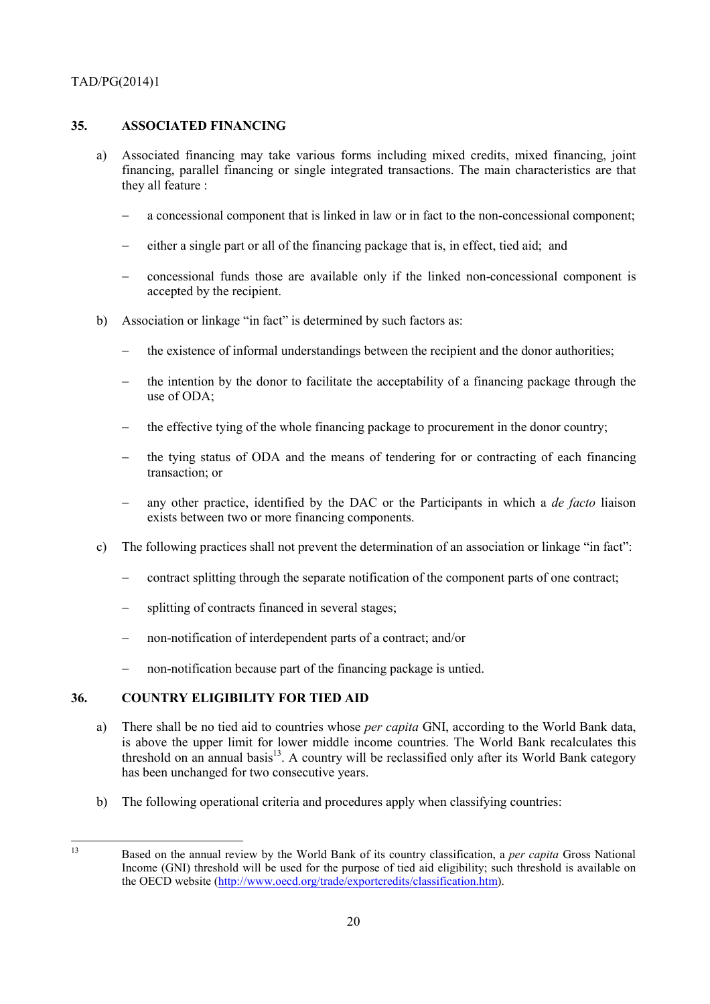#### **35. ASSOCIATED FINANCING**

- a) Associated financing may take various forms including mixed credits, mixed financing, joint financing, parallel financing or single integrated transactions. The main characteristics are that they all feature :
	- a concessional component that is linked in law or in fact to the non-concessional component;
	- − either a single part or all of the financing package that is, in effect, tied aid; and
	- − concessional funds those are available only if the linked non-concessional component is accepted by the recipient.
- b) Association or linkage "in fact" is determined by such factors as:
	- the existence of informal understandings between the recipient and the donor authorities;
	- the intention by the donor to facilitate the acceptability of a financing package through the use of ODA;
	- the effective tying of the whole financing package to procurement in the donor country;
	- the tying status of ODA and the means of tendering for or contracting of each financing transaction; or
	- any other practice, identified by the DAC or the Participants in which a *de facto* liaison exists between two or more financing components.
- c) The following practices shall not prevent the determination of an association or linkage "in fact":
	- − contract splitting through the separate notification of the component parts of one contract;
	- splitting of contracts financed in several stages;
	- − non-notification of interdependent parts of a contract; and/or
	- non-notification because part of the financing package is untied.

## **36. COUNTRY ELIGIBILITY FOR TIED AID**

- a) There shall be no tied aid to countries whose *per capita* GNI, according to the World Bank data, is above the upper limit for lower middle income countries. The World Bank recalculates this threshold on an annual basis13. A country will be reclassified only after its World Bank category has been unchanged for two consecutive years.
- b) The following operational criteria and procedures apply when classifying countries:

 $13$ 

<sup>13</sup> Based on the annual review by the World Bank of its country classification, a *per capita* Gross National Income (GNI) threshold will be used for the purpose of tied aid eligibility; such threshold is available on the OECD website (http://www.oecd.org/trade/exportcredits/classification.htm).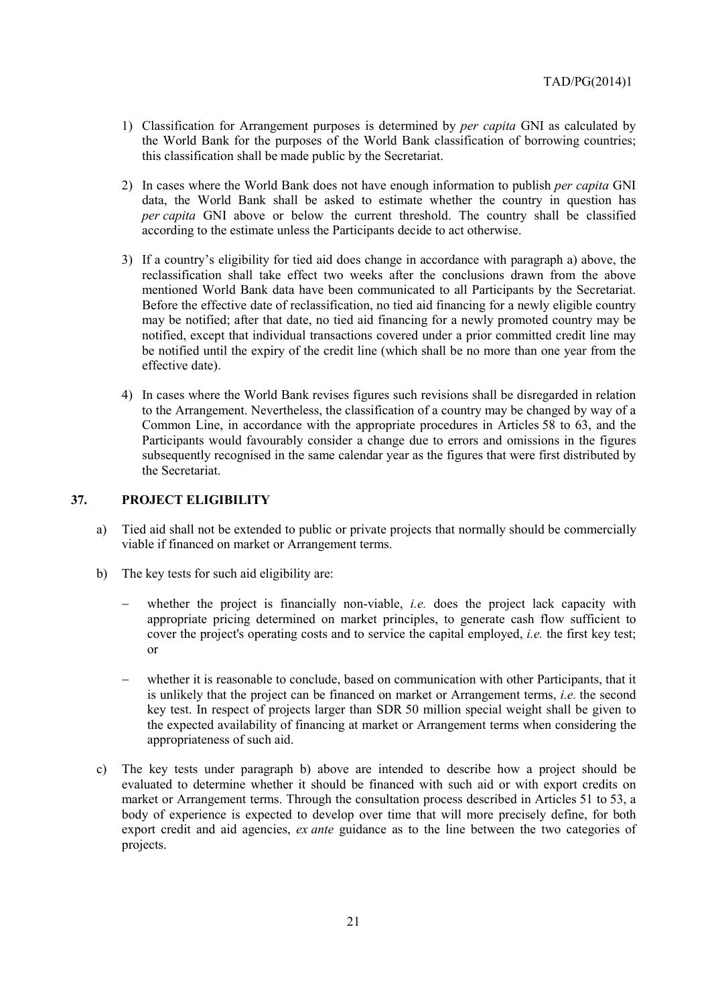- 1) Classification for Arrangement purposes is determined by *per capita* GNI as calculated by the World Bank for the purposes of the World Bank classification of borrowing countries; this classification shall be made public by the Secretariat.
- 2) In cases where the World Bank does not have enough information to publish *per capita* GNI data, the World Bank shall be asked to estimate whether the country in question has *per capita* GNI above or below the current threshold. The country shall be classified according to the estimate unless the Participants decide to act otherwise.
- 3) If a country's eligibility for tied aid does change in accordance with paragraph a) above, the reclassification shall take effect two weeks after the conclusions drawn from the above mentioned World Bank data have been communicated to all Participants by the Secretariat. Before the effective date of reclassification, no tied aid financing for a newly eligible country may be notified; after that date, no tied aid financing for a newly promoted country may be notified, except that individual transactions covered under a prior committed credit line may be notified until the expiry of the credit line (which shall be no more than one year from the effective date).
- 4) In cases where the World Bank revises figures such revisions shall be disregarded in relation to the Arrangement. Nevertheless, the classification of a country may be changed by way of a Common Line, in accordance with the appropriate procedures in Articles 58 to 63, and the Participants would favourably consider a change due to errors and omissions in the figures subsequently recognised in the same calendar year as the figures that were first distributed by the Secretariat.

#### **37. PROJECT ELIGIBILITY**

- a) Tied aid shall not be extended to public or private projects that normally should be commercially viable if financed on market or Arrangement terms.
- b) The key tests for such aid eligibility are:
	- − whether the project is financially non-viable, *i.e.* does the project lack capacity with appropriate pricing determined on market principles, to generate cash flow sufficient to cover the project's operating costs and to service the capital employed, *i.e.* the first key test; or
	- whether it is reasonable to conclude, based on communication with other Participants, that it is unlikely that the project can be financed on market or Arrangement terms, *i.e.* the second key test. In respect of projects larger than SDR 50 million special weight shall be given to the expected availability of financing at market or Arrangement terms when considering the appropriateness of such aid.
- c) The key tests under paragraph b) above are intended to describe how a project should be evaluated to determine whether it should be financed with such aid or with export credits on market or Arrangement terms. Through the consultation process described in Articles 51 to 53, a body of experience is expected to develop over time that will more precisely define, for both export credit and aid agencies, *ex ante* guidance as to the line between the two categories of projects.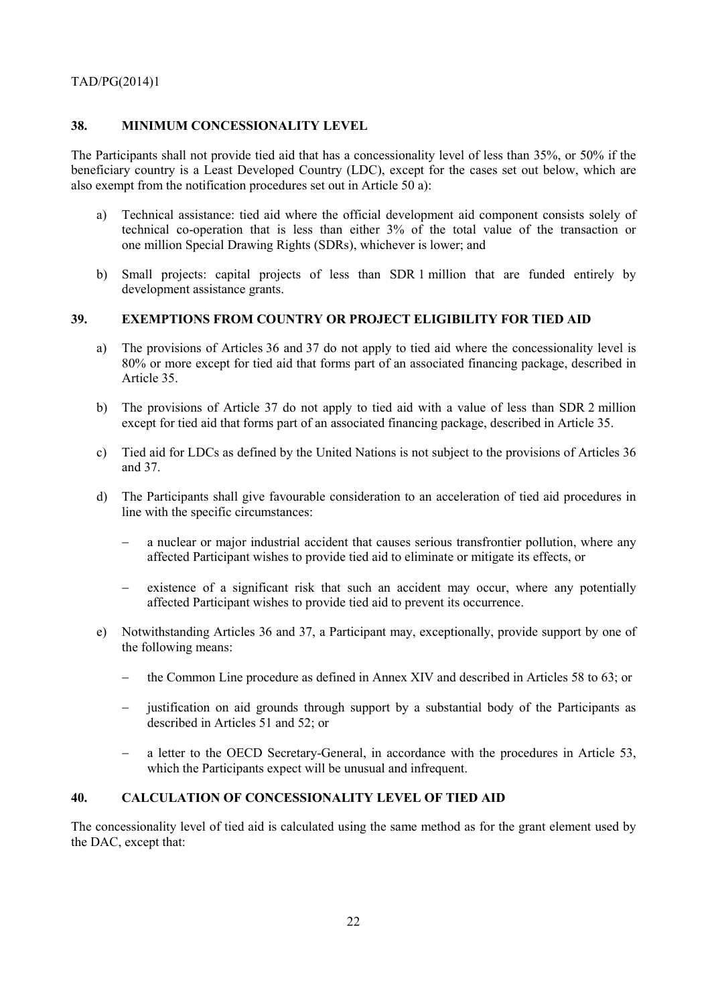#### **38. MINIMUM CONCESSIONALITY LEVEL**

The Participants shall not provide tied aid that has a concessionality level of less than 35%, or 50% if the beneficiary country is a Least Developed Country (LDC), except for the cases set out below, which are also exempt from the notification procedures set out in Article 50 a):

- a) Technical assistance: tied aid where the official development aid component consists solely of technical co-operation that is less than either 3% of the total value of the transaction or one million Special Drawing Rights (SDRs), whichever is lower; and
- b) Small projects: capital projects of less than SDR 1 million that are funded entirely by development assistance grants.

#### **39. EXEMPTIONS FROM COUNTRY OR PROJECT ELIGIBILITY FOR TIED AID**

- a) The provisions of Articles 36 and 37 do not apply to tied aid where the concessionality level is 80% or more except for tied aid that forms part of an associated financing package, described in Article 35.
- b) The provisions of Article 37 do not apply to tied aid with a value of less than SDR 2 million except for tied aid that forms part of an associated financing package, described in Article 35.
- c) Tied aid for LDCs as defined by the United Nations is not subject to the provisions of Articles 36 and 37.
- d) The Participants shall give favourable consideration to an acceleration of tied aid procedures in line with the specific circumstances:
	- a nuclear or major industrial accident that causes serious transfrontier pollution, where any affected Participant wishes to provide tied aid to eliminate or mitigate its effects, or
	- existence of a significant risk that such an accident may occur, where any potentially affected Participant wishes to provide tied aid to prevent its occurrence.
- e) Notwithstanding Articles 36 and 37, a Participant may, exceptionally, provide support by one of the following means:
	- − the Common Line procedure as defined in Annex XIV and described in Articles 58 to 63; or
	- − justification on aid grounds through support by a substantial body of the Participants as described in Articles 51 and 52; or
	- a letter to the OECD Secretary-General, in accordance with the procedures in Article 53, which the Participants expect will be unusual and infrequent.

#### **40. CALCULATION OF CONCESSIONALITY LEVEL OF TIED AID**

The concessionality level of tied aid is calculated using the same method as for the grant element used by the DAC, except that: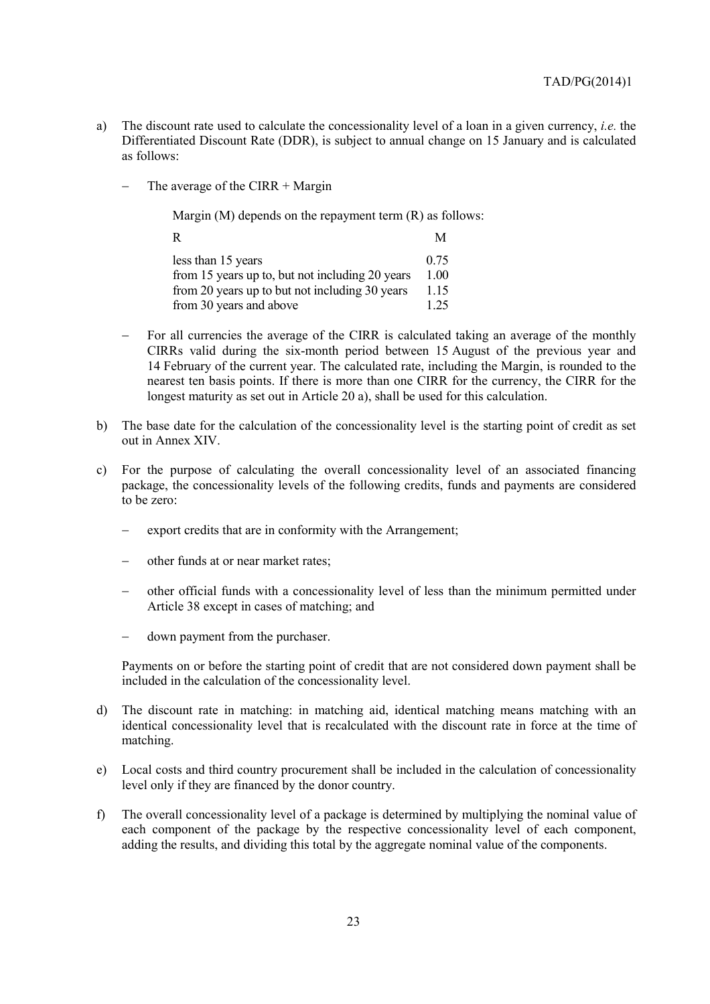- a) The discount rate used to calculate the concessionality level of a loan in a given currency, *i.e.* the Differentiated Discount Rate (DDR), is subject to annual change on 15 January and is calculated as follows:
	- The average of the CIRR  $+$  Margin

Margin (M) depends on the repayment term (R) as follows:

| R                                               | М    |
|-------------------------------------------------|------|
| less than 15 years                              | 0.75 |
| from 15 years up to, but not including 20 years | 1.00 |
| from 20 years up to but not including 30 years  | 1.15 |
| from 30 years and above                         | 1 25 |

- For all currencies the average of the CIRR is calculated taking an average of the monthly CIRRs valid during the six-month period between 15 August of the previous year and 14 February of the current year. The calculated rate, including the Margin, is rounded to the nearest ten basis points. If there is more than one CIRR for the currency, the CIRR for the longest maturity as set out in Article 20 a), shall be used for this calculation.
- b) The base date for the calculation of the concessionality level is the starting point of credit as set out in Annex XIV.
- c) For the purpose of calculating the overall concessionality level of an associated financing package, the concessionality levels of the following credits, funds and payments are considered to be zero:
	- export credits that are in conformity with the Arrangement;
	- other funds at or near market rates;
	- − other official funds with a concessionality level of less than the minimum permitted under Article 38 except in cases of matching; and
	- down payment from the purchaser.

Payments on or before the starting point of credit that are not considered down payment shall be included in the calculation of the concessionality level.

- d) The discount rate in matching: in matching aid, identical matching means matching with an identical concessionality level that is recalculated with the discount rate in force at the time of matching.
- e) Local costs and third country procurement shall be included in the calculation of concessionality level only if they are financed by the donor country.
- f) The overall concessionality level of a package is determined by multiplying the nominal value of each component of the package by the respective concessionality level of each component, adding the results, and dividing this total by the aggregate nominal value of the components.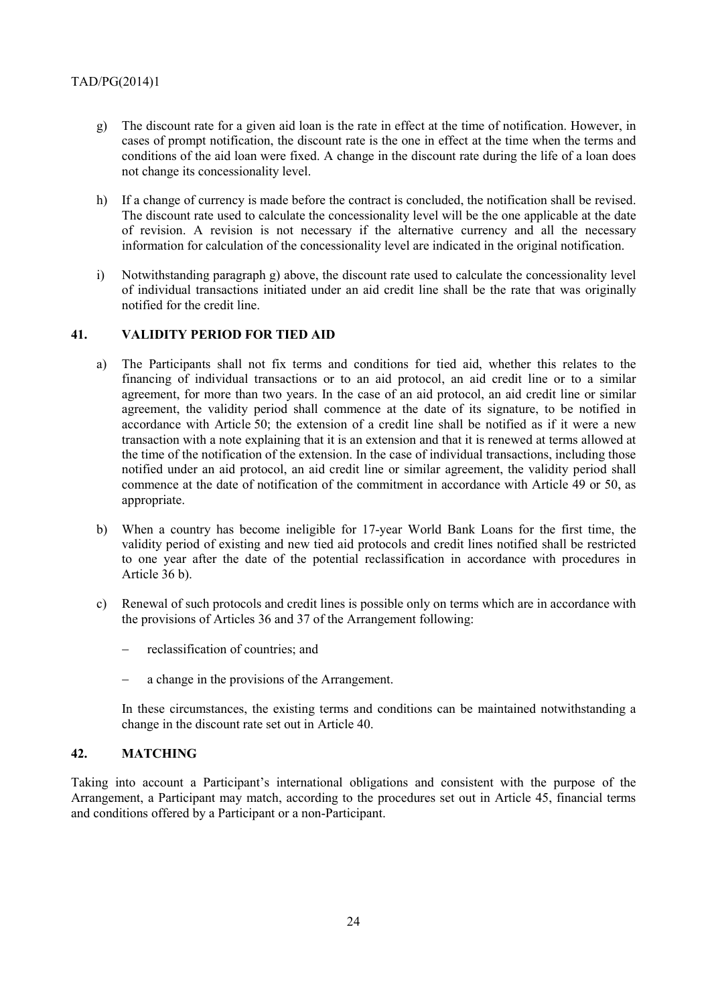- g) The discount rate for a given aid loan is the rate in effect at the time of notification. However, in cases of prompt notification, the discount rate is the one in effect at the time when the terms and conditions of the aid loan were fixed. A change in the discount rate during the life of a loan does not change its concessionality level.
- h) If a change of currency is made before the contract is concluded, the notification shall be revised. The discount rate used to calculate the concessionality level will be the one applicable at the date of revision. A revision is not necessary if the alternative currency and all the necessary information for calculation of the concessionality level are indicated in the original notification.
- i) Notwithstanding paragraph g) above, the discount rate used to calculate the concessionality level of individual transactions initiated under an aid credit line shall be the rate that was originally notified for the credit line.

#### **41. VALIDITY PERIOD FOR TIED AID**

- a) The Participants shall not fix terms and conditions for tied aid, whether this relates to the financing of individual transactions or to an aid protocol, an aid credit line or to a similar agreement, for more than two years. In the case of an aid protocol, an aid credit line or similar agreement, the validity period shall commence at the date of its signature, to be notified in accordance with Article 50; the extension of a credit line shall be notified as if it were a new transaction with a note explaining that it is an extension and that it is renewed at terms allowed at the time of the notification of the extension. In the case of individual transactions, including those notified under an aid protocol, an aid credit line or similar agreement, the validity period shall commence at the date of notification of the commitment in accordance with Article 49 or 50, as appropriate.
- b) When a country has become ineligible for 17-year World Bank Loans for the first time, the validity period of existing and new tied aid protocols and credit lines notified shall be restricted to one year after the date of the potential reclassification in accordance with procedures in Article 36 b).
- c) Renewal of such protocols and credit lines is possible only on terms which are in accordance with the provisions of Articles 36 and 37 of the Arrangement following:
	- − reclassification of countries; and
	- a change in the provisions of the Arrangement.

In these circumstances, the existing terms and conditions can be maintained notwithstanding a change in the discount rate set out in Article 40.

#### **42. MATCHING**

Taking into account a Participant's international obligations and consistent with the purpose of the Arrangement, a Participant may match, according to the procedures set out in Article 45, financial terms and conditions offered by a Participant or a non-Participant.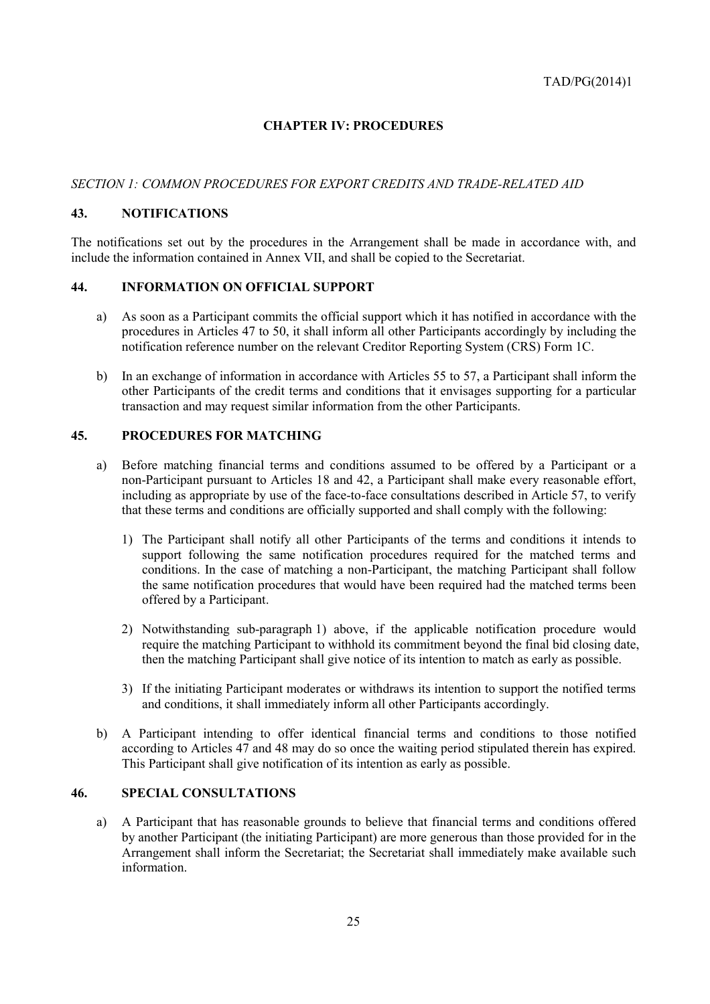#### **CHAPTER IV: PROCEDURES**

#### *SECTION 1: COMMON PROCEDURES FOR EXPORT CREDITS AND TRADE-RELATED AID*

#### **43. NOTIFICATIONS**

The notifications set out by the procedures in the Arrangement shall be made in accordance with, and include the information contained in Annex VII, and shall be copied to the Secretariat.

#### **44. INFORMATION ON OFFICIAL SUPPORT**

- a) As soon as a Participant commits the official support which it has notified in accordance with the procedures in Articles 47 to 50, it shall inform all other Participants accordingly by including the notification reference number on the relevant Creditor Reporting System (CRS) Form 1C.
- b) In an exchange of information in accordance with Articles 55 to 57, a Participant shall inform the other Participants of the credit terms and conditions that it envisages supporting for a particular transaction and may request similar information from the other Participants.

#### **45. PROCEDURES FOR MATCHING**

- a) Before matching financial terms and conditions assumed to be offered by a Participant or a non-Participant pursuant to Articles 18 and 42, a Participant shall make every reasonable effort, including as appropriate by use of the face-to-face consultations described in Article 57, to verify that these terms and conditions are officially supported and shall comply with the following:
	- 1) The Participant shall notify all other Participants of the terms and conditions it intends to support following the same notification procedures required for the matched terms and conditions. In the case of matching a non-Participant, the matching Participant shall follow the same notification procedures that would have been required had the matched terms been offered by a Participant.
	- 2) Notwithstanding sub-paragraph 1) above, if the applicable notification procedure would require the matching Participant to withhold its commitment beyond the final bid closing date, then the matching Participant shall give notice of its intention to match as early as possible.
	- 3) If the initiating Participant moderates or withdraws its intention to support the notified terms and conditions, it shall immediately inform all other Participants accordingly.
- b) A Participant intending to offer identical financial terms and conditions to those notified according to Articles 47 and 48 may do so once the waiting period stipulated therein has expired. This Participant shall give notification of its intention as early as possible.

#### **46. SPECIAL CONSULTATIONS**

a) A Participant that has reasonable grounds to believe that financial terms and conditions offered by another Participant (the initiating Participant) are more generous than those provided for in the Arrangement shall inform the Secretariat; the Secretariat shall immediately make available such information.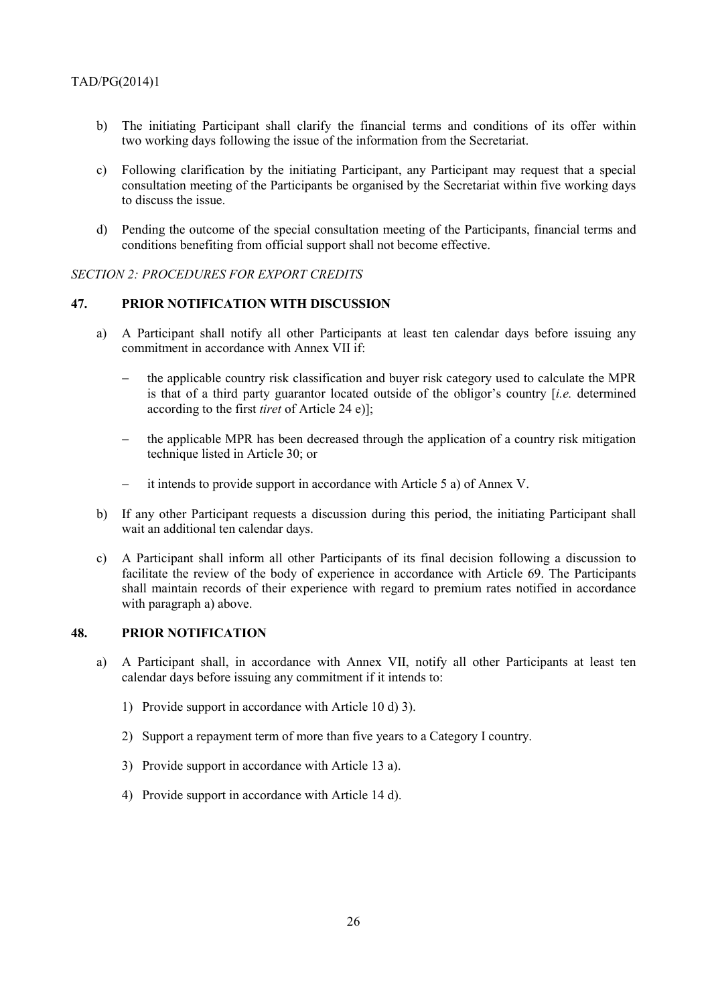- b) The initiating Participant shall clarify the financial terms and conditions of its offer within two working days following the issue of the information from the Secretariat.
- c) Following clarification by the initiating Participant, any Participant may request that a special consultation meeting of the Participants be organised by the Secretariat within five working days to discuss the issue.
- d) Pending the outcome of the special consultation meeting of the Participants, financial terms and conditions benefiting from official support shall not become effective.

*SECTION 2: PROCEDURES FOR EXPORT CREDITS* 

#### **47. PRIOR NOTIFICATION WITH DISCUSSION**

- a) A Participant shall notify all other Participants at least ten calendar days before issuing any commitment in accordance with Annex VII if:
	- − the applicable country risk classification and buyer risk category used to calculate the MPR is that of a third party guarantor located outside of the obligor's country [*i.e.* determined according to the first *tiret* of Article 24 e)];
	- the applicable MPR has been decreased through the application of a country risk mitigation technique listed in Article 30; or
	- − it intends to provide support in accordance with Article 5 a) of Annex V.
- b) If any other Participant requests a discussion during this period, the initiating Participant shall wait an additional ten calendar days.
- c) A Participant shall inform all other Participants of its final decision following a discussion to facilitate the review of the body of experience in accordance with Article 69. The Participants shall maintain records of their experience with regard to premium rates notified in accordance with paragraph a) above.

#### **48. PRIOR NOTIFICATION**

- a) A Participant shall, in accordance with Annex VII, notify all other Participants at least ten calendar days before issuing any commitment if it intends to:
	- 1) Provide support in accordance with Article 10 d) 3).
	- 2) Support a repayment term of more than five years to a Category I country.
	- 3) Provide support in accordance with Article 13 a).
	- 4) Provide support in accordance with Article 14 d).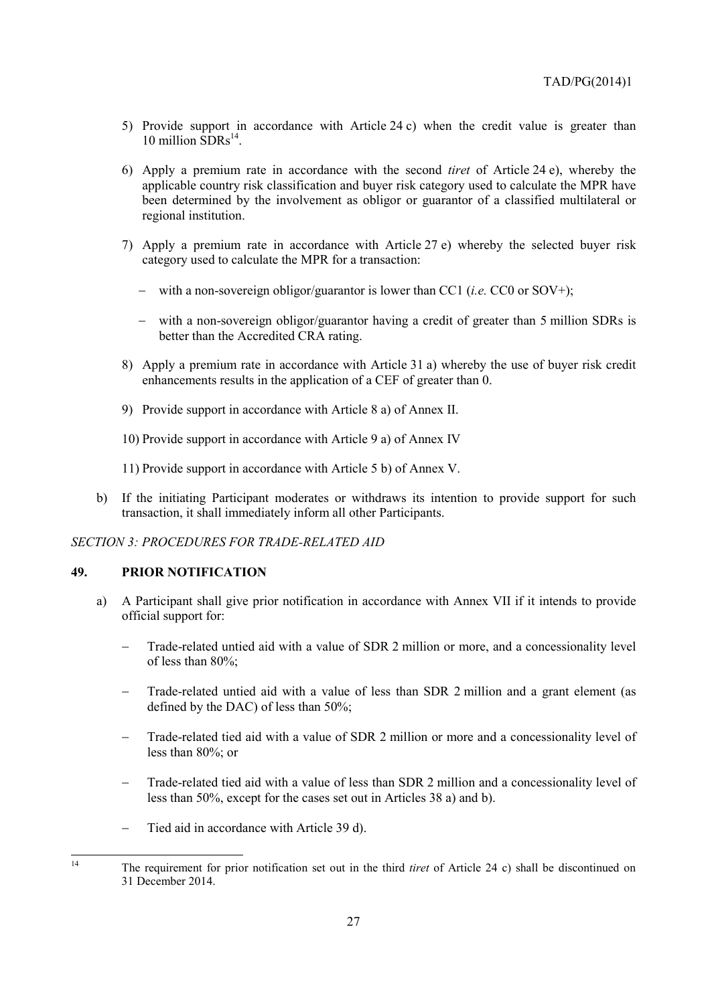- 5) Provide support in accordance with Article 24 c) when the credit value is greater than 10 million  $\widehat{\text{SDRs}}^{14}$ .
- 6) Apply a premium rate in accordance with the second *tiret* of Article 24 e), whereby the applicable country risk classification and buyer risk category used to calculate the MPR have been determined by the involvement as obligor or guarantor of a classified multilateral or regional institution.
- 7) Apply a premium rate in accordance with Article 27 e) whereby the selected buyer risk category used to calculate the MPR for a transaction:
	- − with a non-sovereign obligor/guarantor is lower than CC1 (*i.e.* CC0 or SOV+);
	- − with a non-sovereign obligor/guarantor having a credit of greater than 5 million SDRs is better than the Accredited CRA rating.
- 8) Apply a premium rate in accordance with Article 31 a) whereby the use of buyer risk credit enhancements results in the application of a CEF of greater than 0.
- 9) Provide support in accordance with Article 8 a) of Annex II.
- 10) Provide support in accordance with Article 9 a) of Annex IV
- 11) Provide support in accordance with Article 5 b) of Annex V.
- b) If the initiating Participant moderates or withdraws its intention to provide support for such transaction, it shall immediately inform all other Participants.

#### *SECTION 3: PROCEDURES FOR TRADE-RELATED AID*

#### **49. PRIOR NOTIFICATION**

- a) A Participant shall give prior notification in accordance with Annex VII if it intends to provide official support for:
	- Trade-related untied aid with a value of SDR 2 million or more, and a concessionality level of less than 80%;
	- Trade-related untied aid with a value of less than SDR 2 million and a grant element (as defined by the DAC) of less than 50%;
	- Trade-related tied aid with a value of SDR 2 million or more and a concessionality level of less than 80%; or
	- Trade-related tied aid with a value of less than SDR 2 million and a concessionality level of less than 50%, except for the cases set out in Articles 38 a) and b).
	- Tied aid in accordance with Article 39 d).

 $14$ 14 The requirement for prior notification set out in the third *tiret* of Article 24 c) shall be discontinued on 31 December 2014.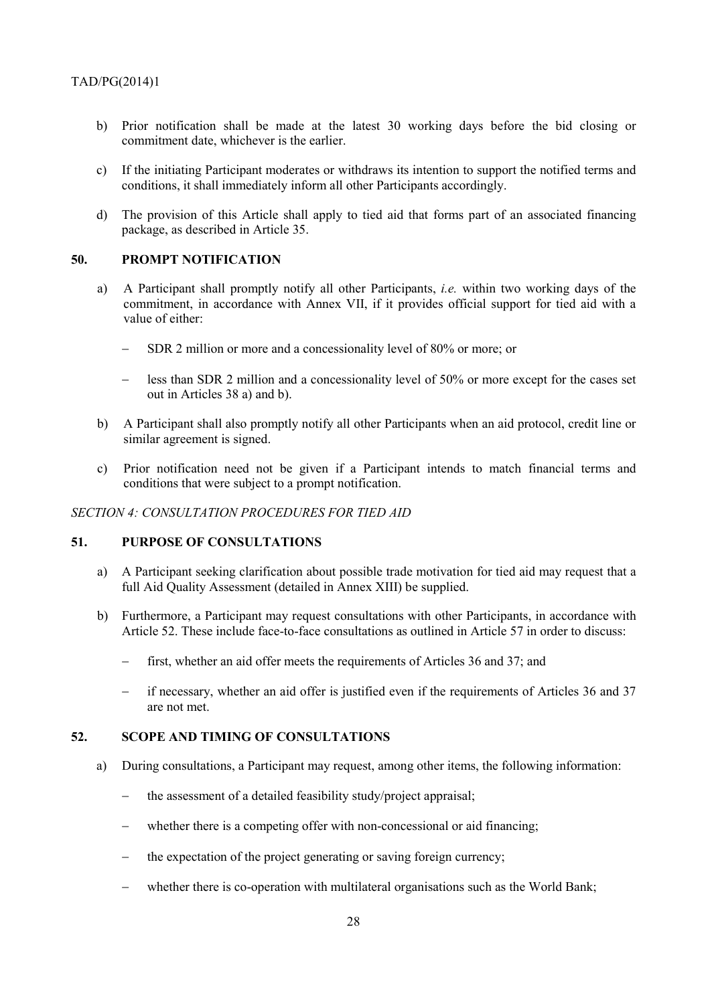- b) Prior notification shall be made at the latest 30 working days before the bid closing or commitment date, whichever is the earlier.
- c) If the initiating Participant moderates or withdraws its intention to support the notified terms and conditions, it shall immediately inform all other Participants accordingly.
- d) The provision of this Article shall apply to tied aid that forms part of an associated financing package, as described in Article 35.

#### **50. PROMPT NOTIFICATION**

- a) A Participant shall promptly notify all other Participants, *i.e.* within two working days of the commitment, in accordance with Annex VII, if it provides official support for tied aid with a value of either:
	- − SDR 2 million or more and a concessionality level of 80% or more; or
	- less than SDR 2 million and a concessionality level of 50% or more except for the cases set out in Articles 38 a) and b).
- b) A Participant shall also promptly notify all other Participants when an aid protocol, credit line or similar agreement is signed.
- c) Prior notification need not be given if a Participant intends to match financial terms and conditions that were subject to a prompt notification.

#### *SECTION 4: CONSULTATION PROCEDURES FOR TIED AID*

#### **51. PURPOSE OF CONSULTATIONS**

- a) A Participant seeking clarification about possible trade motivation for tied aid may request that a full Aid Quality Assessment (detailed in Annex XIII) be supplied.
- b) Furthermore, a Participant may request consultations with other Participants, in accordance with Article 52. These include face-to-face consultations as outlined in Article 57 in order to discuss:
	- first, whether an aid offer meets the requirements of Articles 36 and 37; and
	- if necessary, whether an aid offer is justified even if the requirements of Articles 36 and 37 are not met.

#### **52. SCOPE AND TIMING OF CONSULTATIONS**

- a) During consultations, a Participant may request, among other items, the following information:
	- − the assessment of a detailed feasibility study/project appraisal;
	- whether there is a competing offer with non-concessional or aid financing;
	- the expectation of the project generating or saving foreign currency;
	- − whether there is co-operation with multilateral organisations such as the World Bank;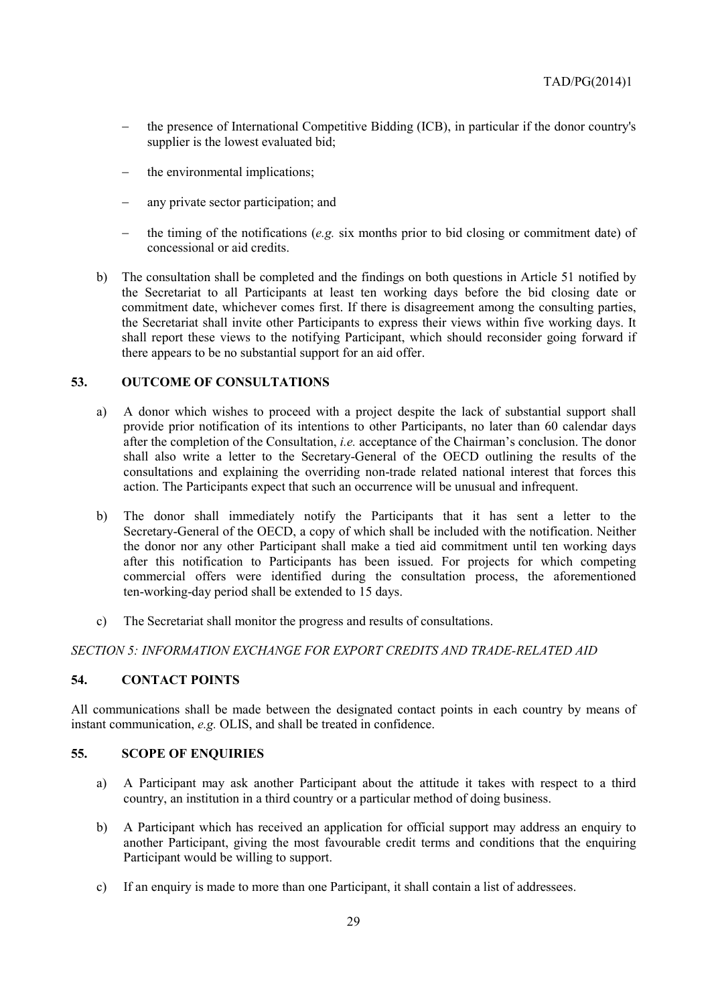- the presence of International Competitive Bidding (ICB), in particular if the donor country's supplier is the lowest evaluated bid;
- the environmental implications:
- any private sector participation; and
- the timing of the notifications (*e.g.* six months prior to bid closing or commitment date) of concessional or aid credits.
- b) The consultation shall be completed and the findings on both questions in Article 51 notified by the Secretariat to all Participants at least ten working days before the bid closing date or commitment date, whichever comes first. If there is disagreement among the consulting parties, the Secretariat shall invite other Participants to express their views within five working days. It shall report these views to the notifying Participant, which should reconsider going forward if there appears to be no substantial support for an aid offer.

#### **53. OUTCOME OF CONSULTATIONS**

- a) A donor which wishes to proceed with a project despite the lack of substantial support shall provide prior notification of its intentions to other Participants, no later than 60 calendar days after the completion of the Consultation, *i.e.* acceptance of the Chairman's conclusion. The donor shall also write a letter to the Secretary-General of the OECD outlining the results of the consultations and explaining the overriding non-trade related national interest that forces this action. The Participants expect that such an occurrence will be unusual and infrequent.
- b) The donor shall immediately notify the Participants that it has sent a letter to the Secretary-General of the OECD, a copy of which shall be included with the notification. Neither the donor nor any other Participant shall make a tied aid commitment until ten working days after this notification to Participants has been issued. For projects for which competing commercial offers were identified during the consultation process, the aforementioned ten-working-day period shall be extended to 15 days.
- c) The Secretariat shall monitor the progress and results of consultations.

*SECTION 5: INFORMATION EXCHANGE FOR EXPORT CREDITS AND TRADE-RELATED AID* 

#### **54. CONTACT POINTS**

All communications shall be made between the designated contact points in each country by means of instant communication, *e.g.* OLIS, and shall be treated in confidence.

#### **55. SCOPE OF ENQUIRIES**

- a) A Participant may ask another Participant about the attitude it takes with respect to a third country, an institution in a third country or a particular method of doing business.
- b) A Participant which has received an application for official support may address an enquiry to another Participant, giving the most favourable credit terms and conditions that the enquiring Participant would be willing to support.
- c) If an enquiry is made to more than one Participant, it shall contain a list of addressees.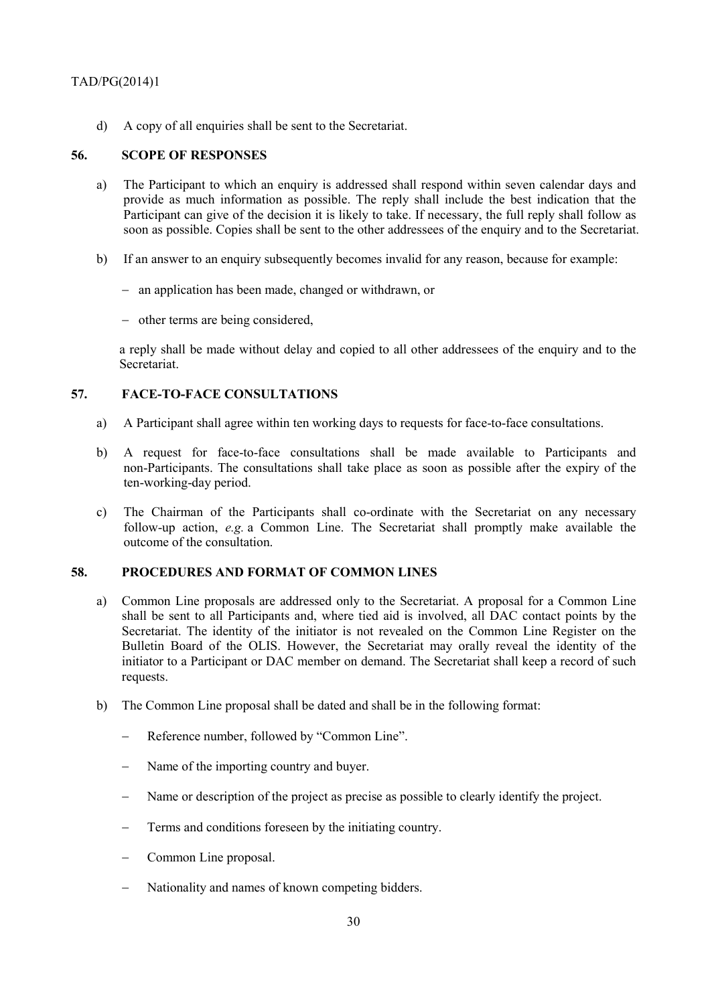d) A copy of all enquiries shall be sent to the Secretariat.

#### **56. SCOPE OF RESPONSES**

- a) The Participant to which an enquiry is addressed shall respond within seven calendar days and provide as much information as possible. The reply shall include the best indication that the Participant can give of the decision it is likely to take. If necessary, the full reply shall follow as soon as possible. Copies shall be sent to the other addressees of the enquiry and to the Secretariat.
- b) If an answer to an enquiry subsequently becomes invalid for any reason, because for example:
	- − an application has been made, changed or withdrawn, or
	- − other terms are being considered,

a reply shall be made without delay and copied to all other addressees of the enquiry and to the **Secretariat** 

#### **57. FACE-TO-FACE CONSULTATIONS**

- a) A Participant shall agree within ten working days to requests for face-to-face consultations.
- b) A request for face-to-face consultations shall be made available to Participants and non-Participants. The consultations shall take place as soon as possible after the expiry of the ten-working-day period.
- c) The Chairman of the Participants shall co-ordinate with the Secretariat on any necessary follow-up action, *e.g.* a Common Line. The Secretariat shall promptly make available the outcome of the consultation.

#### **58. PROCEDURES AND FORMAT OF COMMON LINES**

- a) Common Line proposals are addressed only to the Secretariat. A proposal for a Common Line shall be sent to all Participants and, where tied aid is involved, all DAC contact points by the Secretariat. The identity of the initiator is not revealed on the Common Line Register on the Bulletin Board of the OLIS. However, the Secretariat may orally reveal the identity of the initiator to a Participant or DAC member on demand. The Secretariat shall keep a record of such requests.
- b) The Common Line proposal shall be dated and shall be in the following format:
	- Reference number, followed by "Common Line".
	- Name of the importing country and buyer.
	- − Name or description of the project as precise as possible to clearly identify the project.
	- Terms and conditions foreseen by the initiating country.
	- − Common Line proposal.
	- Nationality and names of known competing bidders.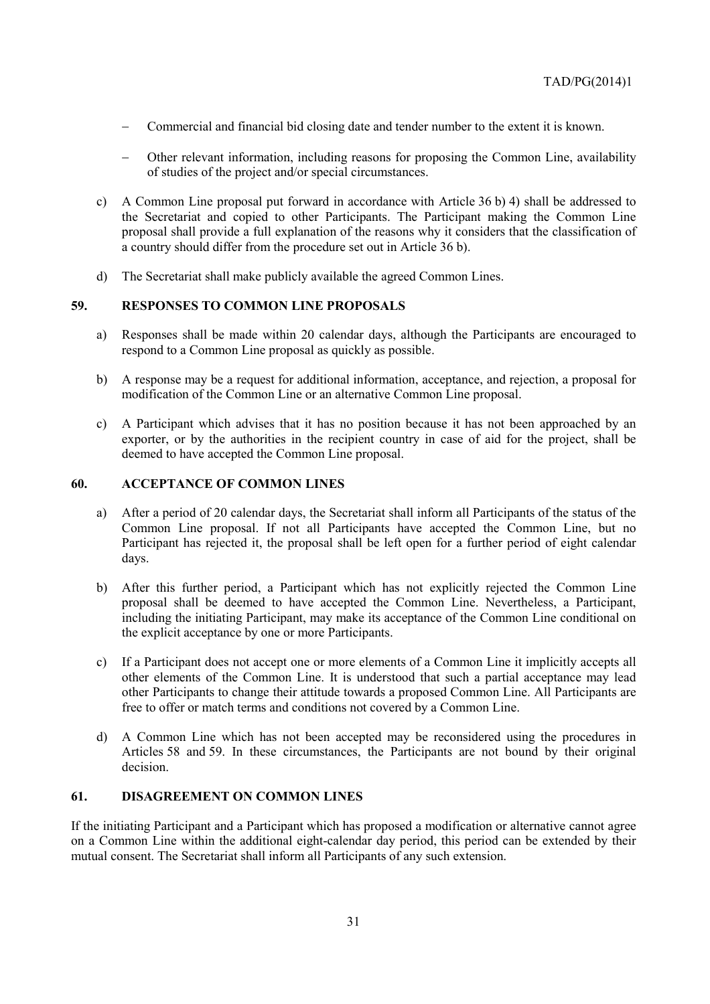- − Commercial and financial bid closing date and tender number to the extent it is known.
- − Other relevant information, including reasons for proposing the Common Line, availability of studies of the project and/or special circumstances.
- c) A Common Line proposal put forward in accordance with Article 36 b) 4) shall be addressed to the Secretariat and copied to other Participants. The Participant making the Common Line proposal shall provide a full explanation of the reasons why it considers that the classification of a country should differ from the procedure set out in Article 36 b).
- d) The Secretariat shall make publicly available the agreed Common Lines.

#### **59. RESPONSES TO COMMON LINE PROPOSALS**

- a) Responses shall be made within 20 calendar days, although the Participants are encouraged to respond to a Common Line proposal as quickly as possible.
- b) A response may be a request for additional information, acceptance, and rejection, a proposal for modification of the Common Line or an alternative Common Line proposal.
- c) A Participant which advises that it has no position because it has not been approached by an exporter, or by the authorities in the recipient country in case of aid for the project, shall be deemed to have accepted the Common Line proposal.

#### **60. ACCEPTANCE OF COMMON LINES**

- a) After a period of 20 calendar days, the Secretariat shall inform all Participants of the status of the Common Line proposal. If not all Participants have accepted the Common Line, but no Participant has rejected it, the proposal shall be left open for a further period of eight calendar days.
- b) After this further period, a Participant which has not explicitly rejected the Common Line proposal shall be deemed to have accepted the Common Line. Nevertheless, a Participant, including the initiating Participant, may make its acceptance of the Common Line conditional on the explicit acceptance by one or more Participants.
- c) If a Participant does not accept one or more elements of a Common Line it implicitly accepts all other elements of the Common Line. It is understood that such a partial acceptance may lead other Participants to change their attitude towards a proposed Common Line. All Participants are free to offer or match terms and conditions not covered by a Common Line.
- d) A Common Line which has not been accepted may be reconsidered using the procedures in Articles 58 and 59. In these circumstances, the Participants are not bound by their original decision.

#### **61. DISAGREEMENT ON COMMON LINES**

If the initiating Participant and a Participant which has proposed a modification or alternative cannot agree on a Common Line within the additional eight-calendar day period, this period can be extended by their mutual consent. The Secretariat shall inform all Participants of any such extension.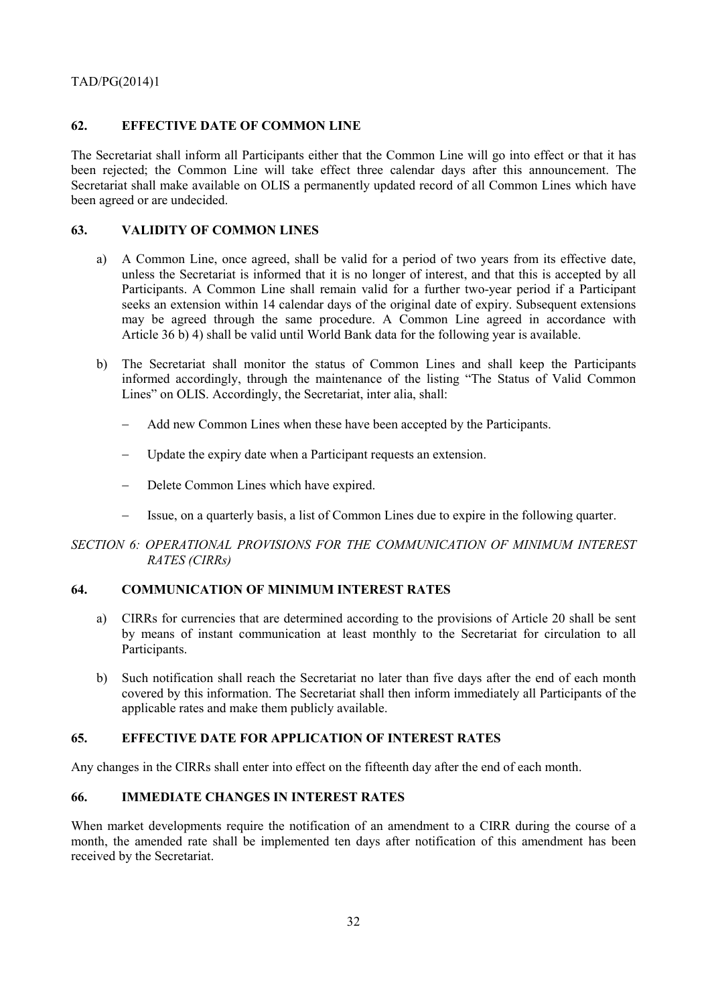#### **62. EFFECTIVE DATE OF COMMON LINE**

The Secretariat shall inform all Participants either that the Common Line will go into effect or that it has been rejected; the Common Line will take effect three calendar days after this announcement. The Secretariat shall make available on OLIS a permanently updated record of all Common Lines which have been agreed or are undecided.

#### **63. VALIDITY OF COMMON LINES**

- a) A Common Line, once agreed, shall be valid for a period of two years from its effective date, unless the Secretariat is informed that it is no longer of interest, and that this is accepted by all Participants. A Common Line shall remain valid for a further two-year period if a Participant seeks an extension within 14 calendar days of the original date of expiry. Subsequent extensions may be agreed through the same procedure. A Common Line agreed in accordance with Article 36 b) 4) shall be valid until World Bank data for the following year is available.
- b) The Secretariat shall monitor the status of Common Lines and shall keep the Participants informed accordingly, through the maintenance of the listing "The Status of Valid Common Lines" on OLIS. Accordingly, the Secretariat, inter alia, shall:
	- Add new Common Lines when these have been accepted by the Participants.
	- Update the expiry date when a Participant requests an extension.
	- Delete Common Lines which have expired.
	- − Issue, on a quarterly basis, a list of Common Lines due to expire in the following quarter.

*SECTION 6: OPERATIONAL PROVISIONS FOR THE COMMUNICATION OF MINIMUM INTEREST RATES (CIRRs)* 

#### **64. COMMUNICATION OF MINIMUM INTEREST RATES**

- a) CIRRs for currencies that are determined according to the provisions of Article 20 shall be sent by means of instant communication at least monthly to the Secretariat for circulation to all Participants.
- b) Such notification shall reach the Secretariat no later than five days after the end of each month covered by this information. The Secretariat shall then inform immediately all Participants of the applicable rates and make them publicly available.

#### **65. EFFECTIVE DATE FOR APPLICATION OF INTEREST RATES**

Any changes in the CIRRs shall enter into effect on the fifteenth day after the end of each month.

#### **66. IMMEDIATE CHANGES IN INTEREST RATES**

When market developments require the notification of an amendment to a CIRR during the course of a month, the amended rate shall be implemented ten days after notification of this amendment has been received by the Secretariat.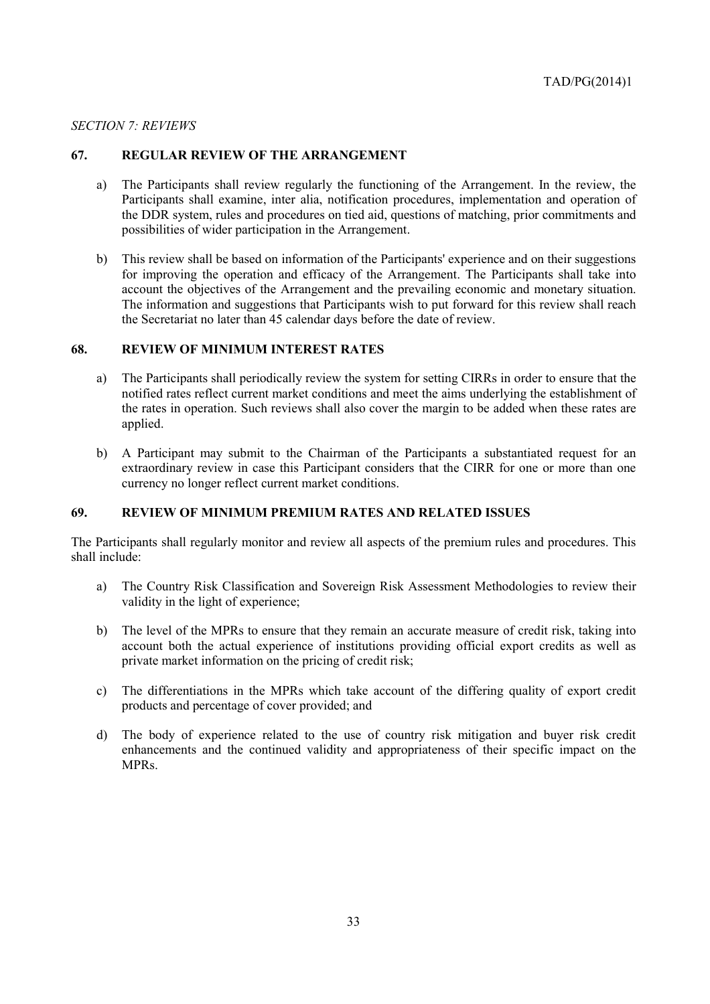#### *SECTION 7: REVIEWS*

#### **67. REGULAR REVIEW OF THE ARRANGEMENT**

- a) The Participants shall review regularly the functioning of the Arrangement. In the review, the Participants shall examine, inter alia, notification procedures, implementation and operation of the DDR system, rules and procedures on tied aid, questions of matching, prior commitments and possibilities of wider participation in the Arrangement.
- b) This review shall be based on information of the Participants' experience and on their suggestions for improving the operation and efficacy of the Arrangement. The Participants shall take into account the objectives of the Arrangement and the prevailing economic and monetary situation. The information and suggestions that Participants wish to put forward for this review shall reach the Secretariat no later than 45 calendar days before the date of review.

#### **68. REVIEW OF MINIMUM INTEREST RATES**

- a) The Participants shall periodically review the system for setting CIRRs in order to ensure that the notified rates reflect current market conditions and meet the aims underlying the establishment of the rates in operation. Such reviews shall also cover the margin to be added when these rates are applied.
- b) A Participant may submit to the Chairman of the Participants a substantiated request for an extraordinary review in case this Participant considers that the CIRR for one or more than one currency no longer reflect current market conditions.

#### **69. REVIEW OF MINIMUM PREMIUM RATES AND RELATED ISSUES**

The Participants shall regularly monitor and review all aspects of the premium rules and procedures. This shall include:

- a) The Country Risk Classification and Sovereign Risk Assessment Methodologies to review their validity in the light of experience;
- b) The level of the MPRs to ensure that they remain an accurate measure of credit risk, taking into account both the actual experience of institutions providing official export credits as well as private market information on the pricing of credit risk;
- c) The differentiations in the MPRs which take account of the differing quality of export credit products and percentage of cover provided; and
- d) The body of experience related to the use of country risk mitigation and buyer risk credit enhancements and the continued validity and appropriateness of their specific impact on the MPRs.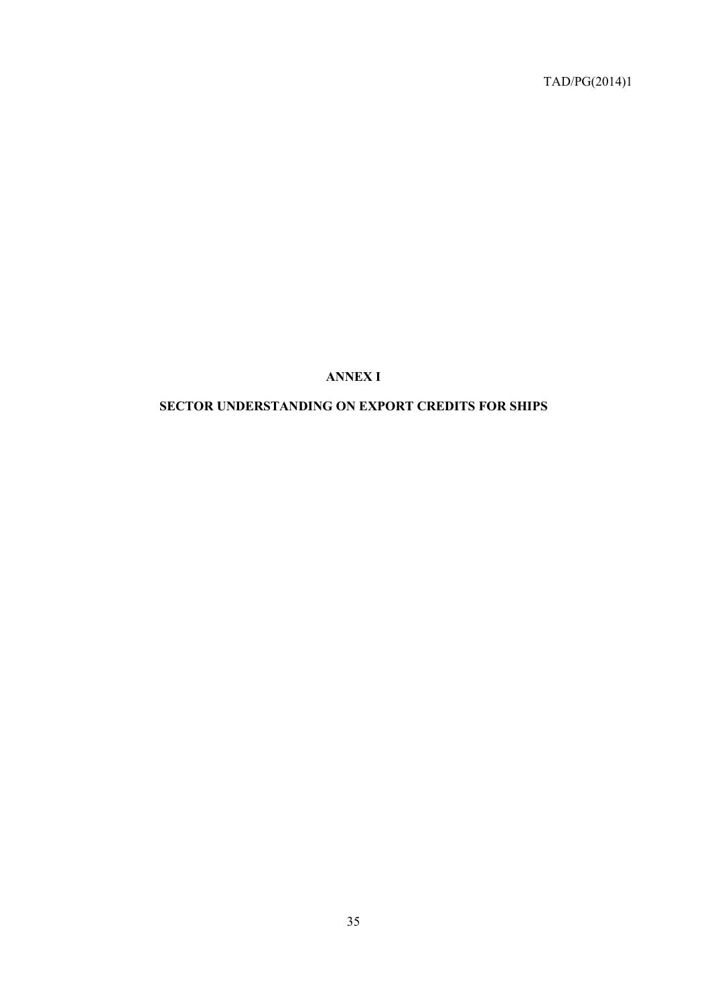# **ANNEX I**

# **SECTOR UNDERSTANDING ON EXPORT CREDITS FOR SHIPS**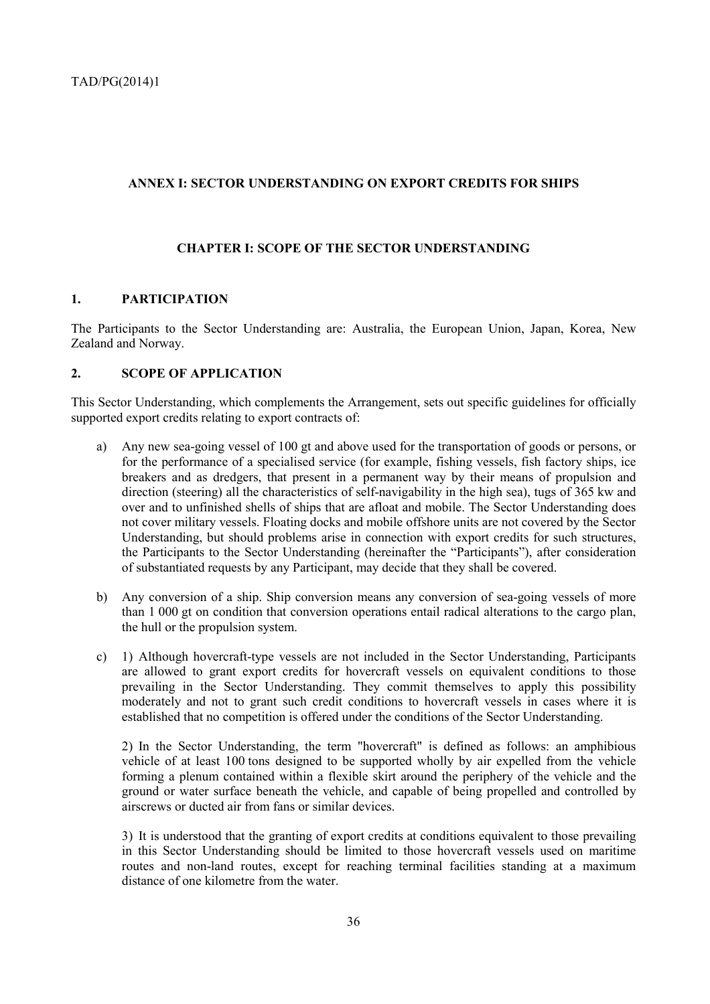#### **ANNEX I: SECTOR UNDERSTANDING ON EXPORT CREDITS FOR SHIPS**

#### **CHAPTER I: SCOPE OF THE SECTOR UNDERSTANDING**

#### **1. PARTICIPATION**

The Participants to the Sector Understanding are: Australia, the European Union, Japan, Korea, New Zealand and Norway.

#### **2. SCOPE OF APPLICATION**

This Sector Understanding, which complements the Arrangement, sets out specific guidelines for officially supported export credits relating to export contracts of:

- a) Any new sea-going vessel of 100 gt and above used for the transportation of goods or persons, or for the performance of a specialised service (for example, fishing vessels, fish factory ships, ice breakers and as dredgers, that present in a permanent way by their means of propulsion and direction (steering) all the characteristics of self-navigability in the high sea), tugs of 365 kw and over and to unfinished shells of ships that are afloat and mobile. The Sector Understanding does not cover military vessels. Floating docks and mobile offshore units are not covered by the Sector Understanding, but should problems arise in connection with export credits for such structures, the Participants to the Sector Understanding (hereinafter the "Participants"), after consideration of substantiated requests by any Participant, may decide that they shall be covered.
- b) Any conversion of a ship. Ship conversion means any conversion of sea-going vessels of more than 1 000 gt on condition that conversion operations entail radical alterations to the cargo plan, the hull or the propulsion system.
- c) 1) Although hovercraft-type vessels are not included in the Sector Understanding, Participants are allowed to grant export credits for hovercraft vessels on equivalent conditions to those prevailing in the Sector Understanding. They commit themselves to apply this possibility moderately and not to grant such credit conditions to hovercraft vessels in cases where it is established that no competition is offered under the conditions of the Sector Understanding.

2) In the Sector Understanding, the term "hovercraft" is defined as follows: an amphibious vehicle of at least 100 tons designed to be supported wholly by air expelled from the vehicle forming a plenum contained within a flexible skirt around the periphery of the vehicle and the ground or water surface beneath the vehicle, and capable of being propelled and controlled by airscrews or ducted air from fans or similar devices.

3) It is understood that the granting of export credits at conditions equivalent to those prevailing in this Sector Understanding should be limited to those hovercraft vessels used on maritime routes and non-land routes, except for reaching terminal facilities standing at a maximum distance of one kilometre from the water.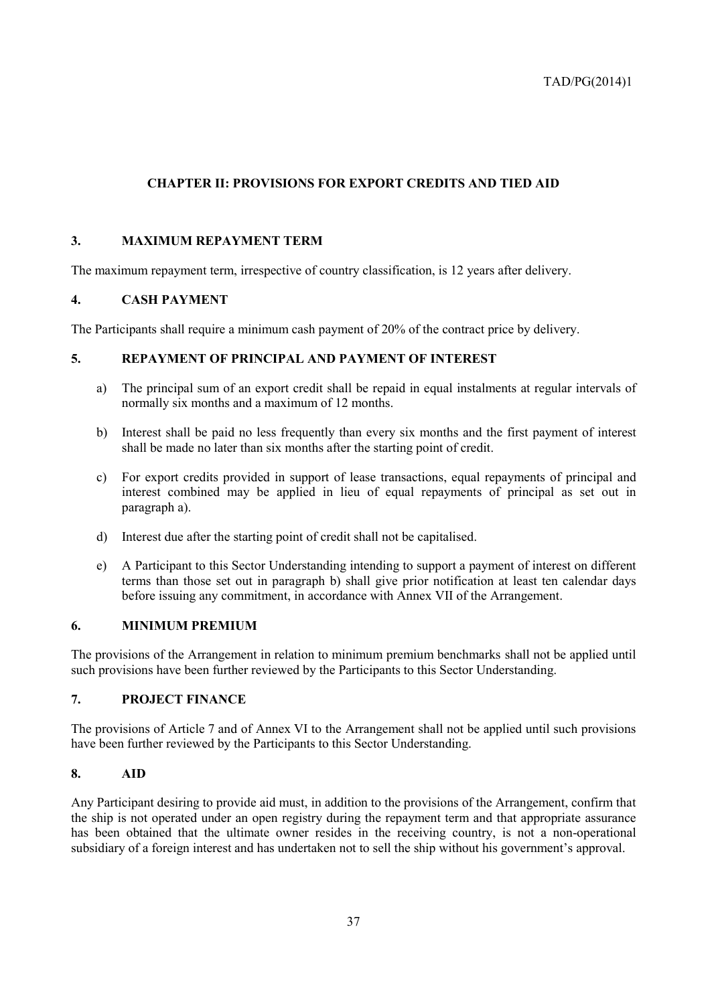# **CHAPTER II: PROVISIONS FOR EXPORT CREDITS AND TIED AID**

### **3. MAXIMUM REPAYMENT TERM**

The maximum repayment term, irrespective of country classification, is 12 years after delivery.

# **4. CASH PAYMENT**

The Participants shall require a minimum cash payment of 20% of the contract price by delivery.

# **5. REPAYMENT OF PRINCIPAL AND PAYMENT OF INTEREST**

- a) The principal sum of an export credit shall be repaid in equal instalments at regular intervals of normally six months and a maximum of 12 months.
- b) Interest shall be paid no less frequently than every six months and the first payment of interest shall be made no later than six months after the starting point of credit.
- c) For export credits provided in support of lease transactions, equal repayments of principal and interest combined may be applied in lieu of equal repayments of principal as set out in paragraph a).
- d) Interest due after the starting point of credit shall not be capitalised.
- e) A Participant to this Sector Understanding intending to support a payment of interest on different terms than those set out in paragraph b) shall give prior notification at least ten calendar days before issuing any commitment, in accordance with Annex VII of the Arrangement.

### **6. MINIMUM PREMIUM**

The provisions of the Arrangement in relation to minimum premium benchmarks shall not be applied until such provisions have been further reviewed by the Participants to this Sector Understanding.

# **7. PROJECT FINANCE**

The provisions of Article 7 and of Annex VI to the Arrangement shall not be applied until such provisions have been further reviewed by the Participants to this Sector Understanding.

# **8. AID**

Any Participant desiring to provide aid must, in addition to the provisions of the Arrangement, confirm that the ship is not operated under an open registry during the repayment term and that appropriate assurance has been obtained that the ultimate owner resides in the receiving country, is not a non-operational subsidiary of a foreign interest and has undertaken not to sell the ship without his government's approval.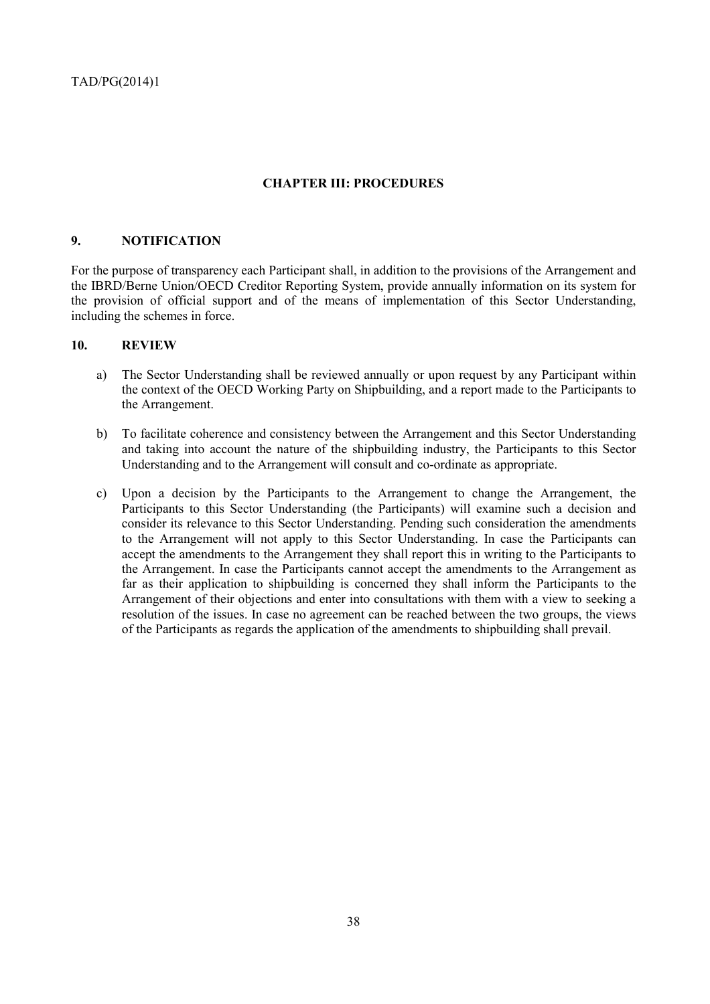# **CHAPTER III: PROCEDURES**

### **9. NOTIFICATION**

For the purpose of transparency each Participant shall, in addition to the provisions of the Arrangement and the IBRD/Berne Union/OECD Creditor Reporting System, provide annually information on its system for the provision of official support and of the means of implementation of this Sector Understanding, including the schemes in force.

### **10. REVIEW**

- a) The Sector Understanding shall be reviewed annually or upon request by any Participant within the context of the OECD Working Party on Shipbuilding, and a report made to the Participants to the Arrangement.
- b) To facilitate coherence and consistency between the Arrangement and this Sector Understanding and taking into account the nature of the shipbuilding industry, the Participants to this Sector Understanding and to the Arrangement will consult and co-ordinate as appropriate.
- c) Upon a decision by the Participants to the Arrangement to change the Arrangement, the Participants to this Sector Understanding (the Participants) will examine such a decision and consider its relevance to this Sector Understanding. Pending such consideration the amendments to the Arrangement will not apply to this Sector Understanding. In case the Participants can accept the amendments to the Arrangement they shall report this in writing to the Participants to the Arrangement. In case the Participants cannot accept the amendments to the Arrangement as far as their application to shipbuilding is concerned they shall inform the Participants to the Arrangement of their objections and enter into consultations with them with a view to seeking a resolution of the issues. In case no agreement can be reached between the two groups, the views of the Participants as regards the application of the amendments to shipbuilding shall prevail.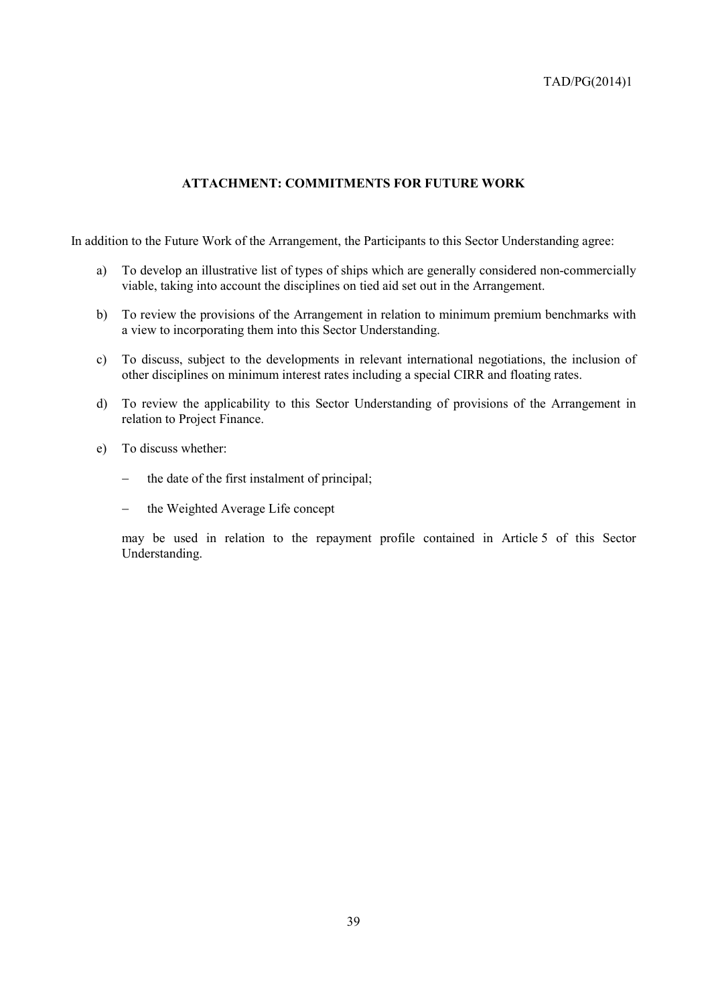# **ATTACHMENT: COMMITMENTS FOR FUTURE WORK**

In addition to the Future Work of the Arrangement, the Participants to this Sector Understanding agree:

- a) To develop an illustrative list of types of ships which are generally considered non-commercially viable, taking into account the disciplines on tied aid set out in the Arrangement.
- b) To review the provisions of the Arrangement in relation to minimum premium benchmarks with a view to incorporating them into this Sector Understanding.
- c) To discuss, subject to the developments in relevant international negotiations, the inclusion of other disciplines on minimum interest rates including a special CIRR and floating rates.
- d) To review the applicability to this Sector Understanding of provisions of the Arrangement in relation to Project Finance.
- e) To discuss whether:
	- − the date of the first instalment of principal;
	- − the Weighted Average Life concept

may be used in relation to the repayment profile contained in Article 5 of this Sector Understanding.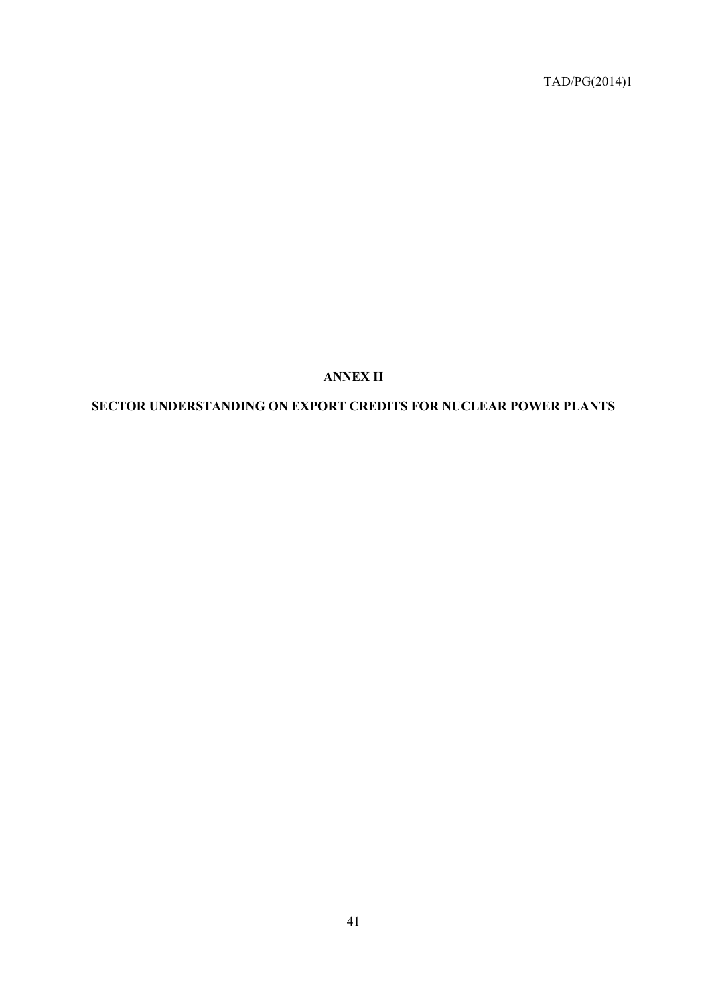# **ANNEX II**

# **SECTOR UNDERSTANDING ON EXPORT CREDITS FOR NUCLEAR POWER PLANTS**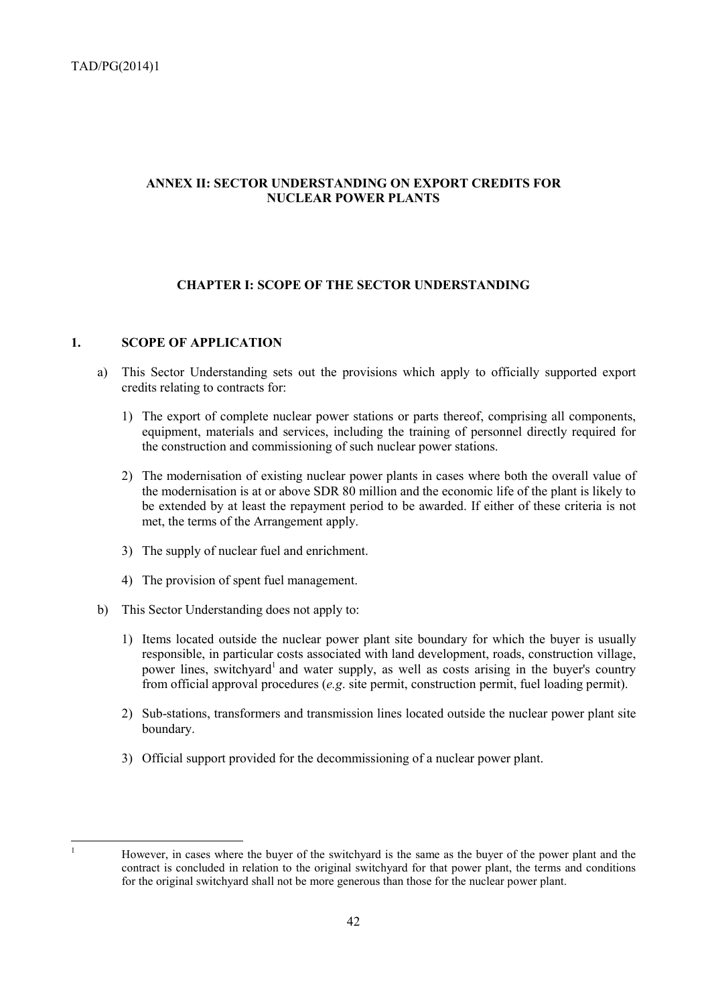# **ANNEX II: SECTOR UNDERSTANDING ON EXPORT CREDITS FOR NUCLEAR POWER PLANTS**

# **CHAPTER I: SCOPE OF THE SECTOR UNDERSTANDING**

### **1. SCOPE OF APPLICATION**

- a) This Sector Understanding sets out the provisions which apply to officially supported export credits relating to contracts for:
	- 1) The export of complete nuclear power stations or parts thereof, comprising all components, equipment, materials and services, including the training of personnel directly required for the construction and commissioning of such nuclear power stations.
	- 2) The modernisation of existing nuclear power plants in cases where both the overall value of the modernisation is at or above SDR 80 million and the economic life of the plant is likely to be extended by at least the repayment period to be awarded. If either of these criteria is not met, the terms of the Arrangement apply.
	- 3) The supply of nuclear fuel and enrichment.
	- 4) The provision of spent fuel management.
- b) This Sector Understanding does not apply to:
	- 1) Items located outside the nuclear power plant site boundary for which the buyer is usually responsible, in particular costs associated with land development, roads, construction village, power lines, switchyard<sup>1</sup> and water supply, as well as costs arising in the buyer's country from official approval procedures (*e.g*. site permit, construction permit, fuel loading permit).
	- 2) Sub-stations, transformers and transmission lines located outside the nuclear power plant site boundary.
	- 3) Official support provided for the decommissioning of a nuclear power plant.

 $\frac{1}{1}$ 

However, in cases where the buyer of the switchyard is the same as the buyer of the power plant and the contract is concluded in relation to the original switchyard for that power plant, the terms and conditions for the original switchyard shall not be more generous than those for the nuclear power plant.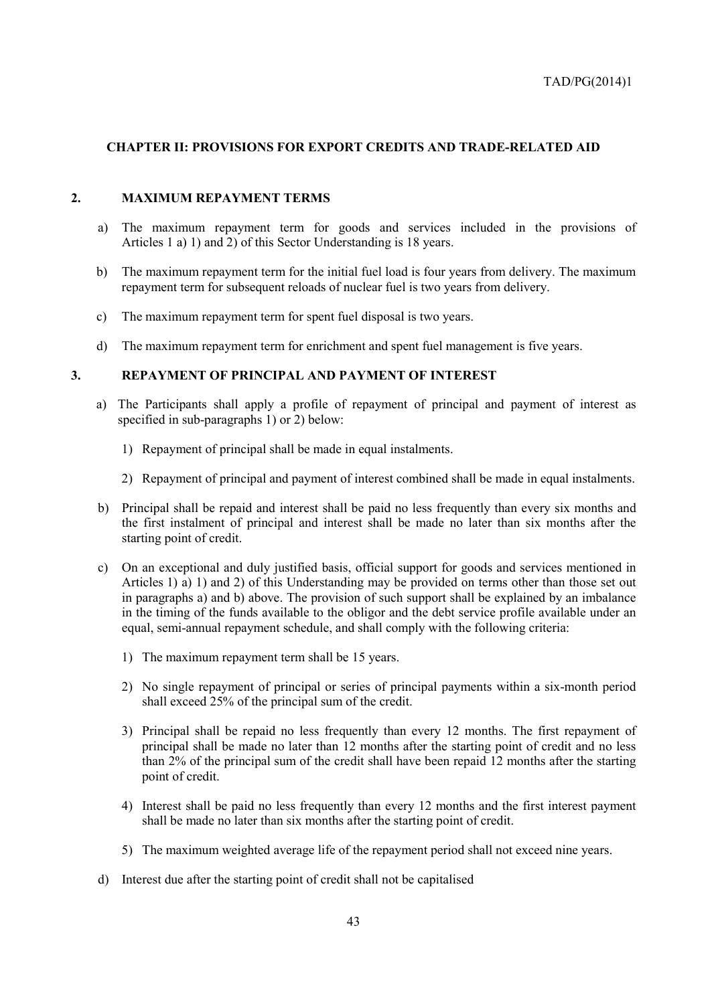### **CHAPTER II: PROVISIONS FOR EXPORT CREDITS AND TRADE-RELATED AID**

#### **2. MAXIMUM REPAYMENT TERMS**

- a) The maximum repayment term for goods and services included in the provisions of Articles 1 a) 1) and 2) of this Sector Understanding is 18 years.
- b) The maximum repayment term for the initial fuel load is four years from delivery. The maximum repayment term for subsequent reloads of nuclear fuel is two years from delivery.
- c) The maximum repayment term for spent fuel disposal is two years.
- d) The maximum repayment term for enrichment and spent fuel management is five years.

# **3. REPAYMENT OF PRINCIPAL AND PAYMENT OF INTEREST**

- a) The Participants shall apply a profile of repayment of principal and payment of interest as specified in sub-paragraphs 1) or 2) below:
	- 1) Repayment of principal shall be made in equal instalments.
	- 2) Repayment of principal and payment of interest combined shall be made in equal instalments.
- b) Principal shall be repaid and interest shall be paid no less frequently than every six months and the first instalment of principal and interest shall be made no later than six months after the starting point of credit.
- c) On an exceptional and duly justified basis, official support for goods and services mentioned in Articles 1) a) 1) and 2) of this Understanding may be provided on terms other than those set out in paragraphs a) and b) above. The provision of such support shall be explained by an imbalance in the timing of the funds available to the obligor and the debt service profile available under an equal, semi-annual repayment schedule, and shall comply with the following criteria:
	- 1) The maximum repayment term shall be 15 years.
	- 2) No single repayment of principal or series of principal payments within a six-month period shall exceed 25% of the principal sum of the credit.
	- 3) Principal shall be repaid no less frequently than every 12 months. The first repayment of principal shall be made no later than 12 months after the starting point of credit and no less than 2% of the principal sum of the credit shall have been repaid 12 months after the starting point of credit.
	- 4) Interest shall be paid no less frequently than every 12 months and the first interest payment shall be made no later than six months after the starting point of credit.
	- 5) The maximum weighted average life of the repayment period shall not exceed nine years.
- d) Interest due after the starting point of credit shall not be capitalised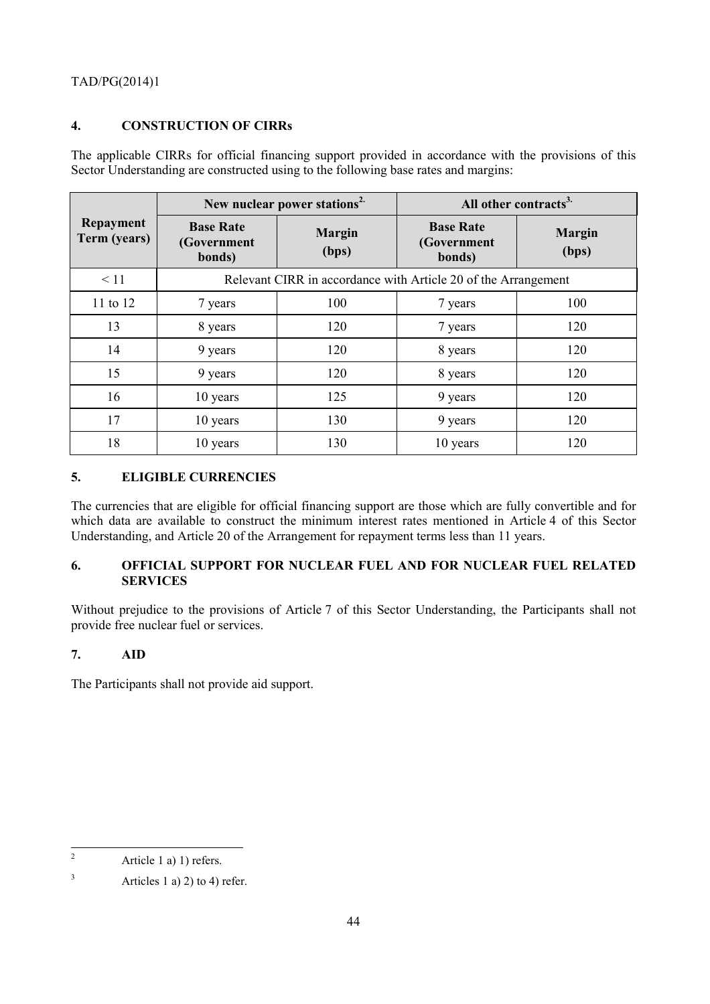# **4. CONSTRUCTION OF CIRRs**

The applicable CIRRs for official financing support provided in accordance with the provisions of this Sector Understanding are constructed using to the following base rates and margins:

|                           | New nuclear power stations <sup>2.</sup>                       |                        | All other contracts <sup>3.</sup>         |                        |  |
|---------------------------|----------------------------------------------------------------|------------------------|-------------------------------------------|------------------------|--|
| Repayment<br>Term (years) | <b>Base Rate</b><br>(Government<br>bonds)                      | <b>Margin</b><br>(bps) | <b>Base Rate</b><br>(Government<br>bonds) | <b>Margin</b><br>(bps) |  |
| $\leq$ 11                 | Relevant CIRR in accordance with Article 20 of the Arrangement |                        |                                           |                        |  |
| 11 to 12                  | 7 years                                                        | 100                    | 7 years                                   | 100                    |  |
| 13                        | 8 years                                                        | 120                    | 7 years                                   | 120                    |  |
| 14                        | 9 years                                                        | 120                    | 8 years                                   | 120                    |  |
| 15                        | 9 years                                                        | 120                    | 8 years                                   | 120                    |  |
| 16                        | 10 years                                                       | 125                    | 9 years                                   | 120                    |  |
| 17                        | 10 years                                                       | 130                    | 9 years                                   | 120                    |  |
| 18                        | 10 years                                                       | 130                    | 10 years                                  | 120                    |  |

# **5. ELIGIBLE CURRENCIES**

The currencies that are eligible for official financing support are those which are fully convertible and for which data are available to construct the minimum interest rates mentioned in Article 4 of this Sector Understanding, and Article 20 of the Arrangement for repayment terms less than 11 years.

# **6. OFFICIAL SUPPORT FOR NUCLEAR FUEL AND FOR NUCLEAR FUEL RELATED SERVICES**

Without prejudice to the provisions of Article 7 of this Sector Understanding, the Participants shall not provide free nuclear fuel or services.

# **7. AID**

The Participants shall not provide aid support.

 $\frac{1}{2}$ Article 1 a) 1) refers.

<sup>3</sup> Articles 1 a) 2) to 4) refer.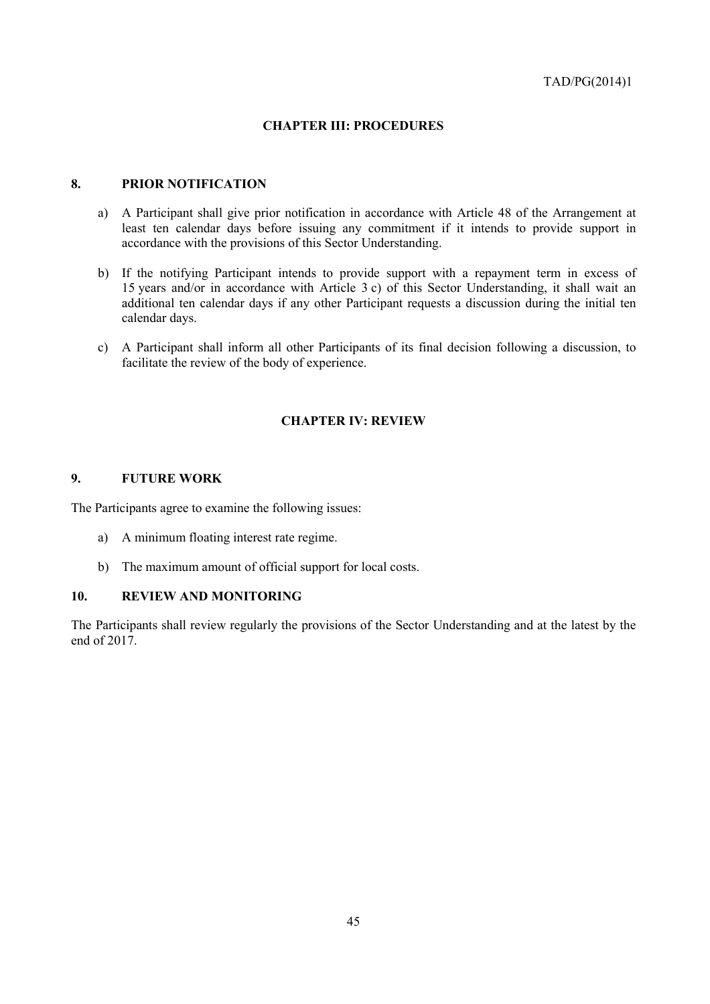# **CHAPTER III: PROCEDURES**

#### **8. PRIOR NOTIFICATION**

- a) A Participant shall give prior notification in accordance with Article 48 of the Arrangement at least ten calendar days before issuing any commitment if it intends to provide support in accordance with the provisions of this Sector Understanding.
- b) If the notifying Participant intends to provide support with a repayment term in excess of 15 years and/or in accordance with Article 3 c) of this Sector Understanding, it shall wait an additional ten calendar days if any other Participant requests a discussion during the initial ten calendar days.
- c) A Participant shall inform all other Participants of its final decision following a discussion, to facilitate the review of the body of experience.

### **CHAPTER IV: REVIEW**

### **9. FUTURE WORK**

The Participants agree to examine the following issues:

- a) A minimum floating interest rate regime.
- b) The maximum amount of official support for local costs.

#### **10. REVIEW AND MONITORING**

The Participants shall review regularly the provisions of the Sector Understanding and at the latest by the end of  $201\overline{7}$ .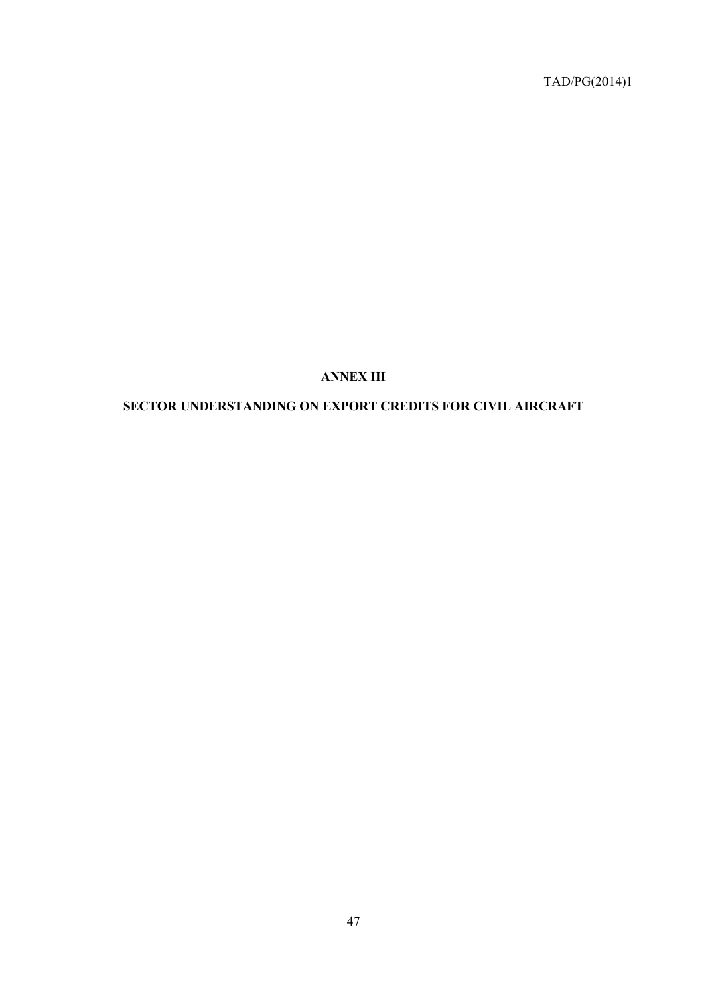# **ANNEX III**

# **SECTOR UNDERSTANDING ON EXPORT CREDITS FOR CIVIL AIRCRAFT**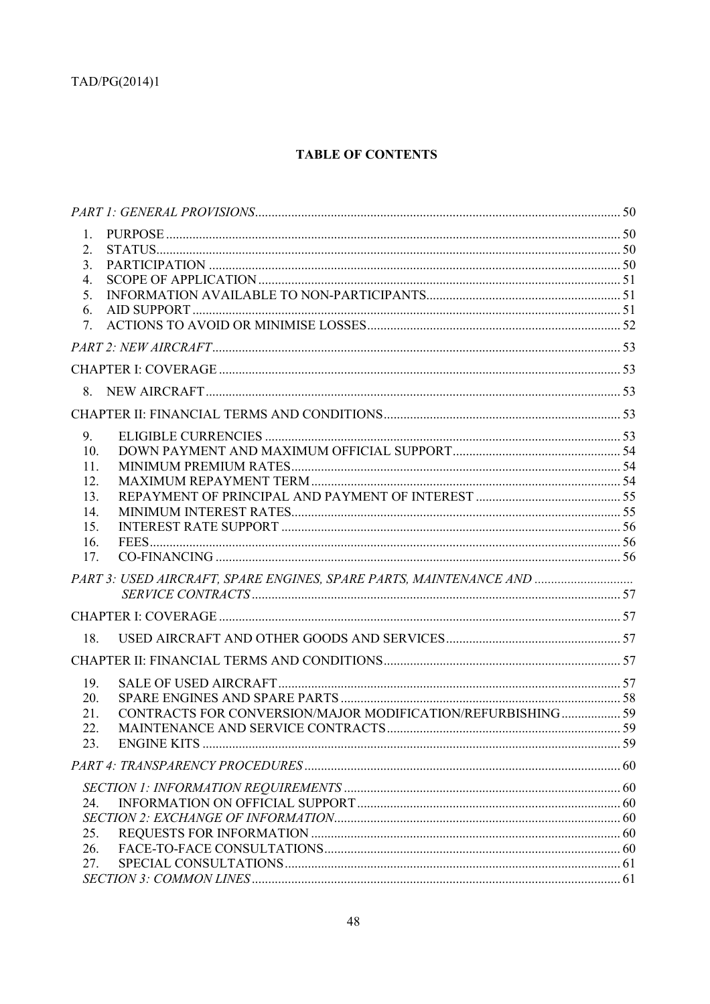# **TABLE OF CONTENTS**

| 1.<br>2.<br>3.<br>4.<br>5.<br>6.<br>7.                                                                                           |  |
|----------------------------------------------------------------------------------------------------------------------------------|--|
|                                                                                                                                  |  |
|                                                                                                                                  |  |
| 8.                                                                                                                               |  |
|                                                                                                                                  |  |
| 9.<br>10.<br>11.<br>12.<br>13.<br>14.<br>15.<br>16.<br>17.<br>PART 3: USED AIRCRAFT, SPARE ENGINES, SPARE PARTS, MAINTENANCE AND |  |
|                                                                                                                                  |  |
|                                                                                                                                  |  |
| 18.                                                                                                                              |  |
|                                                                                                                                  |  |
| 19.<br>20.<br>CONTRACTS FOR CONVERSION/MAJOR MODIFICATION/REFURBISHING 59<br>21.<br>22.<br>23.                                   |  |
|                                                                                                                                  |  |
| 24.<br>25.<br>26.<br>27.                                                                                                         |  |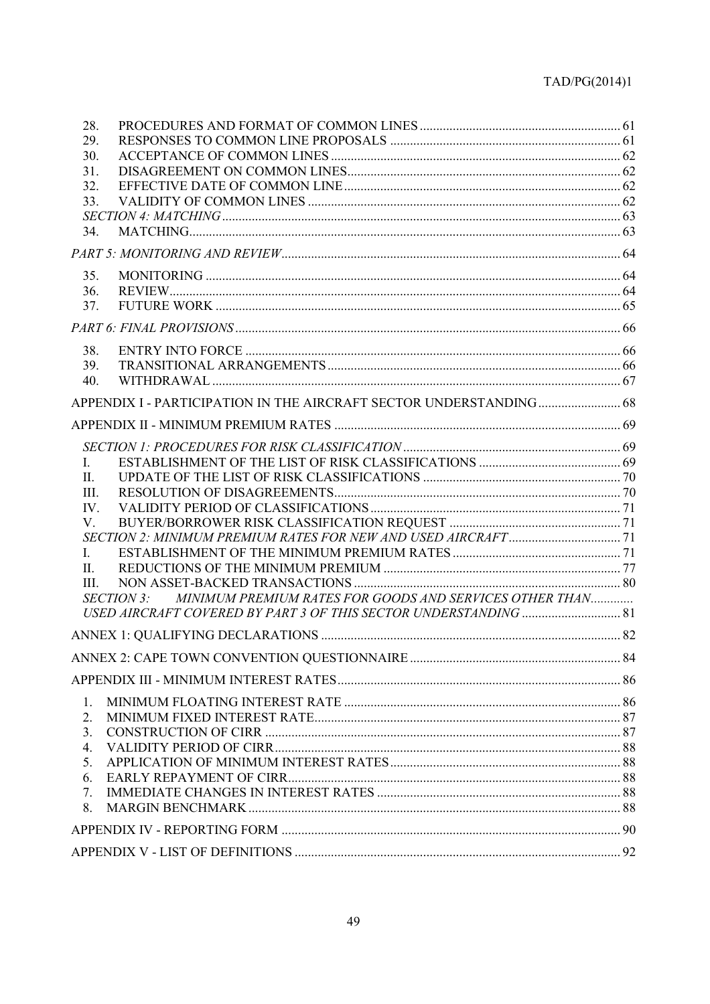| 28.                                                                   |  |
|-----------------------------------------------------------------------|--|
| 29.                                                                   |  |
| 30.                                                                   |  |
| 31.                                                                   |  |
| 32.                                                                   |  |
| 33.                                                                   |  |
|                                                                       |  |
| 34.                                                                   |  |
|                                                                       |  |
| 35.                                                                   |  |
| 36.                                                                   |  |
| 37.                                                                   |  |
|                                                                       |  |
| 38.                                                                   |  |
| 39.                                                                   |  |
| 40.                                                                   |  |
| APPENDIX I - PARTICIPATION IN THE AIRCRAFT SECTOR UNDERSTANDING 68    |  |
|                                                                       |  |
|                                                                       |  |
| $\mathbf{I}$ .                                                        |  |
| П.                                                                    |  |
| III.                                                                  |  |
| IV.                                                                   |  |
| $V_{\cdot}$                                                           |  |
|                                                                       |  |
| $\mathbf{I}$                                                          |  |
| II.                                                                   |  |
| III.                                                                  |  |
| MINIMUM PREMIUM RATES FOR GOODS AND SERVICES OTHER THAN<br>SECTION 3: |  |
| USED AIRCRAFT COVERED BY PART 3 OF THIS SECTOR UNDERSTANDING  81      |  |
|                                                                       |  |
|                                                                       |  |
|                                                                       |  |
| 1.                                                                    |  |
| 2.                                                                    |  |
| 3 <sub>1</sub>                                                        |  |
| 4.                                                                    |  |
| 5.                                                                    |  |
| 6.                                                                    |  |
| 7.                                                                    |  |
| 8.                                                                    |  |
|                                                                       |  |
|                                                                       |  |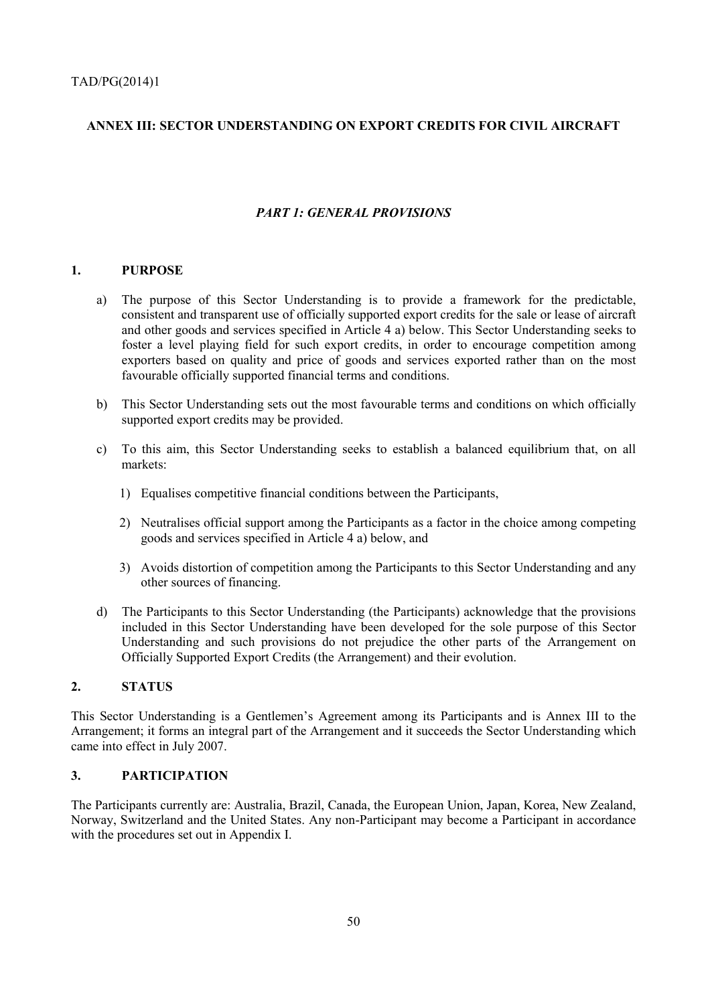# **ANNEX III: SECTOR UNDERSTANDING ON EXPORT CREDITS FOR CIVIL AIRCRAFT**

# *PART 1: GENERAL PROVISIONS*

### **1. PURPOSE**

- a) The purpose of this Sector Understanding is to provide a framework for the predictable, consistent and transparent use of officially supported export credits for the sale or lease of aircraft and other goods and services specified in Article 4 a) below. This Sector Understanding seeks to foster a level playing field for such export credits, in order to encourage competition among exporters based on quality and price of goods and services exported rather than on the most favourable officially supported financial terms and conditions.
- b) This Sector Understanding sets out the most favourable terms and conditions on which officially supported export credits may be provided.
- c) To this aim, this Sector Understanding seeks to establish a balanced equilibrium that, on all markets:
	- 1) Equalises competitive financial conditions between the Participants,
	- 2) Neutralises official support among the Participants as a factor in the choice among competing goods and services specified in Article 4 a) below, and
	- 3) Avoids distortion of competition among the Participants to this Sector Understanding and any other sources of financing.
- d) The Participants to this Sector Understanding (the Participants) acknowledge that the provisions included in this Sector Understanding have been developed for the sole purpose of this Sector Understanding and such provisions do not prejudice the other parts of the Arrangement on Officially Supported Export Credits (the Arrangement) and their evolution.

# **2. STATUS**

This Sector Understanding is a Gentlemen's Agreement among its Participants and is Annex III to the Arrangement; it forms an integral part of the Arrangement and it succeeds the Sector Understanding which came into effect in July 2007.

### **3. PARTICIPATION**

The Participants currently are: Australia, Brazil, Canada, the European Union, Japan, Korea, New Zealand, Norway, Switzerland and the United States. Any non-Participant may become a Participant in accordance with the procedures set out in Appendix I.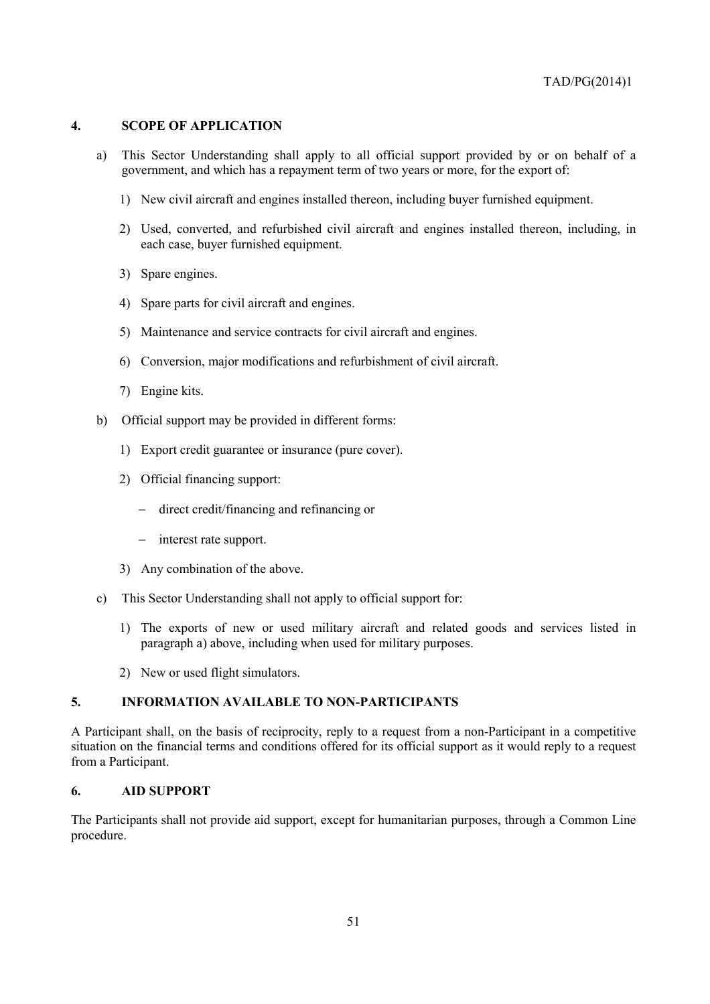# **4. SCOPE OF APPLICATION**

- a) This Sector Understanding shall apply to all official support provided by or on behalf of a government, and which has a repayment term of two years or more, for the export of:
	- 1) New civil aircraft and engines installed thereon, including buyer furnished equipment.
	- 2) Used, converted, and refurbished civil aircraft and engines installed thereon, including, in each case, buyer furnished equipment.
	- 3) Spare engines.
	- 4) Spare parts for civil aircraft and engines.
	- 5) Maintenance and service contracts for civil aircraft and engines.
	- 6) Conversion, major modifications and refurbishment of civil aircraft.
	- 7) Engine kits.
- b) Official support may be provided in different forms:
	- 1) Export credit guarantee or insurance (pure cover).
	- 2) Official financing support:
		- − direct credit/financing and refinancing or
		- − interest rate support.
	- 3) Any combination of the above.
- c) This Sector Understanding shall not apply to official support for:
	- 1) The exports of new or used military aircraft and related goods and services listed in paragraph a) above, including when used for military purposes.
	- 2) New or used flight simulators.

### **5. INFORMATION AVAILABLE TO NON-PARTICIPANTS**

A Participant shall, on the basis of reciprocity, reply to a request from a non-Participant in a competitive situation on the financial terms and conditions offered for its official support as it would reply to a request from a Participant.

### **6. AID SUPPORT**

The Participants shall not provide aid support, except for humanitarian purposes, through a Common Line procedure.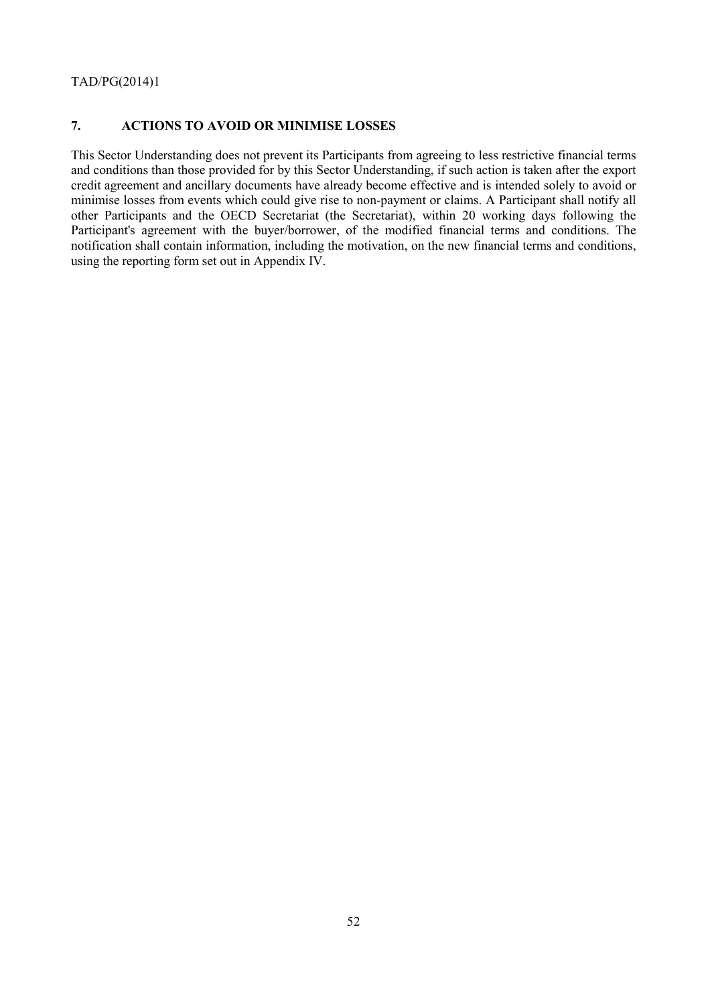# **7. ACTIONS TO AVOID OR MINIMISE LOSSES**

This Sector Understanding does not prevent its Participants from agreeing to less restrictive financial terms and conditions than those provided for by this Sector Understanding, if such action is taken after the export credit agreement and ancillary documents have already become effective and is intended solely to avoid or minimise losses from events which could give rise to non-payment or claims. A Participant shall notify all other Participants and the OECD Secretariat (the Secretariat), within 20 working days following the Participant's agreement with the buyer/borrower, of the modified financial terms and conditions. The notification shall contain information, including the motivation, on the new financial terms and conditions, using the reporting form set out in Appendix IV.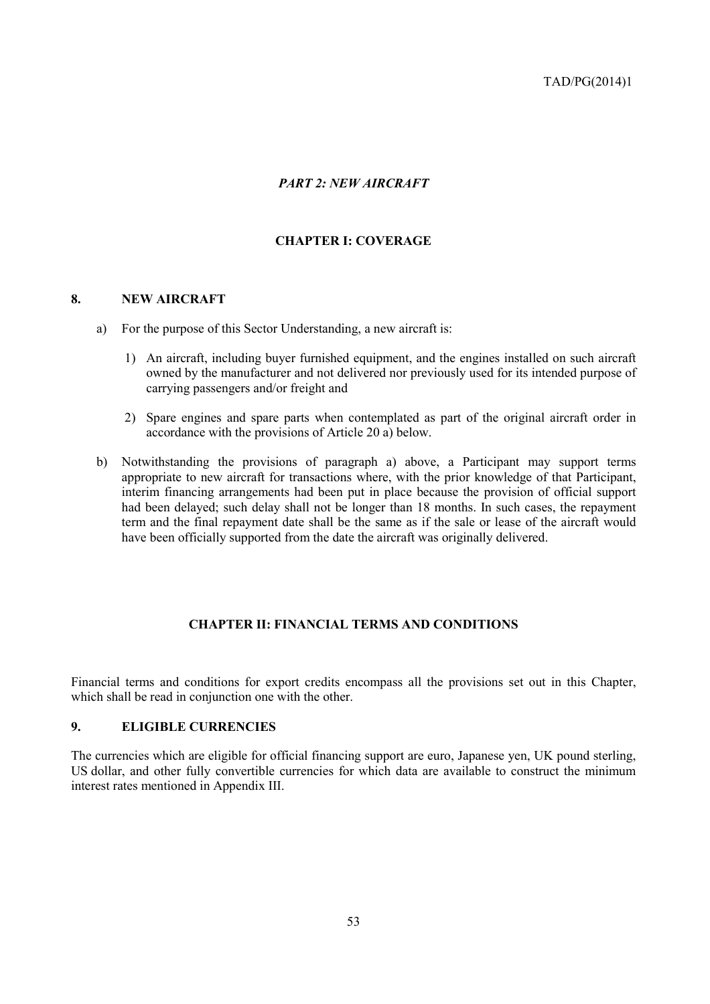# *PART 2: NEW AIRCRAFT*

### **CHAPTER I: COVERAGE**

#### **8. NEW AIRCRAFT**

- a) For the purpose of this Sector Understanding, a new aircraft is:
	- 1) An aircraft, including buyer furnished equipment, and the engines installed on such aircraft owned by the manufacturer and not delivered nor previously used for its intended purpose of carrying passengers and/or freight and
	- 2) Spare engines and spare parts when contemplated as part of the original aircraft order in accordance with the provisions of Article 20 a) below.
- b) Notwithstanding the provisions of paragraph a) above, a Participant may support terms appropriate to new aircraft for transactions where, with the prior knowledge of that Participant, interim financing arrangements had been put in place because the provision of official support had been delayed; such delay shall not be longer than 18 months. In such cases, the repayment term and the final repayment date shall be the same as if the sale or lease of the aircraft would have been officially supported from the date the aircraft was originally delivered.

### **CHAPTER II: FINANCIAL TERMS AND CONDITIONS**

Financial terms and conditions for export credits encompass all the provisions set out in this Chapter, which shall be read in conjunction one with the other.

### **9. ELIGIBLE CURRENCIES**

The currencies which are eligible for official financing support are euro, Japanese yen, UK pound sterling, US dollar, and other fully convertible currencies for which data are available to construct the minimum interest rates mentioned in Appendix III.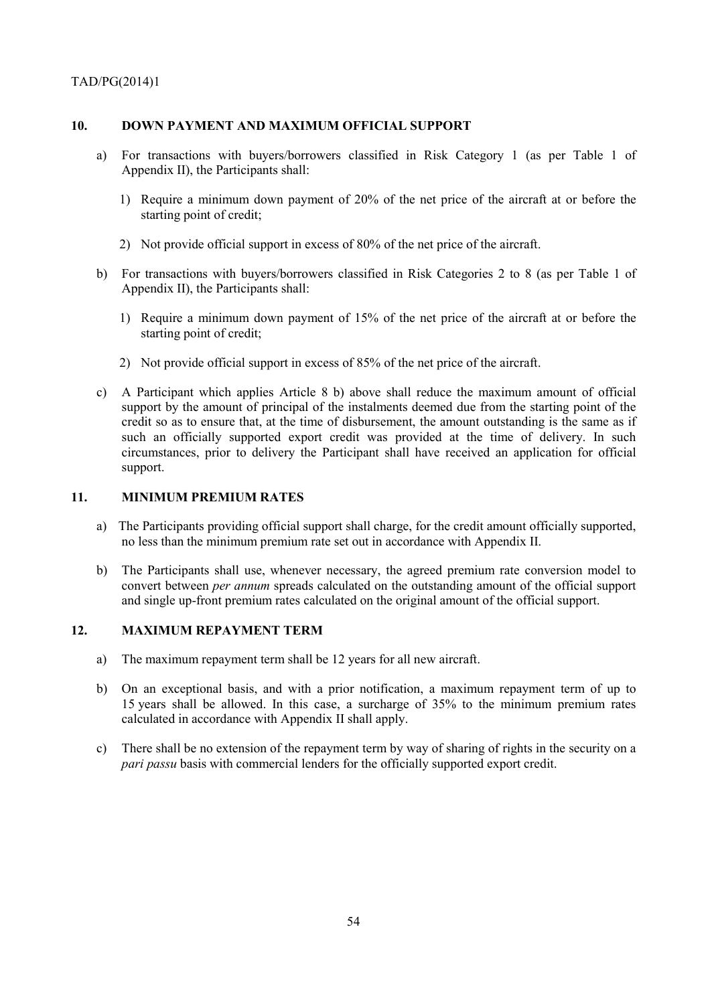# **10. DOWN PAYMENT AND MAXIMUM OFFICIAL SUPPORT**

- a) For transactions with buyers/borrowers classified in Risk Category 1 (as per Table 1 of Appendix II), the Participants shall:
	- 1) Require a minimum down payment of 20% of the net price of the aircraft at or before the starting point of credit;
	- 2) Not provide official support in excess of 80% of the net price of the aircraft.
- b) For transactions with buyers/borrowers classified in Risk Categories 2 to 8 (as per Table 1 of Appendix II), the Participants shall:
	- 1) Require a minimum down payment of 15% of the net price of the aircraft at or before the starting point of credit;
	- 2) Not provide official support in excess of 85% of the net price of the aircraft.
- c) A Participant which applies Article 8 b) above shall reduce the maximum amount of official support by the amount of principal of the instalments deemed due from the starting point of the credit so as to ensure that, at the time of disbursement, the amount outstanding is the same as if such an officially supported export credit was provided at the time of delivery. In such circumstances, prior to delivery the Participant shall have received an application for official support.

### **11. MINIMUM PREMIUM RATES**

- a) The Participants providing official support shall charge, for the credit amount officially supported, no less than the minimum premium rate set out in accordance with Appendix II.
- b) The Participants shall use, whenever necessary, the agreed premium rate conversion model to convert between *per annum* spreads calculated on the outstanding amount of the official support and single up-front premium rates calculated on the original amount of the official support.

### **12. MAXIMUM REPAYMENT TERM**

- a) The maximum repayment term shall be 12 years for all new aircraft.
- b) On an exceptional basis, and with a prior notification, a maximum repayment term of up to 15 years shall be allowed. In this case, a surcharge of 35% to the minimum premium rates calculated in accordance with Appendix II shall apply.
- c) There shall be no extension of the repayment term by way of sharing of rights in the security on a *pari passu* basis with commercial lenders for the officially supported export credit.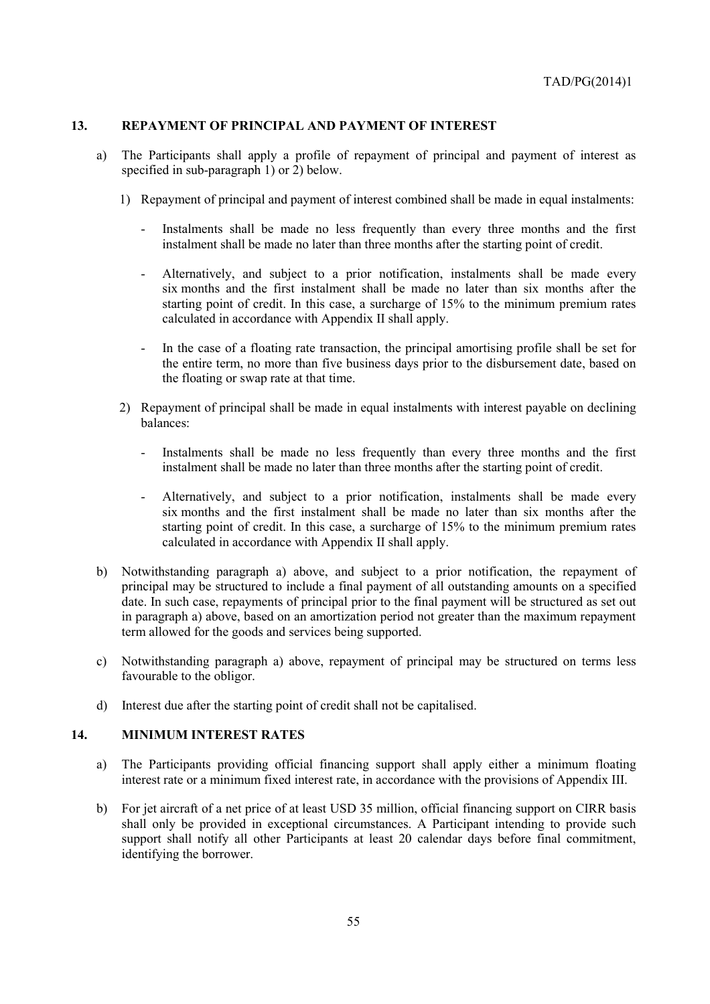# **13. REPAYMENT OF PRINCIPAL AND PAYMENT OF INTEREST**

- a) The Participants shall apply a profile of repayment of principal and payment of interest as specified in sub-paragraph 1) or 2) below.
	- 1) Repayment of principal and payment of interest combined shall be made in equal instalments:
		- Instalments shall be made no less frequently than every three months and the first instalment shall be made no later than three months after the starting point of credit.
		- Alternatively, and subject to a prior notification, instalments shall be made every six months and the first instalment shall be made no later than six months after the starting point of credit. In this case, a surcharge of 15% to the minimum premium rates calculated in accordance with Appendix II shall apply.
		- In the case of a floating rate transaction, the principal amortising profile shall be set for the entire term, no more than five business days prior to the disbursement date, based on the floating or swap rate at that time.
	- 2) Repayment of principal shall be made in equal instalments with interest payable on declining balances:
		- Instalments shall be made no less frequently than every three months and the first instalment shall be made no later than three months after the starting point of credit.
		- Alternatively, and subject to a prior notification, instalments shall be made every six months and the first instalment shall be made no later than six months after the starting point of credit. In this case, a surcharge of 15% to the minimum premium rates calculated in accordance with Appendix II shall apply.
- b) Notwithstanding paragraph a) above, and subject to a prior notification, the repayment of principal may be structured to include a final payment of all outstanding amounts on a specified date. In such case, repayments of principal prior to the final payment will be structured as set out in paragraph a) above, based on an amortization period not greater than the maximum repayment term allowed for the goods and services being supported.
- c) Notwithstanding paragraph a) above, repayment of principal may be structured on terms less favourable to the obligor.
- d) Interest due after the starting point of credit shall not be capitalised.

### **14. MINIMUM INTEREST RATES**

- a) The Participants providing official financing support shall apply either a minimum floating interest rate or a minimum fixed interest rate, in accordance with the provisions of Appendix III.
- b) For jet aircraft of a net price of at least USD 35 million, official financing support on CIRR basis shall only be provided in exceptional circumstances. A Participant intending to provide such support shall notify all other Participants at least 20 calendar days before final commitment, identifying the borrower.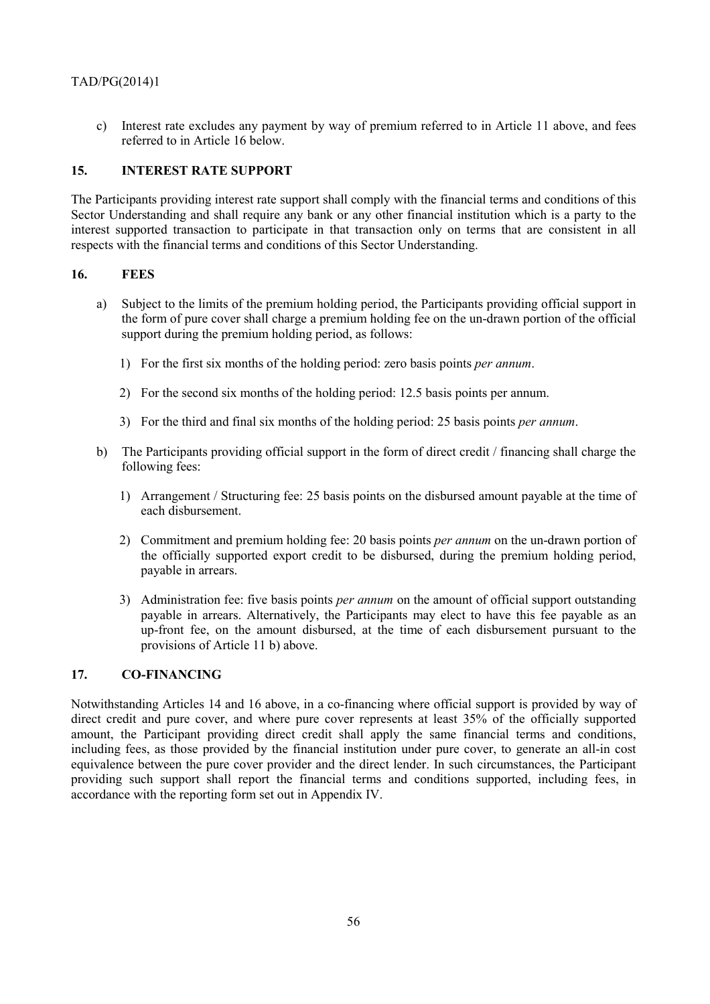c) Interest rate excludes any payment by way of premium referred to in Article 11 above, and fees referred to in Article 16 below.

### **15. INTEREST RATE SUPPORT**

The Participants providing interest rate support shall comply with the financial terms and conditions of this Sector Understanding and shall require any bank or any other financial institution which is a party to the interest supported transaction to participate in that transaction only on terms that are consistent in all respects with the financial terms and conditions of this Sector Understanding.

### **16. FEES**

- a) Subject to the limits of the premium holding period, the Participants providing official support in the form of pure cover shall charge a premium holding fee on the un-drawn portion of the official support during the premium holding period, as follows:
	- 1) For the first six months of the holding period: zero basis points *per annum*.
	- 2) For the second six months of the holding period: 12.5 basis points per annum.
	- 3) For the third and final six months of the holding period: 25 basis points *per annum*.
- b) The Participants providing official support in the form of direct credit / financing shall charge the following fees:
	- 1) Arrangement / Structuring fee: 25 basis points on the disbursed amount payable at the time of each disbursement.
	- 2) Commitment and premium holding fee: 20 basis points *per annum* on the un-drawn portion of the officially supported export credit to be disbursed, during the premium holding period, payable in arrears.
	- 3) Administration fee: five basis points *per annum* on the amount of official support outstanding payable in arrears. Alternatively, the Participants may elect to have this fee payable as an up-front fee, on the amount disbursed, at the time of each disbursement pursuant to the provisions of Article 11 b) above.

# **17. CO-FINANCING**

Notwithstanding Articles 14 and 16 above, in a co-financing where official support is provided by way of direct credit and pure cover, and where pure cover represents at least 35% of the officially supported amount, the Participant providing direct credit shall apply the same financial terms and conditions, including fees, as those provided by the financial institution under pure cover, to generate an all-in cost equivalence between the pure cover provider and the direct lender. In such circumstances, the Participant providing such support shall report the financial terms and conditions supported, including fees, in accordance with the reporting form set out in Appendix IV.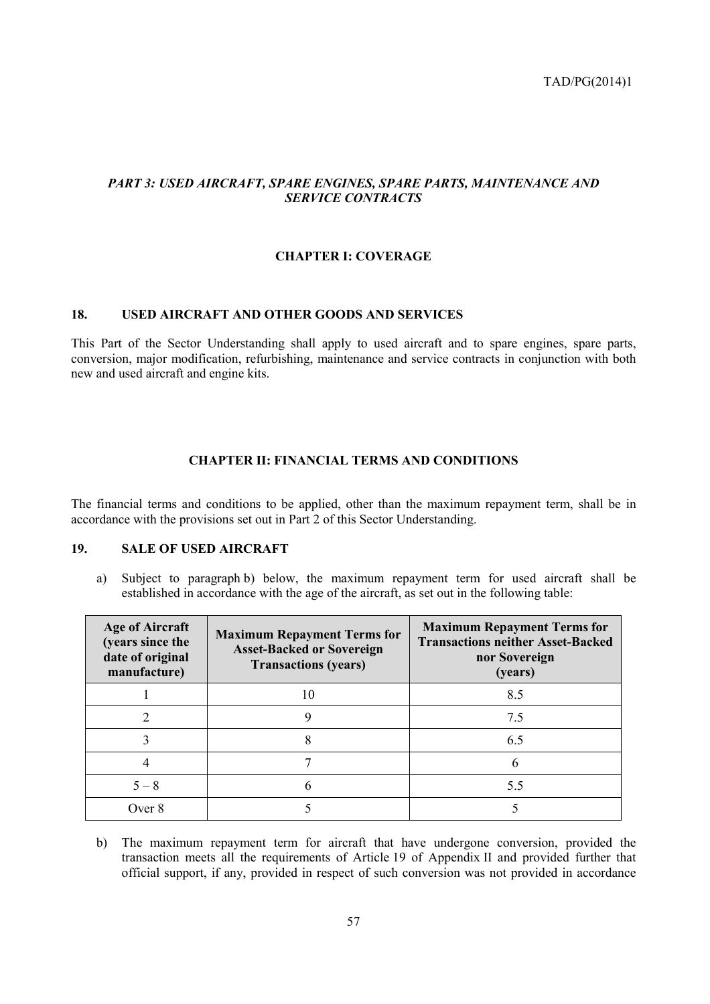# *PART 3: USED AIRCRAFT, SPARE ENGINES, SPARE PARTS, MAINTENANCE AND SERVICE CONTRACTS*

# **CHAPTER I: COVERAGE**

#### **18. USED AIRCRAFT AND OTHER GOODS AND SERVICES**

This Part of the Sector Understanding shall apply to used aircraft and to spare engines, spare parts, conversion, major modification, refurbishing, maintenance and service contracts in conjunction with both new and used aircraft and engine kits.

### **CHAPTER II: FINANCIAL TERMS AND CONDITIONS**

The financial terms and conditions to be applied, other than the maximum repayment term, shall be in accordance with the provisions set out in Part 2 of this Sector Understanding.

### **19. SALE OF USED AIRCRAFT**

a) Subject to paragraph b) below, the maximum repayment term for used aircraft shall be established in accordance with the age of the aircraft, as set out in the following table:

| <b>Age of Aircraft</b><br>(years since the<br>date of original<br>manufacture) | <b>Maximum Repayment Terms for</b><br><b>Asset-Backed or Sovereign</b><br><b>Transactions (years)</b> | <b>Maximum Repayment Terms for</b><br><b>Transactions neither Asset-Backed</b><br>nor Sovereign<br>(years) |
|--------------------------------------------------------------------------------|-------------------------------------------------------------------------------------------------------|------------------------------------------------------------------------------------------------------------|
|                                                                                | 10                                                                                                    | 8.5                                                                                                        |
|                                                                                |                                                                                                       | 7.5                                                                                                        |
|                                                                                |                                                                                                       | 6.5                                                                                                        |
|                                                                                |                                                                                                       |                                                                                                            |
| $5 - 8$                                                                        |                                                                                                       | 55                                                                                                         |
| Over 8                                                                         |                                                                                                       |                                                                                                            |

b) The maximum repayment term for aircraft that have undergone conversion, provided the transaction meets all the requirements of Article 19 of Appendix II and provided further that official support, if any, provided in respect of such conversion was not provided in accordance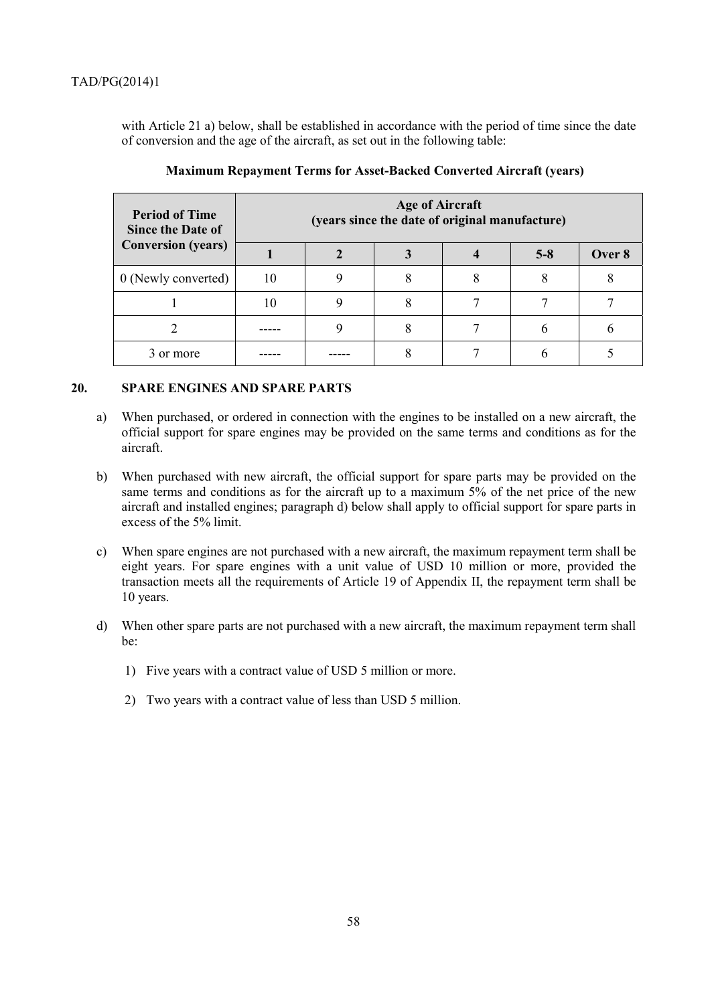with Article 21 a) below, shall be established in accordance with the period of time since the date of conversion and the age of the aircraft, as set out in the following table:

| <b>Period of Time</b><br><b>Since the Date of</b> | <b>Age of Aircraft</b><br>(years since the date of original manufacture) |  |  |  |         |        |
|---------------------------------------------------|--------------------------------------------------------------------------|--|--|--|---------|--------|
| <b>Conversion (years)</b>                         |                                                                          |  |  |  | $5 - 8$ | Over 8 |
| 0 (Newly converted)                               | 10                                                                       |  |  |  |         |        |
|                                                   | 10                                                                       |  |  |  |         |        |
|                                                   |                                                                          |  |  |  |         |        |
| 3 or more                                         |                                                                          |  |  |  |         |        |

### **Maximum Repayment Terms for Asset-Backed Converted Aircraft (years)**

### **20. SPARE ENGINES AND SPARE PARTS**

- a) When purchased, or ordered in connection with the engines to be installed on a new aircraft, the official support for spare engines may be provided on the same terms and conditions as for the aircraft.
- b) When purchased with new aircraft, the official support for spare parts may be provided on the same terms and conditions as for the aircraft up to a maximum  $5\%$  of the net price of the new aircraft and installed engines; paragraph d) below shall apply to official support for spare parts in excess of the 5% limit.
- c) When spare engines are not purchased with a new aircraft, the maximum repayment term shall be eight years. For spare engines with a unit value of USD 10 million or more, provided the transaction meets all the requirements of Article 19 of Appendix II, the repayment term shall be 10 years.
- d) When other spare parts are not purchased with a new aircraft, the maximum repayment term shall be:
	- 1) Five years with a contract value of USD 5 million or more.
	- 2) Two years with a contract value of less than USD 5 million.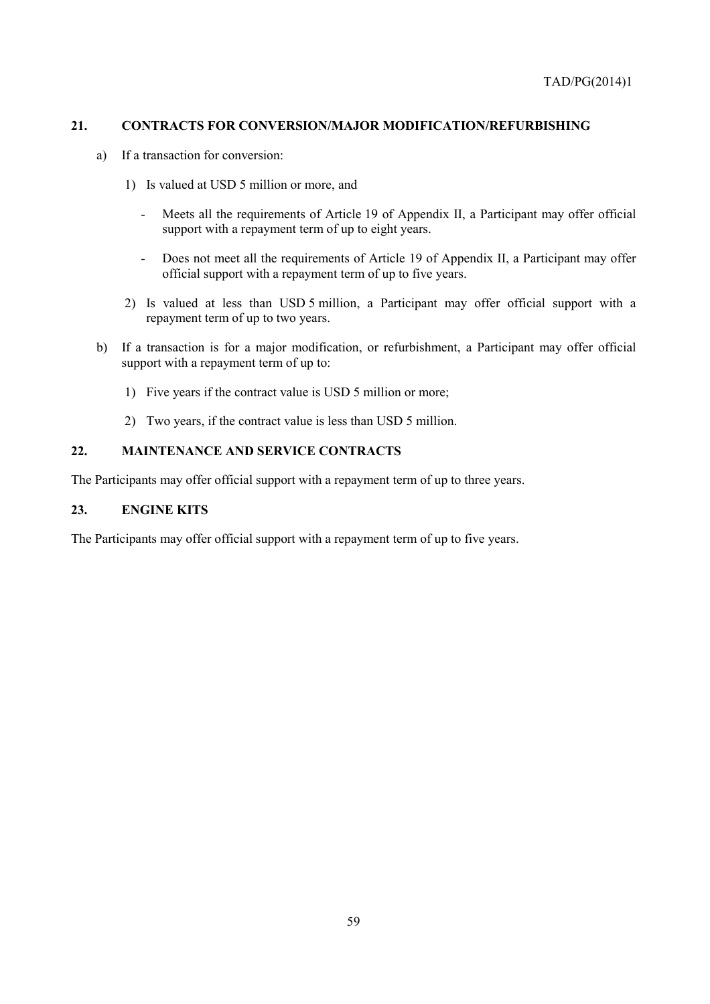# **21. CONTRACTS FOR CONVERSION/MAJOR MODIFICATION/REFURBISHING**

- a) If a transaction for conversion:
	- 1) Is valued at USD 5 million or more, and
		- Meets all the requirements of Article 19 of Appendix II, a Participant may offer official support with a repayment term of up to eight years.
		- Does not meet all the requirements of Article 19 of Appendix II, a Participant may offer official support with a repayment term of up to five years.
	- 2) Is valued at less than USD 5 million, a Participant may offer official support with a repayment term of up to two years.
- b) If a transaction is for a major modification, or refurbishment, a Participant may offer official support with a repayment term of up to:
	- 1) Five years if the contract value is USD 5 million or more;
	- 2) Two years, if the contract value is less than USD 5 million.

# **22. MAINTENANCE AND SERVICE CONTRACTS**

The Participants may offer official support with a repayment term of up to three years.

### **23. ENGINE KITS**

The Participants may offer official support with a repayment term of up to five years.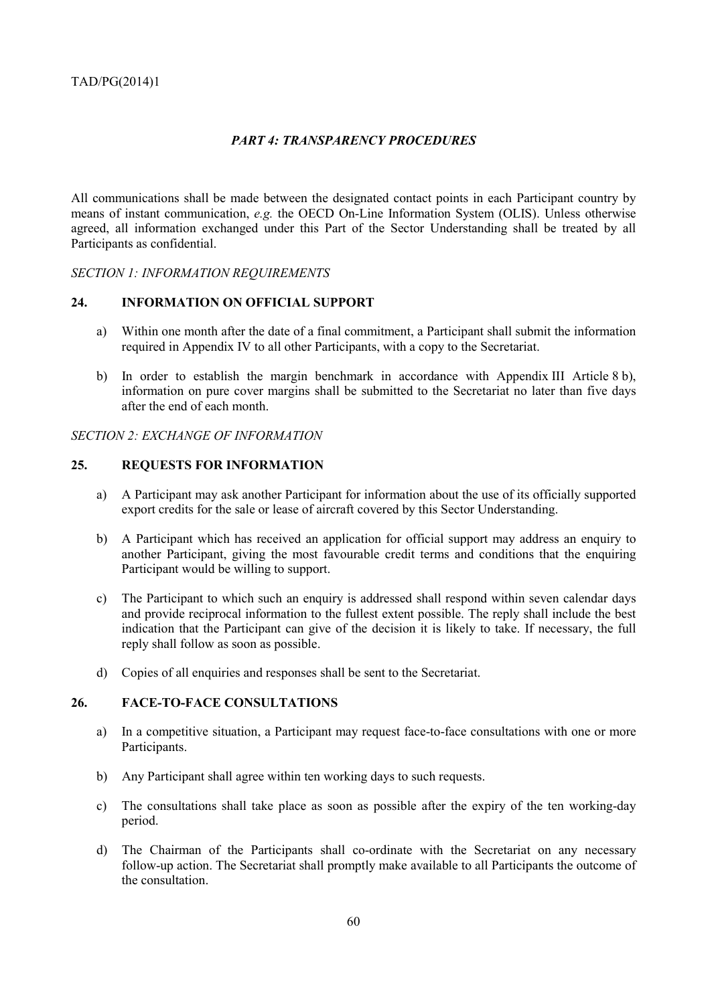# *PART 4: TRANSPARENCY PROCEDURES*

All communications shall be made between the designated contact points in each Participant country by means of instant communication, *e.g.* the OECD On-Line Information System (OLIS). Unless otherwise agreed, all information exchanged under this Part of the Sector Understanding shall be treated by all Participants as confidential.

#### *SECTION 1: INFORMATION REQUIREMENTS*

#### **24. INFORMATION ON OFFICIAL SUPPORT**

- a) Within one month after the date of a final commitment, a Participant shall submit the information required in Appendix IV to all other Participants, with a copy to the Secretariat.
- b) In order to establish the margin benchmark in accordance with Appendix III Article 8 b), information on pure cover margins shall be submitted to the Secretariat no later than five days after the end of each month.

#### *SECTION 2: EXCHANGE OF INFORMATION*

### **25. REQUESTS FOR INFORMATION**

- a) A Participant may ask another Participant for information about the use of its officially supported export credits for the sale or lease of aircraft covered by this Sector Understanding.
- b) A Participant which has received an application for official support may address an enquiry to another Participant, giving the most favourable credit terms and conditions that the enquiring Participant would be willing to support.
- c) The Participant to which such an enquiry is addressed shall respond within seven calendar days and provide reciprocal information to the fullest extent possible. The reply shall include the best indication that the Participant can give of the decision it is likely to take. If necessary, the full reply shall follow as soon as possible.
- d) Copies of all enquiries and responses shall be sent to the Secretariat.

# **26. FACE-TO-FACE CONSULTATIONS**

- a) In a competitive situation, a Participant may request face-to-face consultations with one or more Participants.
- b) Any Participant shall agree within ten working days to such requests.
- c) The consultations shall take place as soon as possible after the expiry of the ten working-day period.
- d) The Chairman of the Participants shall co-ordinate with the Secretariat on any necessary follow-up action. The Secretariat shall promptly make available to all Participants the outcome of the consultation.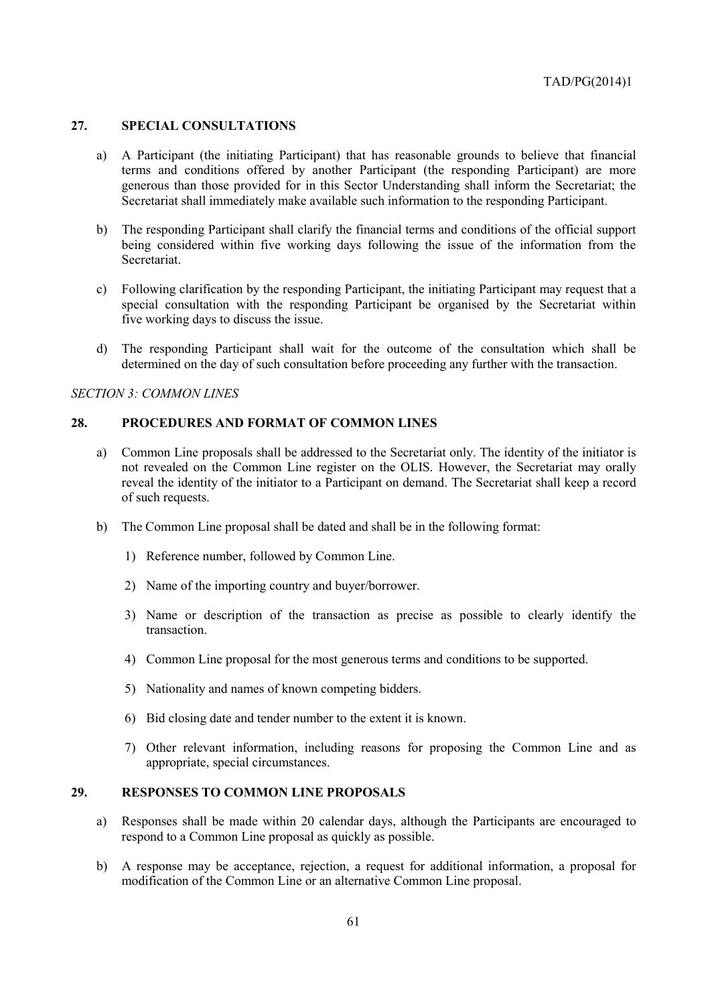### **27. SPECIAL CONSULTATIONS**

- a) A Participant (the initiating Participant) that has reasonable grounds to believe that financial terms and conditions offered by another Participant (the responding Participant) are more generous than those provided for in this Sector Understanding shall inform the Secretariat; the Secretariat shall immediately make available such information to the responding Participant.
- b) The responding Participant shall clarify the financial terms and conditions of the official support being considered within five working days following the issue of the information from the Secretariat.
- c) Following clarification by the responding Participant, the initiating Participant may request that a special consultation with the responding Participant be organised by the Secretariat within five working days to discuss the issue.
- d) The responding Participant shall wait for the outcome of the consultation which shall be determined on the day of such consultation before proceeding any further with the transaction.

### *SECTION 3: COMMON LINES*

### **28. PROCEDURES AND FORMAT OF COMMON LINES**

- a) Common Line proposals shall be addressed to the Secretariat only. The identity of the initiator is not revealed on the Common Line register on the OLIS. However, the Secretariat may orally reveal the identity of the initiator to a Participant on demand. The Secretariat shall keep a record of such requests.
- b) The Common Line proposal shall be dated and shall be in the following format:
	- 1) Reference number, followed by Common Line.
	- 2) Name of the importing country and buyer/borrower.
	- 3) Name or description of the transaction as precise as possible to clearly identify the transaction.
	- 4) Common Line proposal for the most generous terms and conditions to be supported.
	- 5) Nationality and names of known competing bidders.
	- 6) Bid closing date and tender number to the extent it is known.
	- 7) Other relevant information, including reasons for proposing the Common Line and as appropriate, special circumstances.

### **29. RESPONSES TO COMMON LINE PROPOSALS**

- a) Responses shall be made within 20 calendar days, although the Participants are encouraged to respond to a Common Line proposal as quickly as possible.
- b) A response may be acceptance, rejection, a request for additional information, a proposal for modification of the Common Line or an alternative Common Line proposal.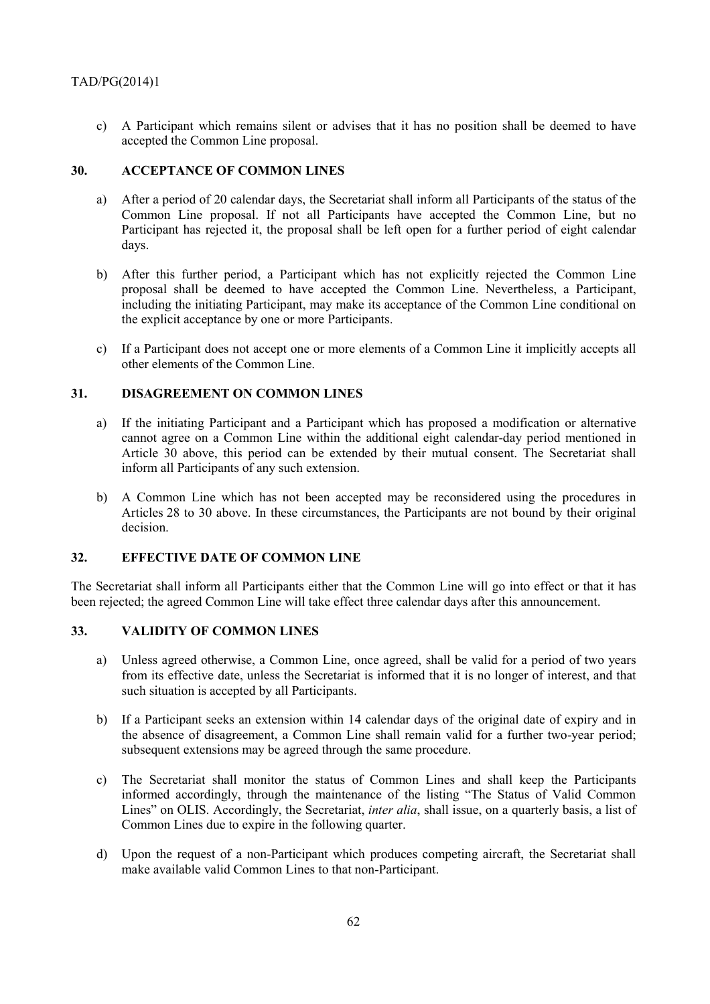c) A Participant which remains silent or advises that it has no position shall be deemed to have accepted the Common Line proposal.

### **30. ACCEPTANCE OF COMMON LINES**

- a) After a period of 20 calendar days, the Secretariat shall inform all Participants of the status of the Common Line proposal. If not all Participants have accepted the Common Line, but no Participant has rejected it, the proposal shall be left open for a further period of eight calendar days.
- b) After this further period, a Participant which has not explicitly rejected the Common Line proposal shall be deemed to have accepted the Common Line. Nevertheless, a Participant, including the initiating Participant, may make its acceptance of the Common Line conditional on the explicit acceptance by one or more Participants.
- c) If a Participant does not accept one or more elements of a Common Line it implicitly accepts all other elements of the Common Line.

### **31. DISAGREEMENT ON COMMON LINES**

- a) If the initiating Participant and a Participant which has proposed a modification or alternative cannot agree on a Common Line within the additional eight calendar-day period mentioned in Article 30 above, this period can be extended by their mutual consent. The Secretariat shall inform all Participants of any such extension.
- b) A Common Line which has not been accepted may be reconsidered using the procedures in Articles 28 to 30 above. In these circumstances, the Participants are not bound by their original decision.

### **32. EFFECTIVE DATE OF COMMON LINE**

The Secretariat shall inform all Participants either that the Common Line will go into effect or that it has been rejected; the agreed Common Line will take effect three calendar days after this announcement.

#### **33. VALIDITY OF COMMON LINES**

- a) Unless agreed otherwise, a Common Line, once agreed, shall be valid for a period of two years from its effective date, unless the Secretariat is informed that it is no longer of interest, and that such situation is accepted by all Participants.
- b) If a Participant seeks an extension within 14 calendar days of the original date of expiry and in the absence of disagreement, a Common Line shall remain valid for a further two-year period; subsequent extensions may be agreed through the same procedure.
- c) The Secretariat shall monitor the status of Common Lines and shall keep the Participants informed accordingly, through the maintenance of the listing "The Status of Valid Common Lines" on OLIS. Accordingly, the Secretariat, *inter alia*, shall issue, on a quarterly basis, a list of Common Lines due to expire in the following quarter.
- d) Upon the request of a non-Participant which produces competing aircraft, the Secretariat shall make available valid Common Lines to that non-Participant.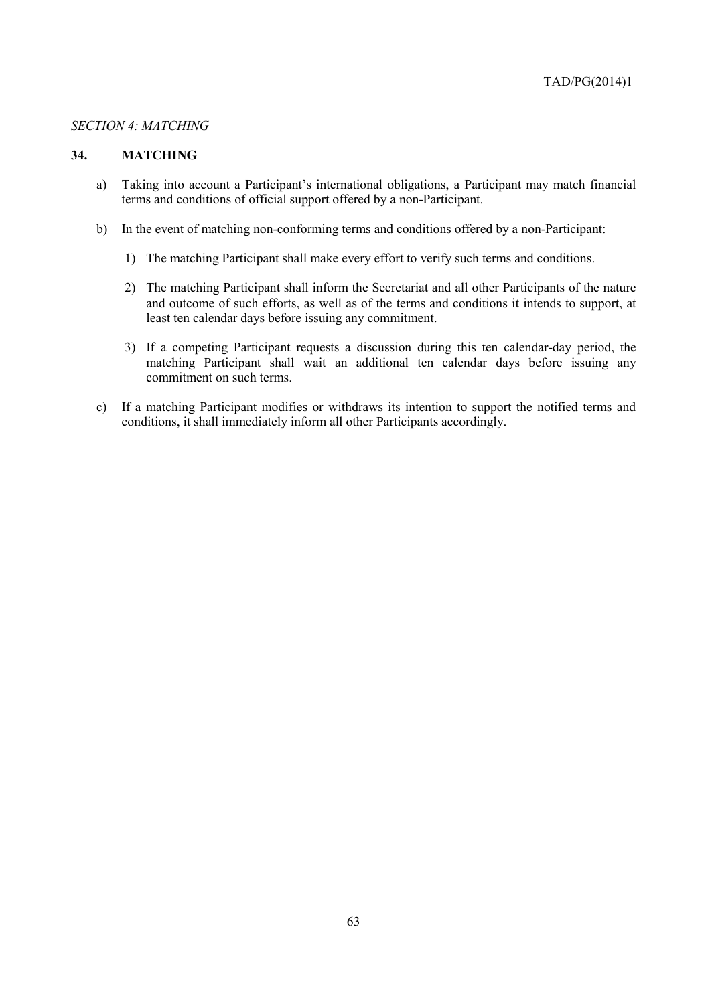### *SECTION 4: MATCHING*

### **34. MATCHING**

- a) Taking into account a Participant's international obligations, a Participant may match financial terms and conditions of official support offered by a non-Participant.
- b) In the event of matching non-conforming terms and conditions offered by a non-Participant:
	- 1) The matching Participant shall make every effort to verify such terms and conditions.
	- 2) The matching Participant shall inform the Secretariat and all other Participants of the nature and outcome of such efforts, as well as of the terms and conditions it intends to support, at least ten calendar days before issuing any commitment.
	- 3) If a competing Participant requests a discussion during this ten calendar-day period, the matching Participant shall wait an additional ten calendar days before issuing any commitment on such terms.
- c) If a matching Participant modifies or withdraws its intention to support the notified terms and conditions, it shall immediately inform all other Participants accordingly.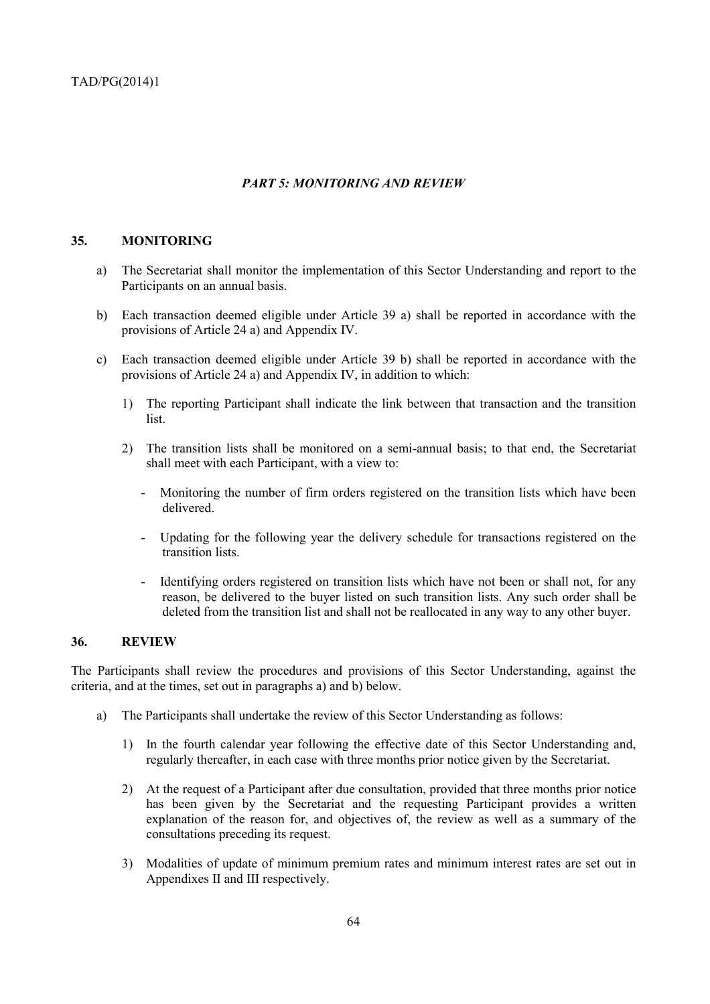# *PART 5: MONITORING AND REVIEW*

### **35. MONITORING**

- a) The Secretariat shall monitor the implementation of this Sector Understanding and report to the Participants on an annual basis.
- b) Each transaction deemed eligible under Article 39 a) shall be reported in accordance with the provisions of Article 24 a) and Appendix IV.
- c) Each transaction deemed eligible under Article 39 b) shall be reported in accordance with the provisions of Article 24 a) and Appendix IV, in addition to which:
	- 1) The reporting Participant shall indicate the link between that transaction and the transition list.
	- 2) The transition lists shall be monitored on a semi-annual basis; to that end, the Secretariat shall meet with each Participant, with a view to:
		- Monitoring the number of firm orders registered on the transition lists which have been delivered.
		- Updating for the following year the delivery schedule for transactions registered on the transition lists.
		- Identifying orders registered on transition lists which have not been or shall not, for any reason, be delivered to the buyer listed on such transition lists. Any such order shall be deleted from the transition list and shall not be reallocated in any way to any other buyer.

#### **36. REVIEW**

The Participants shall review the procedures and provisions of this Sector Understanding, against the criteria, and at the times, set out in paragraphs a) and b) below.

- a) The Participants shall undertake the review of this Sector Understanding as follows:
	- 1) In the fourth calendar year following the effective date of this Sector Understanding and, regularly thereafter, in each case with three months prior notice given by the Secretariat.
	- 2) At the request of a Participant after due consultation, provided that three months prior notice has been given by the Secretariat and the requesting Participant provides a written explanation of the reason for, and objectives of, the review as well as a summary of the consultations preceding its request.
	- 3) Modalities of update of minimum premium rates and minimum interest rates are set out in Appendixes II and III respectively.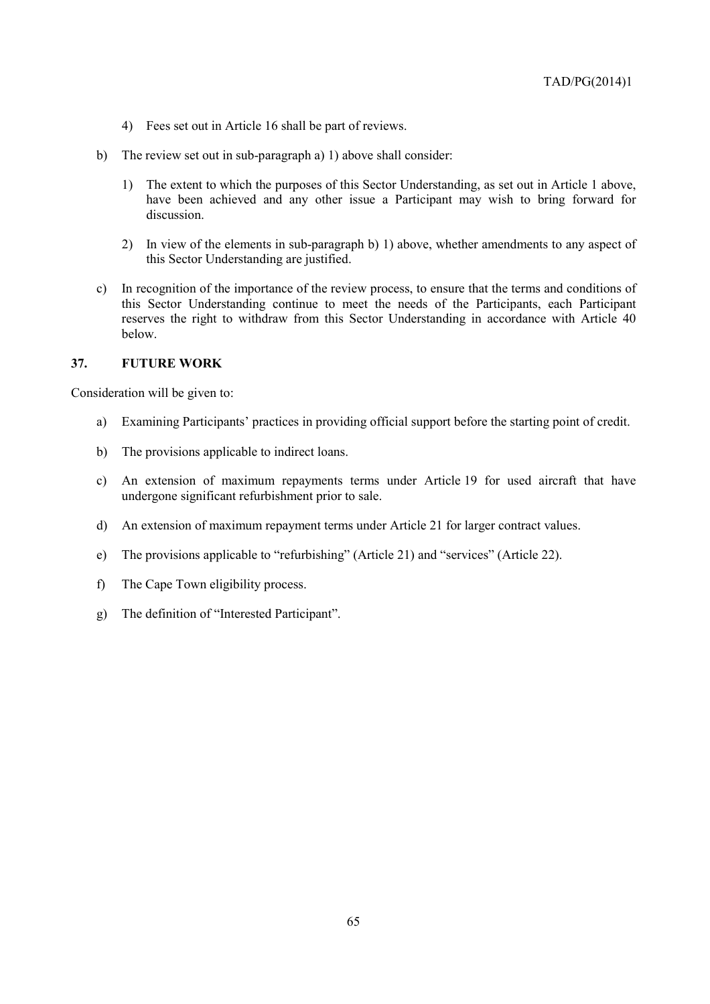- 4) Fees set out in Article 16 shall be part of reviews.
- b) The review set out in sub-paragraph a) 1) above shall consider:
	- 1) The extent to which the purposes of this Sector Understanding, as set out in Article 1 above, have been achieved and any other issue a Participant may wish to bring forward for discussion.
	- 2) In view of the elements in sub-paragraph b) 1) above, whether amendments to any aspect of this Sector Understanding are justified.
- c) In recognition of the importance of the review process, to ensure that the terms and conditions of this Sector Understanding continue to meet the needs of the Participants, each Participant reserves the right to withdraw from this Sector Understanding in accordance with Article 40 below.

### **37. FUTURE WORK**

Consideration will be given to:

- a) Examining Participants' practices in providing official support before the starting point of credit.
- b) The provisions applicable to indirect loans.
- c) An extension of maximum repayments terms under Article 19 for used aircraft that have undergone significant refurbishment prior to sale.
- d) An extension of maximum repayment terms under Article 21 for larger contract values.
- e) The provisions applicable to "refurbishing" (Article 21) and "services" (Article 22).
- f) The Cape Town eligibility process.
- g) The definition of "Interested Participant".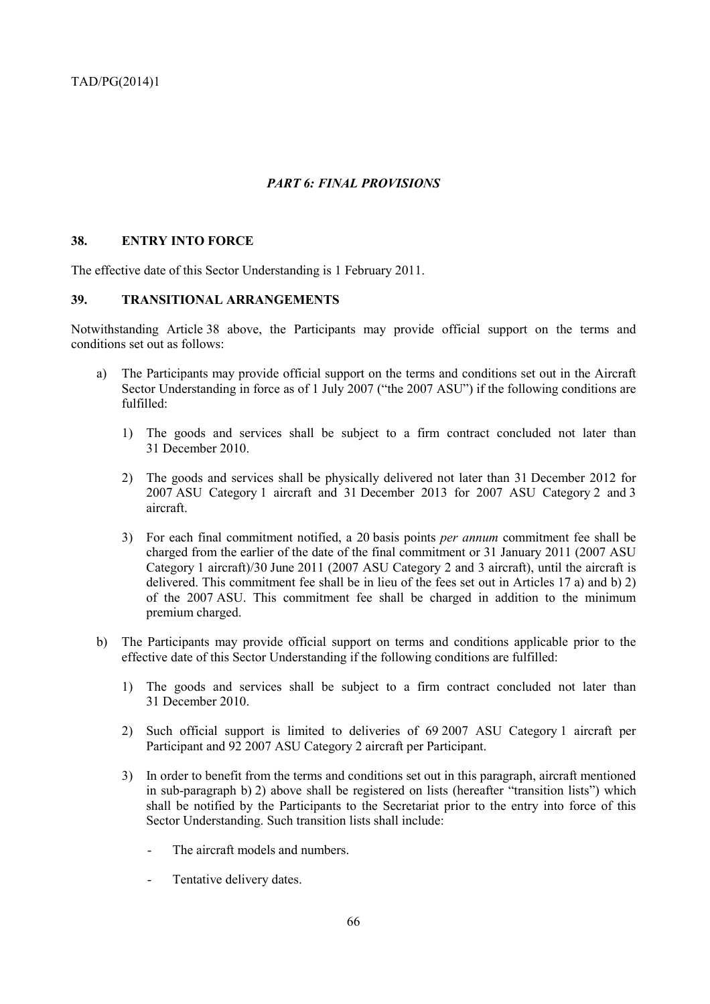# *PART 6: FINAL PROVISIONS*

### **38. ENTRY INTO FORCE**

The effective date of this Sector Understanding is 1 February 2011.

### **39. TRANSITIONAL ARRANGEMENTS**

Notwithstanding Article 38 above, the Participants may provide official support on the terms and conditions set out as follows:

- a) The Participants may provide official support on the terms and conditions set out in the Aircraft Sector Understanding in force as of 1 July 2007 ("the 2007 ASU") if the following conditions are fulfilled:
	- 1) The goods and services shall be subject to a firm contract concluded not later than 31 December 2010.
	- 2) The goods and services shall be physically delivered not later than 31 December 2012 for 2007 ASU Category 1 aircraft and 31 December 2013 for 2007 ASU Category 2 and 3 aircraft.
	- 3) For each final commitment notified, a 20 basis points *per annum* commitment fee shall be charged from the earlier of the date of the final commitment or 31 January 2011 (2007 ASU Category 1 aircraft)/30 June 2011 (2007 ASU Category 2 and 3 aircraft), until the aircraft is delivered. This commitment fee shall be in lieu of the fees set out in Articles 17 a) and b) 2) of the 2007 ASU. This commitment fee shall be charged in addition to the minimum premium charged.
- b) The Participants may provide official support on terms and conditions applicable prior to the effective date of this Sector Understanding if the following conditions are fulfilled:
	- 1) The goods and services shall be subject to a firm contract concluded not later than 31 December 2010.
	- 2) Such official support is limited to deliveries of 69 2007 ASU Category 1 aircraft per Participant and 92 2007 ASU Category 2 aircraft per Participant.
	- 3) In order to benefit from the terms and conditions set out in this paragraph, aircraft mentioned in sub-paragraph b) 2) above shall be registered on lists (hereafter "transition lists") which shall be notified by the Participants to the Secretariat prior to the entry into force of this Sector Understanding. Such transition lists shall include:
		- The aircraft models and numbers.
		- Tentative delivery dates.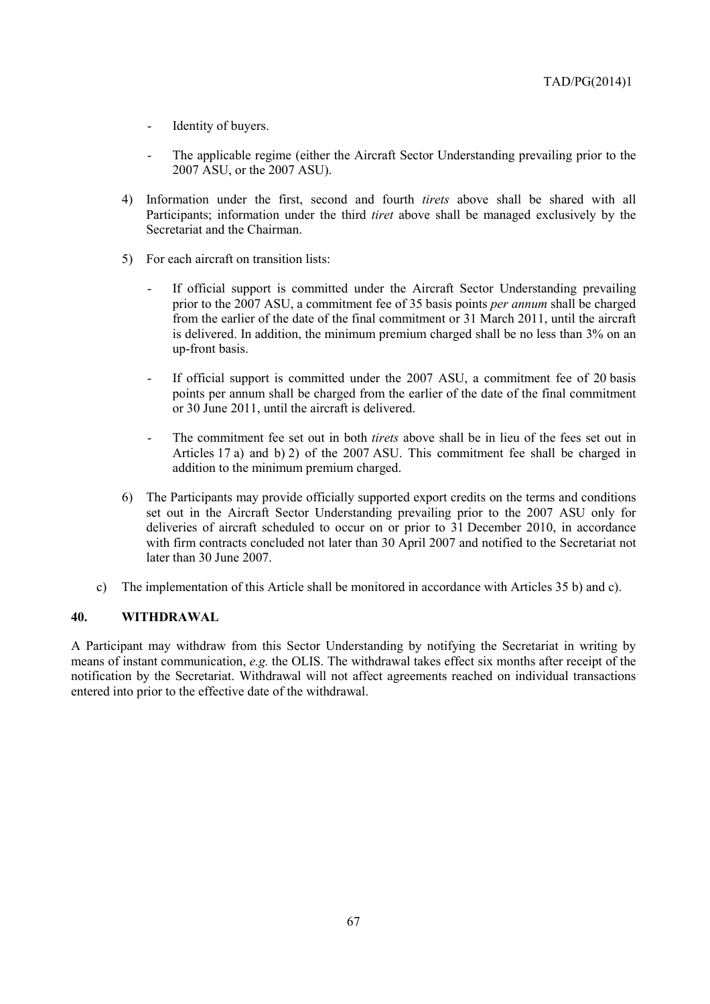- Identity of buyers.
- The applicable regime (either the Aircraft Sector Understanding prevailing prior to the 2007 ASU, or the 2007 ASU).
- 4) Information under the first, second and fourth *tirets* above shall be shared with all Participants; information under the third *tiret* above shall be managed exclusively by the Secretariat and the Chairman.
- 5) For each aircraft on transition lists:
	- If official support is committed under the Aircraft Sector Understanding prevailing prior to the 2007 ASU, a commitment fee of 35 basis points *per annum* shall be charged from the earlier of the date of the final commitment or 31 March 2011, until the aircraft is delivered. In addition, the minimum premium charged shall be no less than 3% on an up-front basis.
	- If official support is committed under the 2007 ASU, a commitment fee of 20 basis points per annum shall be charged from the earlier of the date of the final commitment or 30 June 2011, until the aircraft is delivered.
	- The commitment fee set out in both *tirets* above shall be in lieu of the fees set out in Articles 17 a) and b) 2) of the 2007 ASU. This commitment fee shall be charged in addition to the minimum premium charged.
- 6) The Participants may provide officially supported export credits on the terms and conditions set out in the Aircraft Sector Understanding prevailing prior to the 2007 ASU only for deliveries of aircraft scheduled to occur on or prior to 31 December 2010, in accordance with firm contracts concluded not later than 30 April 2007 and notified to the Secretariat not later than 30 June 2007.
- c) The implementation of this Article shall be monitored in accordance with Articles 35 b) and c).

### **40. WITHDRAWAL**

A Participant may withdraw from this Sector Understanding by notifying the Secretariat in writing by means of instant communication, *e.g.* the OLIS. The withdrawal takes effect six months after receipt of the notification by the Secretariat. Withdrawal will not affect agreements reached on individual transactions entered into prior to the effective date of the withdrawal.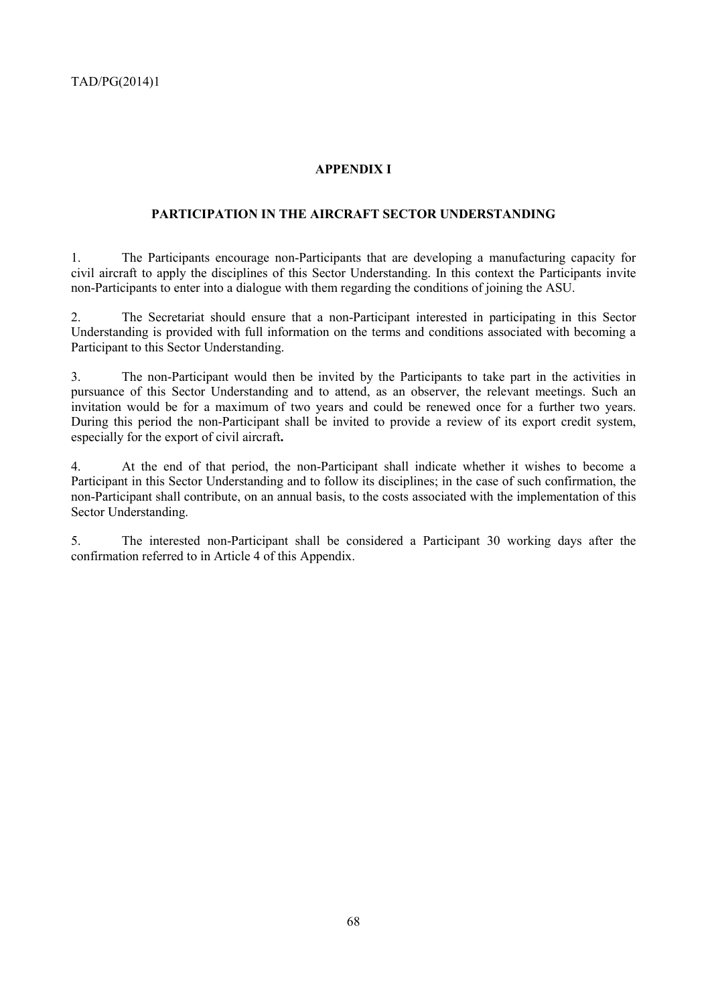# **APPENDIX I**

### **PARTICIPATION IN THE AIRCRAFT SECTOR UNDERSTANDING**

1. The Participants encourage non-Participants that are developing a manufacturing capacity for civil aircraft to apply the disciplines of this Sector Understanding. In this context the Participants invite non-Participants to enter into a dialogue with them regarding the conditions of joining the ASU.

2. The Secretariat should ensure that a non-Participant interested in participating in this Sector Understanding is provided with full information on the terms and conditions associated with becoming a Participant to this Sector Understanding.

3. The non-Participant would then be invited by the Participants to take part in the activities in pursuance of this Sector Understanding and to attend, as an observer, the relevant meetings. Such an invitation would be for a maximum of two years and could be renewed once for a further two years. During this period the non-Participant shall be invited to provide a review of its export credit system, especially for the export of civil aircraft**.** 

4. At the end of that period, the non-Participant shall indicate whether it wishes to become a Participant in this Sector Understanding and to follow its disciplines; in the case of such confirmation, the non-Participant shall contribute, on an annual basis, to the costs associated with the implementation of this Sector Understanding.

5. The interested non-Participant shall be considered a Participant 30 working days after the confirmation referred to in Article 4 of this Appendix.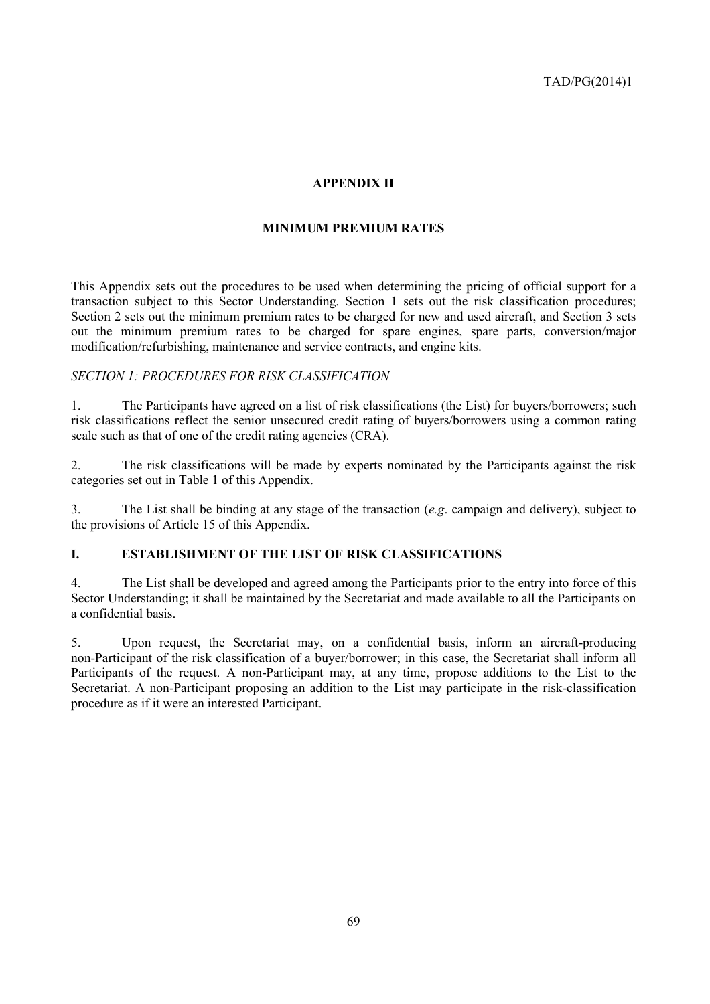# **APPENDIX II**

### **MINIMUM PREMIUM RATES**

This Appendix sets out the procedures to be used when determining the pricing of official support for a transaction subject to this Sector Understanding. Section 1 sets out the risk classification procedures; Section 2 sets out the minimum premium rates to be charged for new and used aircraft, and Section 3 sets out the minimum premium rates to be charged for spare engines, spare parts, conversion/major modification/refurbishing, maintenance and service contracts, and engine kits.

#### *SECTION 1: PROCEDURES FOR RISK CLASSIFICATION*

1. The Participants have agreed on a list of risk classifications (the List) for buyers/borrowers; such risk classifications reflect the senior unsecured credit rating of buyers/borrowers using a common rating scale such as that of one of the credit rating agencies (CRA).

2. The risk classifications will be made by experts nominated by the Participants against the risk categories set out in Table 1 of this Appendix.

3. The List shall be binding at any stage of the transaction (*e.g*. campaign and delivery), subject to the provisions of Article 15 of this Appendix.

# **I. ESTABLISHMENT OF THE LIST OF RISK CLASSIFICATIONS**

4. The List shall be developed and agreed among the Participants prior to the entry into force of this Sector Understanding; it shall be maintained by the Secretariat and made available to all the Participants on a confidential basis.

5. Upon request, the Secretariat may, on a confidential basis, inform an aircraft-producing non-Participant of the risk classification of a buyer/borrower; in this case, the Secretariat shall inform all Participants of the request. A non-Participant may, at any time, propose additions to the List to the Secretariat. A non-Participant proposing an addition to the List may participate in the risk-classification procedure as if it were an interested Participant.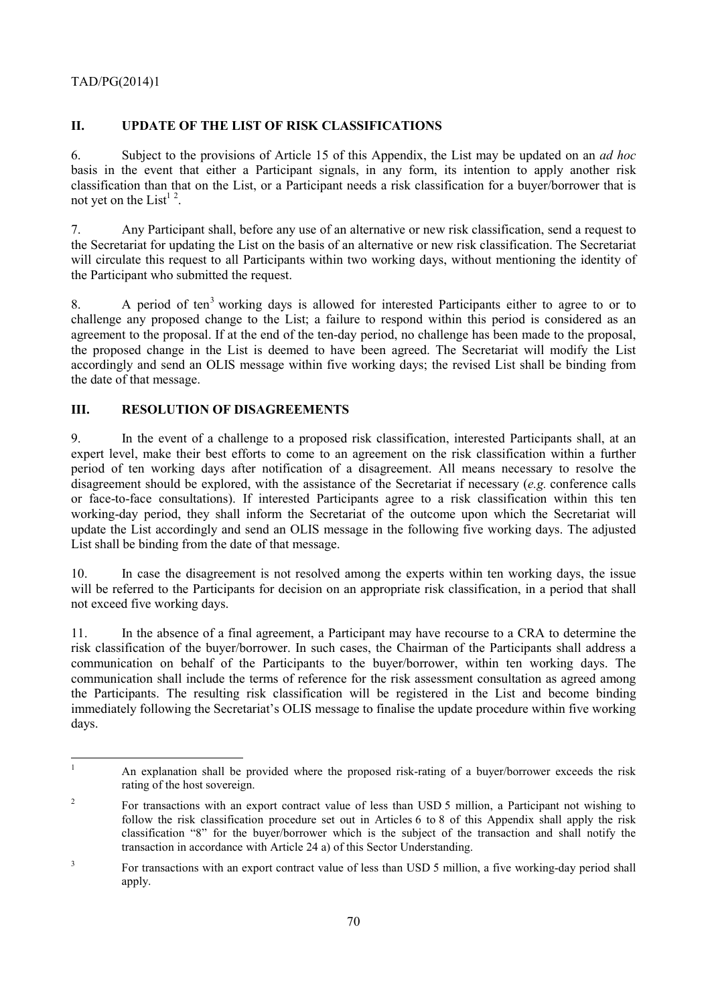# **II. UPDATE OF THE LIST OF RISK CLASSIFICATIONS**

6. Subject to the provisions of Article 15 of this Appendix, the List may be updated on an *ad hoc* basis in the event that either a Participant signals, in any form, its intention to apply another risk classification than that on the List, or a Participant needs a risk classification for a buyer/borrower that is not yet on the List<sup>1</sup><sup>2</sup>.

7. Any Participant shall, before any use of an alternative or new risk classification, send a request to the Secretariat for updating the List on the basis of an alternative or new risk classification. The Secretariat will circulate this request to all Participants within two working days, without mentioning the identity of the Participant who submitted the request.

8. A period of ten<sup>3</sup> working days is allowed for interested Participants either to agree to or to challenge any proposed change to the List; a failure to respond within this period is considered as an agreement to the proposal. If at the end of the ten-day period, no challenge has been made to the proposal, the proposed change in the List is deemed to have been agreed. The Secretariat will modify the List accordingly and send an OLIS message within five working days; the revised List shall be binding from the date of that message.

# **III. RESOLUTION OF DISAGREEMENTS**

9. In the event of a challenge to a proposed risk classification, interested Participants shall, at an expert level, make their best efforts to come to an agreement on the risk classification within a further period of ten working days after notification of a disagreement. All means necessary to resolve the disagreement should be explored, with the assistance of the Secretariat if necessary (*e.g.* conference calls or face-to-face consultations). If interested Participants agree to a risk classification within this ten working-day period, they shall inform the Secretariat of the outcome upon which the Secretariat will update the List accordingly and send an OLIS message in the following five working days. The adjusted List shall be binding from the date of that message.

10. In case the disagreement is not resolved among the experts within ten working days, the issue will be referred to the Participants for decision on an appropriate risk classification, in a period that shall not exceed five working days.

11. In the absence of a final agreement, a Participant may have recourse to a CRA to determine the risk classification of the buyer/borrower. In such cases, the Chairman of the Participants shall address a communication on behalf of the Participants to the buyer/borrower, within ten working days. The communication shall include the terms of reference for the risk assessment consultation as agreed among the Participants. The resulting risk classification will be registered in the List and become binding immediately following the Secretariat's OLIS message to finalise the update procedure within five working days.

<sup>|&</sup>lt;br>|<br>| An explanation shall be provided where the proposed risk-rating of a buyer/borrower exceeds the risk rating of the host sovereign.

<sup>2</sup> For transactions with an export contract value of less than USD 5 million, a Participant not wishing to follow the risk classification procedure set out in Articles 6 to 8 of this Appendix shall apply the risk classification "8" for the buyer/borrower which is the subject of the transaction and shall notify the transaction in accordance with Article 24 a) of this Sector Understanding.

<sup>3</sup> For transactions with an export contract value of less than USD 5 million, a five working-day period shall apply.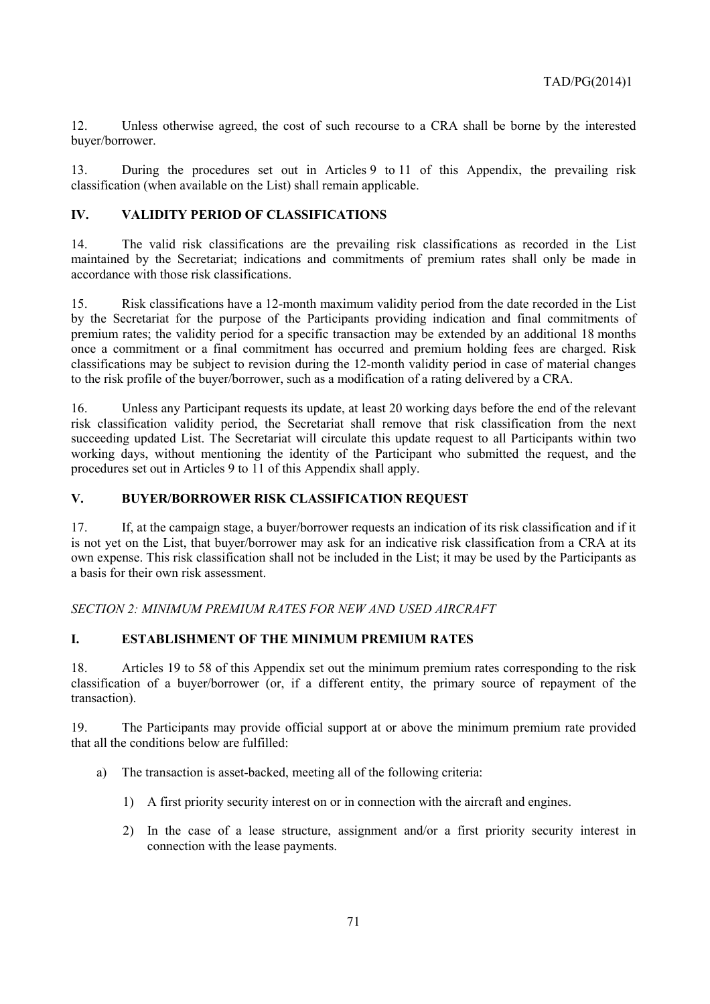12. Unless otherwise agreed, the cost of such recourse to a CRA shall be borne by the interested buyer/borrower.

13. During the procedures set out in Articles 9 to 11 of this Appendix, the prevailing risk classification (when available on the List) shall remain applicable.

# **IV. VALIDITY PERIOD OF CLASSIFICATIONS**

14. The valid risk classifications are the prevailing risk classifications as recorded in the List maintained by the Secretariat; indications and commitments of premium rates shall only be made in accordance with those risk classifications.

15. Risk classifications have a 12-month maximum validity period from the date recorded in the List by the Secretariat for the purpose of the Participants providing indication and final commitments of premium rates; the validity period for a specific transaction may be extended by an additional 18 months once a commitment or a final commitment has occurred and premium holding fees are charged. Risk classifications may be subject to revision during the 12-month validity period in case of material changes to the risk profile of the buyer/borrower, such as a modification of a rating delivered by a CRA.

16. Unless any Participant requests its update, at least 20 working days before the end of the relevant risk classification validity period, the Secretariat shall remove that risk classification from the next succeeding updated List. The Secretariat will circulate this update request to all Participants within two working days, without mentioning the identity of the Participant who submitted the request, and the procedures set out in Articles 9 to 11 of this Appendix shall apply.

# **V. BUYER/BORROWER RISK CLASSIFICATION REQUEST**

17. If, at the campaign stage, a buyer/borrower requests an indication of its risk classification and if it is not yet on the List, that buyer/borrower may ask for an indicative risk classification from a CRA at its own expense. This risk classification shall not be included in the List; it may be used by the Participants as a basis for their own risk assessment.

*SECTION 2: MINIMUM PREMIUM RATES FOR NEW AND USED AIRCRAFT* 

# **I. ESTABLISHMENT OF THE MINIMUM PREMIUM RATES**

18. Articles 19 to 58 of this Appendix set out the minimum premium rates corresponding to the risk classification of a buyer/borrower (or, if a different entity, the primary source of repayment of the transaction).

19. The Participants may provide official support at or above the minimum premium rate provided that all the conditions below are fulfilled:

- a) The transaction is asset-backed, meeting all of the following criteria:
	- 1) A first priority security interest on or in connection with the aircraft and engines.
	- 2) In the case of a lease structure, assignment and/or a first priority security interest in connection with the lease payments.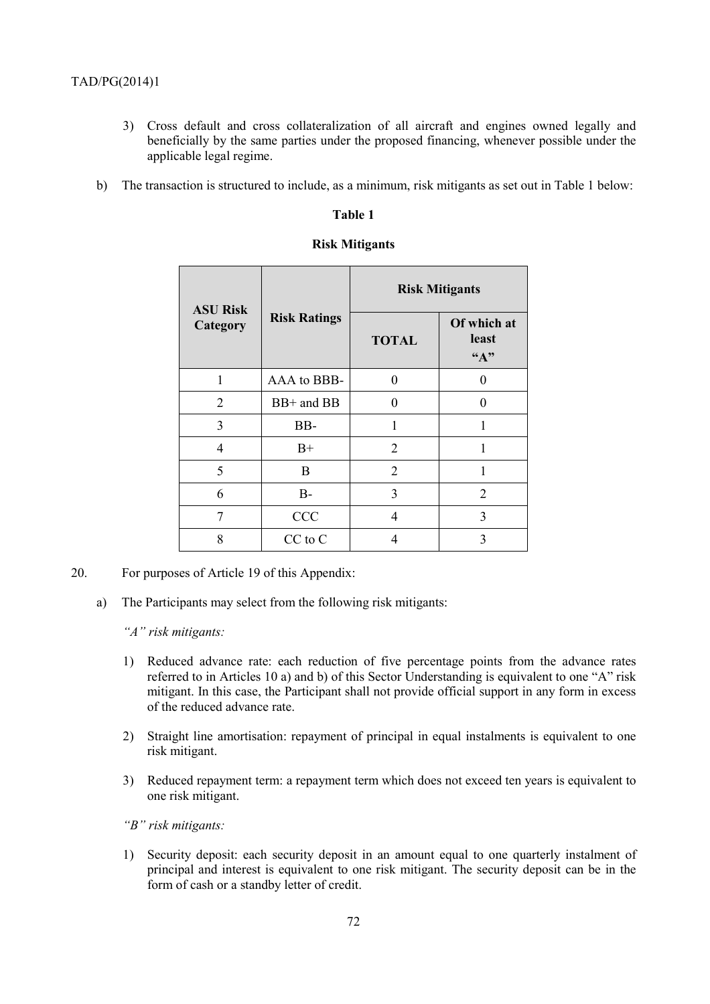- 3) Cross default and cross collateralization of all aircraft and engines owned legally and beneficially by the same parties under the proposed financing, whenever possible under the applicable legal regime.
- b) The transaction is structured to include, as a minimum, risk mitigants as set out in Table 1 below:

#### **Table 1**

| <b>ASU Risk</b> |                     | <b>Risk Mitigants</b> |                                                     |  |
|-----------------|---------------------|-----------------------|-----------------------------------------------------|--|
| Category        | <b>Risk Ratings</b> | <b>TOTAL</b>          | Of which at<br>least<br>$\mathbf{A}^{\prime\prime}$ |  |
| $\mathbf{1}$    | AAA to BBB-         | 0                     | 0                                                   |  |
| $\overline{2}$  | BB+ and BB          | ∩                     |                                                     |  |
| 3               | BB-                 |                       |                                                     |  |
| 4               | $B+$                | 2                     | 1                                                   |  |
| 5               | B                   | 2                     | 1                                                   |  |
| 6               | $B-$                | 3                     | 2                                                   |  |
|                 | <b>CCC</b>          | 4                     | 3                                                   |  |
| 8               | CC to C             | 4                     | 3                                                   |  |

### **Risk Mitigants**

- 20. For purposes of Article 19 of this Appendix:
	- a) The Participants may select from the following risk mitigants:

*"A" risk mitigants:* 

- 1) Reduced advance rate: each reduction of five percentage points from the advance rates referred to in Articles 10 a) and b) of this Sector Understanding is equivalent to one "A" risk mitigant. In this case, the Participant shall not provide official support in any form in excess of the reduced advance rate.
- 2) Straight line amortisation: repayment of principal in equal instalments is equivalent to one risk mitigant.
- 3) Reduced repayment term: a repayment term which does not exceed ten years is equivalent to one risk mitigant.

*"B" risk mitigants:* 

1) Security deposit: each security deposit in an amount equal to one quarterly instalment of principal and interest is equivalent to one risk mitigant. The security deposit can be in the form of cash or a standby letter of credit.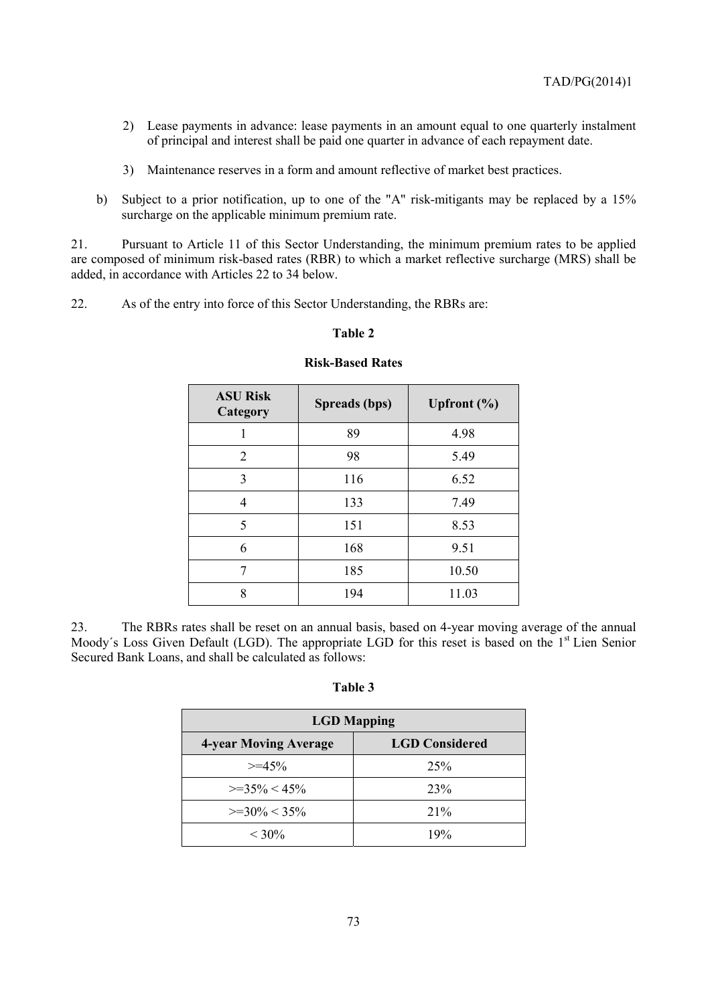- 2) Lease payments in advance: lease payments in an amount equal to one quarterly instalment of principal and interest shall be paid one quarter in advance of each repayment date.
- 3) Maintenance reserves in a form and amount reflective of market best practices.
- b) Subject to a prior notification, up to one of the "A" risk-mitigants may be replaced by a 15% surcharge on the applicable minimum premium rate.

21. Pursuant to Article 11 of this Sector Understanding, the minimum premium rates to be applied are composed of minimum risk-based rates (RBR) to which a market reflective surcharge (MRS) shall be added, in accordance with Articles 22 to 34 below.

22. As of the entry into force of this Sector Understanding, the RBRs are:

## **Table 2**

| <b>ASU Risk</b><br>Category | <b>Spreads (bps)</b> | Upfront $(\% )$ |
|-----------------------------|----------------------|-----------------|
|                             | 89                   | 4.98            |
| 2                           | 98                   | 5.49            |
| 3                           | 116                  | 6.52            |
| 4                           | 133                  | 7.49            |
| 5                           | 151                  | 8.53            |
| 6                           | 168                  | 9.51            |
| 7                           | 185                  | 10.50           |
| 8                           | 194                  | 11.03           |

#### **Risk-Based Rates**

23. The RBRs rates shall be reset on an annual basis, based on 4-year moving average of the annual Moody's Loss Given Default (LGD). The appropriate LGD for this reset is based on the 1<sup>st</sup> Lien Senior Secured Bank Loans, and shall be calculated as follows:

| ,, | m<br>u |  |
|----|--------|--|
|----|--------|--|

| <b>LGD</b> Mapping                                    |     |  |
|-------------------------------------------------------|-----|--|
| <b>LGD</b> Considered<br><b>4-year Moving Average</b> |     |  |
| $>= 45\%$                                             | 25% |  |
| $\geq$ =35% < 45%                                     | 23% |  |
| $\geq$ =30% < 35%                                     | 21% |  |
| $<$ 30%                                               | 19% |  |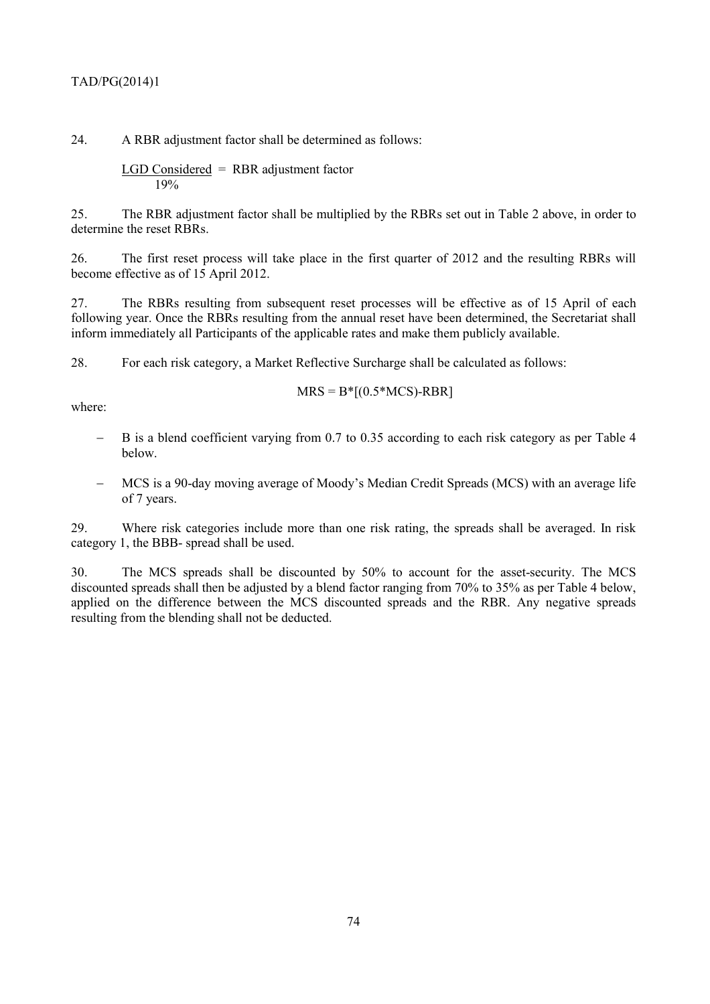24. A RBR adjustment factor shall be determined as follows:

 LGD Considered = RBR adjustment factor 19%

25. The RBR adjustment factor shall be multiplied by the RBRs set out in Table 2 above, in order to determine the reset RBRs.

26. The first reset process will take place in the first quarter of 2012 and the resulting RBRs will become effective as of 15 April 2012.

27. The RBRs resulting from subsequent reset processes will be effective as of 15 April of each following year. Once the RBRs resulting from the annual reset have been determined, the Secretariat shall inform immediately all Participants of the applicable rates and make them publicly available.

28. For each risk category, a Market Reflective Surcharge shall be calculated as follows:

$$
MRS = B*[ (0.5 * MCS) - RBR ]
$$

where:

- B is a blend coefficient varying from 0.7 to 0.35 according to each risk category as per Table 4 below.
- − MCS is a 90-day moving average of Moody's Median Credit Spreads (MCS) with an average life of 7 years.

29. Where risk categories include more than one risk rating, the spreads shall be averaged. In risk category 1, the BBB- spread shall be used.

30. The MCS spreads shall be discounted by 50% to account for the asset-security. The MCS discounted spreads shall then be adjusted by a blend factor ranging from 70% to 35% as per Table 4 below, applied on the difference between the MCS discounted spreads and the RBR. Any negative spreads resulting from the blending shall not be deducted.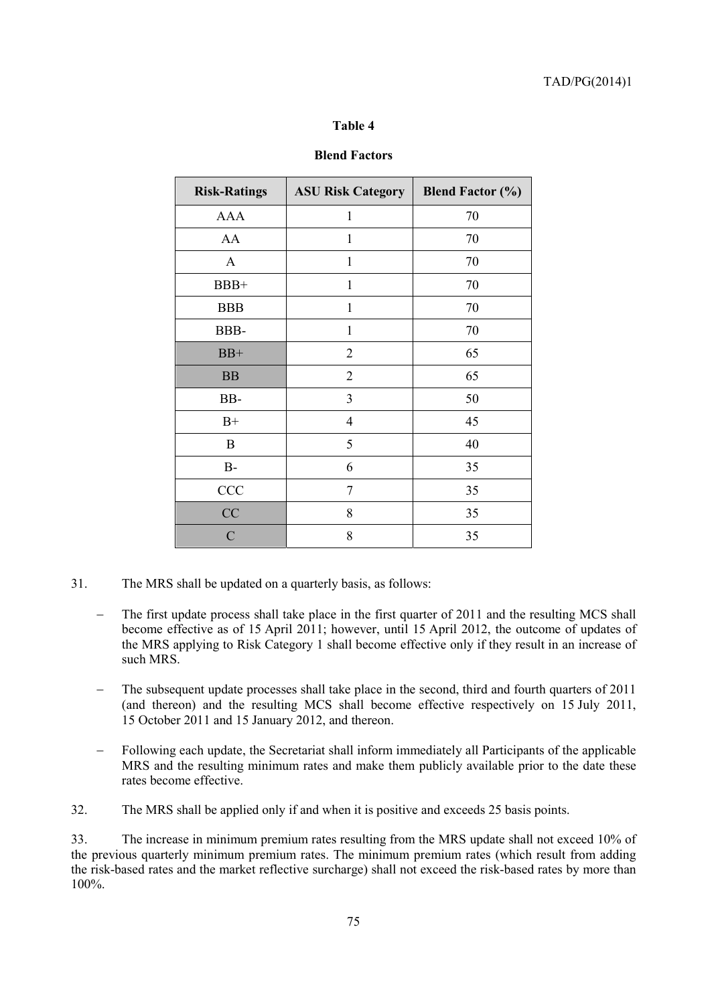### **Table 4**

# **Blend Factors**

| <b>Risk-Ratings</b> | <b>ASU Risk Category</b> | <b>Blend Factor (%)</b> |
|---------------------|--------------------------|-------------------------|
| <b>AAA</b>          | 1                        | 70                      |
| AA                  | 1                        | 70                      |
| A                   | 1                        | 70                      |
| BBB+                | $\mathbf{1}$             | 70                      |
| <b>BBB</b>          | $\mathbf{1}$             | 70                      |
| BBB-                | 1                        | 70                      |
| $BB+$               | $\overline{2}$           | 65                      |
| <b>BB</b>           | $\overline{2}$           | 65                      |
| BB-                 | 3                        | 50                      |
| $B+$                | $\overline{4}$           | 45                      |
| B                   | 5                        | 40                      |
| $B-$                | 6                        | 35                      |
| <b>CCC</b>          | 7                        | 35                      |
| CC                  | 8                        | 35                      |
| $\mathcal{C}$       | 8                        | 35                      |

- 31. The MRS shall be updated on a quarterly basis, as follows:
	- The first update process shall take place in the first quarter of 2011 and the resulting MCS shall become effective as of 15 April 2011; however, until 15 April 2012, the outcome of updates of the MRS applying to Risk Category 1 shall become effective only if they result in an increase of such MRS.
	- The subsequent update processes shall take place in the second, third and fourth quarters of 2011 (and thereon) and the resulting MCS shall become effective respectively on 15 July 2011, 15 October 2011 and 15 January 2012, and thereon.
	- Following each update, the Secretariat shall inform immediately all Participants of the applicable MRS and the resulting minimum rates and make them publicly available prior to the date these rates become effective.
- 32. The MRS shall be applied only if and when it is positive and exceeds 25 basis points.

33. The increase in minimum premium rates resulting from the MRS update shall not exceed 10% of the previous quarterly minimum premium rates. The minimum premium rates (which result from adding the risk-based rates and the market reflective surcharge) shall not exceed the risk-based rates by more than 100%.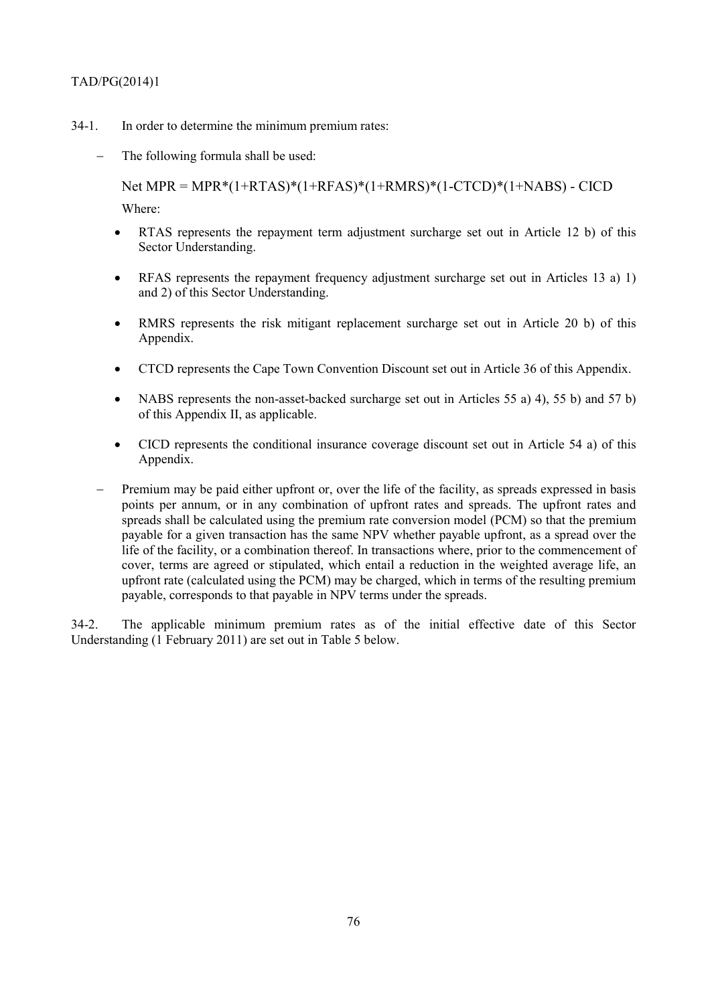- 34-1. In order to determine the minimum premium rates:
	- The following formula shall be used:

 Net MPR = MPR\*(1+RTAS)\*(1+RFAS)\*(1+RMRS)\*(1-CTCD)\*(1+NABS) - CICD Where:

- RTAS represents the repayment term adjustment surcharge set out in Article 12 b) of this Sector Understanding.
- RFAS represents the repayment frequency adjustment surcharge set out in Articles 13 a) 1) and 2) of this Sector Understanding.
- RMRS represents the risk mitigant replacement surcharge set out in Article 20 b) of this Appendix.
- CTCD represents the Cape Town Convention Discount set out in Article 36 of this Appendix.
- NABS represents the non-asset-backed surcharge set out in Articles 55 a) 4), 55 b) and 57 b) of this Appendix II, as applicable.
- CICD represents the conditional insurance coverage discount set out in Article 54 a) of this Appendix.
- Premium may be paid either upfront or, over the life of the facility, as spreads expressed in basis points per annum, or in any combination of upfront rates and spreads. The upfront rates and spreads shall be calculated using the premium rate conversion model (PCM) so that the premium payable for a given transaction has the same NPV whether payable upfront, as a spread over the life of the facility, or a combination thereof. In transactions where, prior to the commencement of cover, terms are agreed or stipulated, which entail a reduction in the weighted average life, an upfront rate (calculated using the PCM) may be charged, which in terms of the resulting premium payable, corresponds to that payable in NPV terms under the spreads.

34-2. The applicable minimum premium rates as of the initial effective date of this Sector Understanding (1 February 2011) are set out in Table 5 below.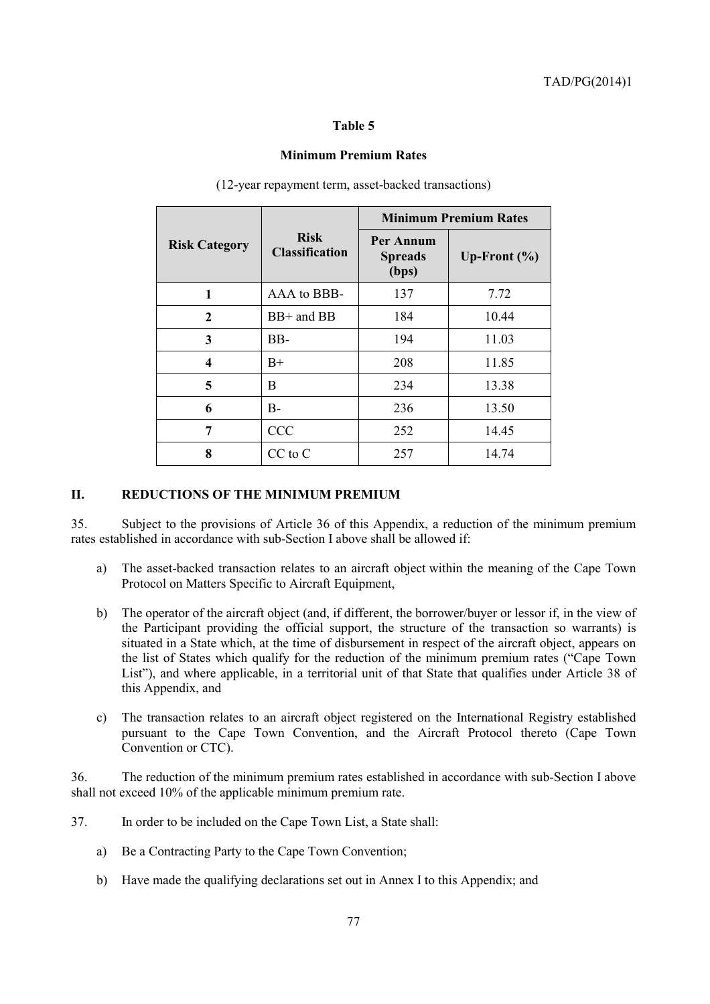### **Table 5**

## **Minimum Premium Rates**

|                      |                                      | <b>Minimum Premium Rates</b>         |                  |
|----------------------|--------------------------------------|--------------------------------------|------------------|
| <b>Risk Category</b> | <b>Risk</b><br><b>Classification</b> | Per Annum<br><b>Spreads</b><br>(bps) | Up-Front $(\% )$ |
| 1                    | AAA to BBB-                          | 137                                  | 7.72             |
| $\mathbf{2}$         | BB+ and BB                           | 184                                  | 10.44            |
| 3                    | BB-                                  | 194                                  | 11.03            |
| 4                    | 208<br>$B+$                          |                                      | 11.85            |
| 5                    | B                                    | 234                                  | 13.38            |
| 6                    | $B-$                                 | 236                                  | 13.50            |
| 7                    | <b>CCC</b>                           | 252                                  | 14.45            |
| 8                    | CC to C                              | 257                                  | 14.74            |

(12-year repayment term, asset-backed transactions)

## **II. REDUCTIONS OF THE MINIMUM PREMIUM**

35. Subject to the provisions of Article 36 of this Appendix, a reduction of the minimum premium rates established in accordance with sub-Section I above shall be allowed if:

- a) The asset-backed transaction relates to an aircraft object within the meaning of the Cape Town Protocol on Matters Specific to Aircraft Equipment,
- b) The operator of the aircraft object (and, if different, the borrower/buyer or lessor if, in the view of the Participant providing the official support, the structure of the transaction so warrants) is situated in a State which, at the time of disbursement in respect of the aircraft object, appears on the list of States which qualify for the reduction of the minimum premium rates ("Cape Town List"), and where applicable, in a territorial unit of that State that qualifies under Article 38 of this Appendix, and
- c) The transaction relates to an aircraft object registered on the International Registry established pursuant to the Cape Town Convention, and the Aircraft Protocol thereto (Cape Town Convention or CTC).

36. The reduction of the minimum premium rates established in accordance with sub-Section I above shall not exceed 10% of the applicable minimum premium rate.

- 37. In order to be included on the Cape Town List, a State shall:
	- a) Be a Contracting Party to the Cape Town Convention;
	- b) Have made the qualifying declarations set out in Annex I to this Appendix; and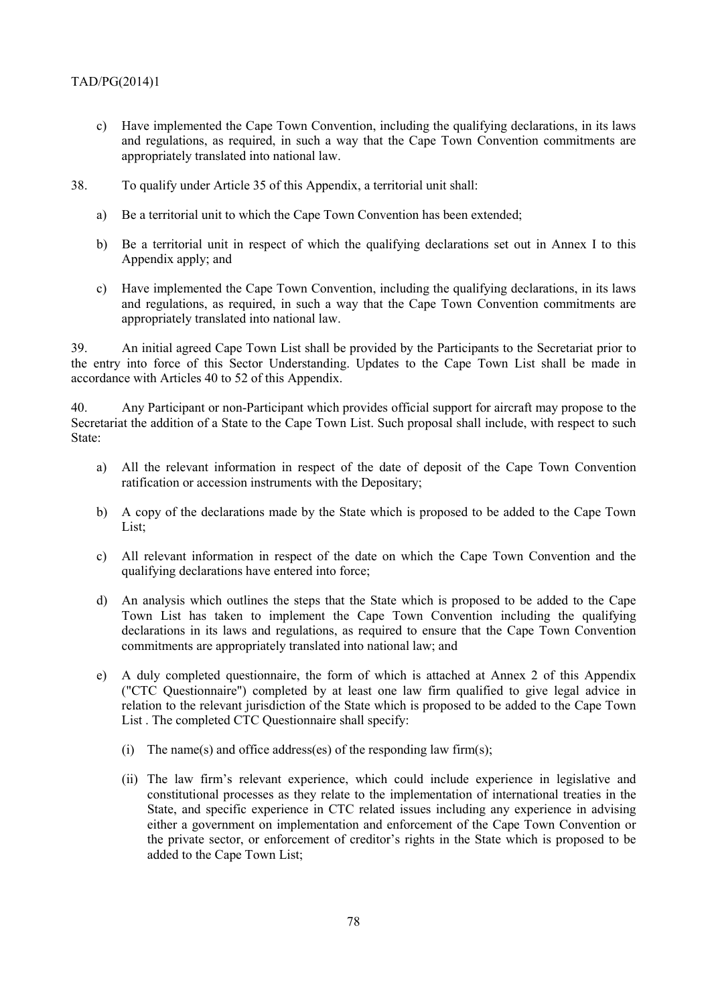- c) Have implemented the Cape Town Convention, including the qualifying declarations, in its laws and regulations, as required, in such a way that the Cape Town Convention commitments are appropriately translated into national law.
- 38. To qualify under Article 35 of this Appendix, a territorial unit shall:
	- a) Be a territorial unit to which the Cape Town Convention has been extended;
	- b) Be a territorial unit in respect of which the qualifying declarations set out in Annex I to this Appendix apply; and
	- c) Have implemented the Cape Town Convention, including the qualifying declarations, in its laws and regulations, as required, in such a way that the Cape Town Convention commitments are appropriately translated into national law.

39. An initial agreed Cape Town List shall be provided by the Participants to the Secretariat prior to the entry into force of this Sector Understanding. Updates to the Cape Town List shall be made in accordance with Articles 40 to 52 of this Appendix.

40. Any Participant or non-Participant which provides official support for aircraft may propose to the Secretariat the addition of a State to the Cape Town List. Such proposal shall include, with respect to such State:

- a) All the relevant information in respect of the date of deposit of the Cape Town Convention ratification or accession instruments with the Depositary;
- b) A copy of the declarations made by the State which is proposed to be added to the Cape Town List;
- c) All relevant information in respect of the date on which the Cape Town Convention and the qualifying declarations have entered into force;
- d) An analysis which outlines the steps that the State which is proposed to be added to the Cape Town List has taken to implement the Cape Town Convention including the qualifying declarations in its laws and regulations, as required to ensure that the Cape Town Convention commitments are appropriately translated into national law; and
- e) A duly completed questionnaire, the form of which is attached at Annex 2 of this Appendix ("CTC Questionnaire") completed by at least one law firm qualified to give legal advice in relation to the relevant jurisdiction of the State which is proposed to be added to the Cape Town List . The completed CTC Questionnaire shall specify:
	- (i) The name(s) and office address(es) of the responding law firm(s);
	- (ii) The law firm's relevant experience, which could include experience in legislative and constitutional processes as they relate to the implementation of international treaties in the State, and specific experience in CTC related issues including any experience in advising either a government on implementation and enforcement of the Cape Town Convention or the private sector, or enforcement of creditor's rights in the State which is proposed to be added to the Cape Town List;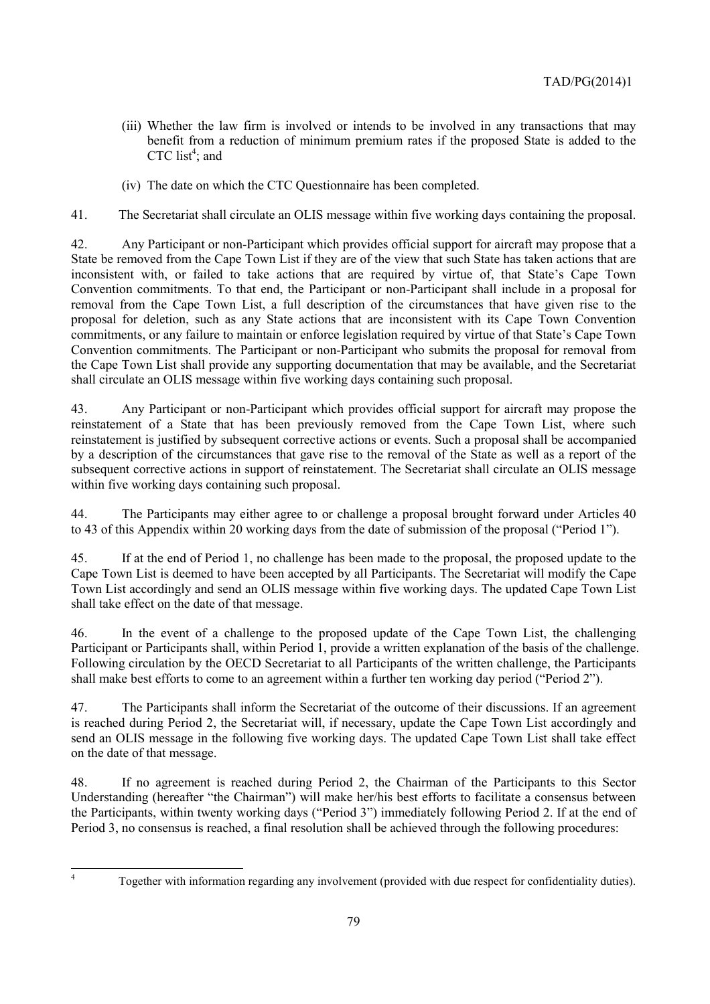- (iii) Whether the law firm is involved or intends to be involved in any transactions that may benefit from a reduction of minimum premium rates if the proposed State is added to the CTC list<sup>4</sup>; and
- (iv) The date on which the CTC Questionnaire has been completed.
- 41. The Secretariat shall circulate an OLIS message within five working days containing the proposal.

42. Any Participant or non-Participant which provides official support for aircraft may propose that a State be removed from the Cape Town List if they are of the view that such State has taken actions that are inconsistent with, or failed to take actions that are required by virtue of, that State's Cape Town Convention commitments. To that end, the Participant or non-Participant shall include in a proposal for removal from the Cape Town List, a full description of the circumstances that have given rise to the proposal for deletion, such as any State actions that are inconsistent with its Cape Town Convention commitments, or any failure to maintain or enforce legislation required by virtue of that State's Cape Town Convention commitments. The Participant or non-Participant who submits the proposal for removal from the Cape Town List shall provide any supporting documentation that may be available, and the Secretariat shall circulate an OLIS message within five working days containing such proposal.

43. Any Participant or non-Participant which provides official support for aircraft may propose the reinstatement of a State that has been previously removed from the Cape Town List, where such reinstatement is justified by subsequent corrective actions or events. Such a proposal shall be accompanied by a description of the circumstances that gave rise to the removal of the State as well as a report of the subsequent corrective actions in support of reinstatement. The Secretariat shall circulate an OLIS message within five working days containing such proposal.

44. The Participants may either agree to or challenge a proposal brought forward under Articles 40 to 43 of this Appendix within 20 working days from the date of submission of the proposal ("Period 1").

45. If at the end of Period 1, no challenge has been made to the proposal, the proposed update to the Cape Town List is deemed to have been accepted by all Participants. The Secretariat will modify the Cape Town List accordingly and send an OLIS message within five working days. The updated Cape Town List shall take effect on the date of that message.

46. In the event of a challenge to the proposed update of the Cape Town List, the challenging Participant or Participants shall, within Period 1, provide a written explanation of the basis of the challenge. Following circulation by the OECD Secretariat to all Participants of the written challenge, the Participants shall make best efforts to come to an agreement within a further ten working day period ("Period 2").

47. The Participants shall inform the Secretariat of the outcome of their discussions. If an agreement is reached during Period 2, the Secretariat will, if necessary, update the Cape Town List accordingly and send an OLIS message in the following five working days. The updated Cape Town List shall take effect on the date of that message.

48. If no agreement is reached during Period 2, the Chairman of the Participants to this Sector Understanding (hereafter "the Chairman") will make her/his best efforts to facilitate a consensus between the Participants, within twenty working days ("Period 3") immediately following Period 2. If at the end of Period 3, no consensus is reached, a final resolution shall be achieved through the following procedures:

 $\frac{1}{4}$ 

Together with information regarding any involvement (provided with due respect for confidentiality duties).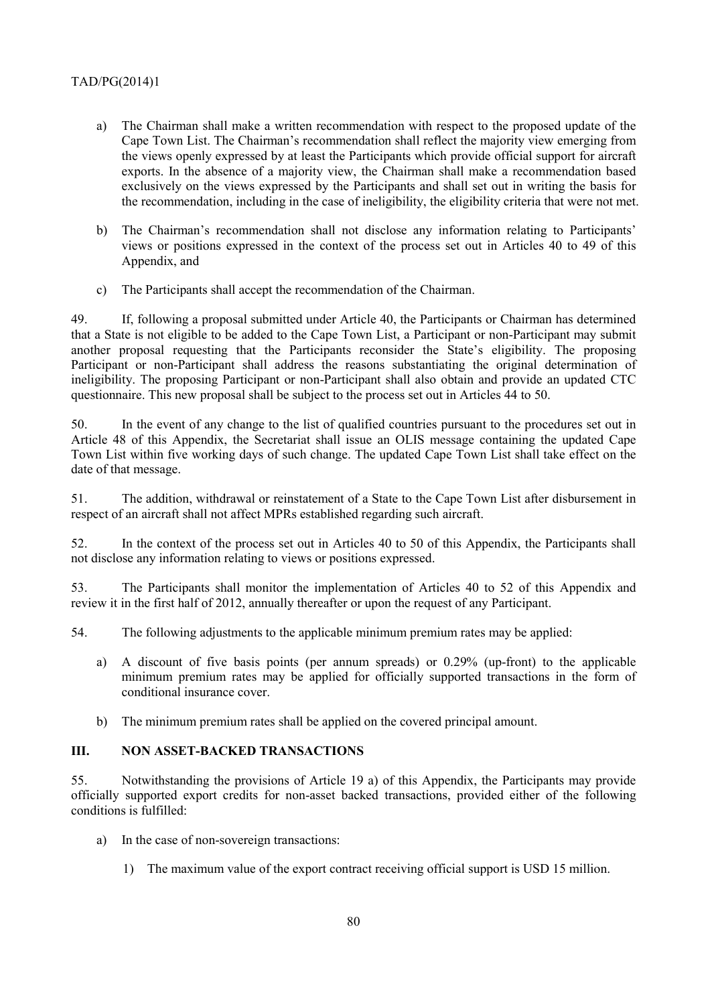- a) The Chairman shall make a written recommendation with respect to the proposed update of the Cape Town List. The Chairman's recommendation shall reflect the majority view emerging from the views openly expressed by at least the Participants which provide official support for aircraft exports. In the absence of a majority view, the Chairman shall make a recommendation based exclusively on the views expressed by the Participants and shall set out in writing the basis for the recommendation, including in the case of ineligibility, the eligibility criteria that were not met.
- b) The Chairman's recommendation shall not disclose any information relating to Participants' views or positions expressed in the context of the process set out in Articles 40 to 49 of this Appendix, and
- c) The Participants shall accept the recommendation of the Chairman.

49. If, following a proposal submitted under Article 40, the Participants or Chairman has determined that a State is not eligible to be added to the Cape Town List, a Participant or non-Participant may submit another proposal requesting that the Participants reconsider the State's eligibility. The proposing Participant or non-Participant shall address the reasons substantiating the original determination of ineligibility. The proposing Participant or non-Participant shall also obtain and provide an updated CTC questionnaire. This new proposal shall be subject to the process set out in Articles 44 to 50.

50. In the event of any change to the list of qualified countries pursuant to the procedures set out in Article 48 of this Appendix, the Secretariat shall issue an OLIS message containing the updated Cape Town List within five working days of such change. The updated Cape Town List shall take effect on the date of that message.

51. The addition, withdrawal or reinstatement of a State to the Cape Town List after disbursement in respect of an aircraft shall not affect MPRs established regarding such aircraft.

52. In the context of the process set out in Articles 40 to 50 of this Appendix, the Participants shall not disclose any information relating to views or positions expressed.

53. The Participants shall monitor the implementation of Articles 40 to 52 of this Appendix and review it in the first half of 2012, annually thereafter or upon the request of any Participant.

54. The following adjustments to the applicable minimum premium rates may be applied:

- a) A discount of five basis points (per annum spreads) or 0.29% (up-front) to the applicable minimum premium rates may be applied for officially supported transactions in the form of conditional insurance cover.
- b) The minimum premium rates shall be applied on the covered principal amount.

# **III. NON ASSET-BACKED TRANSACTIONS**

55. Notwithstanding the provisions of Article 19 a) of this Appendix, the Participants may provide officially supported export credits for non-asset backed transactions, provided either of the following conditions is fulfilled:

- a) In the case of non-sovereign transactions:
	- 1) The maximum value of the export contract receiving official support is USD 15 million.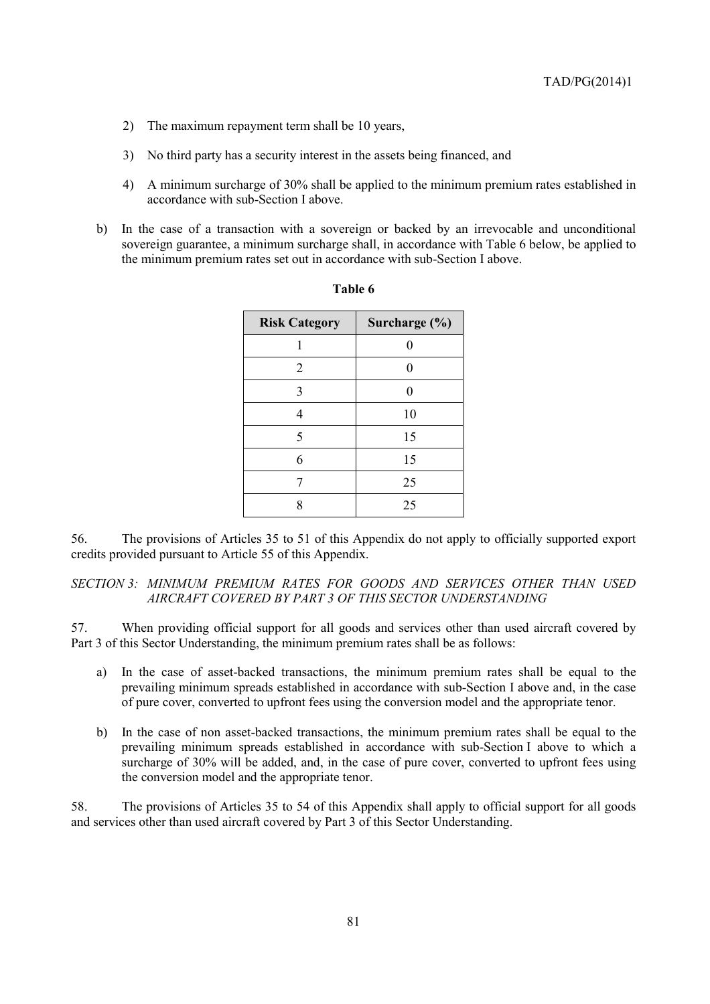- 2) The maximum repayment term shall be 10 years,
- 3) No third party has a security interest in the assets being financed, and
- 4) A minimum surcharge of 30% shall be applied to the minimum premium rates established in accordance with sub-Section I above.
- b) In the case of a transaction with a sovereign or backed by an irrevocable and unconditional sovereign guarantee, a minimum surcharge shall, in accordance with Table 6 below, be applied to the minimum premium rates set out in accordance with sub-Section I above.

| <b>Risk Category</b> | Surcharge (%) |
|----------------------|---------------|
|                      | 0             |
| 2                    | 0             |
| 3                    | 0             |
| 4                    | 10            |
| 5                    | 15            |
| 6                    | 15            |
|                      | 25            |
| Q                    | 25            |

| anlı |  |
|------|--|
|------|--|

56. The provisions of Articles 35 to 51 of this Appendix do not apply to officially supported export credits provided pursuant to Article 55 of this Appendix.

*SECTION 3: MINIMUM PREMIUM RATES FOR GOODS AND SERVICES OTHER THAN USED AIRCRAFT COVERED BY PART 3 OF THIS SECTOR UNDERSTANDING* 

57. When providing official support for all goods and services other than used aircraft covered by Part 3 of this Sector Understanding, the minimum premium rates shall be as follows:

- a) In the case of asset-backed transactions, the minimum premium rates shall be equal to the prevailing minimum spreads established in accordance with sub-Section I above and, in the case of pure cover, converted to upfront fees using the conversion model and the appropriate tenor.
- b) In the case of non asset-backed transactions, the minimum premium rates shall be equal to the prevailing minimum spreads established in accordance with sub-Section I above to which a surcharge of 30% will be added, and, in the case of pure cover, converted to upfront fees using the conversion model and the appropriate tenor.

58. The provisions of Articles 35 to 54 of this Appendix shall apply to official support for all goods and services other than used aircraft covered by Part 3 of this Sector Understanding.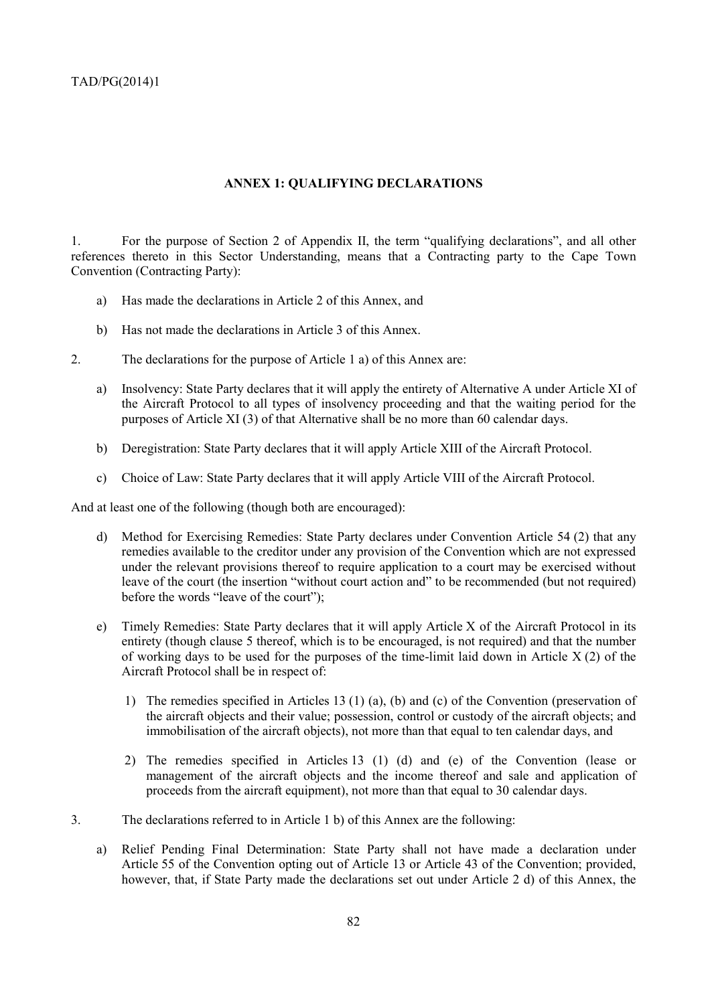# **ANNEX 1: QUALIFYING DECLARATIONS**

1. For the purpose of Section 2 of Appendix II, the term "qualifying declarations", and all other references thereto in this Sector Understanding, means that a Contracting party to the Cape Town Convention (Contracting Party):

- a) Has made the declarations in Article 2 of this Annex, and
- b) Has not made the declarations in Article 3 of this Annex.
- 2. The declarations for the purpose of Article 1 a) of this Annex are:
	- a) Insolvency: State Party declares that it will apply the entirety of Alternative A under Article XI of the Aircraft Protocol to all types of insolvency proceeding and that the waiting period for the purposes of Article XI (3) of that Alternative shall be no more than 60 calendar days.
	- b) Deregistration: State Party declares that it will apply Article XIII of the Aircraft Protocol.
	- c) Choice of Law: State Party declares that it will apply Article VIII of the Aircraft Protocol.

And at least one of the following (though both are encouraged):

- d) Method for Exercising Remedies: State Party declares under Convention Article 54 (2) that any remedies available to the creditor under any provision of the Convention which are not expressed under the relevant provisions thereof to require application to a court may be exercised without leave of the court (the insertion "without court action and" to be recommended (but not required) before the words "leave of the court");
- e) Timely Remedies: State Party declares that it will apply Article X of the Aircraft Protocol in its entirety (though clause 5 thereof, which is to be encouraged, is not required) and that the number of working days to be used for the purposes of the time-limit laid down in Article  $X(2)$  of the Aircraft Protocol shall be in respect of:
	- 1) The remedies specified in Articles 13 (1) (a), (b) and (c) of the Convention (preservation of the aircraft objects and their value; possession, control or custody of the aircraft objects; and immobilisation of the aircraft objects), not more than that equal to ten calendar days, and
	- 2) The remedies specified in Articles 13 (1) (d) and (e) of the Convention (lease or management of the aircraft objects and the income thereof and sale and application of proceeds from the aircraft equipment), not more than that equal to 30 calendar days.
- 3. The declarations referred to in Article 1 b) of this Annex are the following:
	- a) Relief Pending Final Determination: State Party shall not have made a declaration under Article 55 of the Convention opting out of Article 13 or Article 43 of the Convention; provided, however, that, if State Party made the declarations set out under Article 2 d) of this Annex, the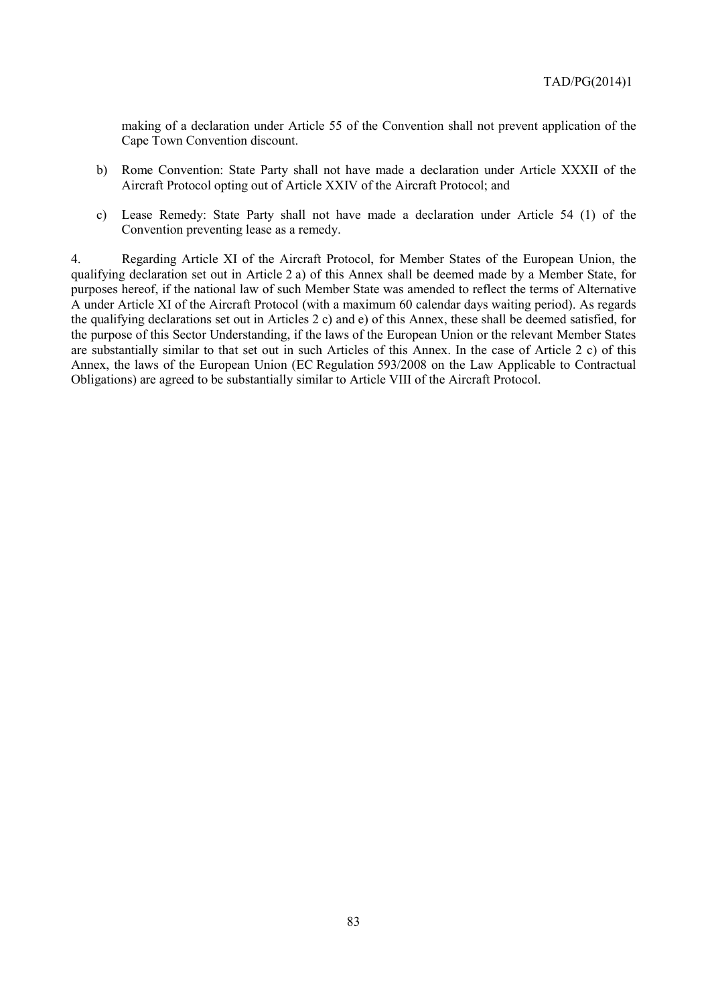making of a declaration under Article 55 of the Convention shall not prevent application of the Cape Town Convention discount.

- b) Rome Convention: State Party shall not have made a declaration under Article XXXII of the Aircraft Protocol opting out of Article XXIV of the Aircraft Protocol; and
- c) Lease Remedy: State Party shall not have made a declaration under Article 54 (1) of the Convention preventing lease as a remedy.

4. Regarding Article XI of the Aircraft Protocol, for Member States of the European Union, the qualifying declaration set out in Article 2 a) of this Annex shall be deemed made by a Member State, for purposes hereof, if the national law of such Member State was amended to reflect the terms of Alternative A under Article XI of the Aircraft Protocol (with a maximum 60 calendar days waiting period). As regards the qualifying declarations set out in Articles 2 c) and e) of this Annex, these shall be deemed satisfied, for the purpose of this Sector Understanding, if the laws of the European Union or the relevant Member States are substantially similar to that set out in such Articles of this Annex. In the case of Article 2 c) of this Annex, the laws of the European Union (EC Regulation 593/2008 on the Law Applicable to Contractual Obligations) are agreed to be substantially similar to Article VIII of the Aircraft Protocol.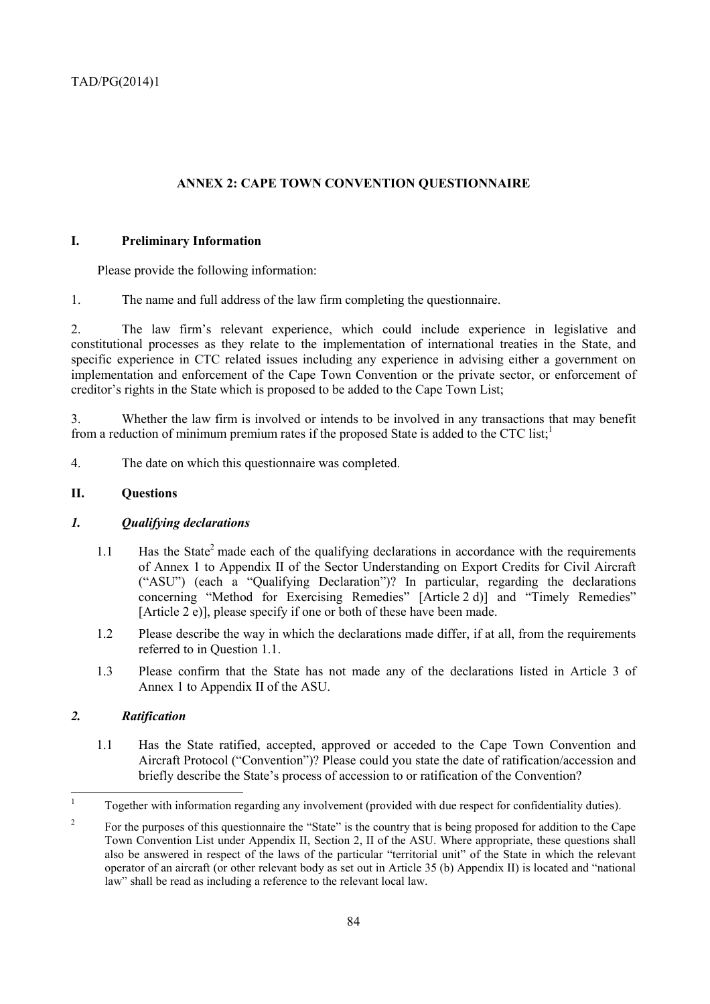# **ANNEX 2: CAPE TOWN CONVENTION QUESTIONNAIRE**

# **I. Preliminary Information**

Please provide the following information:

1. The name and full address of the law firm completing the questionnaire.

2. The law firm's relevant experience, which could include experience in legislative and constitutional processes as they relate to the implementation of international treaties in the State, and specific experience in CTC related issues including any experience in advising either a government on implementation and enforcement of the Cape Town Convention or the private sector, or enforcement of creditor's rights in the State which is proposed to be added to the Cape Town List;

3. Whether the law firm is involved or intends to be involved in any transactions that may benefit from a reduction of minimum premium rates if the proposed State is added to the CTC list;<sup>1</sup>

4. The date on which this questionnaire was completed.

# **II. Questions**

### *1. Qualifying declarations*

- 1.1 Has the State<sup>2</sup> made each of the qualifying declarations in accordance with the requirements of Annex 1 to Appendix II of the Sector Understanding on Export Credits for Civil Aircraft ("ASU") (each a "Qualifying Declaration")? In particular, regarding the declarations concerning "Method for Exercising Remedies" [Article 2 d)] and "Timely Remedies" [Article 2 e)], please specify if one or both of these have been made.
- 1.2 Please describe the way in which the declarations made differ, if at all, from the requirements referred to in Question 1.1.
- 1.3 Please confirm that the State has not made any of the declarations listed in Article 3 of Annex 1 to Appendix II of the ASU.

# *2. Ratification*

1.1 Has the State ratified, accepted, approved or acceded to the Cape Town Convention and Aircraft Protocol ("Convention")? Please could you state the date of ratification/accession and briefly describe the State's process of accession to or ratification of the Convention?

 $\frac{1}{1}$ Together with information regarding any involvement (provided with due respect for confidentiality duties).

<sup>&</sup>lt;sup>2</sup> For the purposes of this questionnaire the "State" is the country that is being proposed for addition to the Cape Town Convention List under Appendix II, Section 2, II of the ASU. Where appropriate, these questions shall also be answered in respect of the laws of the particular "territorial unit" of the State in which the relevant operator of an aircraft (or other relevant body as set out in Article 35 (b) Appendix II) is located and "national law" shall be read as including a reference to the relevant local law.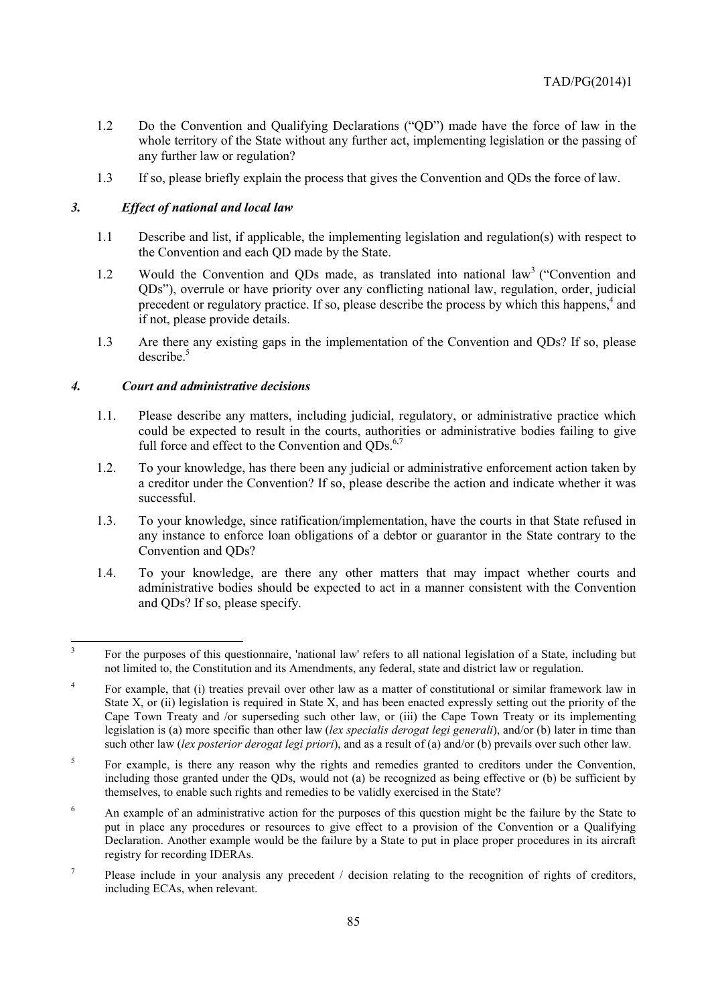- 1.2 Do the Convention and Qualifying Declarations ("QD") made have the force of law in the whole territory of the State without any further act, implementing legislation or the passing of any further law or regulation?
- 1.3 If so, please briefly explain the process that gives the Convention and QDs the force of law.

# *3. Effect of national and local law*

- 1.1 Describe and list, if applicable, the implementing legislation and regulation(s) with respect to the Convention and each QD made by the State.
- 1.2 Would the Convention and QDs made, as translated into national law<sup>3</sup> ("Convention and QDs"), overrule or have priority over any conflicting national law, regulation, order, judicial precedent or regulatory practice. If so, please describe the process by which this happens,<sup>4</sup> and if not, please provide details.
- 1.3 Are there any existing gaps in the implementation of the Convention and QDs? If so, please describe.<sup>5</sup>

# *4. Court and administrative decisions*

- 1.1. Please describe any matters, including judicial, regulatory, or administrative practice which could be expected to result in the courts, authorities or administrative bodies failing to give full force and effect to the Convention and  $ODs$ .<sup>6,7</sup>
- 1.2. To your knowledge, has there been any judicial or administrative enforcement action taken by a creditor under the Convention? If so, please describe the action and indicate whether it was successful.
- 1.3. To your knowledge, since ratification/implementation, have the courts in that State refused in any instance to enforce loan obligations of a debtor or guarantor in the State contrary to the Convention and QDs?
- 1.4. To your knowledge, are there any other matters that may impact whether courts and administrative bodies should be expected to act in a manner consistent with the Convention and QDs? If so, please specify.

 3 For the purposes of this questionnaire, 'national law' refers to all national legislation of a State, including but not limited to, the Constitution and its Amendments, any federal, state and district law or regulation.

<sup>&</sup>lt;sup>4</sup> For example, that (i) treaties prevail over other law as a matter of constitutional or similar framework law in State X, or (ii) legislation is required in State X, and has been enacted expressly setting out the priority of the Cape Town Treaty and /or superseding such other law, or (iii) the Cape Town Treaty or its implementing legislation is (a) more specific than other law (*lex specialis derogat legi generali*), and/or (b) later in time than such other law (*lex posterior derogat legi priori*), and as a result of (a) and/or (b) prevails over such other law.

<sup>5</sup> For example, is there any reason why the rights and remedies granted to creditors under the Convention, including those granted under the QDs, would not (a) be recognized as being effective or (b) be sufficient by themselves, to enable such rights and remedies to be validly exercised in the State?

<sup>6</sup> An example of an administrative action for the purposes of this question might be the failure by the State to put in place any procedures or resources to give effect to a provision of the Convention or a Qualifying Declaration. Another example would be the failure by a State to put in place proper procedures in its aircraft registry for recording IDERAs.

<sup>7</sup> Please include in your analysis any precedent / decision relating to the recognition of rights of creditors, including ECAs, when relevant.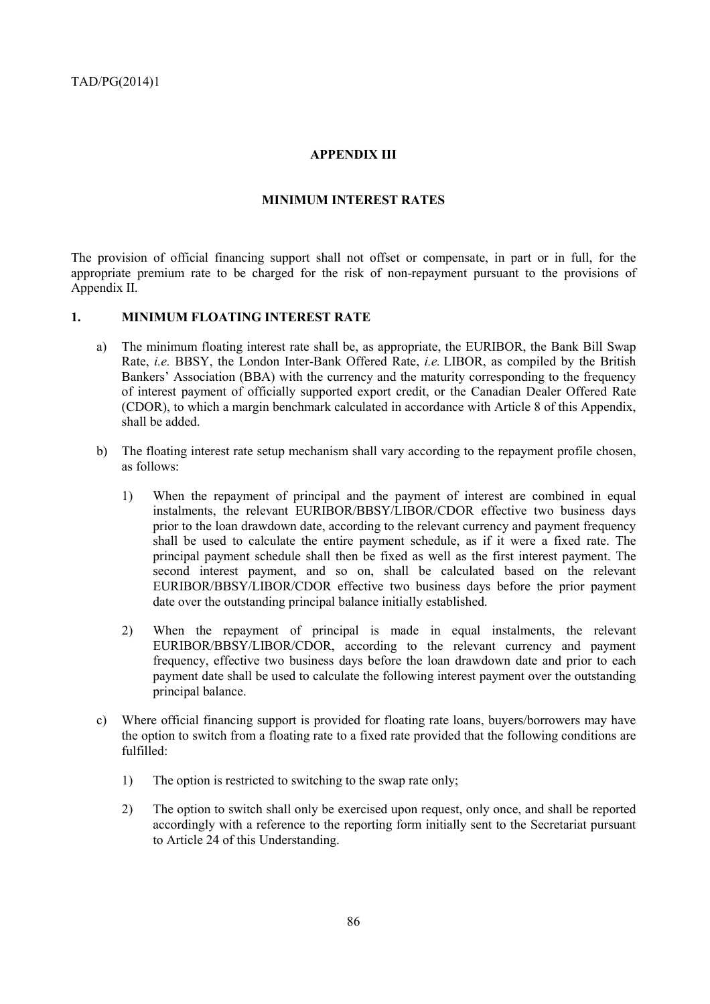#### **APPENDIX III**

#### **MINIMUM INTEREST RATES**

The provision of official financing support shall not offset or compensate, in part or in full, for the appropriate premium rate to be charged for the risk of non-repayment pursuant to the provisions of Appendix II.

#### **1. MINIMUM FLOATING INTEREST RATE**

- a) The minimum floating interest rate shall be, as appropriate, the EURIBOR, the Bank Bill Swap Rate, *i.e.* BBSY, the London Inter-Bank Offered Rate, *i.e.* LIBOR, as compiled by the British Bankers' Association (BBA) with the currency and the maturity corresponding to the frequency of interest payment of officially supported export credit, or the Canadian Dealer Offered Rate (CDOR), to which a margin benchmark calculated in accordance with Article 8 of this Appendix, shall be added.
- b) The floating interest rate setup mechanism shall vary according to the repayment profile chosen, as follows:
	- 1) When the repayment of principal and the payment of interest are combined in equal instalments, the relevant EURIBOR/BBSY/LIBOR/CDOR effective two business days prior to the loan drawdown date, according to the relevant currency and payment frequency shall be used to calculate the entire payment schedule, as if it were a fixed rate. The principal payment schedule shall then be fixed as well as the first interest payment. The second interest payment, and so on, shall be calculated based on the relevant EURIBOR/BBSY/LIBOR/CDOR effective two business days before the prior payment date over the outstanding principal balance initially established.
	- 2) When the repayment of principal is made in equal instalments, the relevant EURIBOR/BBSY/LIBOR/CDOR, according to the relevant currency and payment frequency, effective two business days before the loan drawdown date and prior to each payment date shall be used to calculate the following interest payment over the outstanding principal balance.
- c) Where official financing support is provided for floating rate loans, buyers/borrowers may have the option to switch from a floating rate to a fixed rate provided that the following conditions are fulfilled:
	- 1) The option is restricted to switching to the swap rate only;
	- 2) The option to switch shall only be exercised upon request, only once, and shall be reported accordingly with a reference to the reporting form initially sent to the Secretariat pursuant to Article 24 of this Understanding.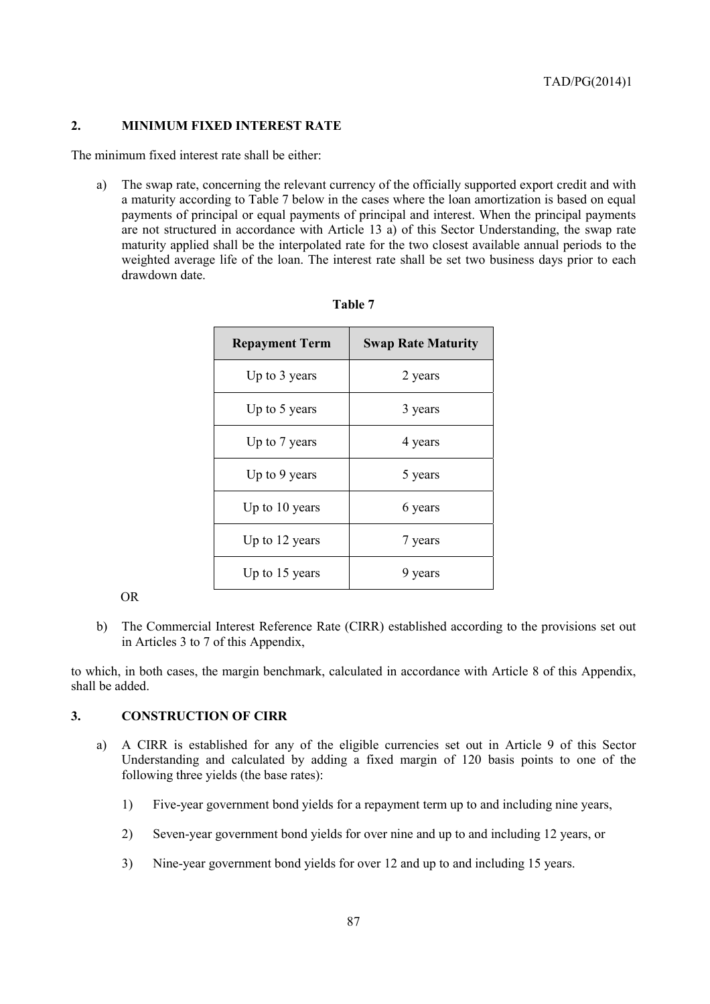# **2. MINIMUM FIXED INTEREST RATE**

The minimum fixed interest rate shall be either:

a) The swap rate, concerning the relevant currency of the officially supported export credit and with a maturity according to Table 7 below in the cases where the loan amortization is based on equal payments of principal or equal payments of principal and interest. When the principal payments are not structured in accordance with Article 13 a) of this Sector Understanding, the swap rate maturity applied shall be the interpolated rate for the two closest available annual periods to the weighted average life of the loan. The interest rate shall be set two business days prior to each drawdown date.

| <b>Repayment Term</b> | <b>Swap Rate Maturity</b> |  |
|-----------------------|---------------------------|--|
| Up to 3 years         | 2 years                   |  |
| Up to 5 years         | 3 years                   |  |
| Up to 7 years         | 4 years                   |  |
| Up to 9 years         | 5 years                   |  |
| Up to 10 years        | 6 years                   |  |
| Up to 12 years        | 7 years                   |  |
| Up to 15 years        | 9 years                   |  |

| anıe |  |
|------|--|
|------|--|

# OR

b) The Commercial Interest Reference Rate (CIRR) established according to the provisions set out in Articles 3 to 7 of this Appendix,

to which, in both cases, the margin benchmark, calculated in accordance with Article 8 of this Appendix, shall be added.

#### **3. CONSTRUCTION OF CIRR**

- a) A CIRR is established for any of the eligible currencies set out in Article 9 of this Sector Understanding and calculated by adding a fixed margin of 120 basis points to one of the following three yields (the base rates):
	- 1) Five-year government bond yields for a repayment term up to and including nine years,
	- 2) Seven-year government bond yields for over nine and up to and including 12 years, or
	- 3) Nine-year government bond yields for over 12 and up to and including 15 years.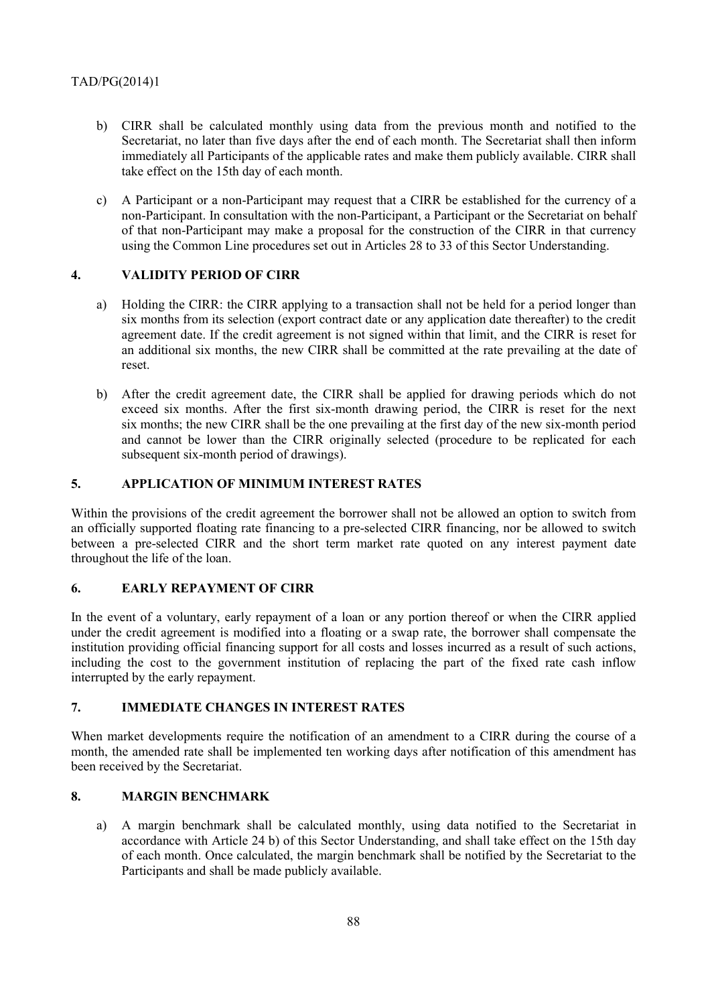- b) CIRR shall be calculated monthly using data from the previous month and notified to the Secretariat, no later than five days after the end of each month. The Secretariat shall then inform immediately all Participants of the applicable rates and make them publicly available. CIRR shall take effect on the 15th day of each month.
- c) A Participant or a non-Participant may request that a CIRR be established for the currency of a non-Participant. In consultation with the non-Participant, a Participant or the Secretariat on behalf of that non-Participant may make a proposal for the construction of the CIRR in that currency using the Common Line procedures set out in Articles 28 to 33 of this Sector Understanding.

# **4. VALIDITY PERIOD OF CIRR**

- a) Holding the CIRR: the CIRR applying to a transaction shall not be held for a period longer than six months from its selection (export contract date or any application date thereafter) to the credit agreement date. If the credit agreement is not signed within that limit, and the CIRR is reset for an additional six months, the new CIRR shall be committed at the rate prevailing at the date of reset.
- b) After the credit agreement date, the CIRR shall be applied for drawing periods which do not exceed six months. After the first six-month drawing period, the CIRR is reset for the next six months; the new CIRR shall be the one prevailing at the first day of the new six-month period and cannot be lower than the CIRR originally selected (procedure to be replicated for each subsequent six-month period of drawings).

### **5. APPLICATION OF MINIMUM INTEREST RATES**

Within the provisions of the credit agreement the borrower shall not be allowed an option to switch from an officially supported floating rate financing to a pre-selected CIRR financing, nor be allowed to switch between a pre-selected CIRR and the short term market rate quoted on any interest payment date throughout the life of the loan.

### **6. EARLY REPAYMENT OF CIRR**

In the event of a voluntary, early repayment of a loan or any portion thereof or when the CIRR applied under the credit agreement is modified into a floating or a swap rate, the borrower shall compensate the institution providing official financing support for all costs and losses incurred as a result of such actions, including the cost to the government institution of replacing the part of the fixed rate cash inflow interrupted by the early repayment.

### **7. IMMEDIATE CHANGES IN INTEREST RATES**

When market developments require the notification of an amendment to a CIRR during the course of a month, the amended rate shall be implemented ten working days after notification of this amendment has been received by the Secretariat.

### **8. MARGIN BENCHMARK**

a) A margin benchmark shall be calculated monthly, using data notified to the Secretariat in accordance with Article 24 b) of this Sector Understanding, and shall take effect on the 15th day of each month. Once calculated, the margin benchmark shall be notified by the Secretariat to the Participants and shall be made publicly available.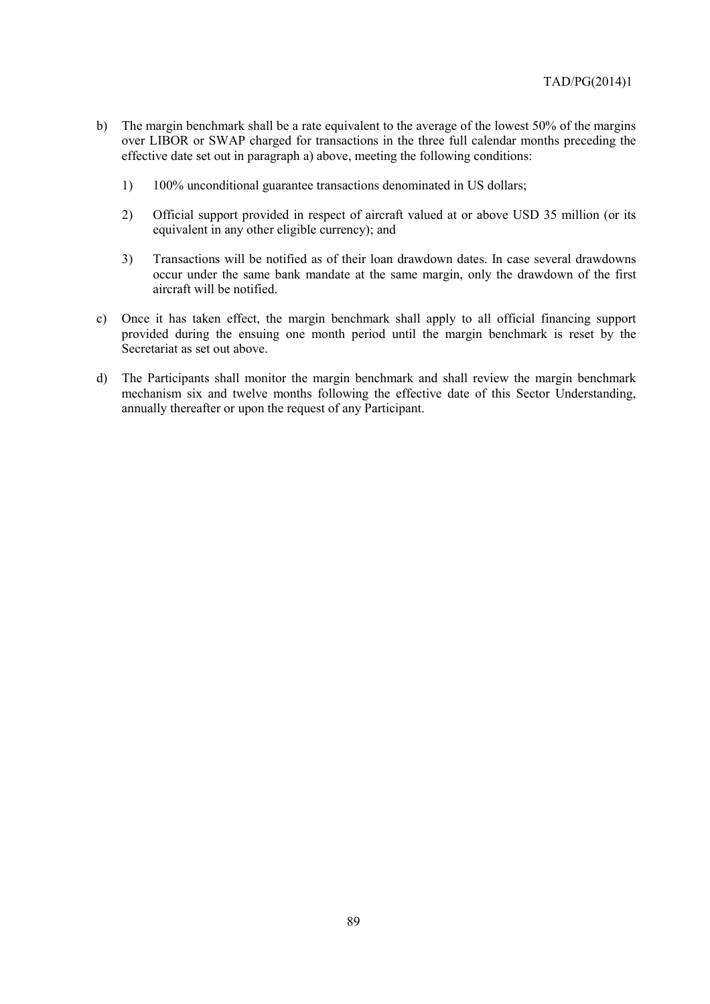- b) The margin benchmark shall be a rate equivalent to the average of the lowest 50% of the margins over LIBOR or SWAP charged for transactions in the three full calendar months preceding the effective date set out in paragraph a) above, meeting the following conditions:
	- 1) 100% unconditional guarantee transactions denominated in US dollars;
	- 2) Official support provided in respect of aircraft valued at or above USD 35 million (or its equivalent in any other eligible currency); and
	- 3) Transactions will be notified as of their loan drawdown dates. In case several drawdowns occur under the same bank mandate at the same margin, only the drawdown of the first aircraft will be notified.
- c) Once it has taken effect, the margin benchmark shall apply to all official financing support provided during the ensuing one month period until the margin benchmark is reset by the Secretariat as set out above.
- d) The Participants shall monitor the margin benchmark and shall review the margin benchmark mechanism six and twelve months following the effective date of this Sector Understanding, annually thereafter or upon the request of any Participant.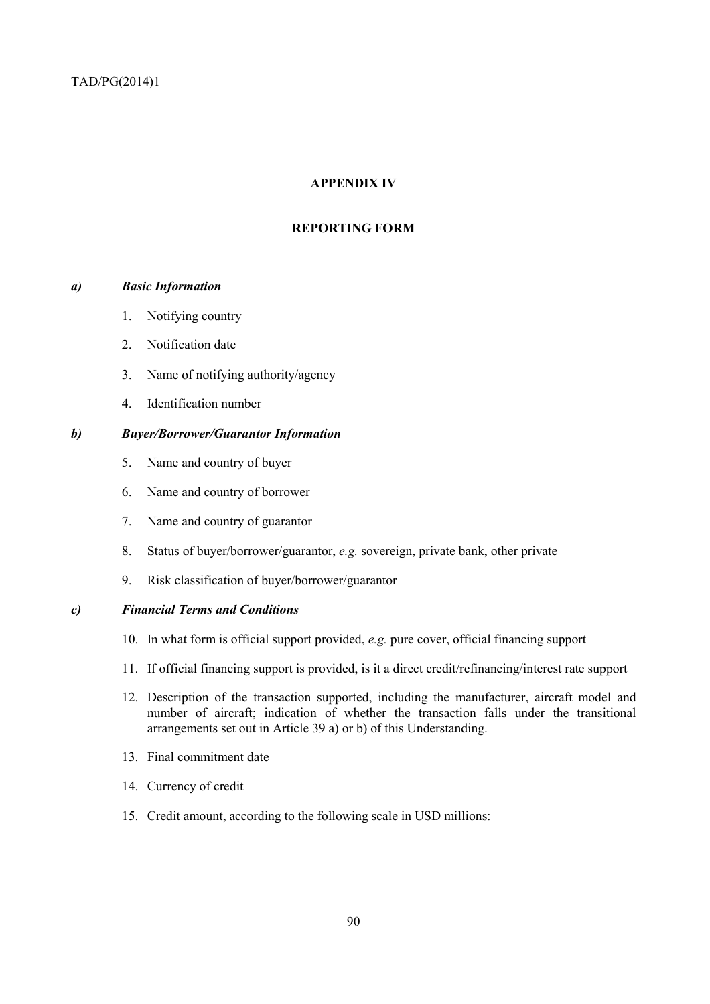#### **APPENDIX IV**

# **REPORTING FORM**

#### *a) Basic Information*

- 1. Notifying country
- 2. Notification date
- 3. Name of notifying authority/agency
- 4. Identification number

## *b) Buyer/Borrower/Guarantor Information*

- 5. Name and country of buyer
- 6. Name and country of borrower
- 7. Name and country of guarantor
- 8. Status of buyer/borrower/guarantor, *e.g.* sovereign, private bank, other private
- 9. Risk classification of buyer/borrower/guarantor

### *c) Financial Terms and Conditions*

- 10. In what form is official support provided, *e.g.* pure cover, official financing support
- 11. If official financing support is provided, is it a direct credit/refinancing/interest rate support
- 12. Description of the transaction supported, including the manufacturer, aircraft model and number of aircraft; indication of whether the transaction falls under the transitional arrangements set out in Article 39 a) or b) of this Understanding.
- 13. Final commitment date
- 14. Currency of credit
- 15. Credit amount, according to the following scale in USD millions: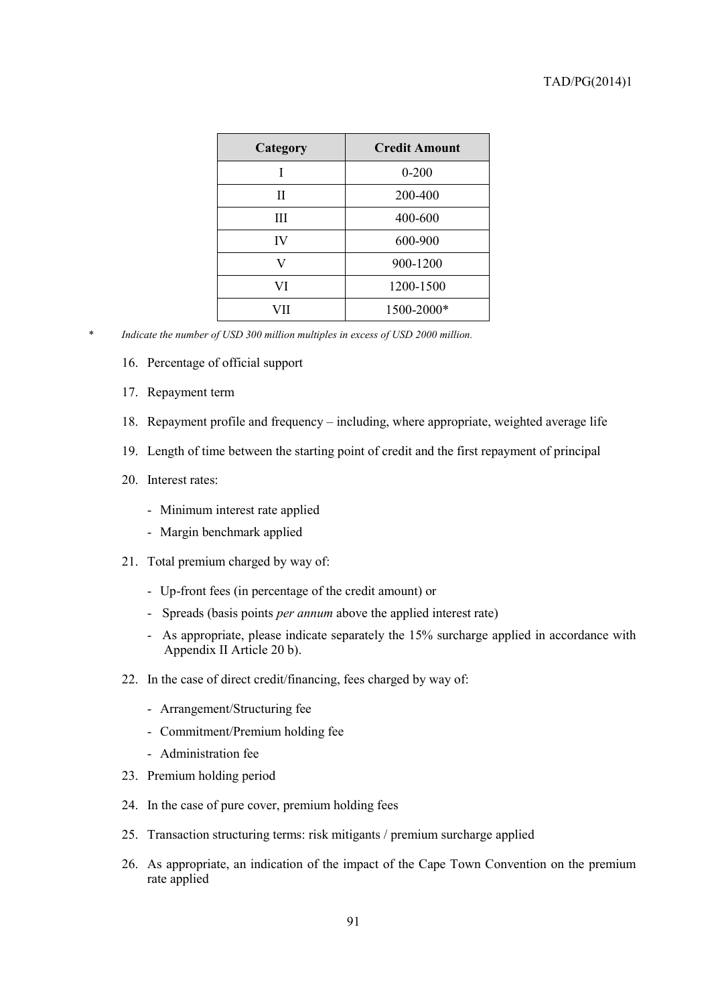| Category | <b>Credit Amount</b> |
|----------|----------------------|
|          | $0 - 200$            |
| П        | 200-400              |
| Ш        | 400-600              |
| IV       | 600-900              |
| V        | 900-1200             |
| VI       | 1200-1500            |
| VII      | 1500-2000*           |

*\* Indicate the number of USD 300 million multiples in excess of USD 2000 million.* 

- 16. Percentage of official support
- 17. Repayment term
- 18. Repayment profile and frequency including, where appropriate, weighted average life
- 19. Length of time between the starting point of credit and the first repayment of principal
- 20. Interest rates:
	- Minimum interest rate applied
	- Margin benchmark applied
- 21. Total premium charged by way of:
	- Up-front fees (in percentage of the credit amount) or
	- Spreads (basis points *per annum* above the applied interest rate)
	- As appropriate, please indicate separately the 15% surcharge applied in accordance with Appendix II Article 20 b).
- 22. In the case of direct credit/financing, fees charged by way of:
	- Arrangement/Structuring fee
	- Commitment/Premium holding fee
	- Administration fee
- 23. Premium holding period
- 24. In the case of pure cover, premium holding fees
- 25. Transaction structuring terms: risk mitigants / premium surcharge applied
- 26. As appropriate, an indication of the impact of the Cape Town Convention on the premium rate applied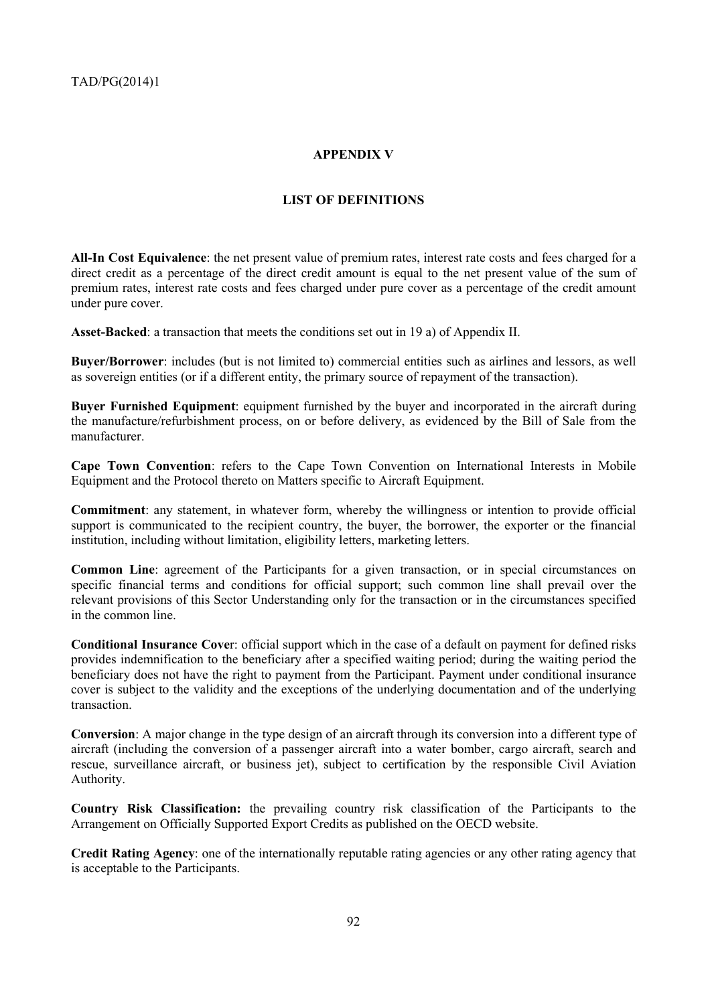## **APPENDIX V**

## **LIST OF DEFINITIONS**

**All-In Cost Equivalence**: the net present value of premium rates, interest rate costs and fees charged for a direct credit as a percentage of the direct credit amount is equal to the net present value of the sum of premium rates, interest rate costs and fees charged under pure cover as a percentage of the credit amount under pure cover.

**Asset-Backed**: a transaction that meets the conditions set out in 19 a) of Appendix II.

**Buyer/Borrower**: includes (but is not limited to) commercial entities such as airlines and lessors, as well as sovereign entities (or if a different entity, the primary source of repayment of the transaction).

**Buyer Furnished Equipment**: equipment furnished by the buyer and incorporated in the aircraft during the manufacture/refurbishment process, on or before delivery, as evidenced by the Bill of Sale from the manufacturer.

**Cape Town Convention**: refers to the Cape Town Convention on International Interests in Mobile Equipment and the Protocol thereto on Matters specific to Aircraft Equipment.

**Commitment**: any statement, in whatever form, whereby the willingness or intention to provide official support is communicated to the recipient country, the buyer, the borrower, the exporter or the financial institution, including without limitation, eligibility letters, marketing letters.

**Common Line**: agreement of the Participants for a given transaction, or in special circumstances on specific financial terms and conditions for official support; such common line shall prevail over the relevant provisions of this Sector Understanding only for the transaction or in the circumstances specified in the common line.

**Conditional Insurance Cove**r: official support which in the case of a default on payment for defined risks provides indemnification to the beneficiary after a specified waiting period; during the waiting period the beneficiary does not have the right to payment from the Participant. Payment under conditional insurance cover is subject to the validity and the exceptions of the underlying documentation and of the underlying transaction.

**Conversion**: A major change in the type design of an aircraft through its conversion into a different type of aircraft (including the conversion of a passenger aircraft into a water bomber, cargo aircraft, search and rescue, surveillance aircraft, or business jet), subject to certification by the responsible Civil Aviation Authority.

**Country Risk Classification:** the prevailing country risk classification of the Participants to the Arrangement on Officially Supported Export Credits as published on the OECD website.

**Credit Rating Agency**: one of the internationally reputable rating agencies or any other rating agency that is acceptable to the Participants.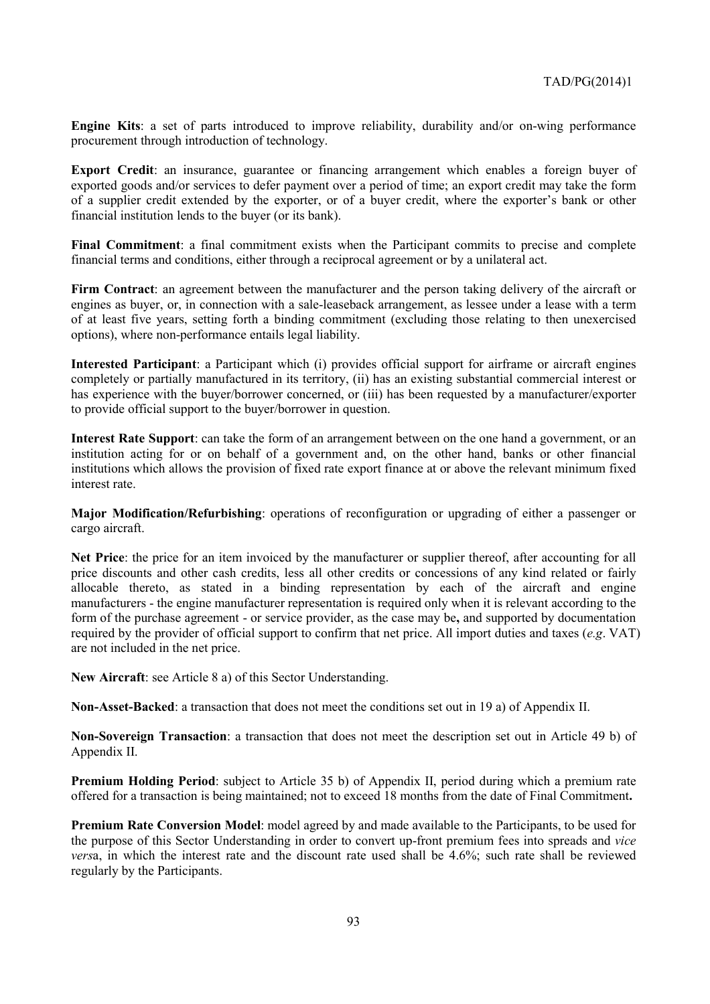**Engine Kits**: a set of parts introduced to improve reliability, durability and/or on-wing performance procurement through introduction of technology.

**Export Credit**: an insurance, guarantee or financing arrangement which enables a foreign buyer of exported goods and/or services to defer payment over a period of time; an export credit may take the form of a supplier credit extended by the exporter, or of a buyer credit, where the exporter's bank or other financial institution lends to the buyer (or its bank).

**Final Commitment**: a final commitment exists when the Participant commits to precise and complete financial terms and conditions, either through a reciprocal agreement or by a unilateral act.

**Firm Contract**: an agreement between the manufacturer and the person taking delivery of the aircraft or engines as buyer, or, in connection with a sale-leaseback arrangement, as lessee under a lease with a term of at least five years, setting forth a binding commitment (excluding those relating to then unexercised options), where non-performance entails legal liability.

**Interested Participant**: a Participant which (i) provides official support for airframe or aircraft engines completely or partially manufactured in its territory, (ii) has an existing substantial commercial interest or has experience with the buyer/borrower concerned, or (iii) has been requested by a manufacturer/exporter to provide official support to the buyer/borrower in question.

**Interest Rate Support**: can take the form of an arrangement between on the one hand a government, or an institution acting for or on behalf of a government and, on the other hand, banks or other financial institutions which allows the provision of fixed rate export finance at or above the relevant minimum fixed interest rate.

**Major Modification/Refurbishing**: operations of reconfiguration or upgrading of either a passenger or cargo aircraft.

**Net Price**: the price for an item invoiced by the manufacturer or supplier thereof, after accounting for all price discounts and other cash credits, less all other credits or concessions of any kind related or fairly allocable thereto, as stated in a binding representation by each of the aircraft and engine manufacturers - the engine manufacturer representation is required only when it is relevant according to the form of the purchase agreement - or service provider, as the case may be**,** and supported by documentation required by the provider of official support to confirm that net price. All import duties and taxes (*e.g*. VAT) are not included in the net price.

**New Aircraft**: see Article 8 a) of this Sector Understanding.

**Non-Asset-Backed**: a transaction that does not meet the conditions set out in 19 a) of Appendix II.

**Non-Sovereign Transaction**: a transaction that does not meet the description set out in Article 49 b) of Appendix II.

**Premium Holding Period**: subject to Article 35 b) of Appendix II, period during which a premium rate offered for a transaction is being maintained; not to exceed 18 months from the date of Final Commitment**.** 

**Premium Rate Conversion Model**: model agreed by and made available to the Participants, to be used for the purpose of this Sector Understanding in order to convert up-front premium fees into spreads and *vice vers*a, in which the interest rate and the discount rate used shall be 4.6%; such rate shall be reviewed regularly by the Participants.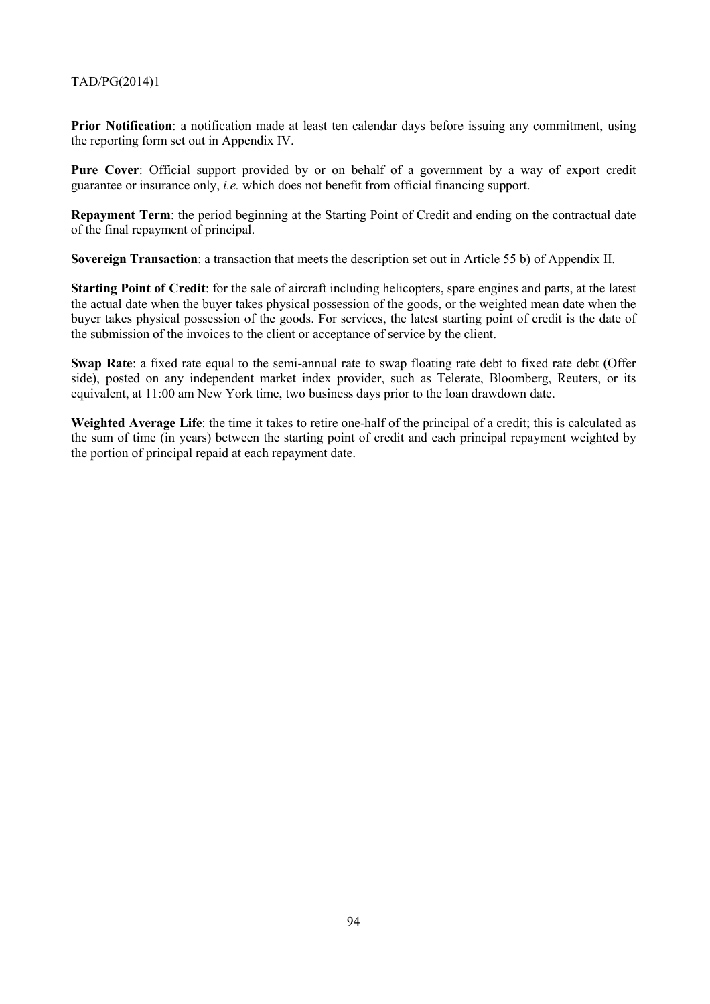**Prior Notification**: a notification made at least ten calendar days before issuing any commitment, using the reporting form set out in Appendix IV.

**Pure Cover**: Official support provided by or on behalf of a government by a way of export credit guarantee or insurance only, *i.e.* which does not benefit from official financing support.

**Repayment Term**: the period beginning at the Starting Point of Credit and ending on the contractual date of the final repayment of principal.

**Sovereign Transaction**: a transaction that meets the description set out in Article 55 b) of Appendix II.

**Starting Point of Credit**: for the sale of aircraft including helicopters, spare engines and parts, at the latest the actual date when the buyer takes physical possession of the goods, or the weighted mean date when the buyer takes physical possession of the goods. For services, the latest starting point of credit is the date of the submission of the invoices to the client or acceptance of service by the client.

**Swap Rate**: a fixed rate equal to the semi-annual rate to swap floating rate debt to fixed rate debt (Offer side), posted on any independent market index provider, such as Telerate, Bloomberg, Reuters, or its equivalent, at 11:00 am New York time, two business days prior to the loan drawdown date.

**Weighted Average Life**: the time it takes to retire one-half of the principal of a credit; this is calculated as the sum of time (in years) between the starting point of credit and each principal repayment weighted by the portion of principal repaid at each repayment date.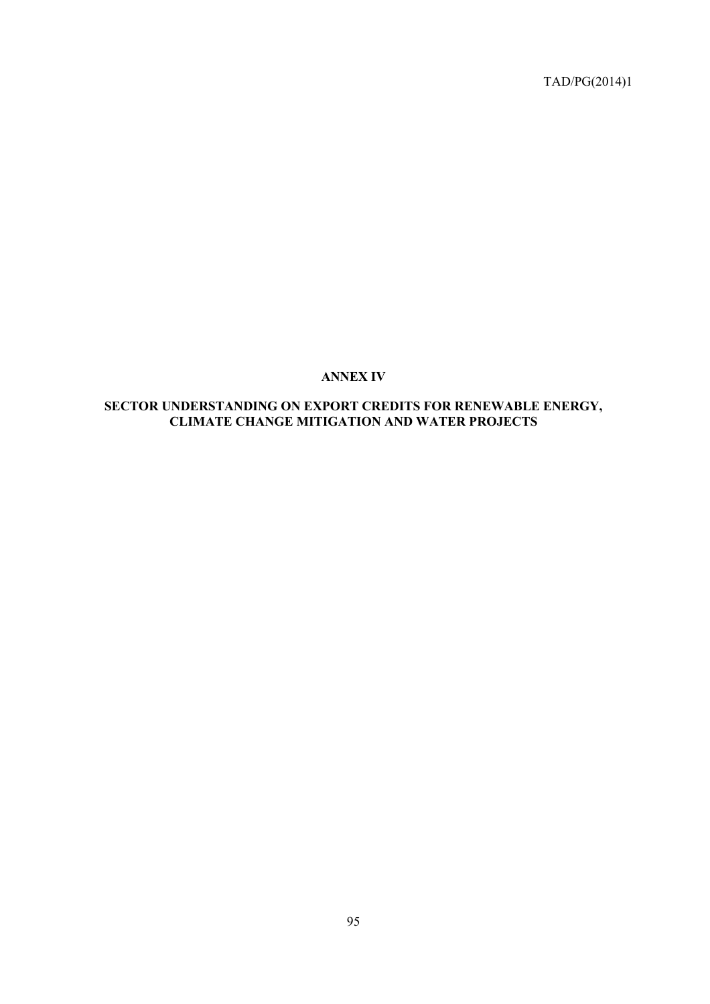# **ANNEX IV**

# **SECTOR UNDERSTANDING ON EXPORT CREDITS FOR RENEWABLE ENERGY, CLIMATE CHANGE MITIGATION AND WATER PROJECTS**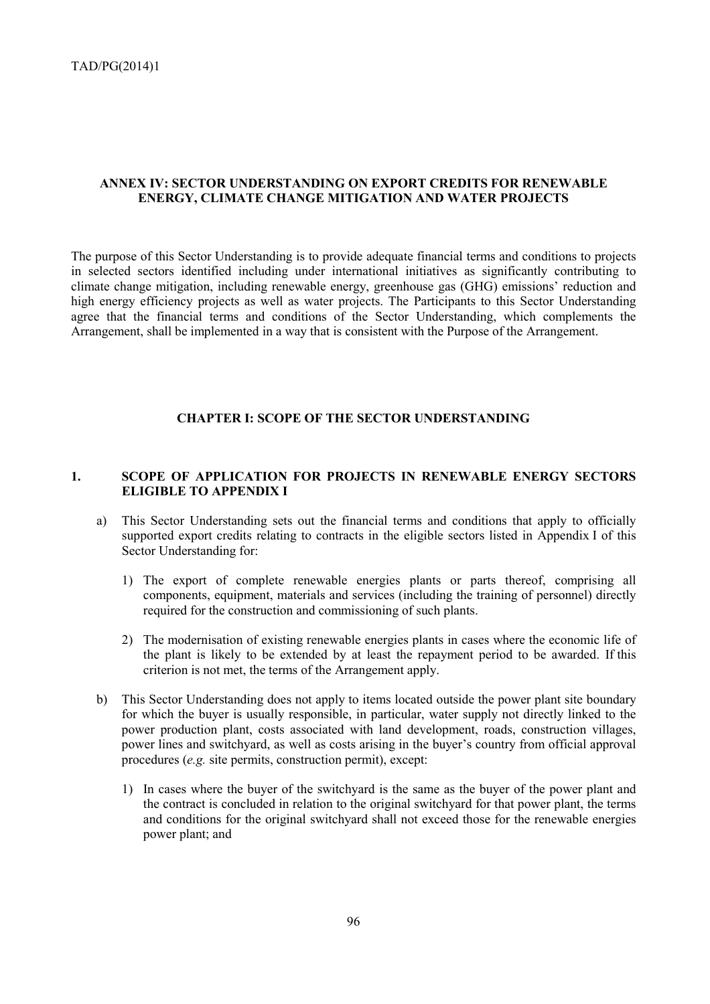### **ANNEX IV: SECTOR UNDERSTANDING ON EXPORT CREDITS FOR RENEWABLE ENERGY, CLIMATE CHANGE MITIGATION AND WATER PROJECTS**

The purpose of this Sector Understanding is to provide adequate financial terms and conditions to projects in selected sectors identified including under international initiatives as significantly contributing to climate change mitigation, including renewable energy, greenhouse gas (GHG) emissions' reduction and high energy efficiency projects as well as water projects. The Participants to this Sector Understanding agree that the financial terms and conditions of the Sector Understanding, which complements the Arrangement, shall be implemented in a way that is consistent with the Purpose of the Arrangement.

#### **CHAPTER I: SCOPE OF THE SECTOR UNDERSTANDING**

# **1. SCOPE OF APPLICATION FOR PROJECTS IN RENEWABLE ENERGY SECTORS ELIGIBLE TO APPENDIX I**

- a) This Sector Understanding sets out the financial terms and conditions that apply to officially supported export credits relating to contracts in the eligible sectors listed in Appendix I of this Sector Understanding for:
	- 1) The export of complete renewable energies plants or parts thereof, comprising all components, equipment, materials and services (including the training of personnel) directly required for the construction and commissioning of such plants.
	- 2) The modernisation of existing renewable energies plants in cases where the economic life of the plant is likely to be extended by at least the repayment period to be awarded. If this criterion is not met, the terms of the Arrangement apply.
- b) This Sector Understanding does not apply to items located outside the power plant site boundary for which the buyer is usually responsible, in particular, water supply not directly linked to the power production plant, costs associated with land development, roads, construction villages, power lines and switchyard, as well as costs arising in the buyer's country from official approval procedures (*e.g.* site permits, construction permit), except:
	- 1) In cases where the buyer of the switchyard is the same as the buyer of the power plant and the contract is concluded in relation to the original switchyard for that power plant, the terms and conditions for the original switchyard shall not exceed those for the renewable energies power plant; and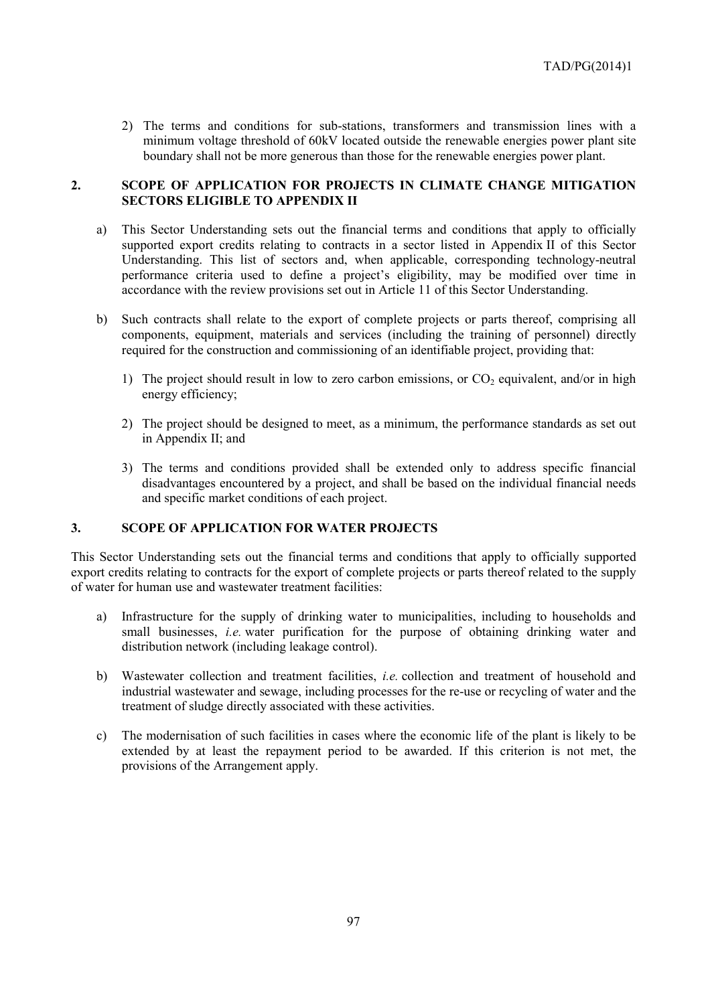2) The terms and conditions for sub-stations, transformers and transmission lines with a minimum voltage threshold of 60kV located outside the renewable energies power plant site boundary shall not be more generous than those for the renewable energies power plant.

### **2. SCOPE OF APPLICATION FOR PROJECTS IN CLIMATE CHANGE MITIGATION SECTORS ELIGIBLE TO APPENDIX II**

- a) This Sector Understanding sets out the financial terms and conditions that apply to officially supported export credits relating to contracts in a sector listed in Appendix II of this Sector Understanding. This list of sectors and, when applicable, corresponding technology-neutral performance criteria used to define a project's eligibility, may be modified over time in accordance with the review provisions set out in Article 11 of this Sector Understanding.
- b) Such contracts shall relate to the export of complete projects or parts thereof, comprising all components, equipment, materials and services (including the training of personnel) directly required for the construction and commissioning of an identifiable project, providing that:
	- 1) The project should result in low to zero carbon emissions, or  $CO<sub>2</sub>$  equivalent, and/or in high energy efficiency;
	- 2) The project should be designed to meet, as a minimum, the performance standards as set out in Appendix II; and
	- 3) The terms and conditions provided shall be extended only to address specific financial disadvantages encountered by a project, and shall be based on the individual financial needs and specific market conditions of each project.

## **3. SCOPE OF APPLICATION FOR WATER PROJECTS**

This Sector Understanding sets out the financial terms and conditions that apply to officially supported export credits relating to contracts for the export of complete projects or parts thereof related to the supply of water for human use and wastewater treatment facilities:

- a) Infrastructure for the supply of drinking water to municipalities, including to households and small businesses, *i.e.* water purification for the purpose of obtaining drinking water and distribution network (including leakage control).
- b) Wastewater collection and treatment facilities, *i.e.* collection and treatment of household and industrial wastewater and sewage, including processes for the re-use or recycling of water and the treatment of sludge directly associated with these activities.
- c) The modernisation of such facilities in cases where the economic life of the plant is likely to be extended by at least the repayment period to be awarded. If this criterion is not met, the provisions of the Arrangement apply.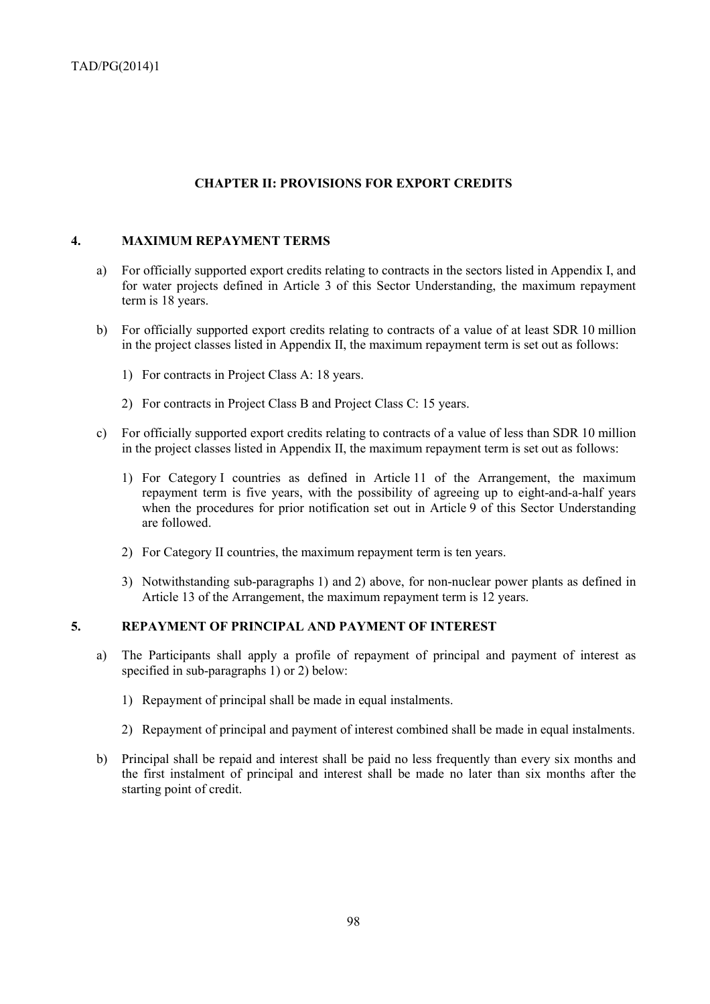# **CHAPTER II: PROVISIONS FOR EXPORT CREDITS**

#### **4. MAXIMUM REPAYMENT TERMS**

- a) For officially supported export credits relating to contracts in the sectors listed in Appendix I, and for water projects defined in Article 3 of this Sector Understanding, the maximum repayment term is 18 years.
- b) For officially supported export credits relating to contracts of a value of at least SDR 10 million in the project classes listed in Appendix II, the maximum repayment term is set out as follows:
	- 1) For contracts in Project Class A: 18 years.
	- 2) For contracts in Project Class B and Project Class C: 15 years.
- c) For officially supported export credits relating to contracts of a value of less than SDR 10 million in the project classes listed in Appendix II, the maximum repayment term is set out as follows:
	- 1) For Category I countries as defined in Article 11 of the Arrangement, the maximum repayment term is five years, with the possibility of agreeing up to eight-and-a-half years when the procedures for prior notification set out in Article 9 of this Sector Understanding are followed.
	- 2) For Category II countries, the maximum repayment term is ten years.
	- 3) Notwithstanding sub-paragraphs 1) and 2) above, for non-nuclear power plants as defined in Article 13 of the Arrangement, the maximum repayment term is 12 years.

#### **5. REPAYMENT OF PRINCIPAL AND PAYMENT OF INTEREST**

- a) The Participants shall apply a profile of repayment of principal and payment of interest as specified in sub-paragraphs 1) or 2) below:
	- 1) Repayment of principal shall be made in equal instalments.
	- 2) Repayment of principal and payment of interest combined shall be made in equal instalments.
- b) Principal shall be repaid and interest shall be paid no less frequently than every six months and the first instalment of principal and interest shall be made no later than six months after the starting point of credit.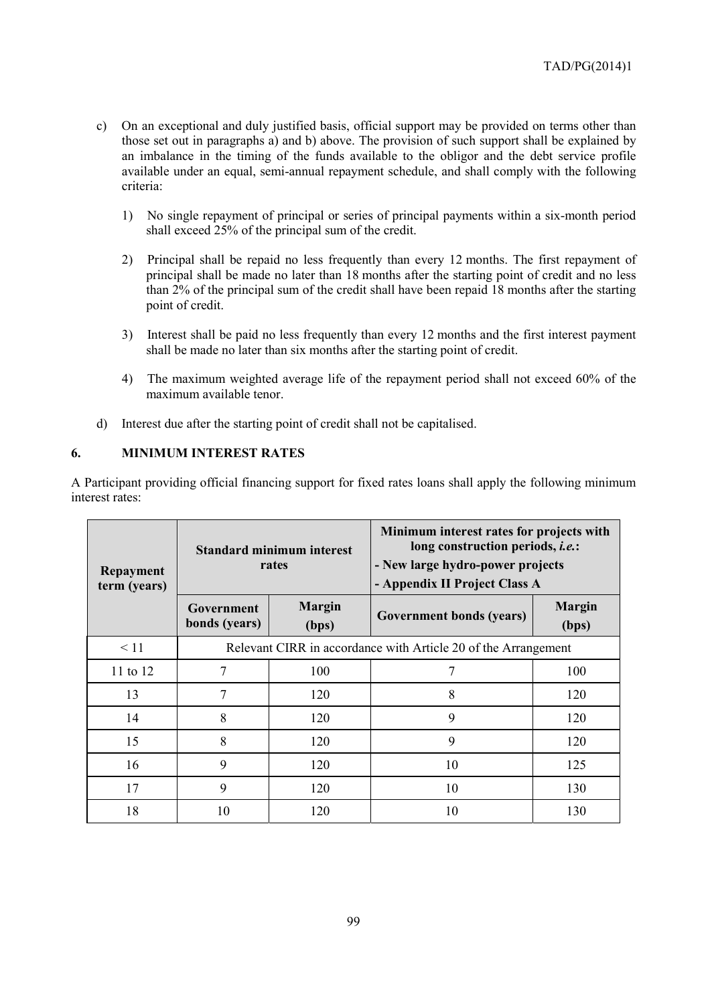- c) On an exceptional and duly justified basis, official support may be provided on terms other than those set out in paragraphs a) and b) above. The provision of such support shall be explained by an imbalance in the timing of the funds available to the obligor and the debt service profile available under an equal, semi-annual repayment schedule, and shall comply with the following criteria:
	- 1) No single repayment of principal or series of principal payments within a six-month period shall exceed 25% of the principal sum of the credit.
	- 2) Principal shall be repaid no less frequently than every 12 months. The first repayment of principal shall be made no later than 18 months after the starting point of credit and no less than 2% of the principal sum of the credit shall have been repaid 18 months after the starting point of credit.
	- 3) Interest shall be paid no less frequently than every 12 months and the first interest payment shall be made no later than six months after the starting point of credit.
	- 4) The maximum weighted average life of the repayment period shall not exceed 60% of the maximum available tenor.
- d) Interest due after the starting point of credit shall not be capitalised.

### **6. MINIMUM INTEREST RATES**

A Participant providing official financing support for fixed rates loans shall apply the following minimum interest rates:

| <b>Repayment</b><br>term (years) | <b>Standard minimum interest</b><br>rates                      |                        | Minimum interest rates for projects with<br>long construction periods, i.e.:<br>- New large hydro-power projects<br>- Appendix II Project Class A |                        |
|----------------------------------|----------------------------------------------------------------|------------------------|---------------------------------------------------------------------------------------------------------------------------------------------------|------------------------|
|                                  | Government<br>bonds (years)                                    | <b>Margin</b><br>(bps) | <b>Government bonds (years)</b>                                                                                                                   | <b>Margin</b><br>(bps) |
| $\leq$ 11                        | Relevant CIRR in accordance with Article 20 of the Arrangement |                        |                                                                                                                                                   |                        |
| 11 to 12                         | 7                                                              | 100                    |                                                                                                                                                   | 100                    |
| 13                               | 7                                                              | 120                    | 8                                                                                                                                                 | 120                    |
| 14                               | 8                                                              | 120                    | 9                                                                                                                                                 | 120                    |
| 15                               | 8                                                              | 120                    | 9                                                                                                                                                 | 120                    |
| 16                               | 9                                                              | 120                    | 10                                                                                                                                                | 125                    |
| 17                               | 9                                                              | 120                    | 10                                                                                                                                                | 130                    |
| 18                               | 10                                                             | 120                    | 10                                                                                                                                                | 130                    |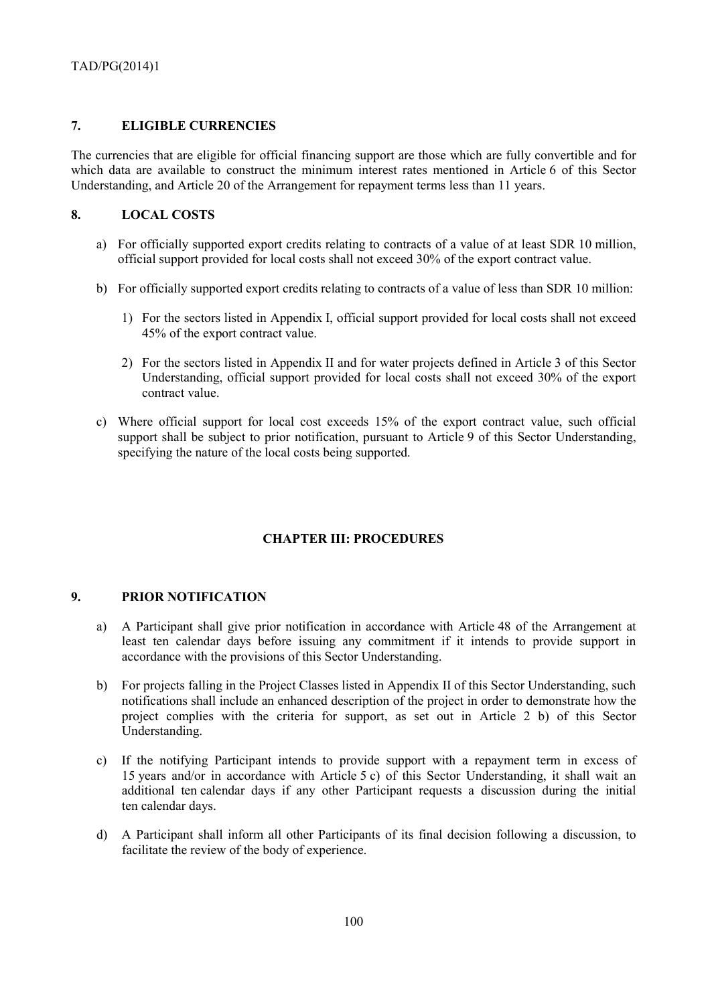# **7. ELIGIBLE CURRENCIES**

The currencies that are eligible for official financing support are those which are fully convertible and for which data are available to construct the minimum interest rates mentioned in Article 6 of this Sector Understanding, and Article 20 of the Arrangement for repayment terms less than 11 years.

### **8. LOCAL COSTS**

- a) For officially supported export credits relating to contracts of a value of at least SDR 10 million, official support provided for local costs shall not exceed 30% of the export contract value.
- b) For officially supported export credits relating to contracts of a value of less than SDR 10 million:
	- 1) For the sectors listed in Appendix I, official support provided for local costs shall not exceed 45% of the export contract value.
	- 2) For the sectors listed in Appendix II and for water projects defined in Article 3 of this Sector Understanding, official support provided for local costs shall not exceed 30% of the export contract value.
- c) Where official support for local cost exceeds 15% of the export contract value, such official support shall be subject to prior notification, pursuant to Article 9 of this Sector Understanding, specifying the nature of the local costs being supported.

# **CHAPTER III: PROCEDURES**

### **9. PRIOR NOTIFICATION**

- a) A Participant shall give prior notification in accordance with Article 48 of the Arrangement at least ten calendar days before issuing any commitment if it intends to provide support in accordance with the provisions of this Sector Understanding.
- b) For projects falling in the Project Classes listed in Appendix II of this Sector Understanding, such notifications shall include an enhanced description of the project in order to demonstrate how the project complies with the criteria for support, as set out in Article 2 b) of this Sector Understanding.
- c) If the notifying Participant intends to provide support with a repayment term in excess of 15 years and/or in accordance with Article 5 c) of this Sector Understanding, it shall wait an additional ten calendar days if any other Participant requests a discussion during the initial ten calendar days.
- d) A Participant shall inform all other Participants of its final decision following a discussion, to facilitate the review of the body of experience.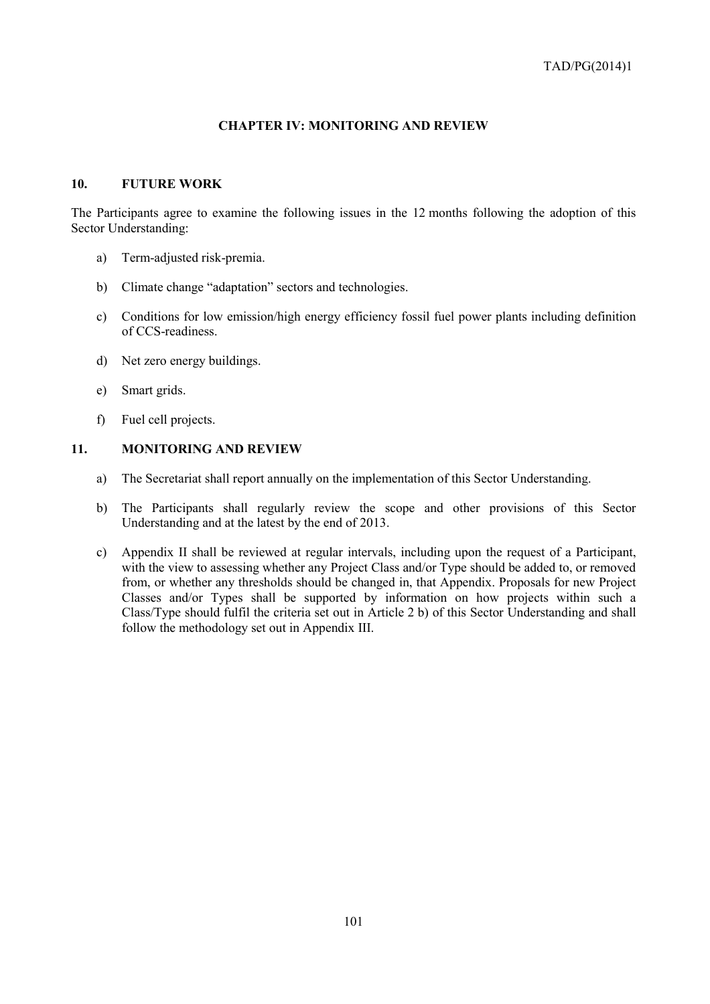# **CHAPTER IV: MONITORING AND REVIEW**

#### **10. FUTURE WORK**

The Participants agree to examine the following issues in the 12 months following the adoption of this Sector Understanding:

- a) Term-adjusted risk-premia.
- b) Climate change "adaptation" sectors and technologies.
- c) Conditions for low emission/high energy efficiency fossil fuel power plants including definition of CCS-readiness.
- d) Net zero energy buildings.
- e) Smart grids.
- f) Fuel cell projects.

#### **11. MONITORING AND REVIEW**

- a) The Secretariat shall report annually on the implementation of this Sector Understanding.
- b) The Participants shall regularly review the scope and other provisions of this Sector Understanding and at the latest by the end of 2013.
- c) Appendix II shall be reviewed at regular intervals, including upon the request of a Participant, with the view to assessing whether any Project Class and/or Type should be added to, or removed from, or whether any thresholds should be changed in, that Appendix. Proposals for new Project Classes and/or Types shall be supported by information on how projects within such a Class/Type should fulfil the criteria set out in Article 2 b) of this Sector Understanding and shall follow the methodology set out in Appendix III.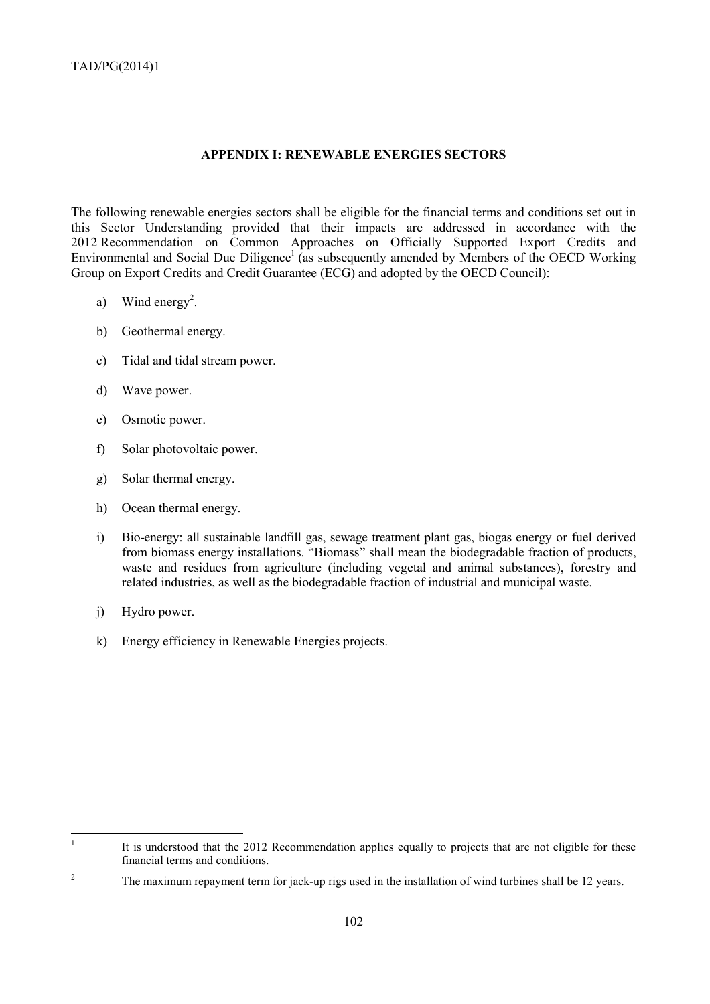## **APPENDIX I: RENEWABLE ENERGIES SECTORS**

The following renewable energies sectors shall be eligible for the financial terms and conditions set out in this Sector Understanding provided that their impacts are addressed in accordance with the 2012 Recommendation on Common Approaches on Officially Supported Export Credits and Environmental and Social Due Diligence<sup>1</sup> (as subsequently amended by Members of the OECD Working Group on Export Credits and Credit Guarantee (ECG) and adopted by the OECD Council):

- a) Wind energy<sup>2</sup>.
- b) Geothermal energy.
- c) Tidal and tidal stream power.
- d) Wave power.
- e) Osmotic power.
- f) Solar photovoltaic power.
- g) Solar thermal energy.
- h) Ocean thermal energy.
- i) Bio-energy: all sustainable landfill gas, sewage treatment plant gas, biogas energy or fuel derived from biomass energy installations. "Biomass" shall mean the biodegradable fraction of products, waste and residues from agriculture (including vegetal and animal substances), forestry and related industries, as well as the biodegradable fraction of industrial and municipal waste.
- j) Hydro power.
- k) Energy efficiency in Renewable Energies projects.

 $\frac{1}{1}$  It is understood that the 2012 Recommendation applies equally to projects that are not eligible for these financial terms and conditions.

<sup>&</sup>lt;sup>2</sup> The maximum repayment term for jack-up rigs used in the installation of wind turbines shall be 12 years.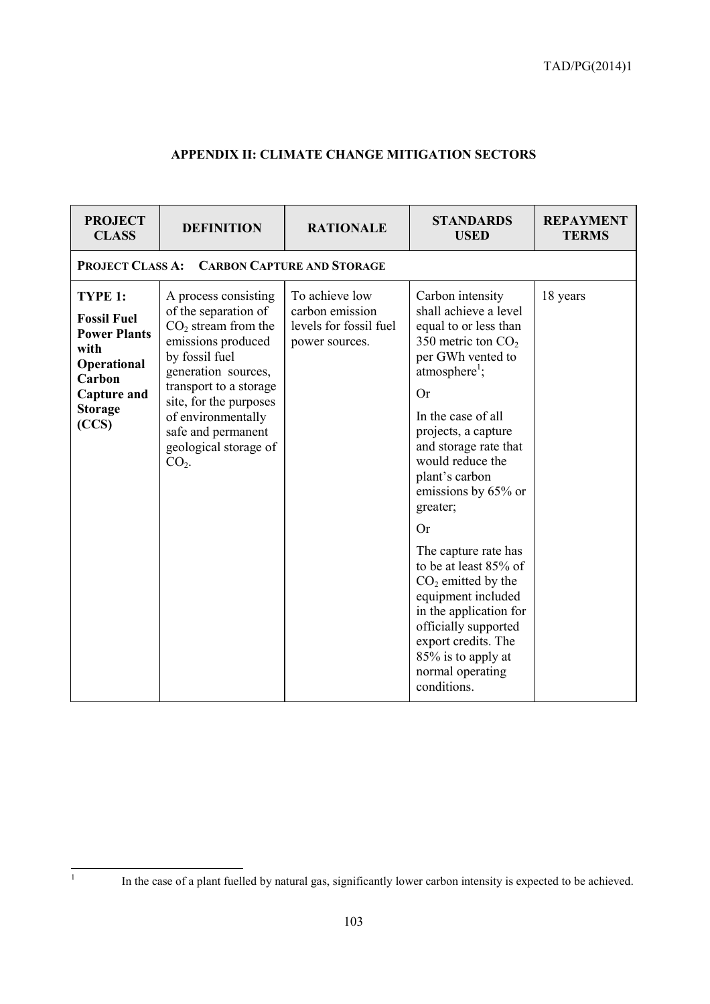| <b>PROJECT</b><br><b>CLASS</b>                                                                                                         | <b>DEFINITION</b>                                                                                                                                                                                                                                                        | <b>RATIONALE</b>                                                              | <b>STANDARDS</b><br><b>USED</b>                                                                                                                                                                                                                                                                                                                                                                                                                                                                                                       | <b>REPAYMENT</b><br><b>TERMS</b> |  |
|----------------------------------------------------------------------------------------------------------------------------------------|--------------------------------------------------------------------------------------------------------------------------------------------------------------------------------------------------------------------------------------------------------------------------|-------------------------------------------------------------------------------|---------------------------------------------------------------------------------------------------------------------------------------------------------------------------------------------------------------------------------------------------------------------------------------------------------------------------------------------------------------------------------------------------------------------------------------------------------------------------------------------------------------------------------------|----------------------------------|--|
| PROJECT CLASS A: CARBON CAPTURE AND STORAGE                                                                                            |                                                                                                                                                                                                                                                                          |                                                                               |                                                                                                                                                                                                                                                                                                                                                                                                                                                                                                                                       |                                  |  |
| TYPE 1:<br><b>Fossil Fuel</b><br><b>Power Plants</b><br>with<br>Operational<br>Carbon<br><b>Capture and</b><br><b>Storage</b><br>(CCS) | A process consisting<br>of the separation of<br>$CO2$ stream from the<br>emissions produced<br>by fossil fuel<br>generation sources,<br>transport to a storage<br>site, for the purposes<br>of environmentally<br>safe and permanent<br>geological storage of<br>$CO2$ . | To achieve low<br>carbon emission<br>levels for fossil fuel<br>power sources. | Carbon intensity<br>shall achieve a level<br>equal to or less than<br>350 metric ton $CO2$<br>per GWh vented to<br>$atmosphere1$ ;<br><b>Or</b><br>In the case of all<br>projects, a capture<br>and storage rate that<br>would reduce the<br>plant's carbon<br>emissions by 65% or<br>greater;<br>Or<br>The capture rate has<br>to be at least 85% of<br>$CO2$ emitted by the<br>equipment included<br>in the application for<br>officially supported<br>export credits. The<br>85% is to apply at<br>normal operating<br>conditions. | 18 years                         |  |

|<br>|<br>|

In the case of a plant fuelled by natural gas, significantly lower carbon intensity is expected to be achieved.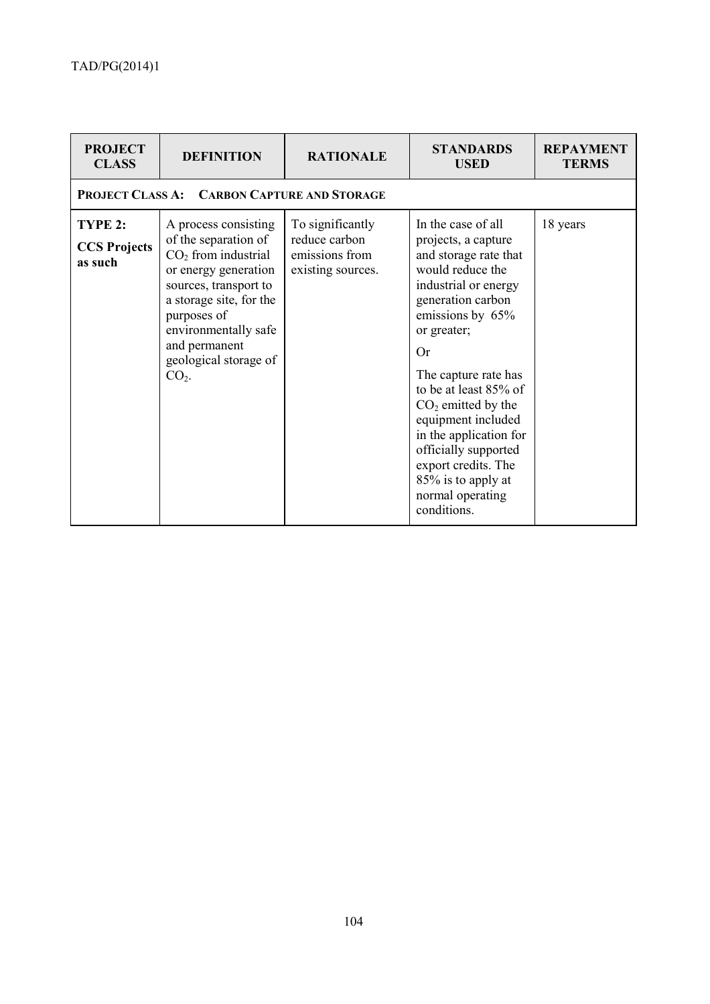| <b>PROJECT</b><br><b>CLASS</b>            | <b>DEFINITION</b>                                                                                                                                                                                                                             | <b>RATIONALE</b>                                                         | <b>STANDARDS</b><br><b>USED</b>                                                                                                                                                                                                                                                                                                                                                                               | <b>REPAYMENT</b><br><b>TERMS</b> |
|-------------------------------------------|-----------------------------------------------------------------------------------------------------------------------------------------------------------------------------------------------------------------------------------------------|--------------------------------------------------------------------------|---------------------------------------------------------------------------------------------------------------------------------------------------------------------------------------------------------------------------------------------------------------------------------------------------------------------------------------------------------------------------------------------------------------|----------------------------------|
|                                           | PROJECT CLASS A: CARBON CAPTURE AND STORAGE                                                                                                                                                                                                   |                                                                          |                                                                                                                                                                                                                                                                                                                                                                                                               |                                  |
| TYPE 2:<br><b>CCS Projects</b><br>as such | A process consisting<br>of the separation of<br>$CO2$ from industrial<br>or energy generation<br>sources, transport to<br>a storage site, for the<br>purposes of<br>environmentally safe<br>and permanent<br>geological storage of<br>$CO2$ . | To significantly<br>reduce carbon<br>emissions from<br>existing sources. | In the case of all<br>projects, a capture<br>and storage rate that<br>would reduce the<br>industrial or energy<br>generation carbon<br>emissions by 65%<br>or greater;<br>Or<br>The capture rate has<br>to be at least 85% of<br>$CO2$ emitted by the<br>equipment included<br>in the application for<br>officially supported<br>export credits. The<br>85% is to apply at<br>normal operating<br>conditions. | 18 years                         |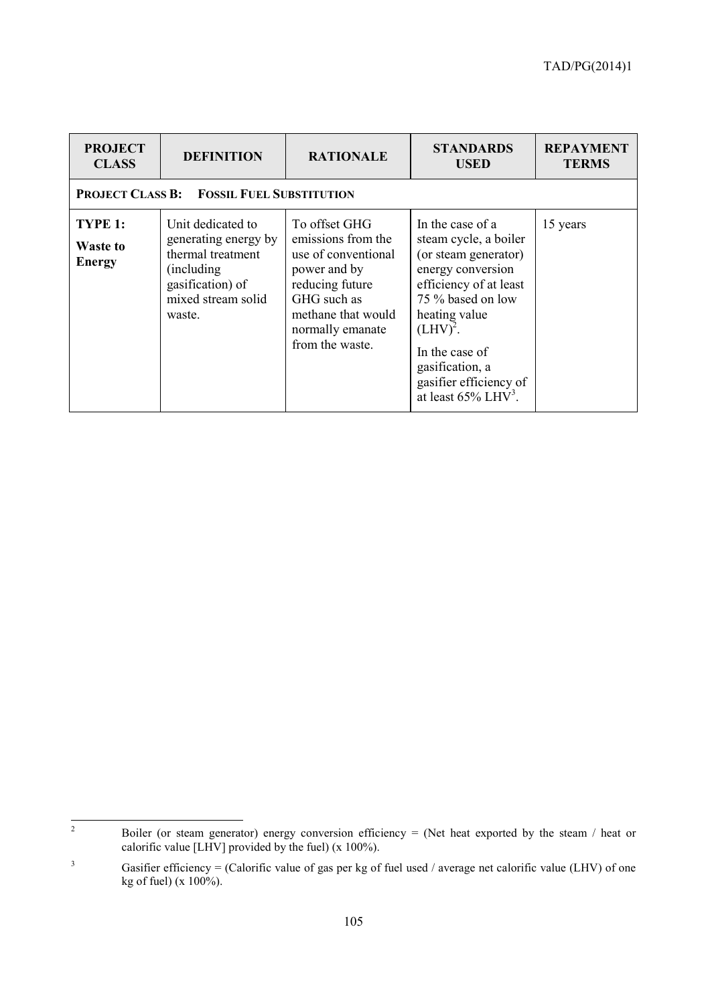| <b>PROJECT</b><br><b>CLASS</b>              | <b>DEFINITION</b>                                                                                                                 | <b>RATIONALE</b>                                                                                                                                                          | <b>STANDARDS</b><br><b>USED</b>                                                                                                                                                                                                                                            | <b>REPAYMENT</b><br><b>TERMS</b> |  |
|---------------------------------------------|-----------------------------------------------------------------------------------------------------------------------------------|---------------------------------------------------------------------------------------------------------------------------------------------------------------------------|----------------------------------------------------------------------------------------------------------------------------------------------------------------------------------------------------------------------------------------------------------------------------|----------------------------------|--|
| PROJECT CLASS B: FOSSIL FUEL SUBSTITUTION   |                                                                                                                                   |                                                                                                                                                                           |                                                                                                                                                                                                                                                                            |                                  |  |
| <b>TYPE 1:</b><br>Waste to<br><b>Energy</b> | Unit dedicated to<br>generating energy by<br>thermal treatment<br>(including)<br>gasification) of<br>mixed stream solid<br>waste. | To offset GHG<br>emissions from the<br>use of conventional<br>power and by<br>reducing future<br>GHG such as<br>methane that would<br>normally emanate<br>from the waste. | In the case of a<br>steam cycle, a boiler<br>(or steam generator)<br>energy conversion<br>efficiency of at least<br>75 % based on low<br>heating value<br>$(LHV)^2$ .<br>In the case of<br>gasification, a<br>gasifier efficiency of<br>at least $65\%$ LHV <sup>3</sup> . | 15 years                         |  |

 $\frac{1}{2}$  Boiler (or steam generator) energy conversion efficiency = (Net heat exported by the steam / heat or calorific value [LHV] provided by the fuel) (x 100%).

<sup>3</sup> Gasifier efficiency = (Calorific value of gas per kg of fuel used / average net calorific value (LHV) of one kg of fuel) ( $x 100\%$ ).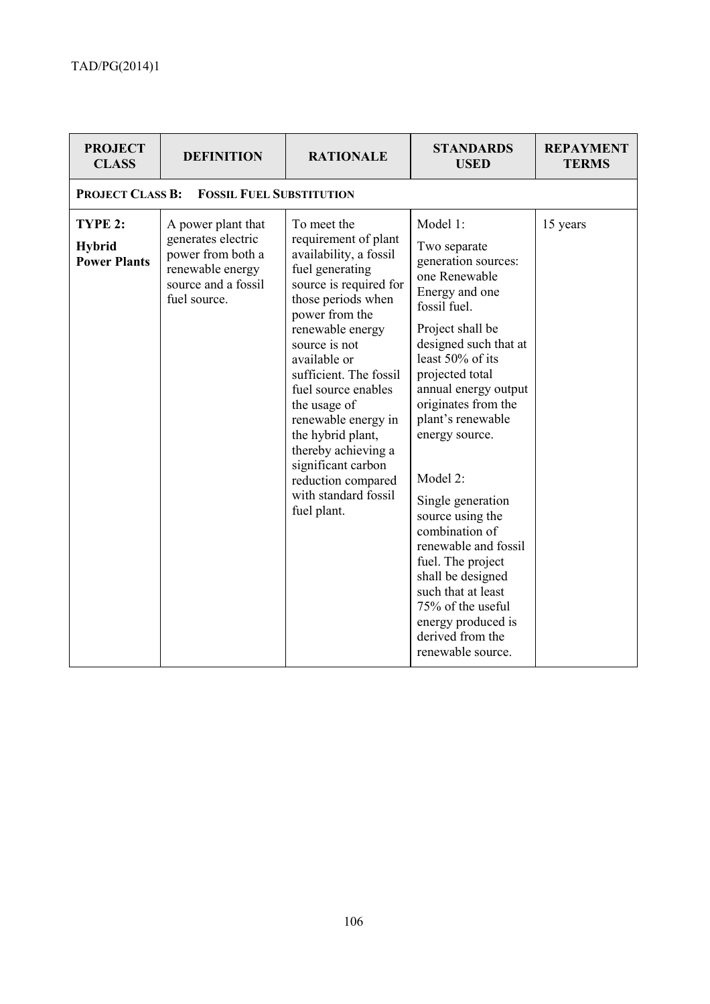| <b>PROJECT</b><br><b>CLASS</b>                  | <b>DEFINITION</b>                                                                                                        | <b>RATIONALE</b>                                                                                                                                                                                                                                                                                                                                                                                                               | <b>STANDARDS</b><br><b>USED</b>                                                                                                                                                                                                                                                                                                                                                                                                                                                                                                 | <b>REPAYMENT</b><br><b>TERMS</b> |
|-------------------------------------------------|--------------------------------------------------------------------------------------------------------------------------|--------------------------------------------------------------------------------------------------------------------------------------------------------------------------------------------------------------------------------------------------------------------------------------------------------------------------------------------------------------------------------------------------------------------------------|---------------------------------------------------------------------------------------------------------------------------------------------------------------------------------------------------------------------------------------------------------------------------------------------------------------------------------------------------------------------------------------------------------------------------------------------------------------------------------------------------------------------------------|----------------------------------|
| <b>PROJECT CLASS B:</b>                         | <b>FOSSIL FUEL SUBSTITUTION</b>                                                                                          |                                                                                                                                                                                                                                                                                                                                                                                                                                |                                                                                                                                                                                                                                                                                                                                                                                                                                                                                                                                 |                                  |
| TYPE 2:<br><b>Hybrid</b><br><b>Power Plants</b> | A power plant that<br>generates electric<br>power from both a<br>renewable energy<br>source and a fossil<br>fuel source. | To meet the<br>requirement of plant<br>availability, a fossil<br>fuel generating<br>source is required for<br>those periods when<br>power from the<br>renewable energy<br>source is not<br>available or<br>sufficient. The fossil<br>fuel source enables<br>the usage of<br>renewable energy in<br>the hybrid plant,<br>thereby achieving a<br>significant carbon<br>reduction compared<br>with standard fossil<br>fuel plant. | Model 1:<br>Two separate<br>generation sources:<br>one Renewable<br>Energy and one<br>fossil fuel.<br>Project shall be<br>designed such that at<br>least 50% of its<br>projected total<br>annual energy output<br>originates from the<br>plant's renewable<br>energy source.<br>Model 2:<br>Single generation<br>source using the<br>combination of<br>renewable and fossil<br>fuel. The project<br>shall be designed<br>such that at least<br>75% of the useful<br>energy produced is<br>derived from the<br>renewable source. | 15 years                         |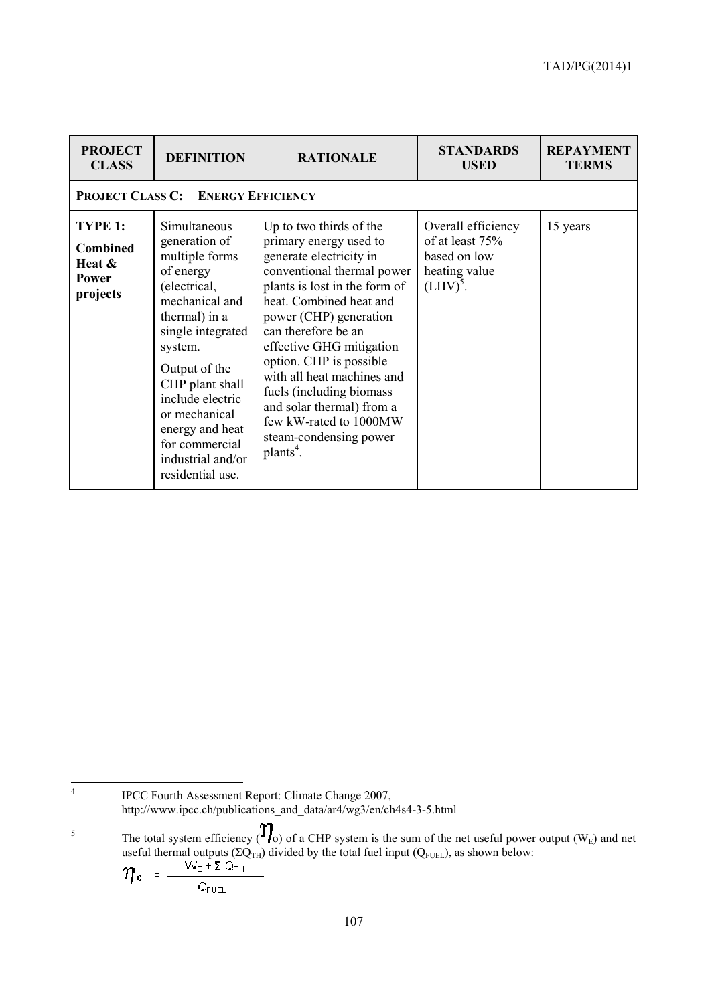| <b>PROJECT</b><br><b>CLASS</b>                            | <b>DEFINITION</b>                                                                                                                                                                                                                                                                                      | <b>RATIONALE</b>                                                                                                                                                                                                                                                                                                                                                                                                                                   | <b>STANDARDS</b><br><b>USED</b>                                                       | <b>REPAYMENT</b><br><b>TERMS</b> |
|-----------------------------------------------------------|--------------------------------------------------------------------------------------------------------------------------------------------------------------------------------------------------------------------------------------------------------------------------------------------------------|----------------------------------------------------------------------------------------------------------------------------------------------------------------------------------------------------------------------------------------------------------------------------------------------------------------------------------------------------------------------------------------------------------------------------------------------------|---------------------------------------------------------------------------------------|----------------------------------|
|                                                           | PROJECT CLASS C: ENERGY EFFICIENCY                                                                                                                                                                                                                                                                     |                                                                                                                                                                                                                                                                                                                                                                                                                                                    |                                                                                       |                                  |
| TYPE 1:<br><b>Combined</b><br>Heat &<br>Power<br>projects | Simultaneous<br>generation of<br>multiple forms<br>of energy<br>(electrical,<br>mechanical and<br>thermal) in a<br>single integrated<br>system.<br>Output of the<br>CHP plant shall<br>include electric<br>or mechanical<br>energy and heat<br>for commercial<br>industrial and/or<br>residential use. | Up to two thirds of the<br>primary energy used to<br>generate electricity in<br>conventional thermal power<br>plants is lost in the form of<br>heat. Combined heat and<br>power (CHP) generation<br>can therefore be an<br>effective GHG mitigation<br>option. CHP is possible<br>with all heat machines and<br>fuels (including biomass<br>and solar thermal) from a<br>few kW-rated to 1000MW<br>steam-condensing power<br>plants <sup>4</sup> . | Overall efficiency<br>of at least 75%<br>based on low<br>heating value<br>$(LHV)^5$ . | 15 years                         |

$$
\eta_{\circ} = \frac{W_{E} + \Sigma Q_{TH}}{Q_{FUEL}}
$$

 $\frac{1}{4}$ 

IPCC Fourth Assessment Report: Climate Change 2007, http://www.ipcc.ch/publications\_and\_data/ar4/wg3/en/ch4s4-3-5.html

<sup>5</sup> The total system efficiency ( $\bf{1}$  to) of a CHP system is the sum of the net useful power output (W<sub>E</sub>) and net useful thermal outputs ( $\Sigma Q_{TH}$ ) divided by the total fuel input ( $Q_{FUEL}$ ), as shown below: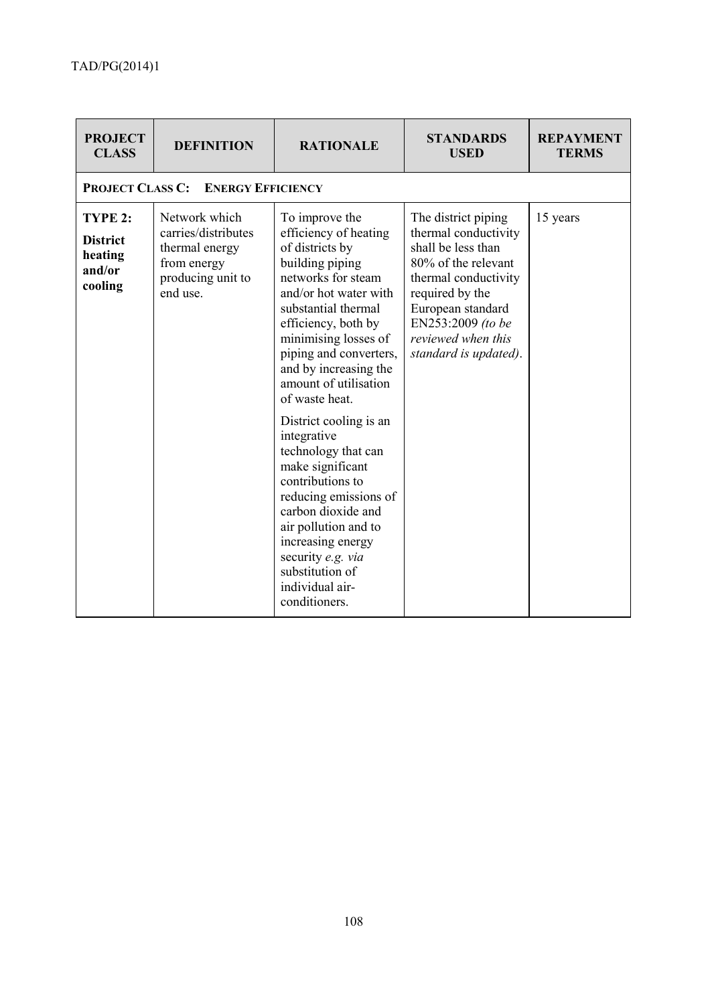| <b>PROJECT</b><br><b>CLASS</b>                             | <b>DEFINITION</b>                                                                                      | <b>RATIONALE</b>                                                                                                                                                                                                                                                                                                                                                                                                                                                                                                                                                                 | <b>STANDARDS</b><br><b>USED</b>                                                                                                                                                                                              | <b>REPAYMENT</b><br><b>TERMS</b> |  |  |
|------------------------------------------------------------|--------------------------------------------------------------------------------------------------------|----------------------------------------------------------------------------------------------------------------------------------------------------------------------------------------------------------------------------------------------------------------------------------------------------------------------------------------------------------------------------------------------------------------------------------------------------------------------------------------------------------------------------------------------------------------------------------|------------------------------------------------------------------------------------------------------------------------------------------------------------------------------------------------------------------------------|----------------------------------|--|--|
|                                                            | PROJECT CLASS C: ENERGY EFFICIENCY                                                                     |                                                                                                                                                                                                                                                                                                                                                                                                                                                                                                                                                                                  |                                                                                                                                                                                                                              |                                  |  |  |
| TYPE 2:<br><b>District</b><br>heating<br>and/or<br>cooling | Network which<br>carries/distributes<br>thermal energy<br>from energy<br>producing unit to<br>end use. | To improve the<br>efficiency of heating<br>of districts by<br>building piping<br>networks for steam<br>and/or hot water with<br>substantial thermal<br>efficiency, both by<br>minimising losses of<br>piping and converters,<br>and by increasing the<br>amount of utilisation<br>of waste heat.<br>District cooling is an<br>integrative<br>technology that can<br>make significant<br>contributions to<br>reducing emissions of<br>carbon dioxide and<br>air pollution and to<br>increasing energy<br>security e.g. via<br>substitution of<br>individual air-<br>conditioners. | The district piping<br>thermal conductivity<br>shall be less than<br>80% of the relevant<br>thermal conductivity<br>required by the<br>European standard<br>EN253:2009 (to be<br>reviewed when this<br>standard is updated). | 15 years                         |  |  |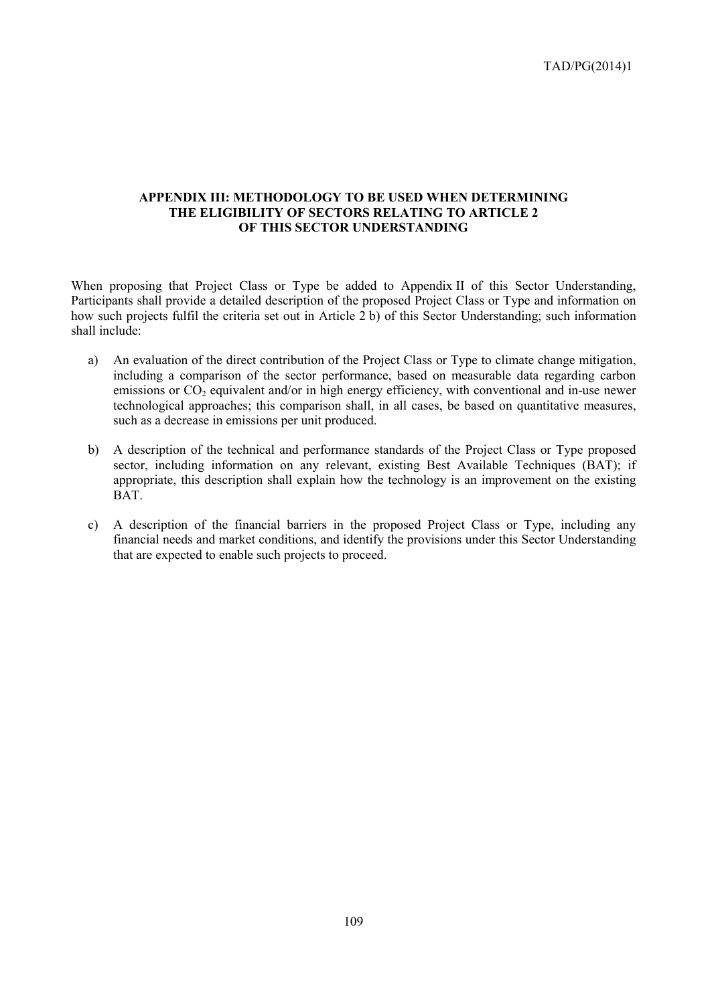### **APPENDIX III: METHODOLOGY TO BE USED WHEN DETERMINING THE ELIGIBILITY OF SECTORS RELATING TO ARTICLE 2 OF THIS SECTOR UNDERSTANDING**

When proposing that Project Class or Type be added to Appendix II of this Sector Understanding, Participants shall provide a detailed description of the proposed Project Class or Type and information on how such projects fulfil the criteria set out in Article 2 b) of this Sector Understanding; such information shall include:

- a) An evaluation of the direct contribution of the Project Class or Type to climate change mitigation, including a comparison of the sector performance, based on measurable data regarding carbon emissions or  $CO<sub>2</sub>$  equivalent and/or in high energy efficiency, with conventional and in-use newer technological approaches; this comparison shall, in all cases, be based on quantitative measures, such as a decrease in emissions per unit produced.
- b) A description of the technical and performance standards of the Project Class or Type proposed sector, including information on any relevant, existing Best Available Techniques (BAT); if appropriate, this description shall explain how the technology is an improvement on the existing BAT.
- c) A description of the financial barriers in the proposed Project Class or Type, including any financial needs and market conditions, and identify the provisions under this Sector Understanding that are expected to enable such projects to proceed.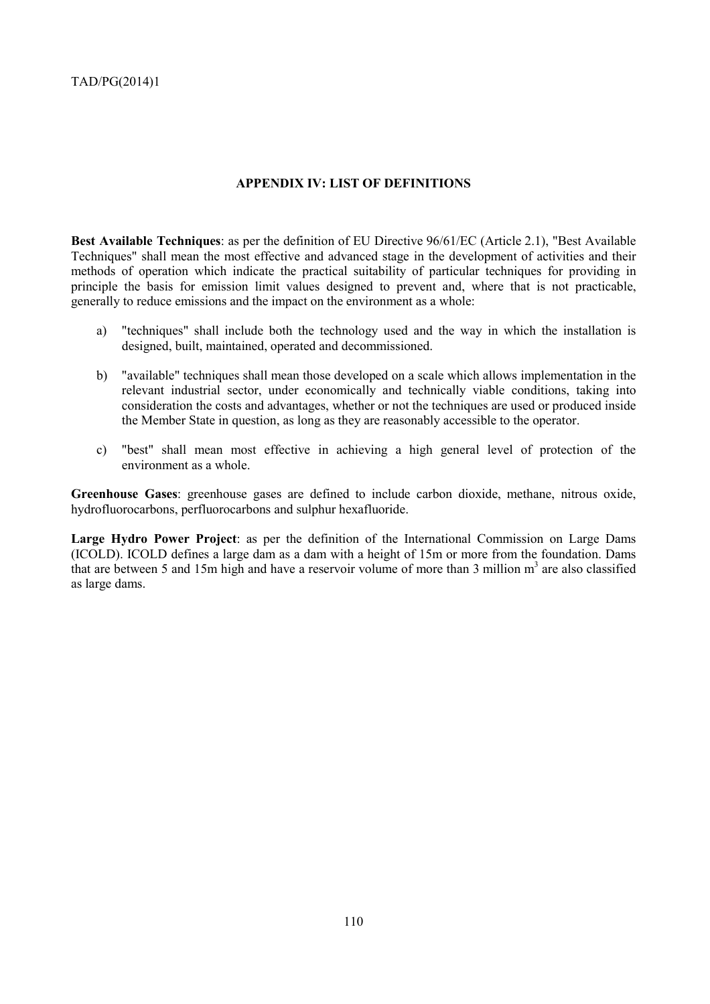### **APPENDIX IV: LIST OF DEFINITIONS**

**Best Available Techniques**: as per the definition of EU Directive 96/61/EC (Article 2.1), "Best Available Techniques" shall mean the most effective and advanced stage in the development of activities and their methods of operation which indicate the practical suitability of particular techniques for providing in principle the basis for emission limit values designed to prevent and, where that is not practicable, generally to reduce emissions and the impact on the environment as a whole:

- a) "techniques" shall include both the technology used and the way in which the installation is designed, built, maintained, operated and decommissioned.
- b) "available" techniques shall mean those developed on a scale which allows implementation in the relevant industrial sector, under economically and technically viable conditions, taking into consideration the costs and advantages, whether or not the techniques are used or produced inside the Member State in question, as long as they are reasonably accessible to the operator.
- c) "best" shall mean most effective in achieving a high general level of protection of the environment as a whole.

**Greenhouse Gases**: greenhouse gases are defined to include carbon dioxide, methane, nitrous oxide, hydrofluorocarbons, perfluorocarbons and sulphur hexafluoride.

**Large Hydro Power Project**: as per the definition of the International Commission on Large Dams (ICOLD). ICOLD defines a large dam as a dam with a height of 15m or more from the foundation. Dams that are between 5 and 15m high and have a reservoir volume of more than 3 million  $m<sup>3</sup>$  are also classified as large dams.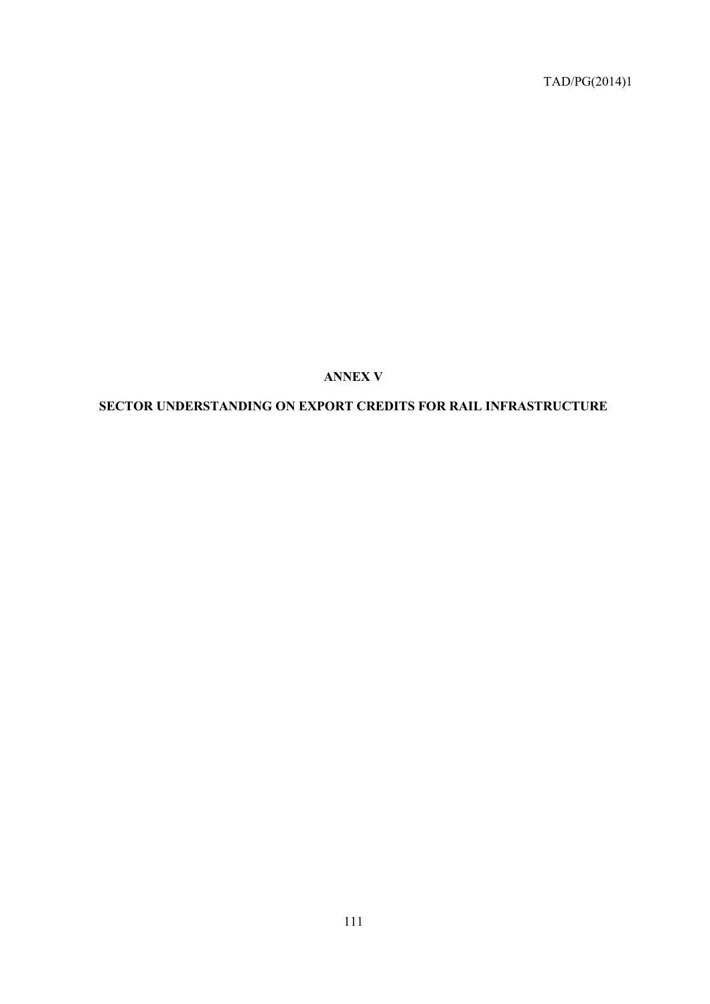## **ANNEX V**

## **SECTOR UNDERSTANDING ON EXPORT CREDITS FOR RAIL INFRASTRUCTURE**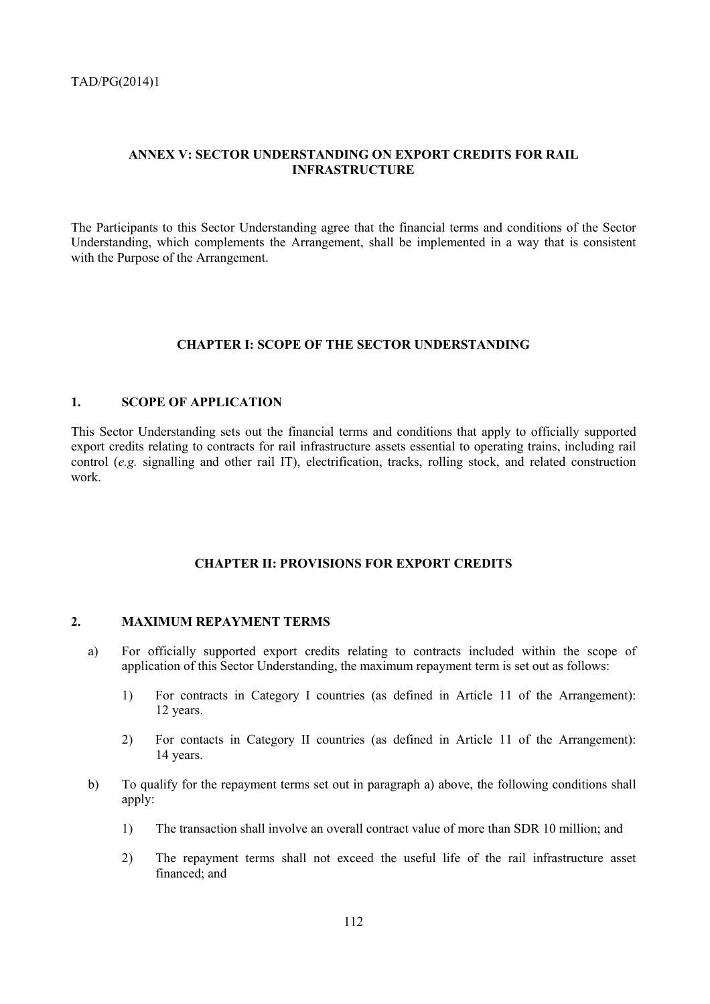### **ANNEX V: SECTOR UNDERSTANDING ON EXPORT CREDITS FOR RAIL INFRASTRUCTURE**

The Participants to this Sector Understanding agree that the financial terms and conditions of the Sector Understanding, which complements the Arrangement, shall be implemented in a way that is consistent with the Purpose of the Arrangement.

#### **CHAPTER I: SCOPE OF THE SECTOR UNDERSTANDING**

### **1. SCOPE OF APPLICATION**

This Sector Understanding sets out the financial terms and conditions that apply to officially supported export credits relating to contracts for rail infrastructure assets essential to operating trains, including rail control (*e.g.* signalling and other rail IT), electrification, tracks, rolling stock, and related construction work.

#### **CHAPTER II: PROVISIONS FOR EXPORT CREDITS**

## **2. MAXIMUM REPAYMENT TERMS**

- a) For officially supported export credits relating to contracts included within the scope of application of this Sector Understanding, the maximum repayment term is set out as follows:
	- 1) For contracts in Category I countries (as defined in Article 11 of the Arrangement): 12 years.
	- 2) For contacts in Category II countries (as defined in Article 11 of the Arrangement): 14 years.
- b) To qualify for the repayment terms set out in paragraph a) above, the following conditions shall apply:
	- 1) The transaction shall involve an overall contract value of more than SDR 10 million; and
	- 2) The repayment terms shall not exceed the useful life of the rail infrastructure asset financed; and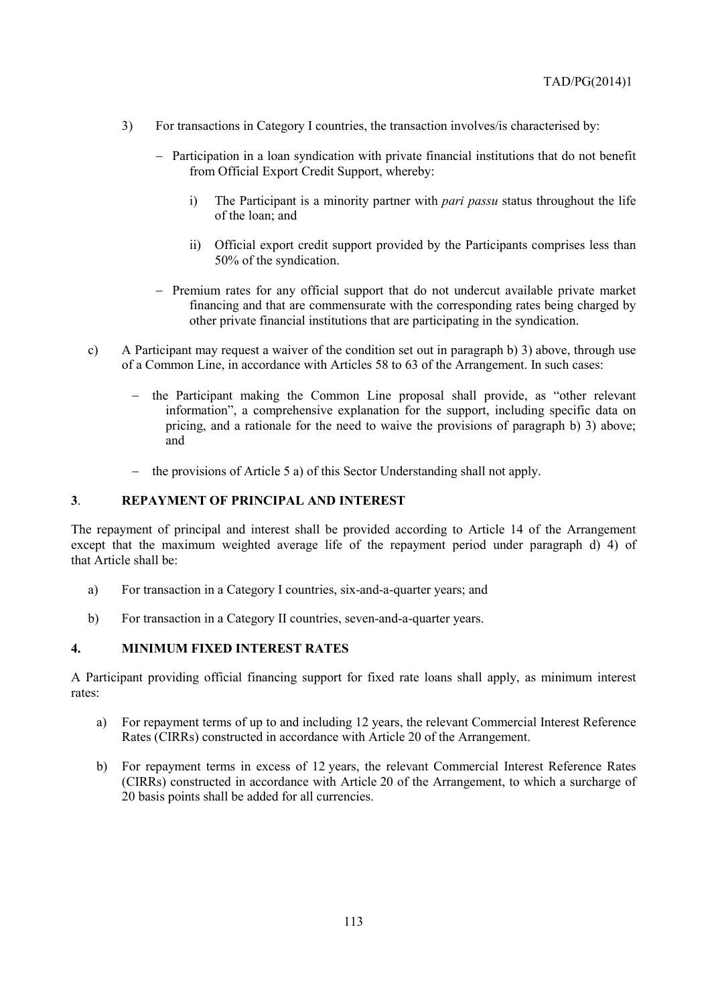- 3) For transactions in Category I countries, the transaction involves/is characterised by:
	- − Participation in a loan syndication with private financial institutions that do not benefit from Official Export Credit Support, whereby:
		- i) The Participant is a minority partner with *pari passu* status throughout the life of the loan; and
		- ii) Official export credit support provided by the Participants comprises less than 50% of the syndication.
	- − Premium rates for any official support that do not undercut available private market financing and that are commensurate with the corresponding rates being charged by other private financial institutions that are participating in the syndication.
- c) A Participant may request a waiver of the condition set out in paragraph b) 3) above, through use of a Common Line, in accordance with Articles 58 to 63 of the Arrangement. In such cases:
	- − the Participant making the Common Line proposal shall provide, as "other relevant information", a comprehensive explanation for the support, including specific data on pricing, and a rationale for the need to waive the provisions of paragraph b) 3) above; and
	- − the provisions of Article 5 a) of this Sector Understanding shall not apply.

#### **3**. **REPAYMENT OF PRINCIPAL AND INTEREST**

The repayment of principal and interest shall be provided according to Article 14 of the Arrangement except that the maximum weighted average life of the repayment period under paragraph d) 4) of that Article shall be:

- a) For transaction in a Category I countries, six-and-a-quarter years; and
- b) For transaction in a Category II countries, seven-and-a-quarter years.

### **4. MINIMUM FIXED INTEREST RATES**

A Participant providing official financing support for fixed rate loans shall apply, as minimum interest rates:

- a) For repayment terms of up to and including 12 years, the relevant Commercial Interest Reference Rates (CIRRs) constructed in accordance with Article 20 of the Arrangement.
- b) For repayment terms in excess of 12 years, the relevant Commercial Interest Reference Rates (CIRRs) constructed in accordance with Article 20 of the Arrangement, to which a surcharge of 20 basis points shall be added for all currencies.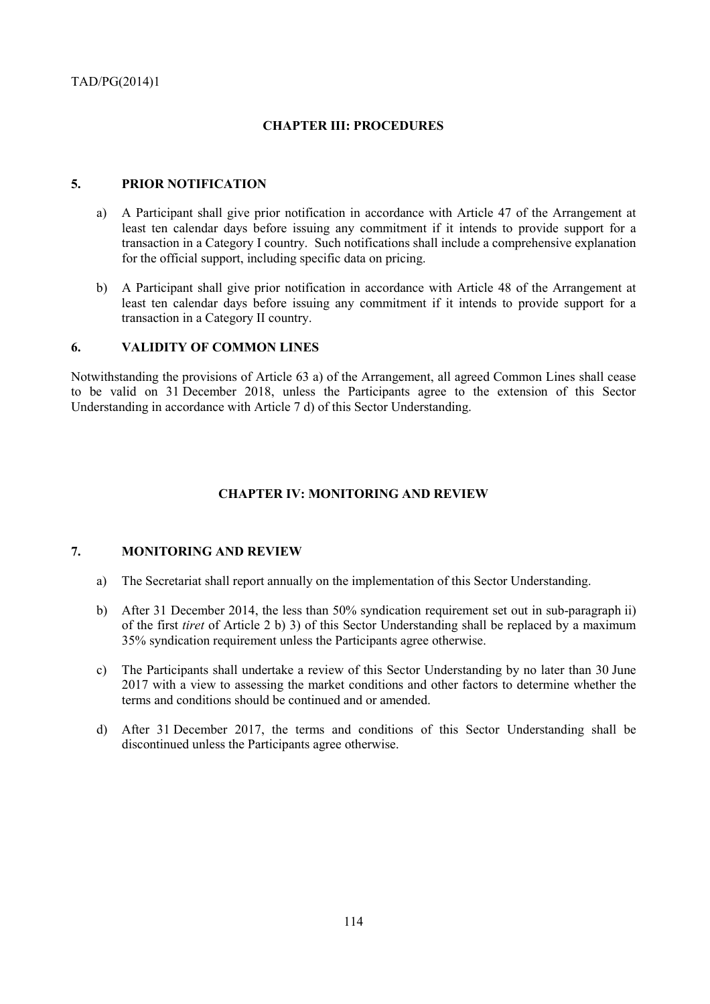## **CHAPTER III: PROCEDURES**

### **5. PRIOR NOTIFICATION**

- a) A Participant shall give prior notification in accordance with Article 47 of the Arrangement at least ten calendar days before issuing any commitment if it intends to provide support for a transaction in a Category I country. Such notifications shall include a comprehensive explanation for the official support, including specific data on pricing.
- b) A Participant shall give prior notification in accordance with Article 48 of the Arrangement at least ten calendar days before issuing any commitment if it intends to provide support for a transaction in a Category II country.

### **6. VALIDITY OF COMMON LINES**

Notwithstanding the provisions of Article 63 a) of the Arrangement, all agreed Common Lines shall cease to be valid on 31 December 2018, unless the Participants agree to the extension of this Sector Understanding in accordance with Article 7 d) of this Sector Understanding.

### **CHAPTER IV: MONITORING AND REVIEW**

#### **7. MONITORING AND REVIEW**

- a) The Secretariat shall report annually on the implementation of this Sector Understanding.
- b) After 31 December 2014, the less than 50% syndication requirement set out in sub-paragraph ii) of the first *tiret* of Article 2 b) 3) of this Sector Understanding shall be replaced by a maximum 35% syndication requirement unless the Participants agree otherwise.
- c) The Participants shall undertake a review of this Sector Understanding by no later than 30 June 2017 with a view to assessing the market conditions and other factors to determine whether the terms and conditions should be continued and or amended.
- d) After 31 December 2017, the terms and conditions of this Sector Understanding shall be discontinued unless the Participants agree otherwise.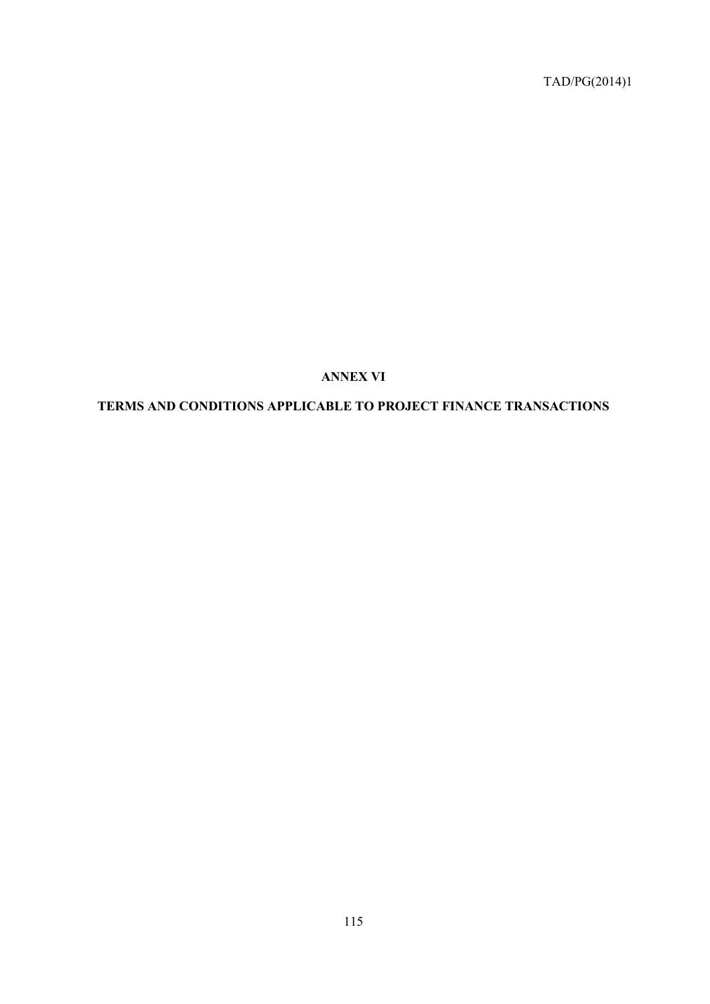## **ANNEX VI**

## **TERMS AND CONDITIONS APPLICABLE TO PROJECT FINANCE TRANSACTIONS**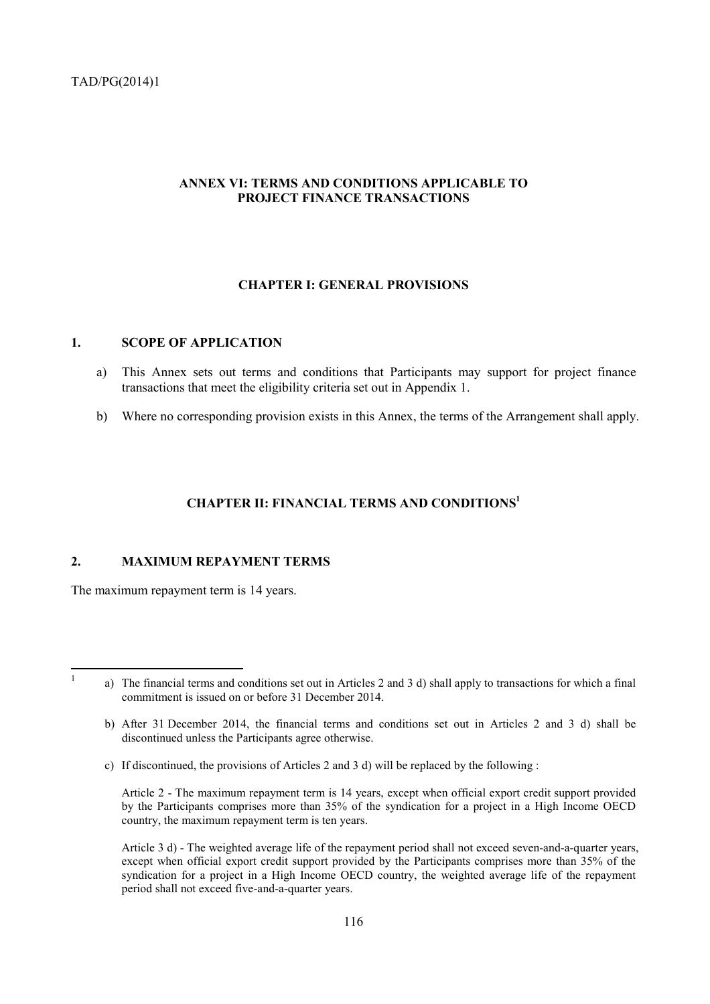## **ANNEX VI: TERMS AND CONDITIONS APPLICABLE TO PROJECT FINANCE TRANSACTIONS**

## **CHAPTER I: GENERAL PROVISIONS**

### **1. SCOPE OF APPLICATION**

- a) This Annex sets out terms and conditions that Participants may support for project finance transactions that meet the eligibility criteria set out in Appendix 1.
- b) Where no corresponding provision exists in this Annex, the terms of the Arrangement shall apply.

### **CHAPTER II: FINANCIAL TERMS AND CONDITIONS1**

### **2. MAXIMUM REPAYMENT TERMS**

The maximum repayment term is 14 years.

 $\mathbf{1}$ 

a) The financial terms and conditions set out in Articles 2 and 3 d) shall apply to transactions for which a final commitment is issued on or before 31 December 2014.

b) After 31 December 2014, the financial terms and conditions set out in Articles 2 and 3 d) shall be discontinued unless the Participants agree otherwise.

c) If discontinued, the provisions of Articles 2 and 3 d) will be replaced by the following :

Article 2 - The maximum repayment term is 14 years, except when official export credit support provided by the Participants comprises more than 35% of the syndication for a project in a High Income OECD country, the maximum repayment term is ten years.

Article 3 d) - The weighted average life of the repayment period shall not exceed seven-and-a-quarter years, except when official export credit support provided by the Participants comprises more than 35% of the syndication for a project in a High Income OECD country, the weighted average life of the repayment period shall not exceed five-and-a-quarter years.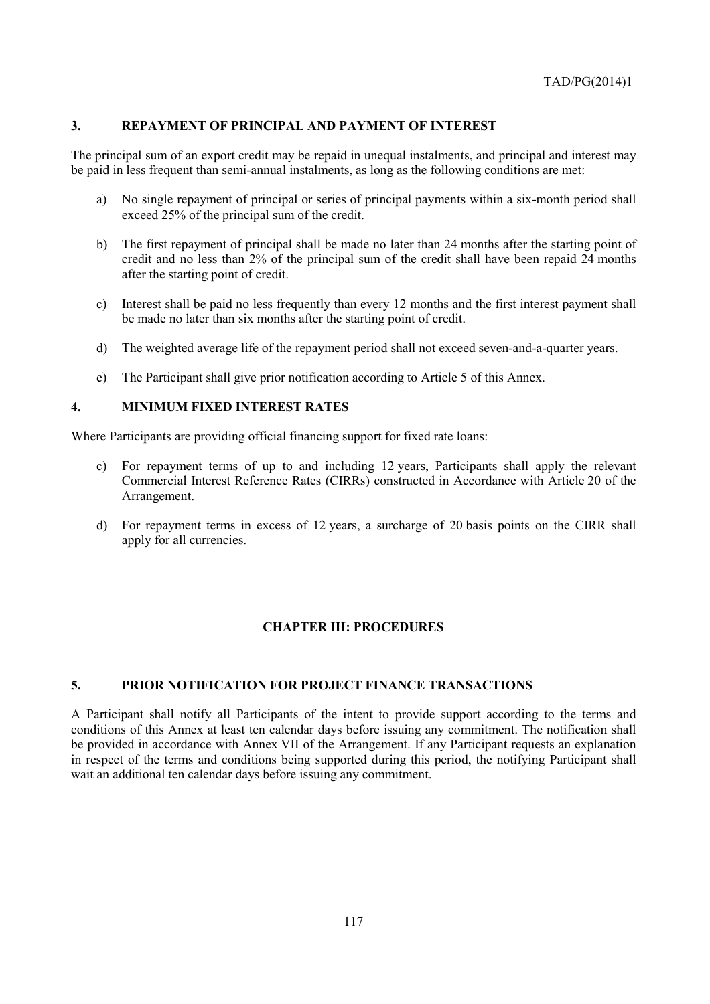## **3. REPAYMENT OF PRINCIPAL AND PAYMENT OF INTEREST**

The principal sum of an export credit may be repaid in unequal instalments, and principal and interest may be paid in less frequent than semi-annual instalments, as long as the following conditions are met:

- a) No single repayment of principal or series of principal payments within a six-month period shall exceed 25% of the principal sum of the credit.
- b) The first repayment of principal shall be made no later than 24 months after the starting point of credit and no less than 2% of the principal sum of the credit shall have been repaid 24 months after the starting point of credit.
- c) Interest shall be paid no less frequently than every 12 months and the first interest payment shall be made no later than six months after the starting point of credit.
- d) The weighted average life of the repayment period shall not exceed seven-and-a-quarter years.
- e) The Participant shall give prior notification according to Article 5 of this Annex.

### **4. MINIMUM FIXED INTEREST RATES**

Where Participants are providing official financing support for fixed rate loans:

- c) For repayment terms of up to and including 12 years, Participants shall apply the relevant Commercial Interest Reference Rates (CIRRs) constructed in Accordance with Article 20 of the Arrangement.
- d) For repayment terms in excess of 12 years, a surcharge of 20 basis points on the CIRR shall apply for all currencies.

### **CHAPTER III: PROCEDURES**

## **5. PRIOR NOTIFICATION FOR PROJECT FINANCE TRANSACTIONS**

A Participant shall notify all Participants of the intent to provide support according to the terms and conditions of this Annex at least ten calendar days before issuing any commitment. The notification shall be provided in accordance with Annex VII of the Arrangement. If any Participant requests an explanation in respect of the terms and conditions being supported during this period, the notifying Participant shall wait an additional ten calendar days before issuing any commitment.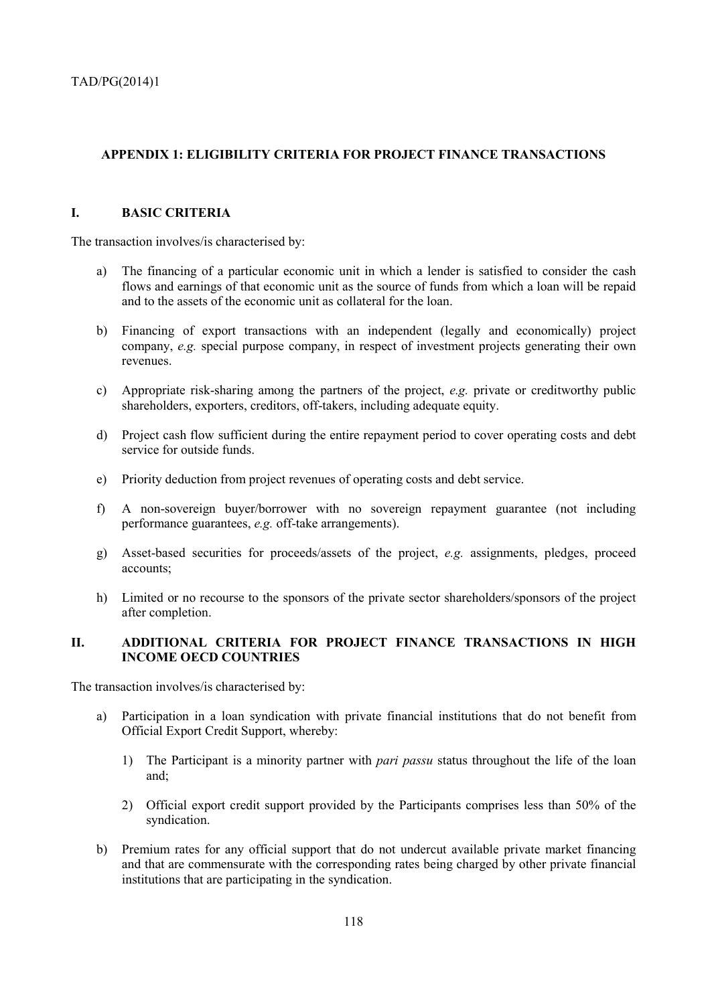## **APPENDIX 1: ELIGIBILITY CRITERIA FOR PROJECT FINANCE TRANSACTIONS**

### **I. BASIC CRITERIA**

The transaction involves/is characterised by:

- a) The financing of a particular economic unit in which a lender is satisfied to consider the cash flows and earnings of that economic unit as the source of funds from which a loan will be repaid and to the assets of the economic unit as collateral for the loan.
- b) Financing of export transactions with an independent (legally and economically) project company, *e.g.* special purpose company, in respect of investment projects generating their own revenues.
- c) Appropriate risk-sharing among the partners of the project, *e.g.* private or creditworthy public shareholders, exporters, creditors, off-takers, including adequate equity.
- d) Project cash flow sufficient during the entire repayment period to cover operating costs and debt service for outside funds.
- e) Priority deduction from project revenues of operating costs and debt service.
- f) A non-sovereign buyer/borrower with no sovereign repayment guarantee (not including performance guarantees, *e.g.* off-take arrangements).
- g) Asset-based securities for proceeds/assets of the project, *e.g.* assignments, pledges, proceed accounts;
- h) Limited or no recourse to the sponsors of the private sector shareholders/sponsors of the project after completion.

## **II. ADDITIONAL CRITERIA FOR PROJECT FINANCE TRANSACTIONS IN HIGH INCOME OECD COUNTRIES**

The transaction involves/is characterised by:

- a) Participation in a loan syndication with private financial institutions that do not benefit from Official Export Credit Support, whereby:
	- 1) The Participant is a minority partner with *pari passu* status throughout the life of the loan and;
	- 2) Official export credit support provided by the Participants comprises less than 50% of the syndication.
- b) Premium rates for any official support that do not undercut available private market financing and that are commensurate with the corresponding rates being charged by other private financial institutions that are participating in the syndication.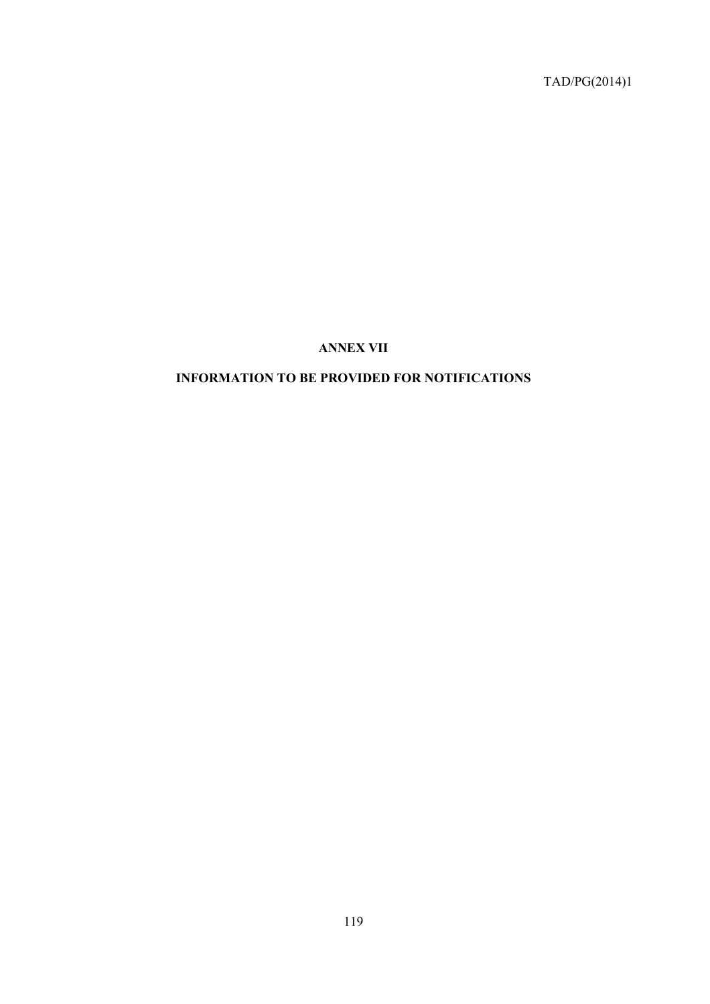## **ANNEX VII**

# **INFORMATION TO BE PROVIDED FOR NOTIFICATIONS**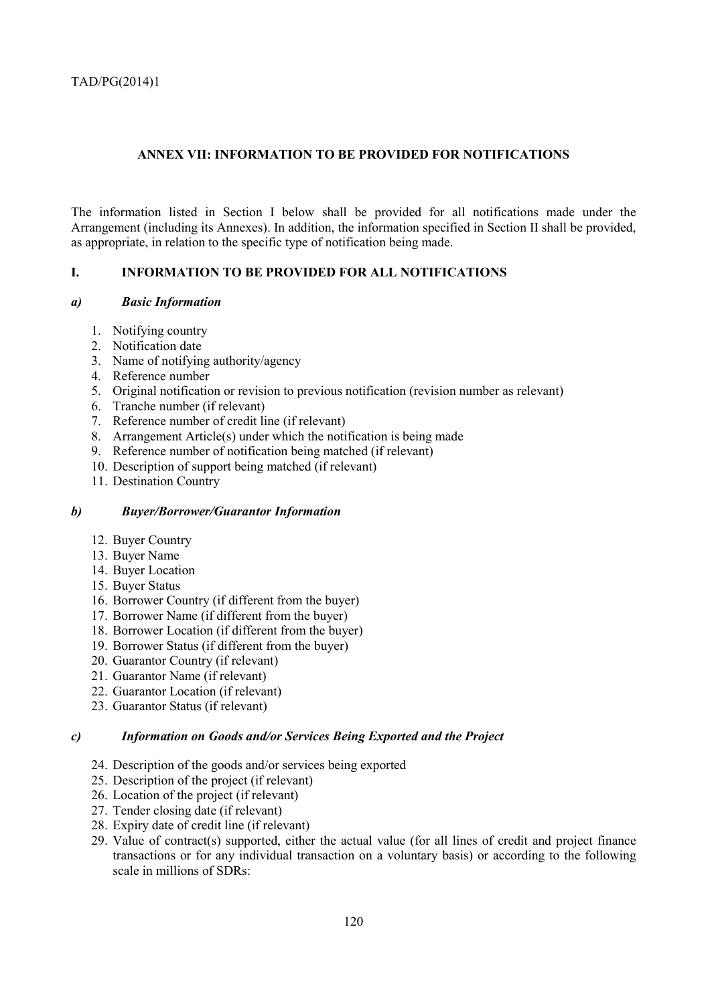## **ANNEX VII: INFORMATION TO BE PROVIDED FOR NOTIFICATIONS**

The information listed in Section I below shall be provided for all notifications made under the Arrangement (including its Annexes). In addition, the information specified in Section II shall be provided, as appropriate, in relation to the specific type of notification being made.

## **I. INFORMATION TO BE PROVIDED FOR ALL NOTIFICATIONS**

### *a) Basic Information*

- 1. Notifying country
- 2. Notification date
- 3. Name of notifying authority/agency
- 4. Reference number
- 5. Original notification or revision to previous notification (revision number as relevant)
- 6. Tranche number (if relevant)
- 7. Reference number of credit line (if relevant)
- 8. Arrangement Article(s) under which the notification is being made
- 9. Reference number of notification being matched (if relevant)
- 10. Description of support being matched (if relevant)
- 11. Destination Country

### *b) Buyer/Borrower/Guarantor Information*

- 12. Buyer Country
- 13. Buyer Name
- 14. Buyer Location
- 15. Buyer Status
- 16. Borrower Country (if different from the buyer)
- 17. Borrower Name (if different from the buyer)
- 18. Borrower Location (if different from the buyer)
- 19. Borrower Status (if different from the buyer)
- 20. Guarantor Country (if relevant)
- 21. Guarantor Name (if relevant)
- 22. Guarantor Location (if relevant)
- 23. Guarantor Status (if relevant)

## *c) Information on Goods and/or Services Being Exported and the Project*

- 24. Description of the goods and/or services being exported
- 25. Description of the project (if relevant)
- 26. Location of the project (if relevant)
- 27. Tender closing date (if relevant)
- 28. Expiry date of credit line (if relevant)
- 29. Value of contract(s) supported, either the actual value (for all lines of credit and project finance transactions or for any individual transaction on a voluntary basis) or according to the following scale in millions of SDRs: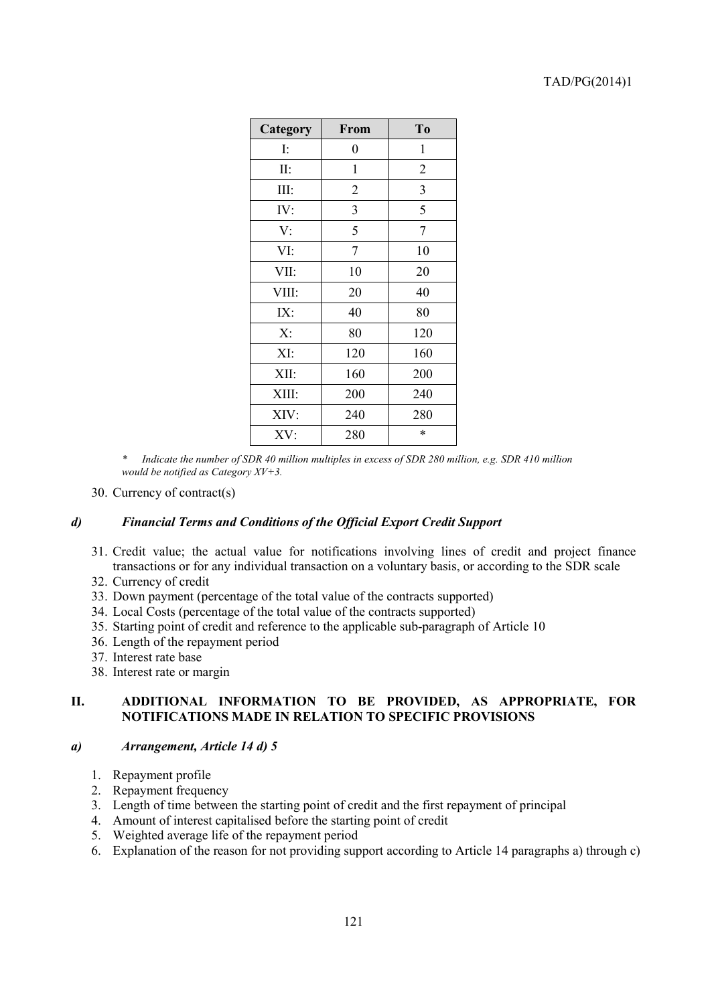| Category | <b>From</b>    | T <sub>0</sub> |
|----------|----------------|----------------|
| I:       | $\overline{0}$ | 1              |
| II:      | 1              | $\overline{2}$ |
| III:     | $\overline{2}$ | 3              |
| IV:      | 3              | 5              |
| V:       | 5              | 7              |
| VI:      | 7              | 10             |
| VII:     | 10             | 20             |
| VIII:    | 20             | 40             |
| IX:      | 40             | 80             |
| X:       | 80             | 120            |
| XI:      | 120            | 160            |
| XII:     | 160            | 200            |
| XIII:    | 200            | 240            |
| XIV:     | 240            | 280            |
| XV:      | 280            | $\ast$         |

*\* Indicate the number of SDR 40 million multiples in excess of SDR 280 million, e.g. SDR 410 million would be notified as Category XV+3.* 

30. Currency of contract(s)

## *d) Financial Terms and Conditions of the Official Export Credit Support*

- 31. Credit value; the actual value for notifications involving lines of credit and project finance transactions or for any individual transaction on a voluntary basis, or according to the SDR scale
- 32. Currency of credit
- 33. Down payment (percentage of the total value of the contracts supported)
- 34. Local Costs (percentage of the total value of the contracts supported)
- 35. Starting point of credit and reference to the applicable sub-paragraph of Article 10
- 36. Length of the repayment period
- 37. Interest rate base
- 38. Interest rate or margin

## **II. ADDITIONAL INFORMATION TO BE PROVIDED, AS APPROPRIATE, FOR NOTIFICATIONS MADE IN RELATION TO SPECIFIC PROVISIONS**

#### *a) Arrangement, Article 14 d) 5*

- 1. Repayment profile
- 2. Repayment frequency
- 3. Length of time between the starting point of credit and the first repayment of principal
- 4. Amount of interest capitalised before the starting point of credit
- 5. Weighted average life of the repayment period
- 6. Explanation of the reason for not providing support according to Article 14 paragraphs a) through c)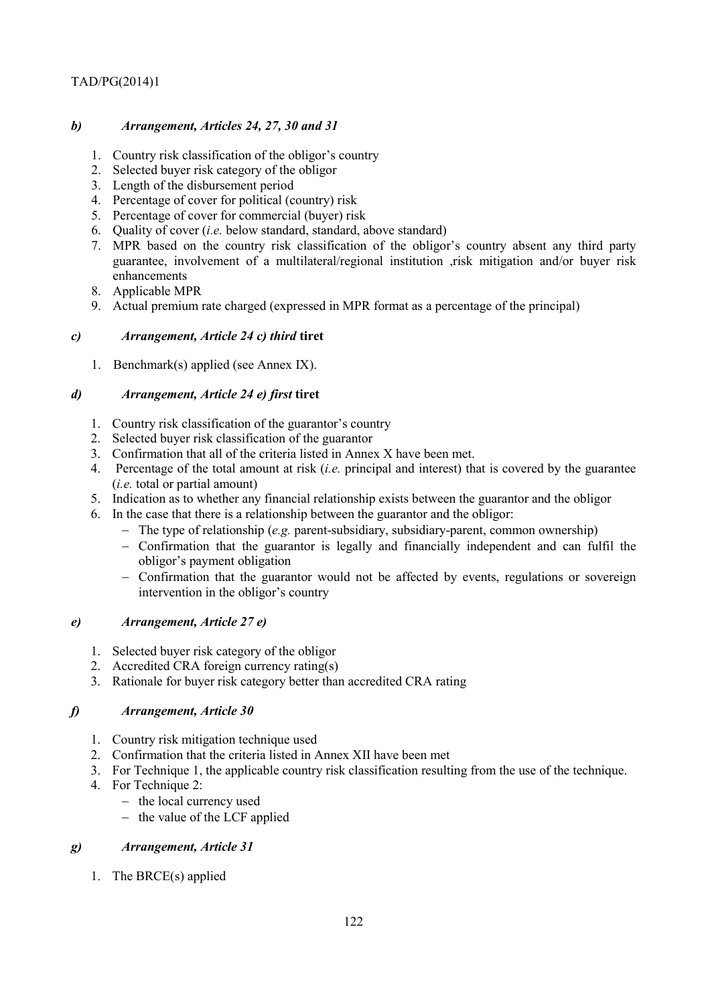## *b) Arrangement, Articles 24, 27, 30 and 31*

- 1. Country risk classification of the obligor's country
- 2. Selected buyer risk category of the obligor
- 3. Length of the disbursement period
- 4. Percentage of cover for political (country) risk
- 5. Percentage of cover for commercial (buyer) risk
- 6. Quality of cover (*i.e.* below standard, standard, above standard)
- 7. MPR based on the country risk classification of the obligor's country absent any third party guarantee, involvement of a multilateral/regional institution ,risk mitigation and/or buyer risk enhancements
- 8. Applicable MPR
- 9. Actual premium rate charged (expressed in MPR format as a percentage of the principal)

## *c) Arrangement, Article 24 c) third* **tiret**

1. Benchmark(s) applied (see Annex IX).

## *d) Arrangement, Article 24 e) first* **tiret**

- 1. Country risk classification of the guarantor's country
- 2. Selected buyer risk classification of the guarantor
- 3. Confirmation that all of the criteria listed in Annex X have been met.
- 4. Percentage of the total amount at risk (*i.e.* principal and interest) that is covered by the guarantee (*i.e.* total or partial amount)
- 5. Indication as to whether any financial relationship exists between the guarantor and the obligor
- 6. In the case that there is a relationship between the guarantor and the obligor:
	- − The type of relationship (*e.g.* parent-subsidiary, subsidiary-parent, common ownership)
	- − Confirmation that the guarantor is legally and financially independent and can fulfil the obligor's payment obligation
	- − Confirmation that the guarantor would not be affected by events, regulations or sovereign intervention in the obligor's country

## *e) Arrangement, Article 27 e)*

- 1. Selected buyer risk category of the obligor
- 2. Accredited CRA foreign currency rating(s)
- 3. Rationale for buyer risk category better than accredited CRA rating

## *f) Arrangement, Article 30*

- 1. Country risk mitigation technique used
- 2. Confirmation that the criteria listed in Annex XII have been met
- 3. For Technique 1, the applicable country risk classification resulting from the use of the technique.
- 4. For Technique 2:
	- − the local currency used
	- − the value of the LCF applied

## *g) Arrangement, Article 31*

1. The BRCE(s) applied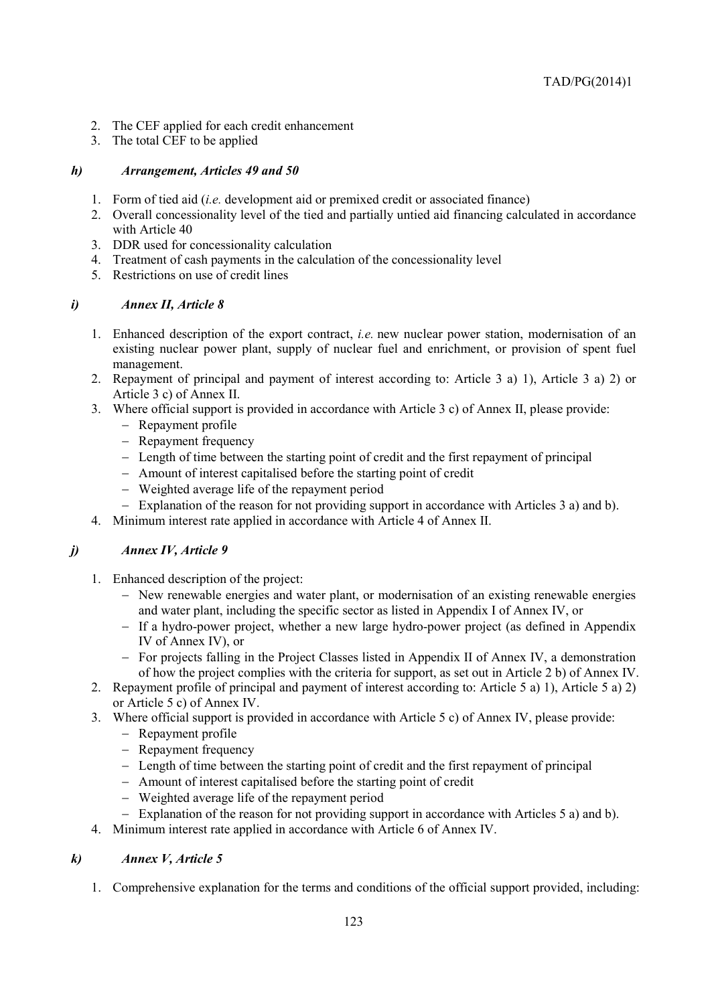- 2. The CEF applied for each credit enhancement
- 3. The total CEF to be applied

## *h) Arrangement, Articles 49 and 50*

- 1. Form of tied aid (*i.e.* development aid or premixed credit or associated finance)
- 2. Overall concessionality level of the tied and partially untied aid financing calculated in accordance with Article 40
- 3. DDR used for concessionality calculation
- 4. Treatment of cash payments in the calculation of the concessionality level
- 5. Restrictions on use of credit lines

## *i) Annex II, Article 8*

- 1. Enhanced description of the export contract, *i.e.* new nuclear power station, modernisation of an existing nuclear power plant, supply of nuclear fuel and enrichment, or provision of spent fuel management.
- 2. Repayment of principal and payment of interest according to: Article 3 a) 1), Article 3 a) 2) or Article 3 c) of Annex II.
- 3. Where official support is provided in accordance with Article 3 c) of Annex II, please provide:
	- − Repayment profile
	- − Repayment frequency
	- − Length of time between the starting point of credit and the first repayment of principal
	- − Amount of interest capitalised before the starting point of credit
	- − Weighted average life of the repayment period
	- − Explanation of the reason for not providing support in accordance with Articles 3 a) and b).
- 4. Minimum interest rate applied in accordance with Article 4 of Annex II.

## *j) Annex IV, Article 9*

- 1. Enhanced description of the project:
	- − New renewable energies and water plant, or modernisation of an existing renewable energies and water plant, including the specific sector as listed in Appendix I of Annex IV, or
	- − If a hydro-power project, whether a new large hydro-power project (as defined in Appendix IV of Annex IV), or
	- − For projects falling in the Project Classes listed in Appendix II of Annex IV, a demonstration of how the project complies with the criteria for support, as set out in Article 2 b) of Annex IV.
- 2. Repayment profile of principal and payment of interest according to: Article 5 a) 1), Article 5 a) 2) or Article 5 c) of Annex IV.
- 3. Where official support is provided in accordance with Article 5 c) of Annex IV, please provide:
	- − Repayment profile
	- − Repayment frequency
	- − Length of time between the starting point of credit and the first repayment of principal
	- − Amount of interest capitalised before the starting point of credit
	- − Weighted average life of the repayment period
	- − Explanation of the reason for not providing support in accordance with Articles 5 a) and b).
- 4. Minimum interest rate applied in accordance with Article 6 of Annex IV.

## *k) Annex V, Article 5*

1. Comprehensive explanation for the terms and conditions of the official support provided, including: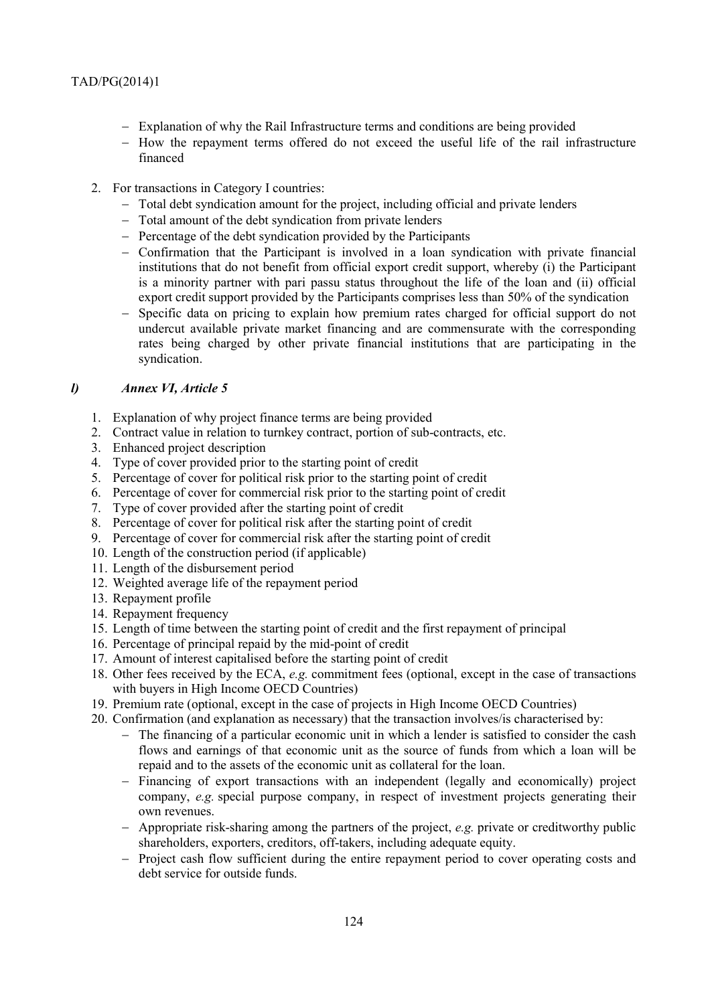- − Explanation of why the Rail Infrastructure terms and conditions are being provided
- − How the repayment terms offered do not exceed the useful life of the rail infrastructure financed
- 2. For transactions in Category I countries:
	- − Total debt syndication amount for the project, including official and private lenders
	- − Total amount of the debt syndication from private lenders
	- − Percentage of the debt syndication provided by the Participants
	- − Confirmation that the Participant is involved in a loan syndication with private financial institutions that do not benefit from official export credit support, whereby (i) the Participant is a minority partner with pari passu status throughout the life of the loan and (ii) official export credit support provided by the Participants comprises less than 50% of the syndication
	- Specific data on pricing to explain how premium rates charged for official support do not undercut available private market financing and are commensurate with the corresponding rates being charged by other private financial institutions that are participating in the syndication.

## *l) Annex VI, Article 5*

- 1. Explanation of why project finance terms are being provided
- 2. Contract value in relation to turnkey contract, portion of sub-contracts, etc.
- 3. Enhanced project description
- 4. Type of cover provided prior to the starting point of credit
- 5. Percentage of cover for political risk prior to the starting point of credit
- 6. Percentage of cover for commercial risk prior to the starting point of credit
- 7. Type of cover provided after the starting point of credit
- 8. Percentage of cover for political risk after the starting point of credit
- 9. Percentage of cover for commercial risk after the starting point of credit
- 10. Length of the construction period (if applicable)
- 11. Length of the disbursement period
- 12. Weighted average life of the repayment period
- 13. Repayment profile
- 14. Repayment frequency
- 15. Length of time between the starting point of credit and the first repayment of principal
- 16. Percentage of principal repaid by the mid-point of credit
- 17. Amount of interest capitalised before the starting point of credit
- 18. Other fees received by the ECA, *e.g.* commitment fees (optional, except in the case of transactions with buyers in High Income OECD Countries)
- 19. Premium rate (optional, except in the case of projects in High Income OECD Countries)
- 20. Confirmation (and explanation as necessary) that the transaction involves/is characterised by:
	- − The financing of a particular economic unit in which a lender is satisfied to consider the cash flows and earnings of that economic unit as the source of funds from which a loan will be repaid and to the assets of the economic unit as collateral for the loan.
	- − Financing of export transactions with an independent (legally and economically) project company, *e.g.* special purpose company, in respect of investment projects generating their own revenues.
	- − Appropriate risk-sharing among the partners of the project, *e.g.* private or creditworthy public shareholders, exporters, creditors, off-takers, including adequate equity.
	- − Project cash flow sufficient during the entire repayment period to cover operating costs and debt service for outside funds.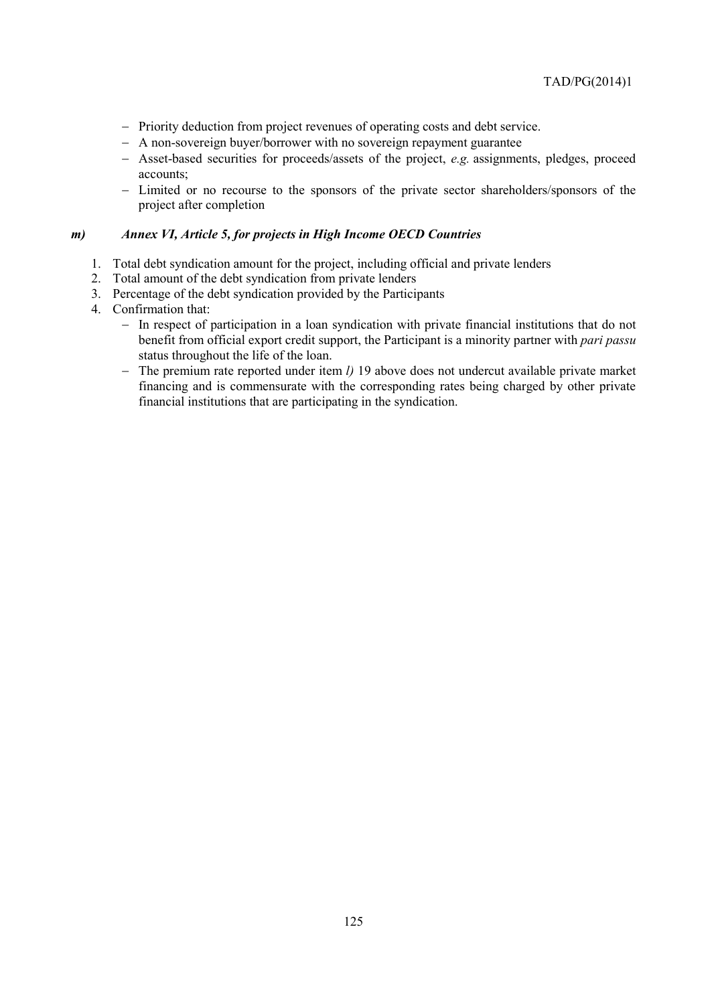- − Priority deduction from project revenues of operating costs and debt service.
- − A non-sovereign buyer/borrower with no sovereign repayment guarantee
- − Asset-based securities for proceeds/assets of the project, *e.g.* assignments, pledges, proceed accounts;
- − Limited or no recourse to the sponsors of the private sector shareholders/sponsors of the project after completion

### *m) Annex VI, Article 5, for projects in High Income OECD Countries*

- 1. Total debt syndication amount for the project, including official and private lenders
- 2. Total amount of the debt syndication from private lenders
- 3. Percentage of the debt syndication provided by the Participants
- 4. Confirmation that:
	- − In respect of participation in a loan syndication with private financial institutions that do not benefit from official export credit support, the Participant is a minority partner with *pari passu* status throughout the life of the loan.
	- − The premium rate reported under item *l)* 19 above does not undercut available private market financing and is commensurate with the corresponding rates being charged by other private financial institutions that are participating in the syndication.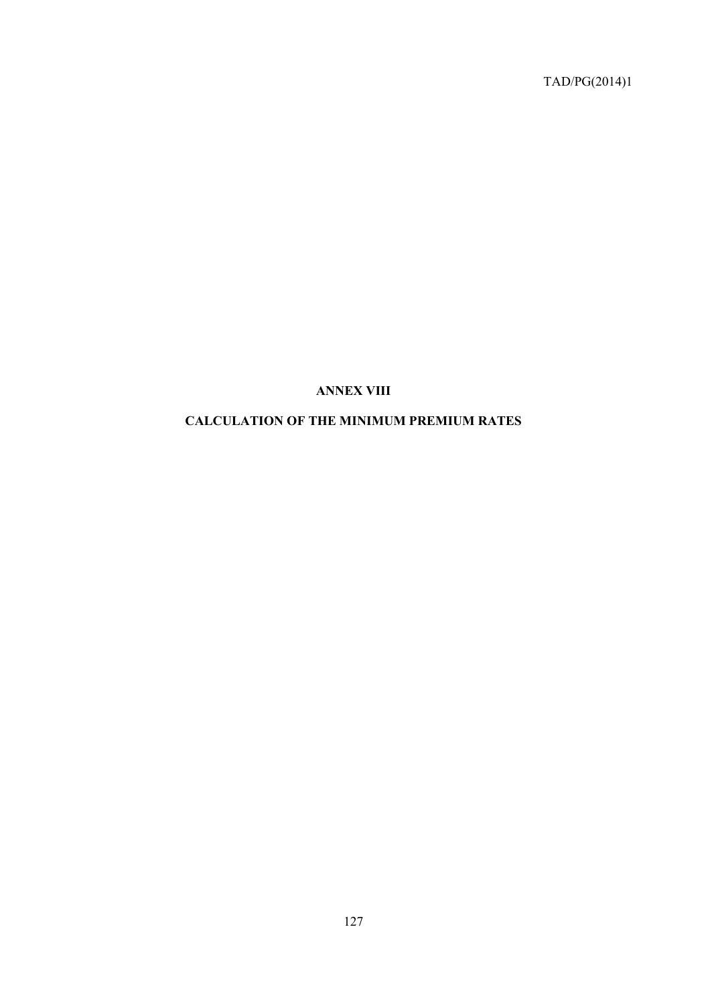## **ANNEX VIII**

## **CALCULATION OF THE MINIMUM PREMIUM RATES**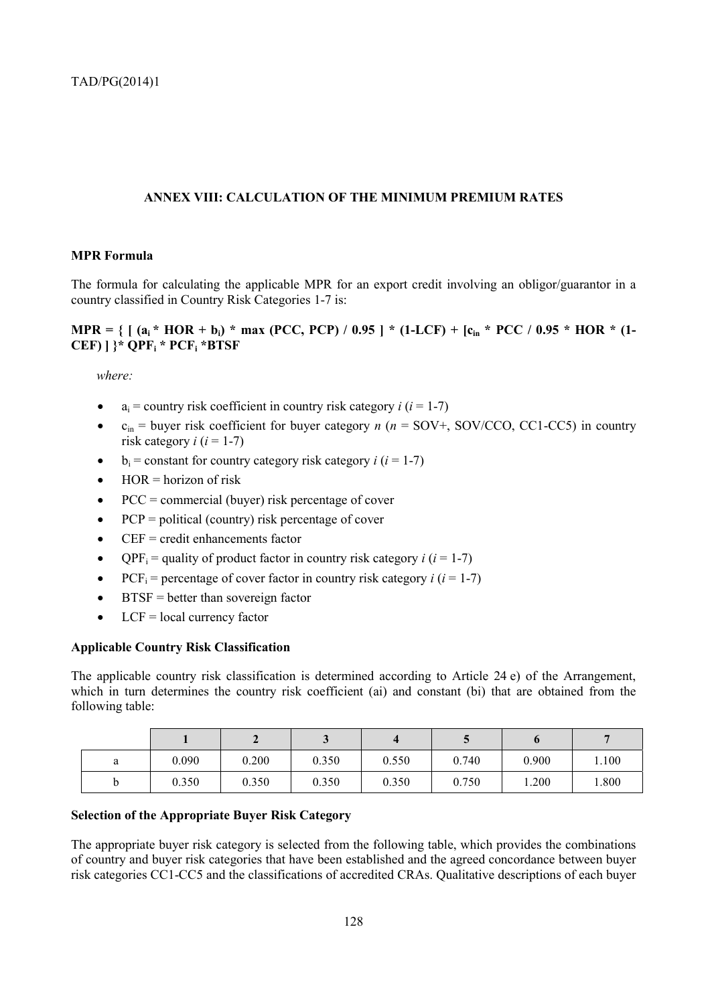## **ANNEX VIII: CALCULATION OF THE MINIMUM PREMIUM RATES**

### **MPR Formula**

The formula for calculating the applicable MPR for an export credit involving an obligor/guarantor in a country classified in Country Risk Categories 1-7 is:

### **MPR** = {  $[(a_i * HOR + b_i) * max (PCC, PCP) / 0.95 ] * (1-LCF) + [c_{in} * PCC / 0.95 * HOR * (1-LCF)]$ **CEF) ] }\* QPFi \* PCFi \*BTSF**

*where:* 

- $a_i$  = country risk coefficient in country risk category *i* ( $i$  = 1-7)
- $c_{in}$  = buyer risk coefficient for buyer category *n* ( $n = \text{SOV+}$ , SOV/CCO, CC1-CC5) in country risk category  $i$  ( $i = 1-7$ )
- $b_i$  = constant for country category risk category *i* ( $i = 1-7$ )
- $HOR = horizon$  of risk
- $PCC = commercial (buyer) risk percentage of cover$
- $PCP =$  political (country) risk percentage of cover
- $CEF = \text{credit enhancements factor}$
- $QPF_i = \text{quality of product factor in country risk category } i \ (i = 1-7)$
- PCF<sub>i</sub> = percentage of cover factor in country risk category  $i$  ( $i$  = 1-7)
- $\bullet$  BTSF = better than sovereign factor
- $\bullet$  LCF = local currency factor

### **Applicable Country Risk Classification**

The applicable country risk classification is determined according to Article 24 e) of the Arrangement, which in turn determines the country risk coefficient (ai) and constant (bi) that are obtained from the following table:

| a | 0.090 | 0.200 | 0.350 | 0.550 | 0.740 | 0.900 | 1.100 |
|---|-------|-------|-------|-------|-------|-------|-------|
|   | 0.350 | 0.350 | 0.350 | 0.350 | 0.750 | 1.200 | 1.800 |

### **Selection of the Appropriate Buyer Risk Category**

The appropriate buyer risk category is selected from the following table, which provides the combinations of country and buyer risk categories that have been established and the agreed concordance between buyer risk categories CC1-CC5 and the classifications of accredited CRAs. Qualitative descriptions of each buyer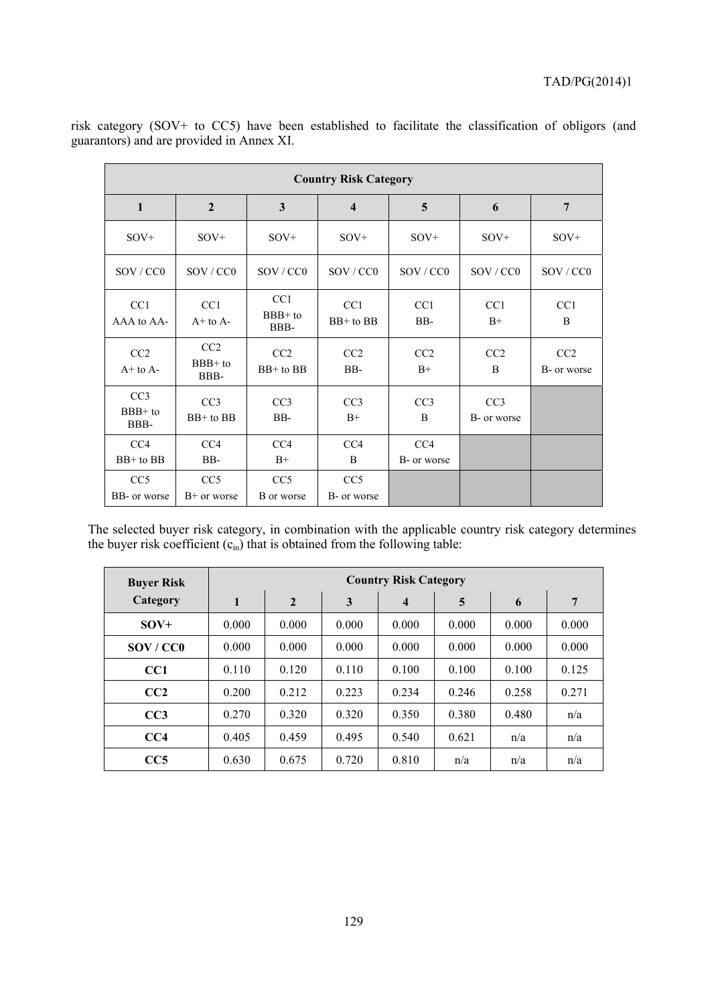| <b>Country Risk Category</b>        |                                  |                                     |                                  |                        |                                |                      |  |  |  |  |
|-------------------------------------|----------------------------------|-------------------------------------|----------------------------------|------------------------|--------------------------------|----------------------|--|--|--|--|
| 1                                   | $\overline{2}$                   | 3                                   | $\overline{\mathbf{4}}$          | 5                      | 6                              | $\overline{7}$       |  |  |  |  |
| $SOV^+$                             | $SOV^+$                          | $SOV+$                              | $SOV^+$                          | $SOV^+$                | $SOV^+$                        | $SOV^+$              |  |  |  |  |
| SOV / CC0                           | SOV / CC0                        | SOV / CC0                           | SOV / CC0                        | SOV / CC0              | SOV / CC0                      | SOV/CC0              |  |  |  |  |
| CC <sub>1</sub><br>AAA to AA-       | CC1<br>$A+$ to $A-$              | CC <sub>1</sub><br>$BBB+to$<br>BBB- | CC <sub>1</sub><br>$BB+$ to $BB$ | CC <sub>1</sub><br>BB- | CC1<br>$B+$                    | CC <sub>1</sub><br>B |  |  |  |  |
| CC2<br>$A+$ to $A-$                 | CC2<br>$BBB+to$<br>BBB-          | CC2<br>BB+ to BB                    | CC2<br>BB-                       | CC2<br>$B+$            | CC2<br>B                       | CC2<br>B- or worse   |  |  |  |  |
| CC <sub>3</sub><br>$BBB+to$<br>BBB- | CC <sub>3</sub><br>BB+ to BB     | CC <sub>3</sub><br>$BB-$            | CC <sub>3</sub><br>$B+$          | CC <sub>3</sub><br>B   | CC <sub>3</sub><br>B- or worse |                      |  |  |  |  |
| CC4<br>BB+ to BB                    | CC4<br>BB-                       | CC4<br>$B+$                         | CC4<br>B                         | CC4<br>B- or worse     |                                |                      |  |  |  |  |
| CC <sub>5</sub><br>BB- or worse     | CC <sub>5</sub><br>$B+$ or worse | CC <sub>5</sub><br>B or worse       | CC <sub>5</sub><br>B- or worse   |                        |                                |                      |  |  |  |  |

risk category (SOV+ to CC5) have been established to facilitate the classification of obligors (and guarantors) and are provided in Annex XI.

The selected buyer risk category, in combination with the applicable country risk category determines the buyer risk coefficient  $(c_{in})$  that is obtained from the following table:

| <b>Buyer Risk</b> | <b>Country Risk Category</b> |                |       |                         |       |       |       |
|-------------------|------------------------------|----------------|-------|-------------------------|-------|-------|-------|
| Category          | 1                            | $\overline{2}$ | 3     | $\overline{\mathbf{4}}$ | 5     | 6     | 7     |
| $SOV+$            | 0.000                        | 0.000          | 0.000 | 0.000                   | 0.000 | 0.000 | 0.000 |
| SOV/CCO           | 0.000                        | 0.000          | 0.000 | 0.000                   | 0.000 | 0.000 | 0.000 |
| CC <sub>1</sub>   | 0.110                        | 0.120          | 0.110 | 0.100                   | 0.100 | 0.100 | 0.125 |
| CC2               | 0.200                        | 0.212          | 0.223 | 0.234                   | 0.246 | 0.258 | 0.271 |
| CC3               | 0.270                        | 0.320          | 0.320 | 0.350                   | 0.380 | 0.480 | n/a   |
| CC4               | 0.405                        | 0.459          | 0.495 | 0.540                   | 0.621 | n/a   | n/a   |
| CC <sub>5</sub>   | 0.630                        | 0.675          | 0.720 | 0.810                   | n/a   | n/a   | n/a   |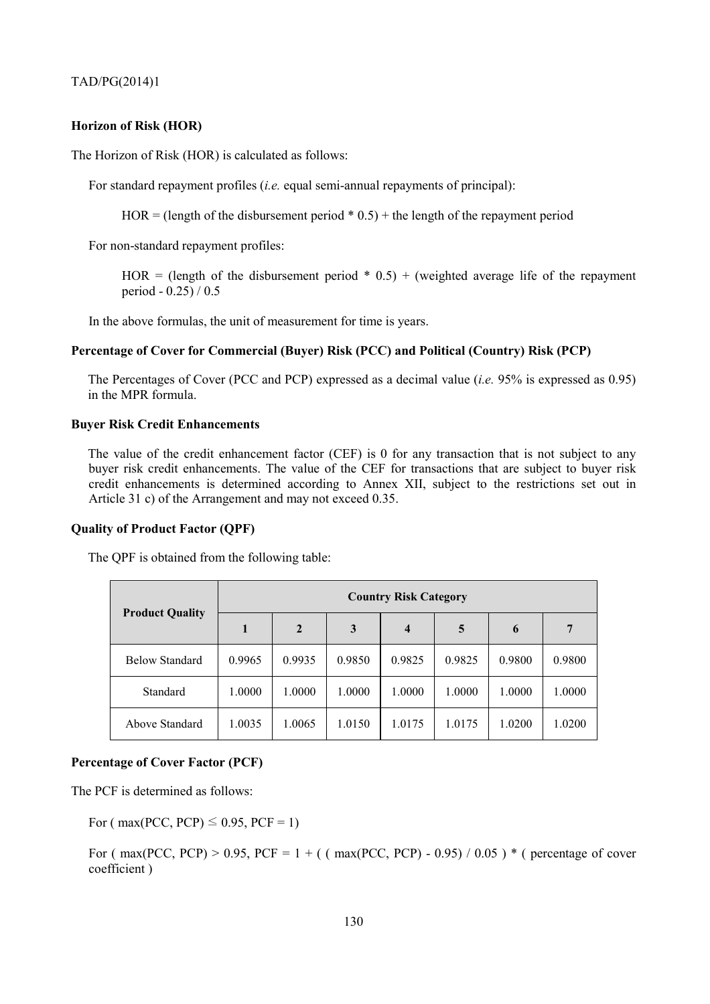### **Horizon of Risk (HOR)**

The Horizon of Risk (HOR) is calculated as follows:

For standard repayment profiles (*i.e.* equal semi-annual repayments of principal):

 $HOR = (length of the disbursement period * 0.5) + the length of the repayment period$ 

For non-standard repayment profiles:

HOR = (length of the disbursement period  $*$  0.5) + (weighted average life of the repayment period - 0.25) / 0.5

In the above formulas, the unit of measurement for time is years.

### **Percentage of Cover for Commercial (Buyer) Risk (PCC) and Political (Country) Risk (PCP)**

The Percentages of Cover (PCC and PCP) expressed as a decimal value (*i.e.* 95% is expressed as 0.95) in the MPR formula.

### **Buyer Risk Credit Enhancements**

The value of the credit enhancement factor (CEF) is 0 for any transaction that is not subject to any buyer risk credit enhancements. The value of the CEF for transactions that are subject to buyer risk credit enhancements is determined according to Annex XII, subject to the restrictions set out in Article 31 c) of the Arrangement and may not exceed 0.35.

### **Quality of Product Factor (QPF)**

| <b>Product Quality</b> | <b>Country Risk Category</b> |                |        |                         |        |        |        |  |  |
|------------------------|------------------------------|----------------|--------|-------------------------|--------|--------|--------|--|--|
|                        | 1                            | $\overline{2}$ | 3      | $\overline{\mathbf{4}}$ | 5      | 6      |        |  |  |
| <b>Below Standard</b>  | 0.9965                       | 0.9935         | 0.9850 | 0.9825                  | 0.9825 | 0.9800 | 0.9800 |  |  |
| Standard               | 1.0000                       | 1.0000         | 1.0000 | 1.0000                  | 1.0000 | 1.0000 | 1.0000 |  |  |
| Above Standard         | 1.0035                       | 1.0065         | 1.0150 | 1.0175                  | 1.0175 | 1.0200 | 1.0200 |  |  |

The QPF is obtained from the following table:

### **Percentage of Cover Factor (PCF)**

The PCF is determined as follows:

For ( max(PCC, PCP)  $\leq$  0.95, PCF = 1)

For ( max(PCC, PCP) > 0.95, PCF = 1 + ( ( max(PCC, PCP) - 0.95) / 0.05 ) \* ( percentage of cover coefficient )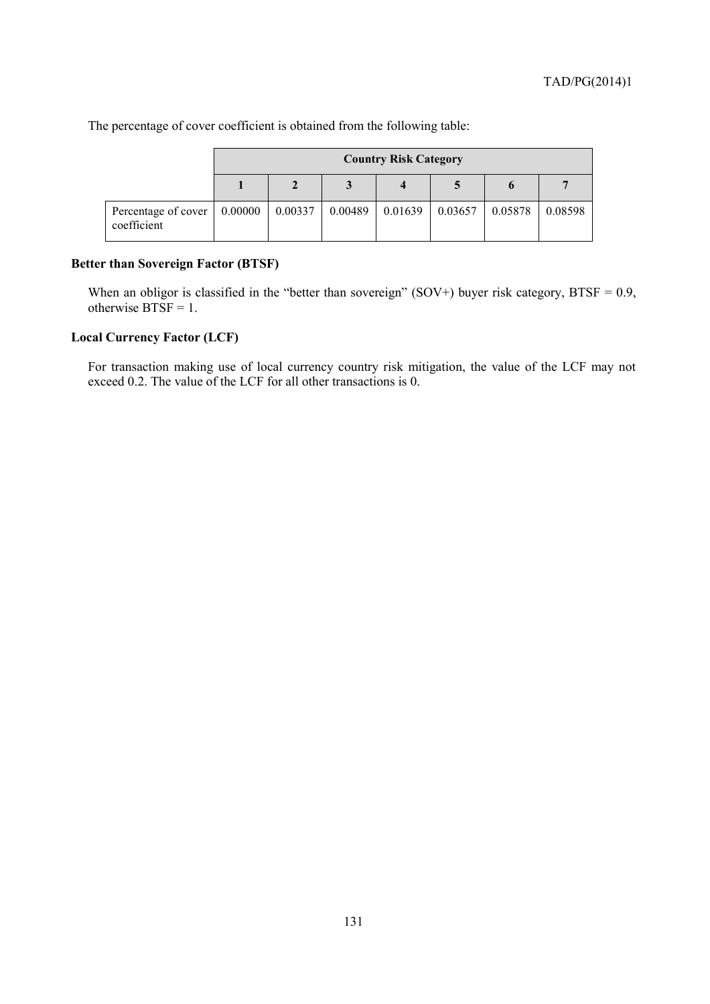|                                    | <b>Country Risk Category</b> |         |         |         |         |              |         |  |
|------------------------------------|------------------------------|---------|---------|---------|---------|--------------|---------|--|
|                                    |                              |         |         |         |         | $\mathbf{v}$ |         |  |
| Percentage of cover<br>coefficient | 0.00000                      | 0.00337 | 0.00489 | 0.01639 | 0.03657 | 0.05878      | 0.08598 |  |

The percentage of cover coefficient is obtained from the following table:

### **Better than Sovereign Factor (BTSF)**

When an obligor is classified in the "better than sovereign" (SOV+) buyer risk category, BTSF =  $0.9$ , otherwise  $BTSF = 1$ .

### **Local Currency Factor (LCF)**

For transaction making use of local currency country risk mitigation, the value of the LCF may not exceed 0.2. The value of the LCF for all other transactions is 0.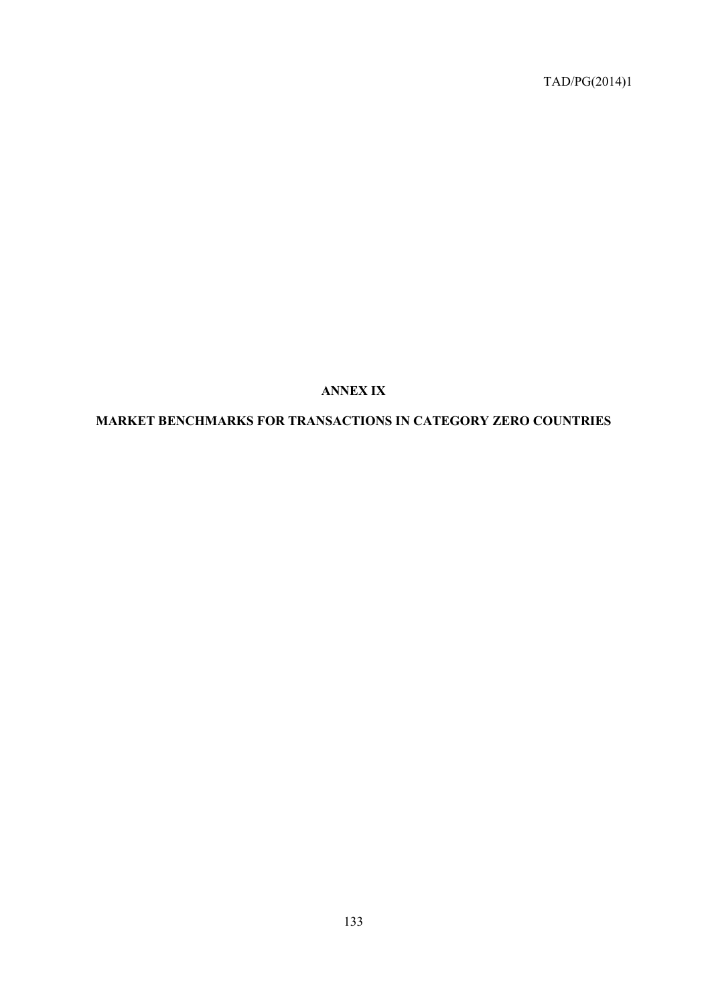## **ANNEX IX**

## **MARKET BENCHMARKS FOR TRANSACTIONS IN CATEGORY ZERO COUNTRIES**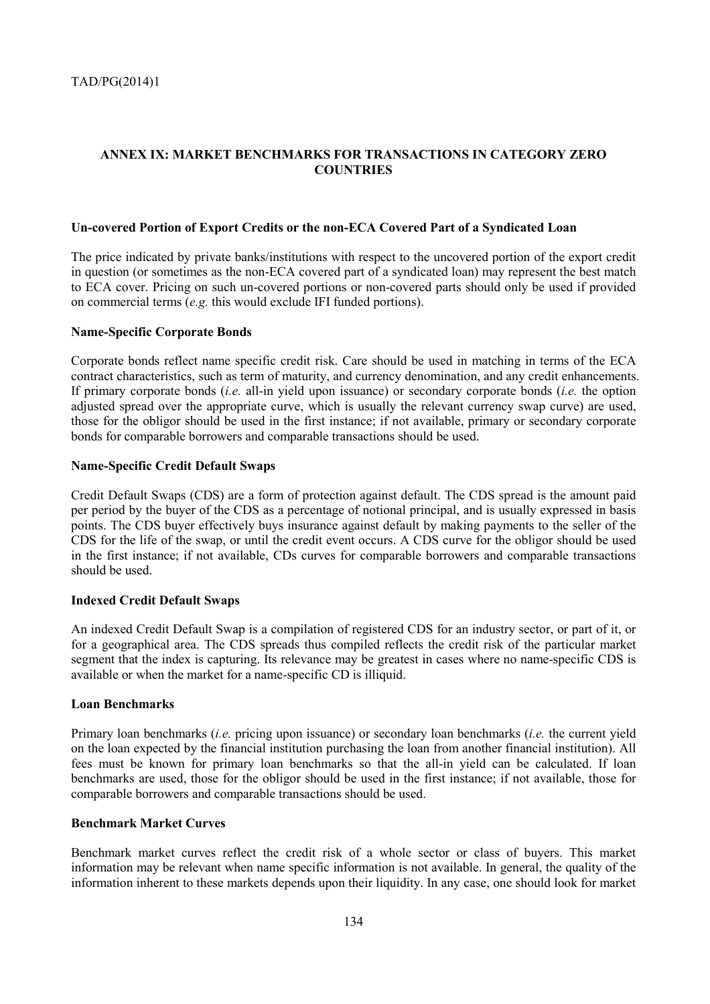## **ANNEX IX: MARKET BENCHMARKS FOR TRANSACTIONS IN CATEGORY ZERO COUNTRIES**

### **Un-covered Portion of Export Credits or the non-ECA Covered Part of a Syndicated Loan**

The price indicated by private banks/institutions with respect to the uncovered portion of the export credit in question (or sometimes as the non-ECA covered part of a syndicated loan) may represent the best match to ECA cover. Pricing on such un-covered portions or non-covered parts should only be used if provided on commercial terms (*e.g.* this would exclude IFI funded portions).

### **Name-Specific Corporate Bonds**

Corporate bonds reflect name specific credit risk. Care should be used in matching in terms of the ECA contract characteristics, such as term of maturity, and currency denomination, and any credit enhancements. If primary corporate bonds (*i.e.* all-in yield upon issuance) or secondary corporate bonds (*i.e.* the option adjusted spread over the appropriate curve, which is usually the relevant currency swap curve) are used, those for the obligor should be used in the first instance; if not available, primary or secondary corporate bonds for comparable borrowers and comparable transactions should be used.

### **Name-Specific Credit Default Swaps**

Credit Default Swaps (CDS) are a form of protection against default. The CDS spread is the amount paid per period by the buyer of the CDS as a percentage of notional principal, and is usually expressed in basis points. The CDS buyer effectively buys insurance against default by making payments to the seller of the CDS for the life of the swap, or until the credit event occurs. A CDS curve for the obligor should be used in the first instance; if not available, CDs curves for comparable borrowers and comparable transactions should be used.

### **Indexed Credit Default Swaps**

An indexed Credit Default Swap is a compilation of registered CDS for an industry sector, or part of it, or for a geographical area. The CDS spreads thus compiled reflects the credit risk of the particular market segment that the index is capturing. Its relevance may be greatest in cases where no name-specific CDS is available or when the market for a name-specific CD is illiquid.

### **Loan Benchmarks**

Primary loan benchmarks (*i.e.* pricing upon issuance) or secondary loan benchmarks (*i.e.* the current yield on the loan expected by the financial institution purchasing the loan from another financial institution). All fees must be known for primary loan benchmarks so that the all-in yield can be calculated. If loan benchmarks are used, those for the obligor should be used in the first instance; if not available, those for comparable borrowers and comparable transactions should be used.

#### **Benchmark Market Curves**

Benchmark market curves reflect the credit risk of a whole sector or class of buyers. This market information may be relevant when name specific information is not available. In general, the quality of the information inherent to these markets depends upon their liquidity. In any case, one should look for market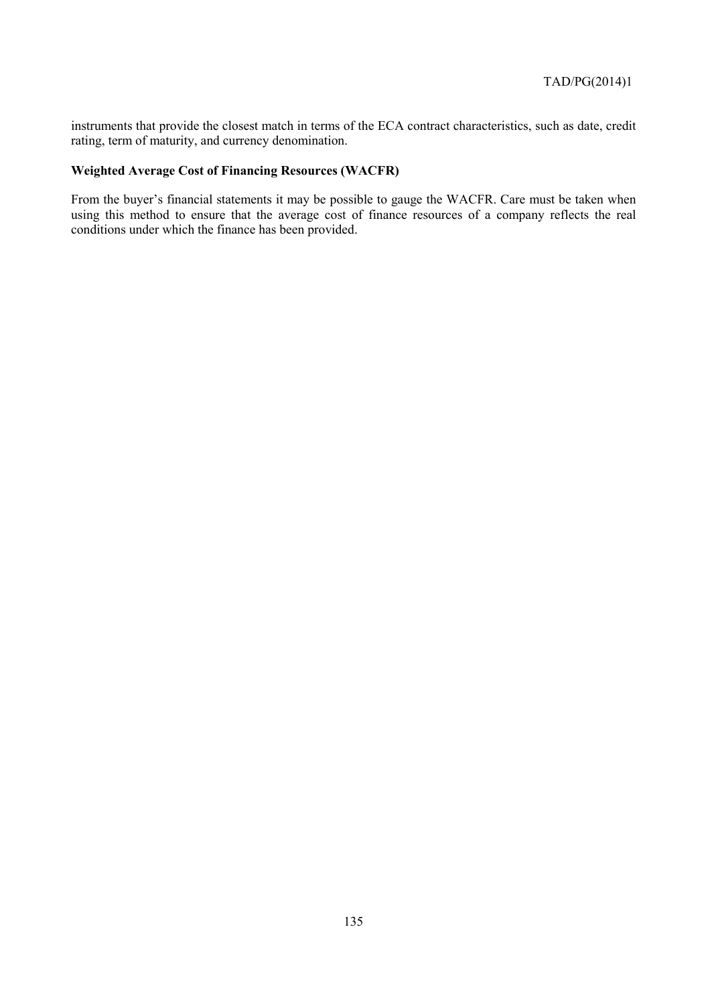instruments that provide the closest match in terms of the ECA contract characteristics, such as date, credit rating, term of maturity, and currency denomination.

## **Weighted Average Cost of Financing Resources (WACFR)**

From the buyer's financial statements it may be possible to gauge the WACFR. Care must be taken when using this method to ensure that the average cost of finance resources of a company reflects the real conditions under which the finance has been provided.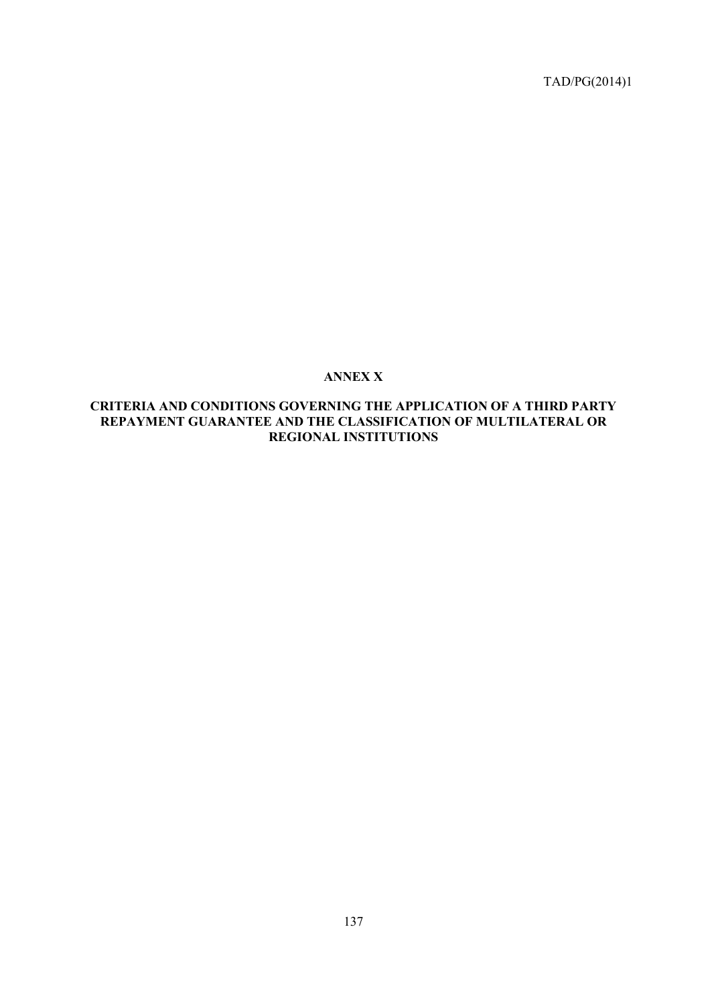## **ANNEX X**

## **CRITERIA AND CONDITIONS GOVERNING THE APPLICATION OF A THIRD PARTY REPAYMENT GUARANTEE AND THE CLASSIFICATION OF MULTILATERAL OR REGIONAL INSTITUTIONS**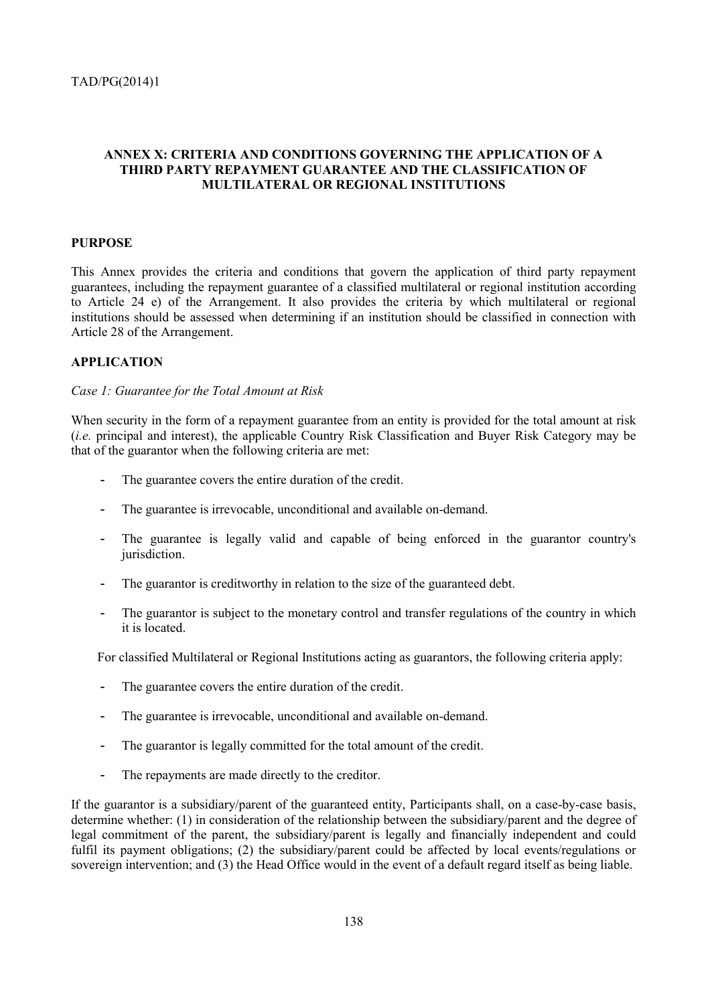## **ANNEX X: CRITERIA AND CONDITIONS GOVERNING THE APPLICATION OF A THIRD PARTY REPAYMENT GUARANTEE AND THE CLASSIFICATION OF MULTILATERAL OR REGIONAL INSTITUTIONS**

#### **PURPOSE**

This Annex provides the criteria and conditions that govern the application of third party repayment guarantees, including the repayment guarantee of a classified multilateral or regional institution according to Article 24 e) of the Arrangement. It also provides the criteria by which multilateral or regional institutions should be assessed when determining if an institution should be classified in connection with Article 28 of the Arrangement.

### **APPLICATION**

#### *Case 1: Guarantee for the Total Amount at Risk*

When security in the form of a repayment guarantee from an entity is provided for the total amount at risk (*i.e.* principal and interest), the applicable Country Risk Classification and Buyer Risk Category may be that of the guarantor when the following criteria are met:

- The guarantee covers the entire duration of the credit.
- The guarantee is irrevocable, unconditional and available on-demand.
- The guarantee is legally valid and capable of being enforced in the guarantor country's jurisdiction.
- The guarantor is creditworthy in relation to the size of the guaranteed debt.
- The guarantor is subject to the monetary control and transfer regulations of the country in which it is located.

For classified Multilateral or Regional Institutions acting as guarantors, the following criteria apply:

- The guarantee covers the entire duration of the credit.
- The guarantee is irrevocable, unconditional and available on-demand.
- The guarantor is legally committed for the total amount of the credit.
- The repayments are made directly to the creditor.

If the guarantor is a subsidiary/parent of the guaranteed entity, Participants shall, on a case-by-case basis, determine whether: (1) in consideration of the relationship between the subsidiary/parent and the degree of legal commitment of the parent, the subsidiary/parent is legally and financially independent and could fulfil its payment obligations; (2) the subsidiary/parent could be affected by local events/regulations or sovereign intervention; and (3) the Head Office would in the event of a default regard itself as being liable.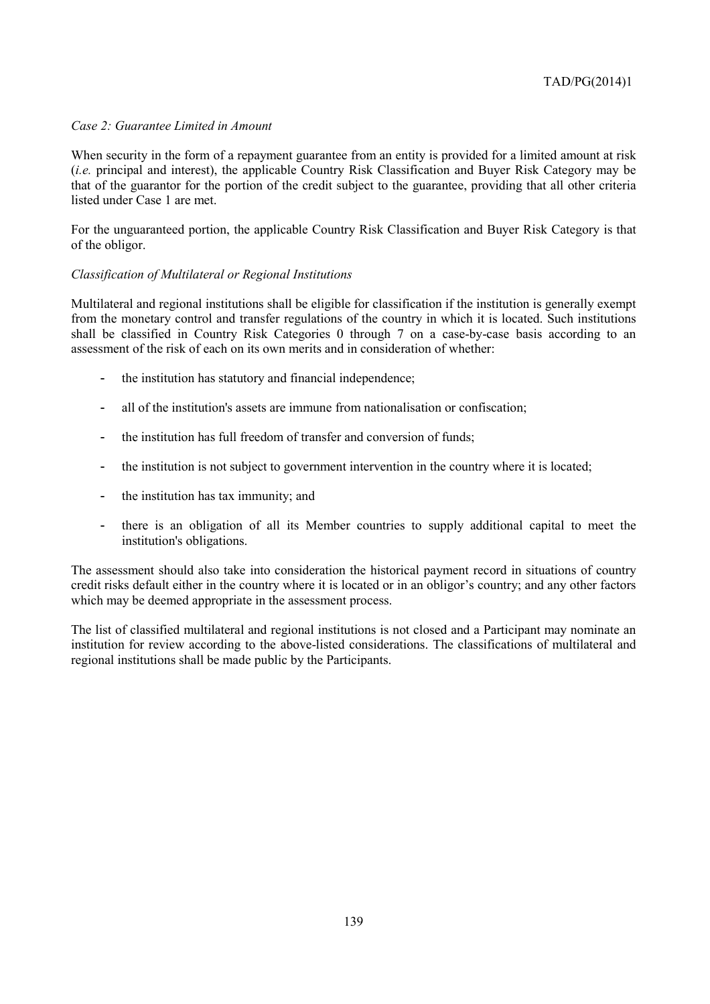## *Case 2: Guarantee Limited in Amount*

When security in the form of a repayment guarantee from an entity is provided for a limited amount at risk (*i.e.* principal and interest), the applicable Country Risk Classification and Buyer Risk Category may be that of the guarantor for the portion of the credit subject to the guarantee, providing that all other criteria listed under Case 1 are met.

For the unguaranteed portion, the applicable Country Risk Classification and Buyer Risk Category is that of the obligor.

### *Classification of Multilateral or Regional Institutions*

Multilateral and regional institutions shall be eligible for classification if the institution is generally exempt from the monetary control and transfer regulations of the country in which it is located. Such institutions shall be classified in Country Risk Categories 0 through 7 on a case-by-case basis according to an assessment of the risk of each on its own merits and in consideration of whether:

- the institution has statutory and financial independence;
- all of the institution's assets are immune from nationalisation or confiscation;
- the institution has full freedom of transfer and conversion of funds;
- the institution is not subject to government intervention in the country where it is located;
- the institution has tax immunity; and
- there is an obligation of all its Member countries to supply additional capital to meet the institution's obligations.

The assessment should also take into consideration the historical payment record in situations of country credit risks default either in the country where it is located or in an obligor's country; and any other factors which may be deemed appropriate in the assessment process.

The list of classified multilateral and regional institutions is not closed and a Participant may nominate an institution for review according to the above-listed considerations. The classifications of multilateral and regional institutions shall be made public by the Participants.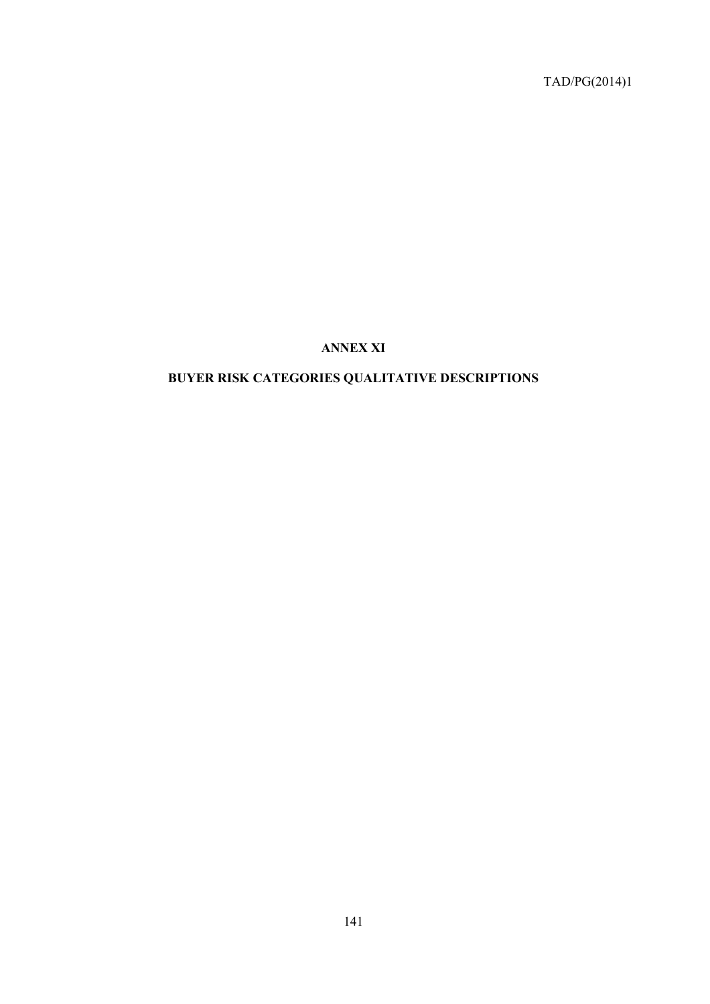## **ANNEX XI**

# **BUYER RISK CATEGORIES QUALITATIVE DESCRIPTIONS**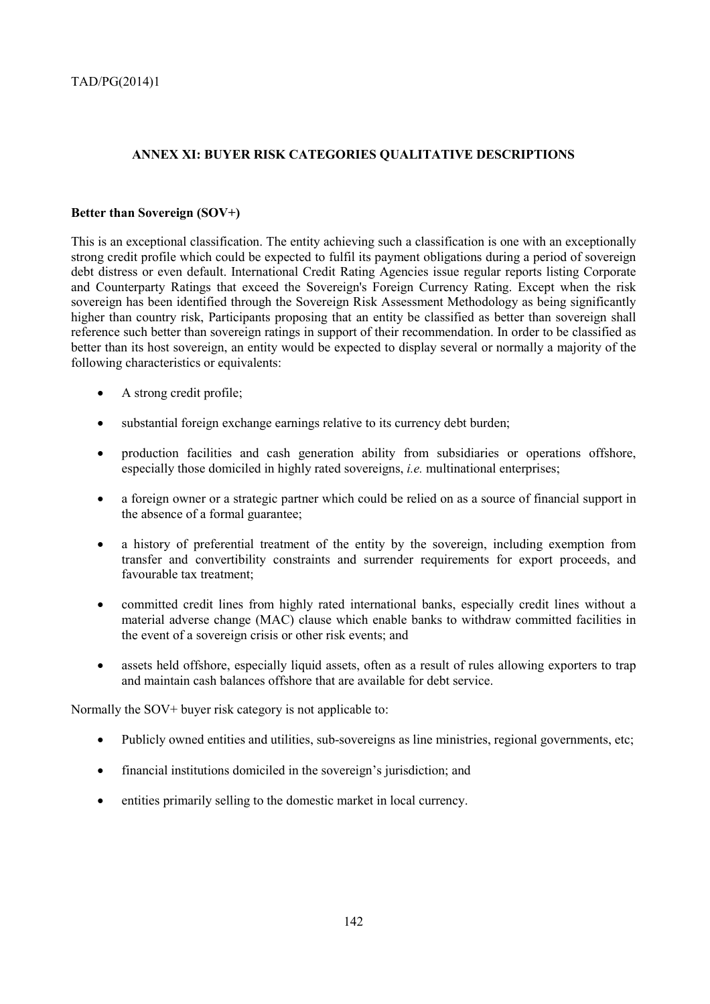## **ANNEX XI: BUYER RISK CATEGORIES QUALITATIVE DESCRIPTIONS**

### **Better than Sovereign (SOV+)**

This is an exceptional classification. The entity achieving such a classification is one with an exceptionally strong credit profile which could be expected to fulfil its payment obligations during a period of sovereign debt distress or even default. International Credit Rating Agencies issue regular reports listing Corporate and Counterparty Ratings that exceed the Sovereign's Foreign Currency Rating. Except when the risk sovereign has been identified through the Sovereign Risk Assessment Methodology as being significantly higher than country risk, Participants proposing that an entity be classified as better than sovereign shall reference such better than sovereign ratings in support of their recommendation. In order to be classified as better than its host sovereign, an entity would be expected to display several or normally a majority of the following characteristics or equivalents:

- A strong credit profile;
- substantial foreign exchange earnings relative to its currency debt burden;
- production facilities and cash generation ability from subsidiaries or operations offshore, especially those domiciled in highly rated sovereigns, *i.e.* multinational enterprises;
- a foreign owner or a strategic partner which could be relied on as a source of financial support in the absence of a formal guarantee;
- a history of preferential treatment of the entity by the sovereign, including exemption from transfer and convertibility constraints and surrender requirements for export proceeds, and favourable tax treatment;
- committed credit lines from highly rated international banks, especially credit lines without a material adverse change (MAC) clause which enable banks to withdraw committed facilities in the event of a sovereign crisis or other risk events; and
- assets held offshore, especially liquid assets, often as a result of rules allowing exporters to trap and maintain cash balances offshore that are available for debt service.

Normally the SOV+ buyer risk category is not applicable to:

- Publicly owned entities and utilities, sub-sovereigns as line ministries, regional governments, etc;
- financial institutions domiciled in the sovereign's jurisdiction; and
- entities primarily selling to the domestic market in local currency.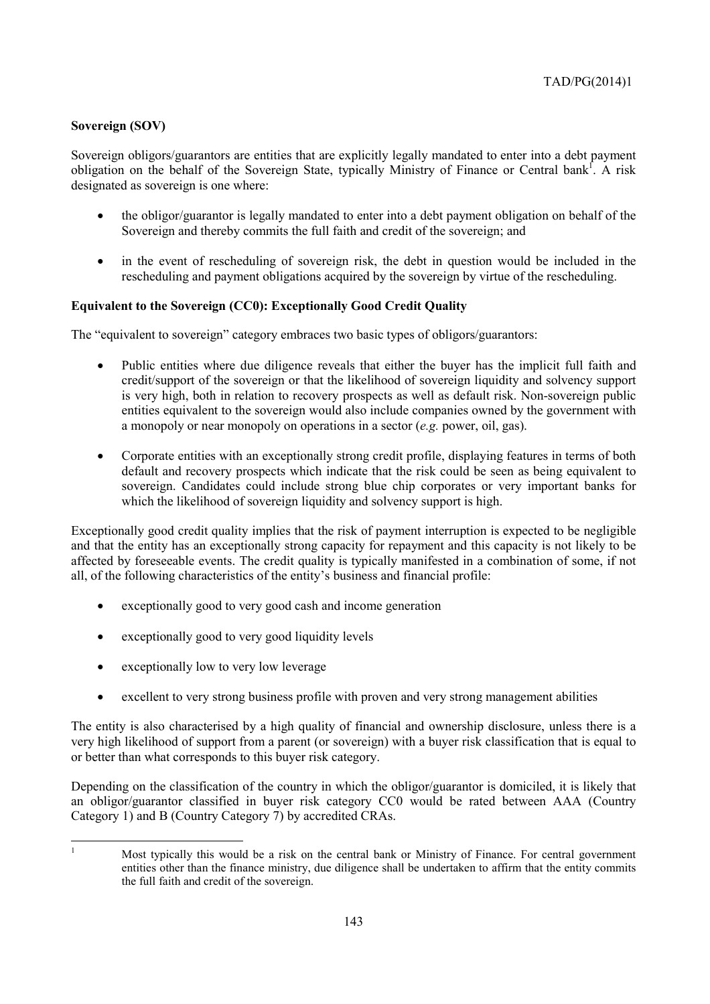## **Sovereign (SOV)**

Sovereign obligors/guarantors are entities that are explicitly legally mandated to enter into a debt payment obligation on the behalf of the Sovereign State, typically Ministry of Finance or Central bank<sup>f</sup>. A risk designated as sovereign is one where:

- the obligor/guarantor is legally mandated to enter into a debt payment obligation on behalf of the Sovereign and thereby commits the full faith and credit of the sovereign; and
- in the event of rescheduling of sovereign risk, the debt in question would be included in the rescheduling and payment obligations acquired by the sovereign by virtue of the rescheduling.

## **Equivalent to the Sovereign (CC0): Exceptionally Good Credit Quality**

The "equivalent to sovereign" category embraces two basic types of obligors/guarantors:

- Public entities where due diligence reveals that either the buyer has the implicit full faith and credit/support of the sovereign or that the likelihood of sovereign liquidity and solvency support is very high, both in relation to recovery prospects as well as default risk. Non-sovereign public entities equivalent to the sovereign would also include companies owned by the government with a monopoly or near monopoly on operations in a sector (*e.g.* power, oil, gas).
- Corporate entities with an exceptionally strong credit profile, displaying features in terms of both default and recovery prospects which indicate that the risk could be seen as being equivalent to sovereign. Candidates could include strong blue chip corporates or very important banks for which the likelihood of sovereign liquidity and solvency support is high.

Exceptionally good credit quality implies that the risk of payment interruption is expected to be negligible and that the entity has an exceptionally strong capacity for repayment and this capacity is not likely to be affected by foreseeable events. The credit quality is typically manifested in a combination of some, if not all, of the following characteristics of the entity's business and financial profile:

- exceptionally good to very good cash and income generation
- exceptionally good to very good liquidity levels
- exceptionally low to very low leverage
- excellent to very strong business profile with proven and very strong management abilities

The entity is also characterised by a high quality of financial and ownership disclosure, unless there is a very high likelihood of support from a parent (or sovereign) with a buyer risk classification that is equal to or better than what corresponds to this buyer risk category.

Depending on the classification of the country in which the obligor/guarantor is domiciled, it is likely that an obligor/guarantor classified in buyer risk category CC0 would be rated between AAA (Country Category 1) and B (Country Category 7) by accredited CRAs.

 $\frac{1}{1}$ 

Most typically this would be a risk on the central bank or Ministry of Finance. For central government entities other than the finance ministry, due diligence shall be undertaken to affirm that the entity commits the full faith and credit of the sovereign.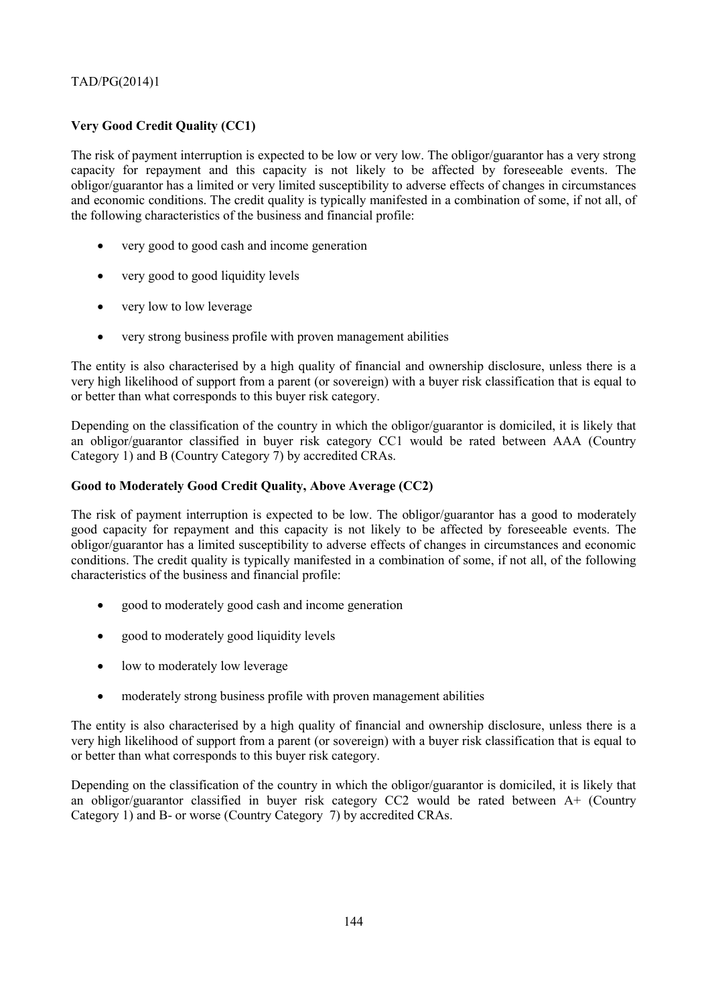## **Very Good Credit Quality (CC1)**

The risk of payment interruption is expected to be low or very low. The obligor/guarantor has a very strong capacity for repayment and this capacity is not likely to be affected by foreseeable events. The obligor/guarantor has a limited or very limited susceptibility to adverse effects of changes in circumstances and economic conditions. The credit quality is typically manifested in a combination of some, if not all, of the following characteristics of the business and financial profile:

- very good to good cash and income generation
- very good to good liquidity levels
- very low to low leverage
- very strong business profile with proven management abilities

The entity is also characterised by a high quality of financial and ownership disclosure, unless there is a very high likelihood of support from a parent (or sovereign) with a buyer risk classification that is equal to or better than what corresponds to this buyer risk category.

Depending on the classification of the country in which the obligor/guarantor is domiciled, it is likely that an obligor/guarantor classified in buyer risk category CC1 would be rated between AAA (Country Category 1) and B (Country Category 7) by accredited CRAs.

## **Good to Moderately Good Credit Quality, Above Average (CC2)**

The risk of payment interruption is expected to be low. The obligor/guarantor has a good to moderately good capacity for repayment and this capacity is not likely to be affected by foreseeable events. The obligor/guarantor has a limited susceptibility to adverse effects of changes in circumstances and economic conditions. The credit quality is typically manifested in a combination of some, if not all, of the following characteristics of the business and financial profile:

- good to moderately good cash and income generation
- good to moderately good liquidity levels
- low to moderately low leverage
- moderately strong business profile with proven management abilities

The entity is also characterised by a high quality of financial and ownership disclosure, unless there is a very high likelihood of support from a parent (or sovereign) with a buyer risk classification that is equal to or better than what corresponds to this buyer risk category.

Depending on the classification of the country in which the obligor/guarantor is domiciled, it is likely that an obligor/guarantor classified in buyer risk category CC2 would be rated between A+ (Country Category 1) and B- or worse (Country Category 7) by accredited CRAs.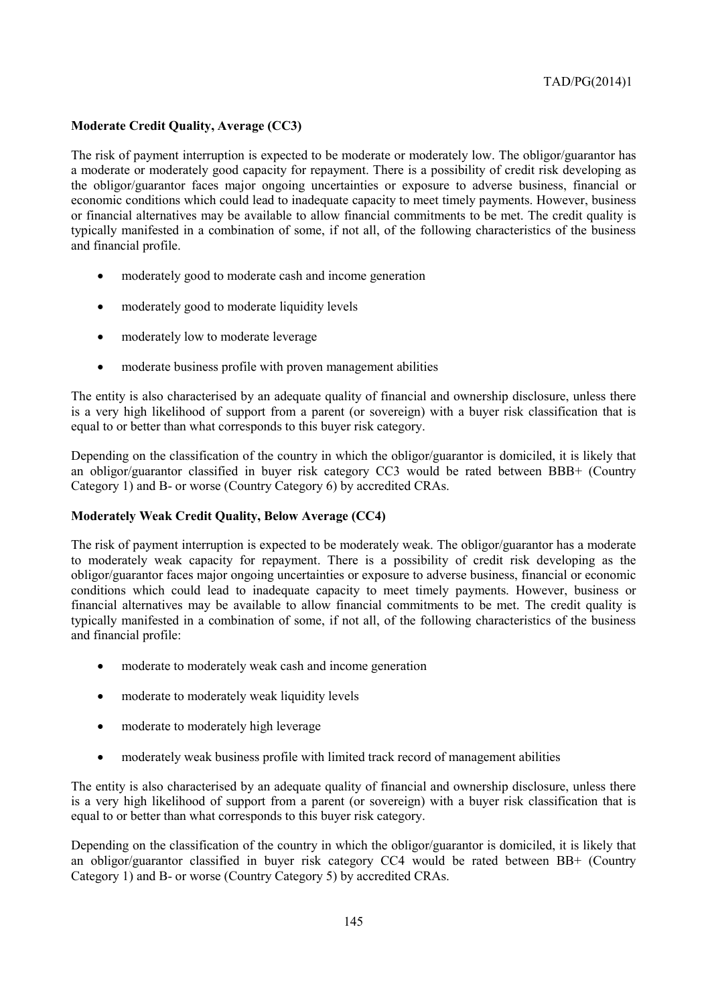## **Moderate Credit Quality, Average (CC3)**

The risk of payment interruption is expected to be moderate or moderately low. The obligor/guarantor has a moderate or moderately good capacity for repayment. There is a possibility of credit risk developing as the obligor/guarantor faces major ongoing uncertainties or exposure to adverse business, financial or economic conditions which could lead to inadequate capacity to meet timely payments. However, business or financial alternatives may be available to allow financial commitments to be met. The credit quality is typically manifested in a combination of some, if not all, of the following characteristics of the business and financial profile.

- moderately good to moderate cash and income generation
- moderately good to moderate liquidity levels
- moderately low to moderate leverage
- moderate business profile with proven management abilities

The entity is also characterised by an adequate quality of financial and ownership disclosure, unless there is a very high likelihood of support from a parent (or sovereign) with a buyer risk classification that is equal to or better than what corresponds to this buyer risk category.

Depending on the classification of the country in which the obligor/guarantor is domiciled, it is likely that an obligor/guarantor classified in buyer risk category CC3 would be rated between BBB+ (Country Category 1) and B- or worse (Country Category 6) by accredited CRAs.

#### **Moderately Weak Credit Quality, Below Average (CC4)**

The risk of payment interruption is expected to be moderately weak. The obligor/guarantor has a moderate to moderately weak capacity for repayment. There is a possibility of credit risk developing as the obligor/guarantor faces major ongoing uncertainties or exposure to adverse business, financial or economic conditions which could lead to inadequate capacity to meet timely payments. However, business or financial alternatives may be available to allow financial commitments to be met. The credit quality is typically manifested in a combination of some, if not all, of the following characteristics of the business and financial profile:

- moderate to moderately weak cash and income generation
- moderate to moderately weak liquidity levels
- moderate to moderately high leverage
- moderately weak business profile with limited track record of management abilities

The entity is also characterised by an adequate quality of financial and ownership disclosure, unless there is a very high likelihood of support from a parent (or sovereign) with a buyer risk classification that is equal to or better than what corresponds to this buyer risk category.

Depending on the classification of the country in which the obligor/guarantor is domiciled, it is likely that an obligor/guarantor classified in buyer risk category CC4 would be rated between BB+ (Country Category 1) and B- or worse (Country Category 5) by accredited CRAs.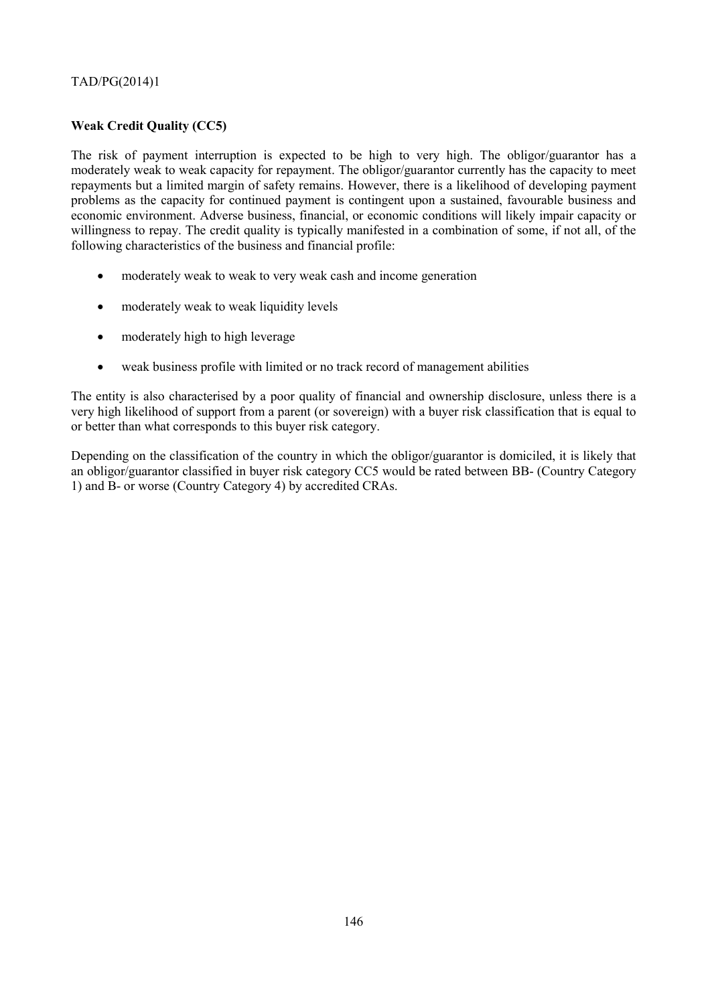## **Weak Credit Quality (CC5)**

The risk of payment interruption is expected to be high to very high. The obligor/guarantor has a moderately weak to weak capacity for repayment. The obligor/guarantor currently has the capacity to meet repayments but a limited margin of safety remains. However, there is a likelihood of developing payment problems as the capacity for continued payment is contingent upon a sustained, favourable business and economic environment. Adverse business, financial, or economic conditions will likely impair capacity or willingness to repay. The credit quality is typically manifested in a combination of some, if not all, of the following characteristics of the business and financial profile:

- moderately weak to weak to very weak cash and income generation
- moderately weak to weak liquidity levels
- moderately high to high leverage
- weak business profile with limited or no track record of management abilities

The entity is also characterised by a poor quality of financial and ownership disclosure, unless there is a very high likelihood of support from a parent (or sovereign) with a buyer risk classification that is equal to or better than what corresponds to this buyer risk category.

Depending on the classification of the country in which the obligor/guarantor is domiciled, it is likely that an obligor/guarantor classified in buyer risk category CC5 would be rated between BB- (Country Category 1) and B- or worse (Country Category 4) by accredited CRAs.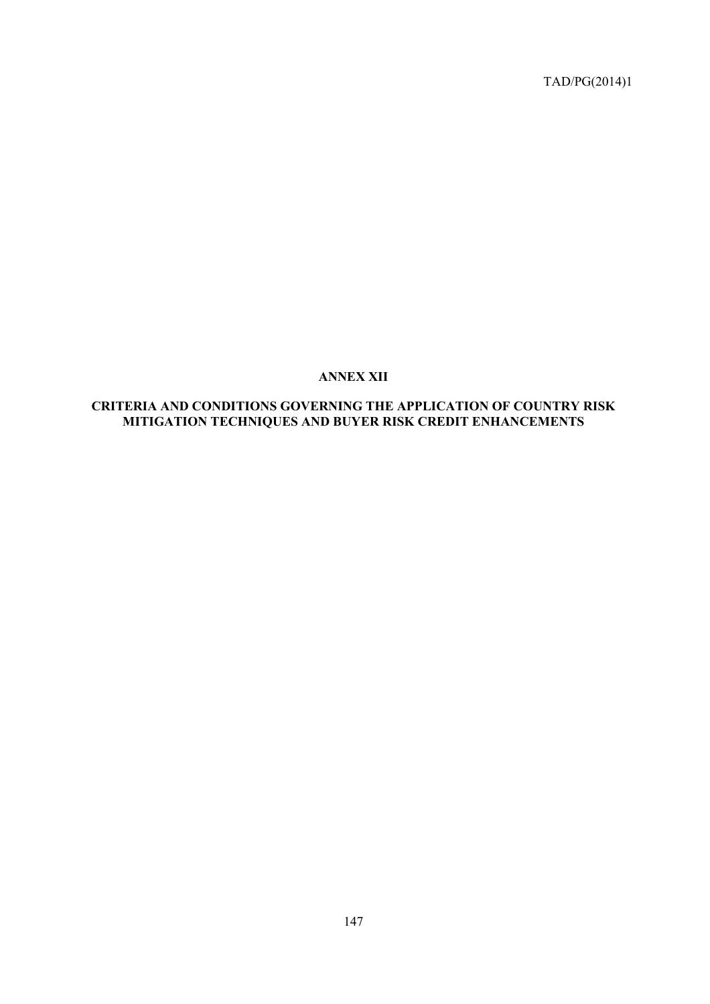## **ANNEX XII**

## **CRITERIA AND CONDITIONS GOVERNING THE APPLICATION OF COUNTRY RISK MITIGATION TECHNIQUES AND BUYER RISK CREDIT ENHANCEMENTS**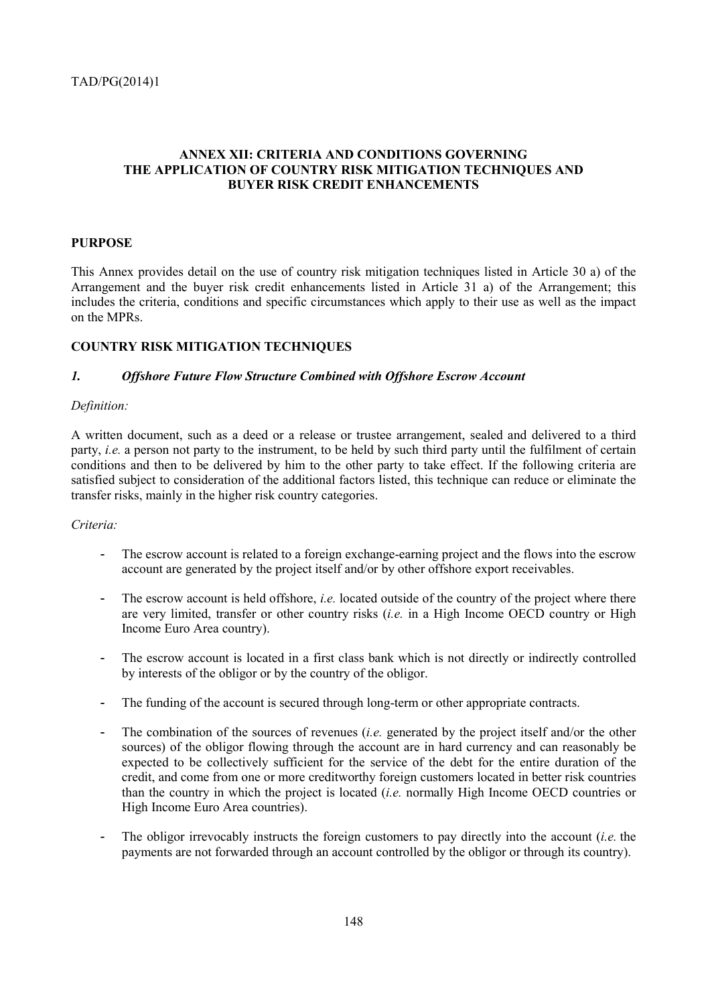## **ANNEX XII: CRITERIA AND CONDITIONS GOVERNING THE APPLICATION OF COUNTRY RISK MITIGATION TECHNIQUES AND BUYER RISK CREDIT ENHANCEMENTS**

#### **PURPOSE**

This Annex provides detail on the use of country risk mitigation techniques listed in Article 30 a) of the Arrangement and the buyer risk credit enhancements listed in Article 31 a) of the Arrangement; this includes the criteria, conditions and specific circumstances which apply to their use as well as the impact on the MPRs.

#### **COUNTRY RISK MITIGATION TECHNIQUES**

#### *1. Offshore Future Flow Structure Combined with Offshore Escrow Account*

#### *Definition:*

A written document, such as a deed or a release or trustee arrangement, sealed and delivered to a third party, *i.e.* a person not party to the instrument, to be held by such third party until the fulfilment of certain conditions and then to be delivered by him to the other party to take effect. If the following criteria are satisfied subject to consideration of the additional factors listed, this technique can reduce or eliminate the transfer risks, mainly in the higher risk country categories.

#### *Criteria:*

- The escrow account is related to a foreign exchange-earning project and the flows into the escrow account are generated by the project itself and/or by other offshore export receivables.
- The escrow account is held offshore, *i.e.* located outside of the country of the project where there are very limited, transfer or other country risks (*i.e.* in a High Income OECD country or High Income Euro Area country).
- The escrow account is located in a first class bank which is not directly or indirectly controlled by interests of the obligor or by the country of the obligor.
- The funding of the account is secured through long-term or other appropriate contracts.
- The combination of the sources of revenues (*i.e.* generated by the project itself and/or the other sources) of the obligor flowing through the account are in hard currency and can reasonably be expected to be collectively sufficient for the service of the debt for the entire duration of the credit, and come from one or more creditworthy foreign customers located in better risk countries than the country in which the project is located (*i.e.* normally High Income OECD countries or High Income Euro Area countries).
- The obligor irrevocably instructs the foreign customers to pay directly into the account (*i.e.* the payments are not forwarded through an account controlled by the obligor or through its country).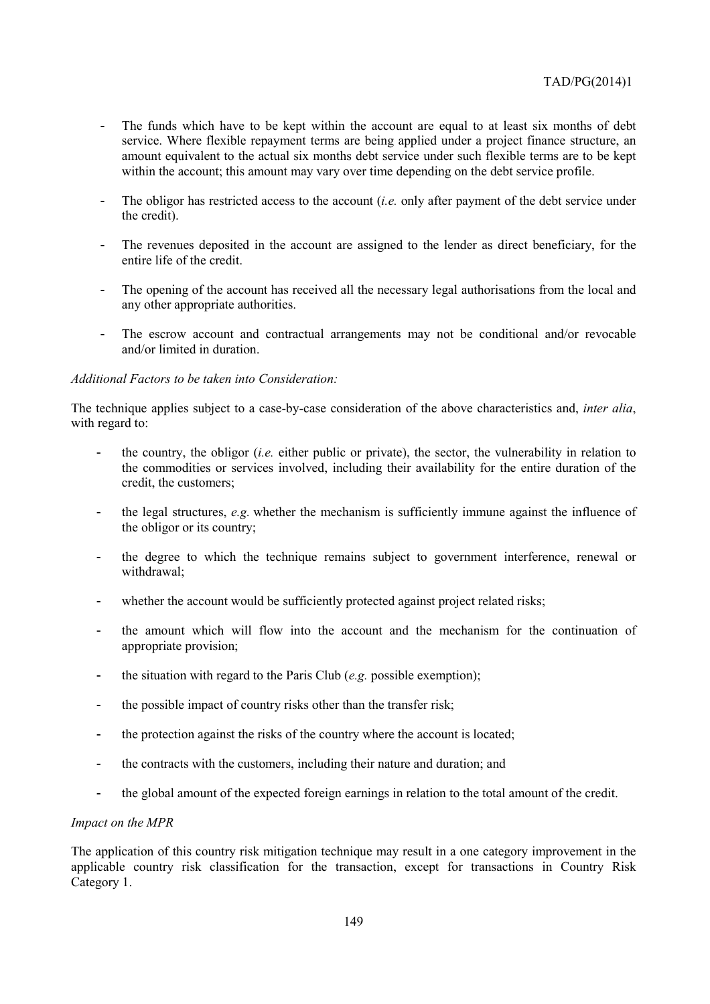- The funds which have to be kept within the account are equal to at least six months of debt service. Where flexible repayment terms are being applied under a project finance structure, an amount equivalent to the actual six months debt service under such flexible terms are to be kept within the account; this amount may vary over time depending on the debt service profile.
- The obligor has restricted access to the account *(i.e.* only after payment of the debt service under the credit).
- The revenues deposited in the account are assigned to the lender as direct beneficiary, for the entire life of the credit.
- The opening of the account has received all the necessary legal authorisations from the local and any other appropriate authorities.
- The escrow account and contractual arrangements may not be conditional and/or revocable and/or limited in duration.

#### *Additional Factors to be taken into Consideration:*

The technique applies subject to a case-by-case consideration of the above characteristics and, *inter alia*, with regard to:

- the country, the obligor (*i.e.* either public or private), the sector, the vulnerability in relation to the commodities or services involved, including their availability for the entire duration of the credit, the customers;
- the legal structures, *e.g.* whether the mechanism is sufficiently immune against the influence of the obligor or its country;
- the degree to which the technique remains subject to government interference, renewal or withdrawal<sup>-</sup>
- whether the account would be sufficiently protected against project related risks;
- the amount which will flow into the account and the mechanism for the continuation of appropriate provision;
- the situation with regard to the Paris Club (*e.g.* possible exemption);
- the possible impact of country risks other than the transfer risk;
- the protection against the risks of the country where the account is located;
- the contracts with the customers, including their nature and duration; and
- the global amount of the expected foreign earnings in relation to the total amount of the credit.

#### *Impact on the MPR*

The application of this country risk mitigation technique may result in a one category improvement in the applicable country risk classification for the transaction, except for transactions in Country Risk Category 1.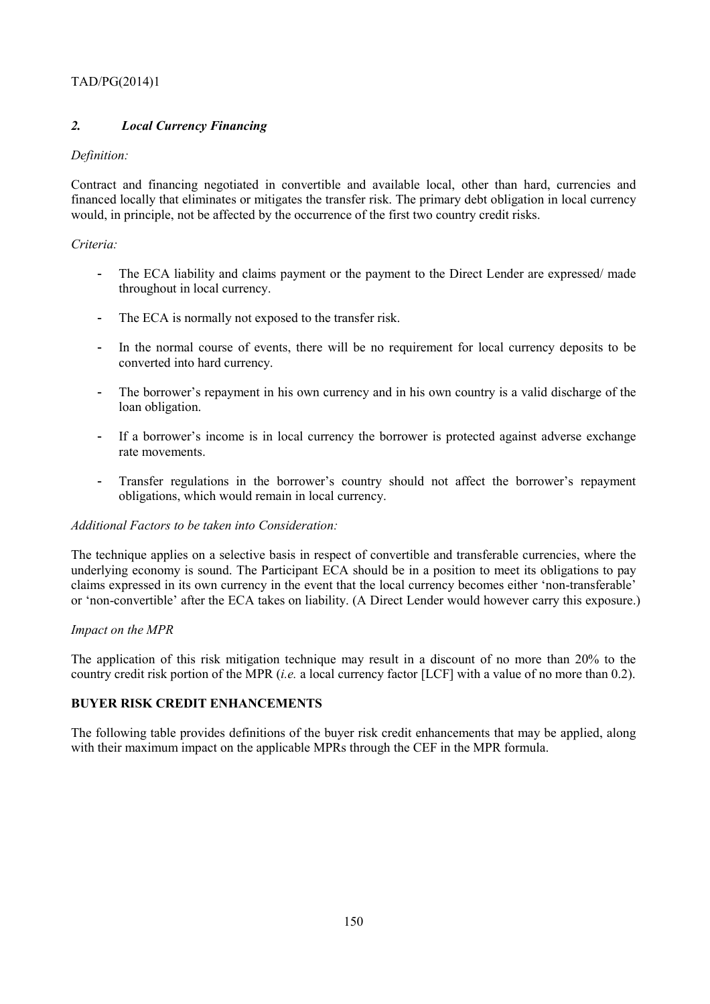## *2. Local Currency Financing*

## *Definition:*

Contract and financing negotiated in convertible and available local, other than hard, currencies and financed locally that eliminates or mitigates the transfer risk. The primary debt obligation in local currency would, in principle, not be affected by the occurrence of the first two country credit risks.

## *Criteria:*

- The ECA liability and claims payment or the payment to the Direct Lender are expressed/ made throughout in local currency.
- The ECA is normally not exposed to the transfer risk.
- In the normal course of events, there will be no requirement for local currency deposits to be converted into hard currency.
- The borrower's repayment in his own currency and in his own country is a valid discharge of the loan obligation.
- If a borrower's income is in local currency the borrower is protected against adverse exchange rate movements.
- Transfer regulations in the borrower's country should not affect the borrower's repayment obligations, which would remain in local currency.

#### *Additional Factors to be taken into Consideration:*

The technique applies on a selective basis in respect of convertible and transferable currencies, where the underlying economy is sound. The Participant ECA should be in a position to meet its obligations to pay claims expressed in its own currency in the event that the local currency becomes either 'non-transferable' or 'non-convertible' after the ECA takes on liability. (A Direct Lender would however carry this exposure.)

#### *Impact on the MPR*

The application of this risk mitigation technique may result in a discount of no more than 20% to the country credit risk portion of the MPR (*i.e.* a local currency factor [LCF] with a value of no more than 0.2).

## **BUYER RISK CREDIT ENHANCEMENTS**

The following table provides definitions of the buyer risk credit enhancements that may be applied, along with their maximum impact on the applicable MPRs through the CEF in the MPR formula.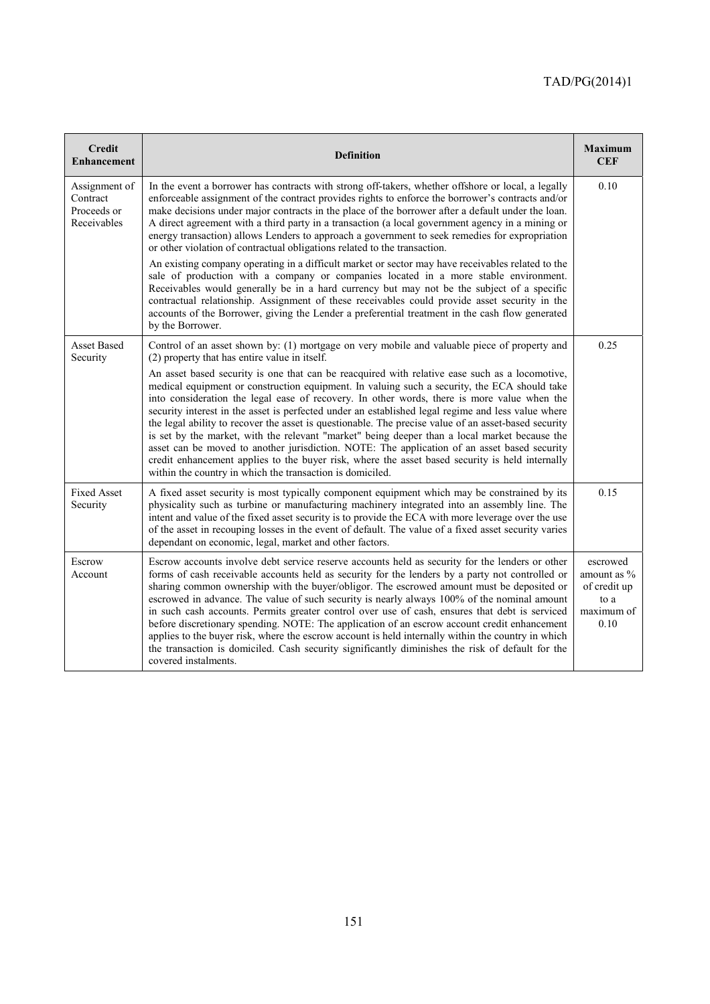| <b>Credit</b><br><b>Enhancement</b>                     | <b>Definition</b>                                                                                                                                                                                                                                                                                                                                                                                                                                                                                                                                                                                                                                                                                                                                                                                                                                                            | <b>Maximum</b><br><b>CEF</b>                                          |
|---------------------------------------------------------|------------------------------------------------------------------------------------------------------------------------------------------------------------------------------------------------------------------------------------------------------------------------------------------------------------------------------------------------------------------------------------------------------------------------------------------------------------------------------------------------------------------------------------------------------------------------------------------------------------------------------------------------------------------------------------------------------------------------------------------------------------------------------------------------------------------------------------------------------------------------------|-----------------------------------------------------------------------|
| Assignment of<br>Contract<br>Proceeds or<br>Receivables | In the event a borrower has contracts with strong off-takers, whether offshore or local, a legally<br>enforceable assignment of the contract provides rights to enforce the borrower's contracts and/or<br>make decisions under major contracts in the place of the borrower after a default under the loan.<br>A direct agreement with a third party in a transaction (a local government agency in a mining or<br>energy transaction) allows Lenders to approach a government to seek remedies for expropriation<br>or other violation of contractual obligations related to the transaction.                                                                                                                                                                                                                                                                              | 0.10                                                                  |
|                                                         | An existing company operating in a difficult market or sector may have receivables related to the<br>sale of production with a company or companies located in a more stable environment.<br>Receivables would generally be in a hard currency but may not be the subject of a specific<br>contractual relationship. Assignment of these receivables could provide asset security in the<br>accounts of the Borrower, giving the Lender a preferential treatment in the cash flow generated<br>by the Borrower.                                                                                                                                                                                                                                                                                                                                                              |                                                                       |
| <b>Asset Based</b><br>Security                          | Control of an asset shown by: (1) mortgage on very mobile and valuable piece of property and<br>(2) property that has entire value in itself.                                                                                                                                                                                                                                                                                                                                                                                                                                                                                                                                                                                                                                                                                                                                | 0.25                                                                  |
|                                                         | An asset based security is one that can be reacquired with relative ease such as a locomotive,<br>medical equipment or construction equipment. In valuing such a security, the ECA should take<br>into consideration the legal ease of recovery. In other words, there is more value when the<br>security interest in the asset is perfected under an established legal regime and less value where<br>the legal ability to recover the asset is questionable. The precise value of an asset-based security<br>is set by the market, with the relevant "market" being deeper than a local market because the<br>asset can be moved to another jurisdiction. NOTE: The application of an asset based security<br>credit enhancement applies to the buyer risk, where the asset based security is held internally<br>within the country in which the transaction is domiciled. |                                                                       |
| <b>Fixed Asset</b><br>Security                          | A fixed asset security is most typically component equipment which may be constrained by its<br>physicality such as turbine or manufacturing machinery integrated into an assembly line. The<br>intent and value of the fixed asset security is to provide the ECA with more leverage over the use<br>of the asset in recouping losses in the event of default. The value of a fixed asset security varies<br>dependant on economic, legal, market and other factors.                                                                                                                                                                                                                                                                                                                                                                                                        | 0.15                                                                  |
| Escrow<br>Account                                       | Escrow accounts involve debt service reserve accounts held as security for the lenders or other<br>forms of cash receivable accounts held as security for the lenders by a party not controlled or<br>sharing common ownership with the buyer/obligor. The escrowed amount must be deposited or<br>escrowed in advance. The value of such security is nearly always 100% of the nominal amount<br>in such cash accounts. Permits greater control over use of cash, ensures that debt is serviced<br>before discretionary spending. NOTE: The application of an escrow account credit enhancement<br>applies to the buyer risk, where the escrow account is held internally within the country in which<br>the transaction is domiciled. Cash security significantly diminishes the risk of default for the<br>covered instalments.                                           | escrowed<br>amount as %<br>of credit up<br>to a<br>maximum of<br>0.10 |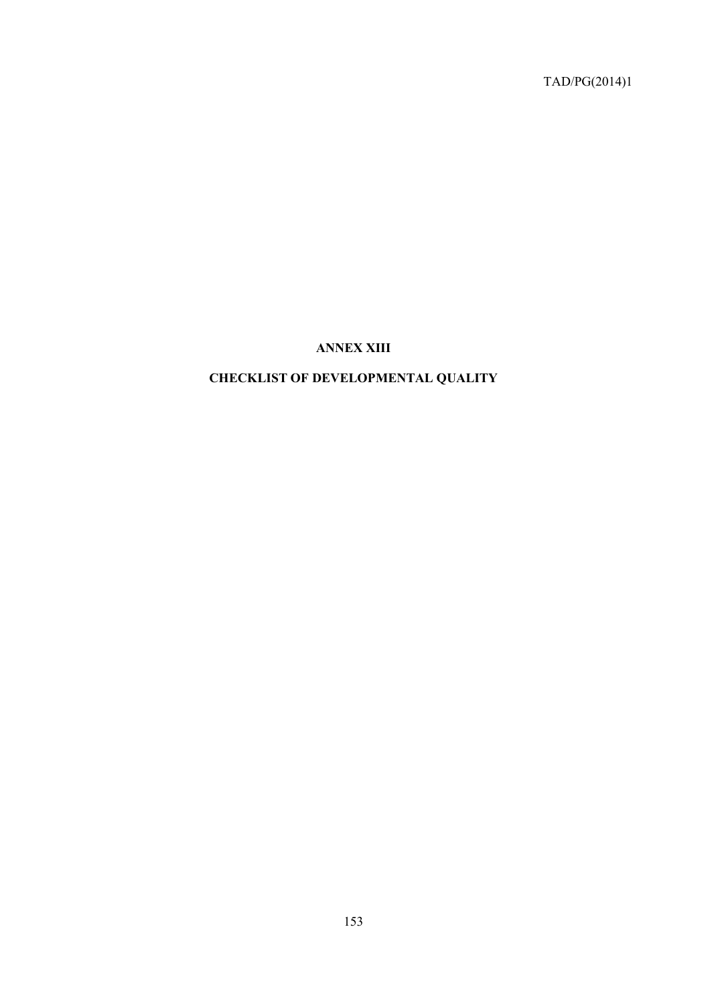## **ANNEX XIII**

# **CHECKLIST OF DEVELOPMENTAL QUALITY**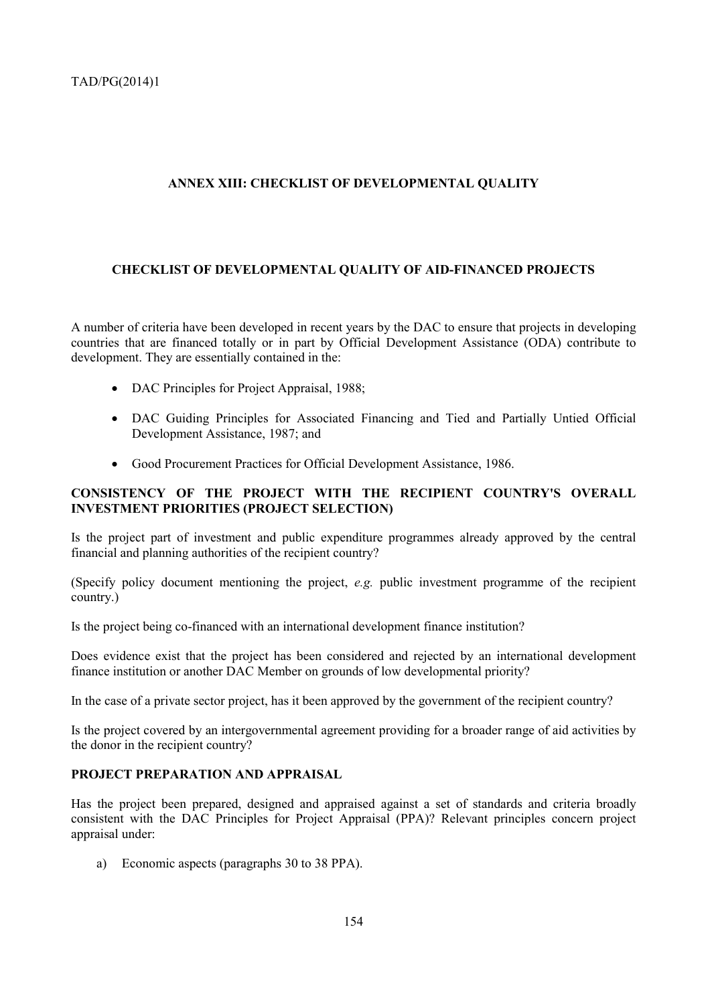## **ANNEX XIII: CHECKLIST OF DEVELOPMENTAL QUALITY**

## **CHECKLIST OF DEVELOPMENTAL QUALITY OF AID-FINANCED PROJECTS**

A number of criteria have been developed in recent years by the DAC to ensure that projects in developing countries that are financed totally or in part by Official Development Assistance (ODA) contribute to development. They are essentially contained in the:

- DAC Principles for Project Appraisal, 1988;
- DAC Guiding Principles for Associated Financing and Tied and Partially Untied Official Development Assistance, 1987; and
- Good Procurement Practices for Official Development Assistance, 1986.

## **CONSISTENCY OF THE PROJECT WITH THE RECIPIENT COUNTRY'S OVERALL INVESTMENT PRIORITIES (PROJECT SELECTION)**

Is the project part of investment and public expenditure programmes already approved by the central financial and planning authorities of the recipient country?

(Specify policy document mentioning the project, *e.g.* public investment programme of the recipient country.)

Is the project being co-financed with an international development finance institution?

Does evidence exist that the project has been considered and rejected by an international development finance institution or another DAC Member on grounds of low developmental priority?

In the case of a private sector project, has it been approved by the government of the recipient country?

Is the project covered by an intergovernmental agreement providing for a broader range of aid activities by the donor in the recipient country?

#### **PROJECT PREPARATION AND APPRAISAL**

Has the project been prepared, designed and appraised against a set of standards and criteria broadly consistent with the DAC Principles for Project Appraisal (PPA)? Relevant principles concern project appraisal under:

a) Economic aspects (paragraphs 30 to 38 PPA).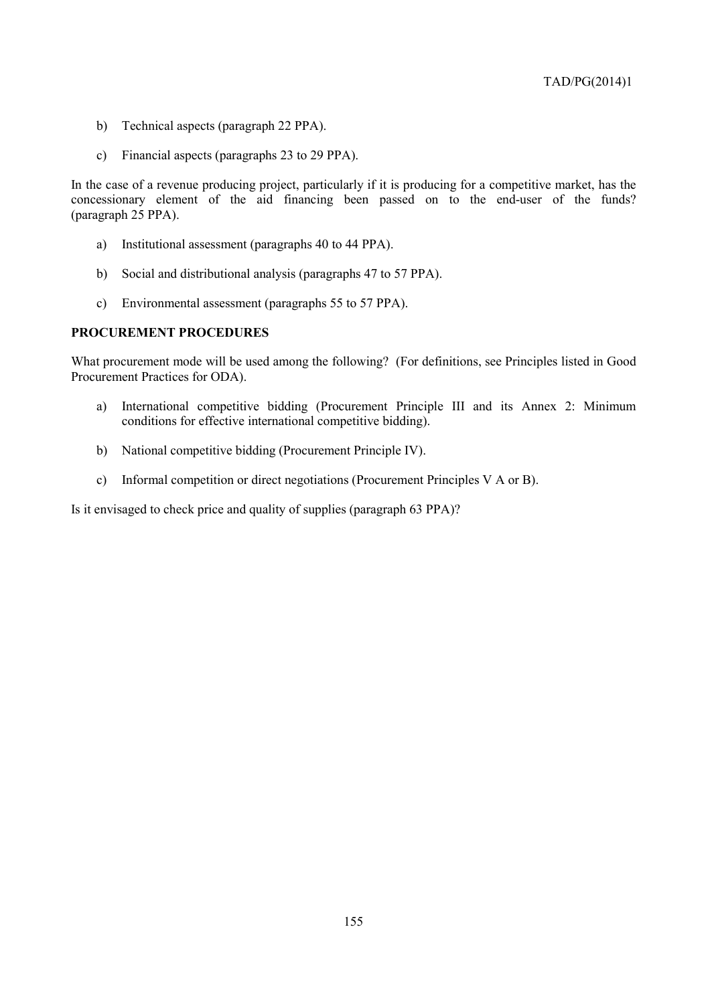- b) Technical aspects (paragraph 22 PPA).
- c) Financial aspects (paragraphs 23 to 29 PPA).

In the case of a revenue producing project, particularly if it is producing for a competitive market, has the concessionary element of the aid financing been passed on to the end-user of the funds? (paragraph 25 PPA).

- a) Institutional assessment (paragraphs 40 to 44 PPA).
- b) Social and distributional analysis (paragraphs 47 to 57 PPA).
- c) Environmental assessment (paragraphs 55 to 57 PPA).

## **PROCUREMENT PROCEDURES**

What procurement mode will be used among the following? (For definitions, see Principles listed in Good Procurement Practices for ODA).

- a) International competitive bidding (Procurement Principle III and its Annex 2: Minimum conditions for effective international competitive bidding).
- b) National competitive bidding (Procurement Principle IV).
- c) Informal competition or direct negotiations (Procurement Principles V A or B).

Is it envisaged to check price and quality of supplies (paragraph 63 PPA)?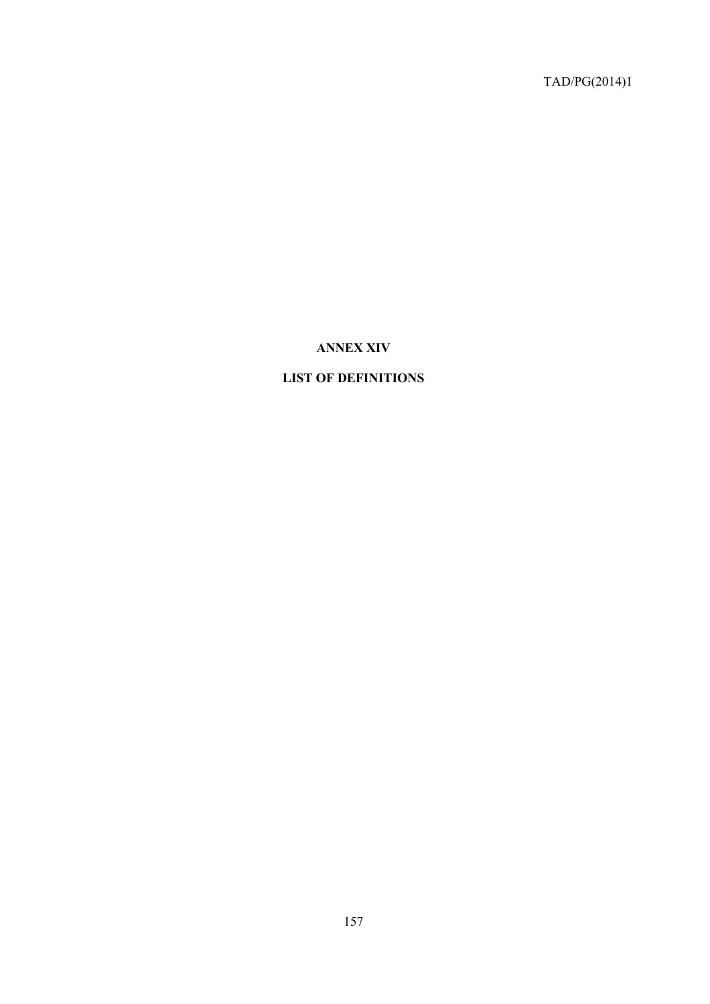## **ANNEX XIV**

# **LIST OF DEFINITIONS**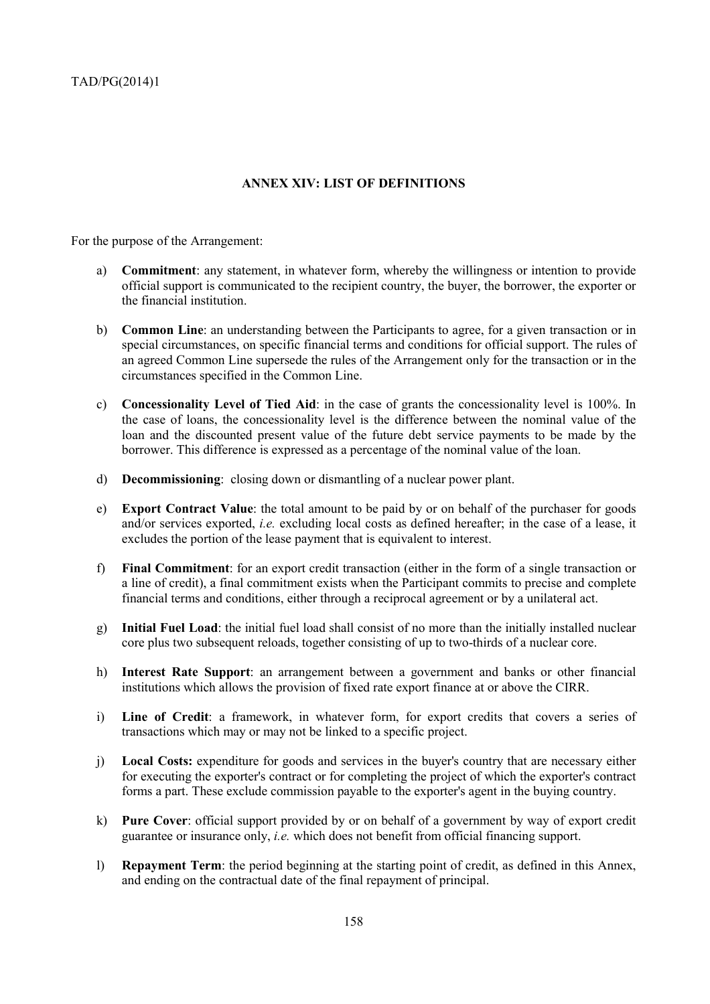## **ANNEX XIV: LIST OF DEFINITIONS**

For the purpose of the Arrangement:

- a) **Commitment**: any statement, in whatever form, whereby the willingness or intention to provide official support is communicated to the recipient country, the buyer, the borrower, the exporter or the financial institution.
- b) **Common Line**: an understanding between the Participants to agree, for a given transaction or in special circumstances, on specific financial terms and conditions for official support. The rules of an agreed Common Line supersede the rules of the Arrangement only for the transaction or in the circumstances specified in the Common Line.
- c) **Concessionality Level of Tied Aid**: in the case of grants the concessionality level is 100%. In the case of loans, the concessionality level is the difference between the nominal value of the loan and the discounted present value of the future debt service payments to be made by the borrower. This difference is expressed as a percentage of the nominal value of the loan.
- d) **Decommissioning**: closing down or dismantling of a nuclear power plant.
- e) **Export Contract Value**: the total amount to be paid by or on behalf of the purchaser for goods and/or services exported, *i.e.* excluding local costs as defined hereafter; in the case of a lease, it excludes the portion of the lease payment that is equivalent to interest.
- f) **Final Commitment**: for an export credit transaction (either in the form of a single transaction or a line of credit), a final commitment exists when the Participant commits to precise and complete financial terms and conditions, either through a reciprocal agreement or by a unilateral act.
- g) **Initial Fuel Load**: the initial fuel load shall consist of no more than the initially installed nuclear core plus two subsequent reloads, together consisting of up to two-thirds of a nuclear core.
- h) **Interest Rate Support**: an arrangement between a government and banks or other financial institutions which allows the provision of fixed rate export finance at or above the CIRR.
- i) **Line of Credit**: a framework, in whatever form, for export credits that covers a series of transactions which may or may not be linked to a specific project.
- j) **Local Costs:** expenditure for goods and services in the buyer's country that are necessary either for executing the exporter's contract or for completing the project of which the exporter's contract forms a part. These exclude commission payable to the exporter's agent in the buying country.
- k) **Pure Cover**: official support provided by or on behalf of a government by way of export credit guarantee or insurance only, *i.e.* which does not benefit from official financing support.
- l) **Repayment Term**: the period beginning at the starting point of credit, as defined in this Annex, and ending on the contractual date of the final repayment of principal.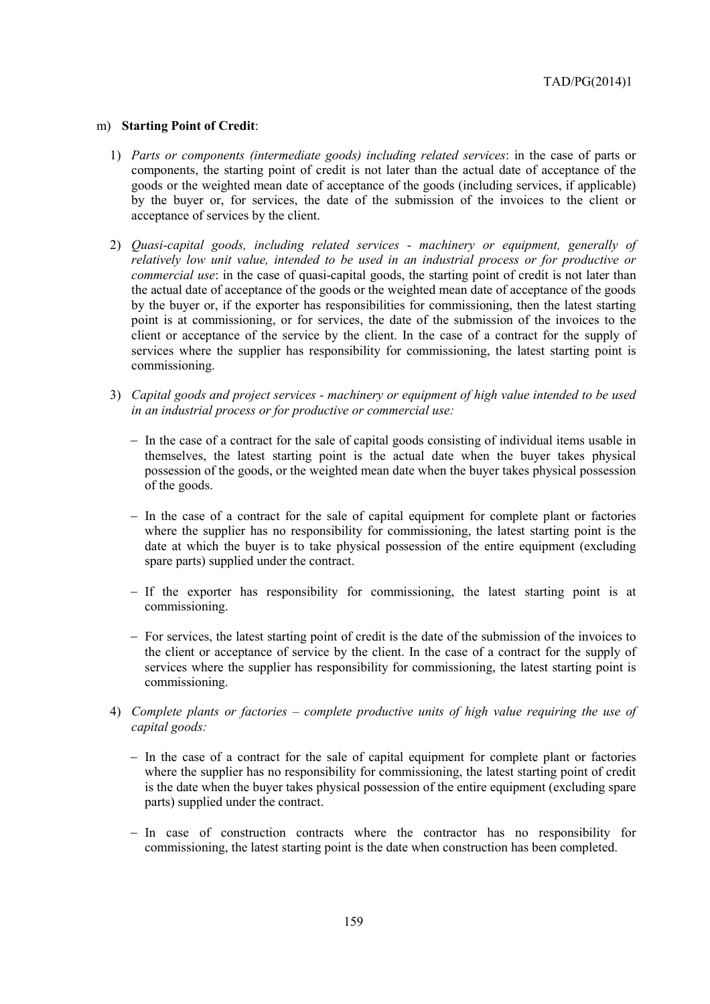#### m) **Starting Point of Credit**:

- 1) *Parts or components (intermediate goods) including related services*: in the case of parts or components, the starting point of credit is not later than the actual date of acceptance of the goods or the weighted mean date of acceptance of the goods (including services, if applicable) by the buyer or, for services, the date of the submission of the invoices to the client or acceptance of services by the client.
- 2) *Quasi-capital goods, including related services machinery or equipment, generally of relatively low unit value, intended to be used in an industrial process or for productive or commercial use*: in the case of quasi-capital goods, the starting point of credit is not later than the actual date of acceptance of the goods or the weighted mean date of acceptance of the goods by the buyer or, if the exporter has responsibilities for commissioning, then the latest starting point is at commissioning, or for services, the date of the submission of the invoices to the client or acceptance of the service by the client. In the case of a contract for the supply of services where the supplier has responsibility for commissioning, the latest starting point is commissioning.
- 3) *Capital goods and project services machinery or equipment of high value intended to be used in an industrial process or for productive or commercial use:* 
	- − In the case of a contract for the sale of capital goods consisting of individual items usable in themselves, the latest starting point is the actual date when the buyer takes physical possession of the goods, or the weighted mean date when the buyer takes physical possession of the goods.
	- − In the case of a contract for the sale of capital equipment for complete plant or factories where the supplier has no responsibility for commissioning, the latest starting point is the date at which the buyer is to take physical possession of the entire equipment (excluding spare parts) supplied under the contract.
	- − If the exporter has responsibility for commissioning, the latest starting point is at commissioning.
	- − For services, the latest starting point of credit is the date of the submission of the invoices to the client or acceptance of service by the client. In the case of a contract for the supply of services where the supplier has responsibility for commissioning, the latest starting point is commissioning.
- 4) *Complete plants or factories complete productive units of high value requiring the use of capital goods:* 
	- − In the case of a contract for the sale of capital equipment for complete plant or factories where the supplier has no responsibility for commissioning, the latest starting point of credit is the date when the buyer takes physical possession of the entire equipment (excluding spare parts) supplied under the contract.
	- − In case of construction contracts where the contractor has no responsibility for commissioning, the latest starting point is the date when construction has been completed.